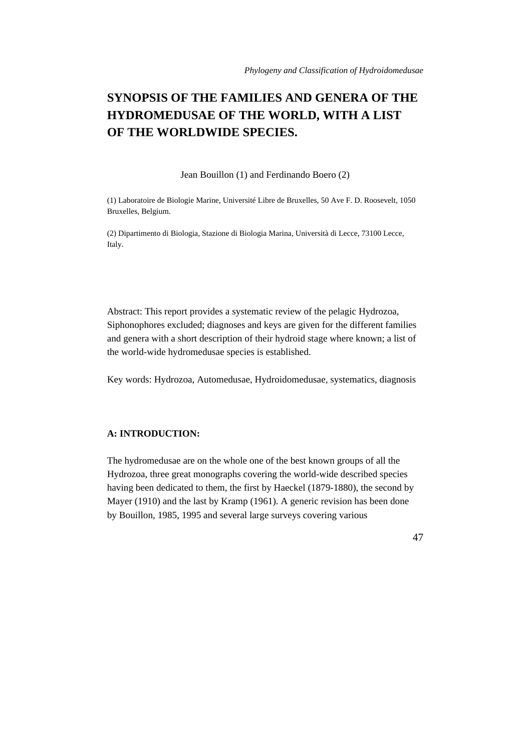# **SYNOPSIS OF THE FAMILIES AND GENERA OF THE HYDROMEDUSAE OF THE WORLD, WITH A LIST OF THE WORLDWIDE SPECIES.**

Jean Bouillon (1) and Ferdinando Boero (2)

(1) Laboratoire de Biologie Marine, Université Libre de Bruxelles, 50 Ave F. D. Roosevelt, 1050 Bruxelles, Belgium.

(2) Dipartimento di Biologia, Stazione di Biologia Marina, Università di Lecce, 73100 Lecce, Italy.

Abstract: This report provides a systematic review of the pelagic Hydrozoa, Siphonophores excluded; diagnoses and keys are given for the different families and genera with a short description of their hydroid stage where known; a list of the world-wide hydromedusae species is established.

Key words: Hydrozoa, Automedusae, Hydroidomedusae, systematics, diagnosis

# **A: INTRODUCTION:**

The hydromedusae are on the whole one of the best known groups of all the Hydrozoa, three great monographs covering the world-wide described species having been dedicated to them, the first by Haeckel (1879-1880), the second by Mayer (1910) and the last by Kramp (1961). A generic revision has been done by Bouillon, 1985, 1995 and several large surveys covering various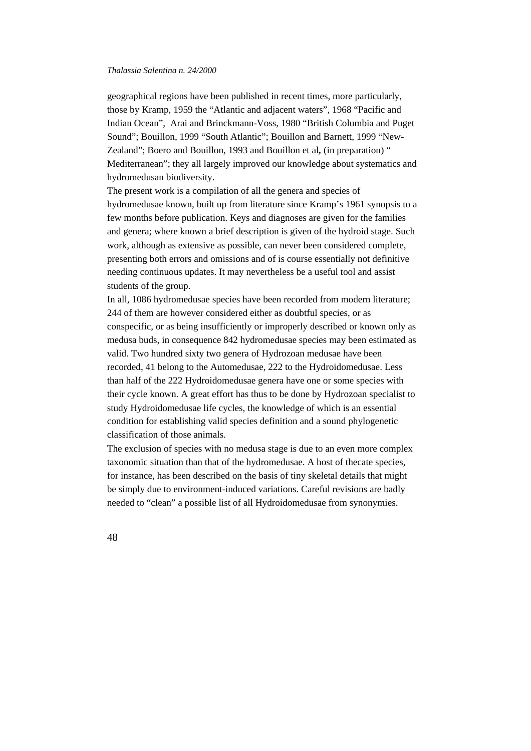geographical regions have been published in recent times, more particularly, those by Kramp, 1959 the "Atlantic and adjacent waters", 1968 "Pacific and Indian Ocean", Arai and Brinckmann-Voss, 1980 "British Columbia and Puget Sound"; Bouillon, 1999 "South Atlantic"; Bouillon and Barnett, 1999 "New-Zealand"; Boero and Bouillon, 1993 and Bouillon et al*,* (in preparation) " Mediterranean"; they all largely improved our knowledge about systematics and hydromedusan biodiversity.

The present work is a compilation of all the genera and species of hydromedusae known, built up from literature since Kramp's 1961 synopsis to a few months before publication. Keys and diagnoses are given for the families and genera; where known a brief description is given of the hydroid stage. Such work, although as extensive as possible, can never been considered complete, presenting both errors and omissions and of is course essentially not definitive needing continuous updates. It may nevertheless be a useful tool and assist students of the group.

In all, 1086 hydromedusae species have been recorded from modern literature; 244 of them are however considered either as doubtful species, or as conspecific, or as being insufficiently or improperly described or known only as medusa buds, in consequence 842 hydromedusae species may been estimated as valid. Two hundred sixty two genera of Hydrozoan medusae have been recorded, 41 belong to the Automedusae, 222 to the Hydroidomedusae. Less than half of the 222 Hydroidomedusae genera have one or some species with their cycle known. A great effort has thus to be done by Hydrozoan specialist to study Hydroidomedusae life cycles, the knowledge of which is an essential condition for establishing valid species definition and a sound phylogenetic classification of those animals.

The exclusion of species with no medusa stage is due to an even more complex taxonomic situation than that of the hydromedusae. A host of thecate species, for instance, has been described on the basis of tiny skeletal details that might be simply due to environment-induced variations. Careful revisions are badly needed to "clean" a possible list of all Hydroidomedusae from synonymies.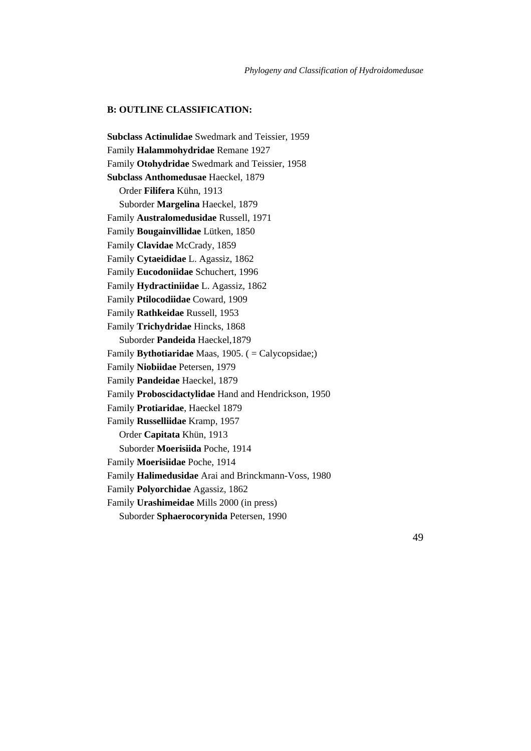# **B: OUTLINE CLASSIFICATION:**

**Subclass Actinulidae** Swedmark and Teissier, 1959 Family **Halammohydridae** Remane 1927 Family **Otohydridae** Swedmark and Teissier, 1958 **Subclass Anthomedusae** Haeckel, 1879 Order **Filifera** Kühn, 1913 Suborder **Margelina** Haeckel, 1879 Family **Australomedusidae** Russell, 1971 Family **Bougainvillidae** Lütken, 1850 Family **Clavidae** McCrady, 1859 Family **Cytaeididae** L. Agassiz, 1862 Family **Eucodoniidae** Schuchert, 1996 Family **Hydractiniidae** L. Agassiz, 1862 Family **Ptilocodiidae** Coward, 1909 Family **Rathkeidae** Russell, 1953 Family **Trichydridae** Hincks, 1868 Suborder **Pandeida** Haeckel,1879 Family **Bythotiaridae** Maas, 1905. ( = Calycopsidae;) Family **Niobiidae** Petersen, 1979 Family **Pandeidae** Haeckel, 1879 Family **Proboscidactylidae** Hand and Hendrickson, 1950 Family **Protiaridae**, Haeckel 1879 Family **Russelliidae** Kramp, 1957 Order **Capitata** Khün, 1913 Suborder **Moerisiida** Poche, 1914 Family **Moerisiidae** Poche, 1914 Family **Halimedusidae** Arai and Brinckmann-Voss, 1980 Family **Polyorchidae** Agassiz, 1862 Family **Urashimeidae** Mills 2000 (in press) Suborder **Sphaerocorynida** Petersen, 1990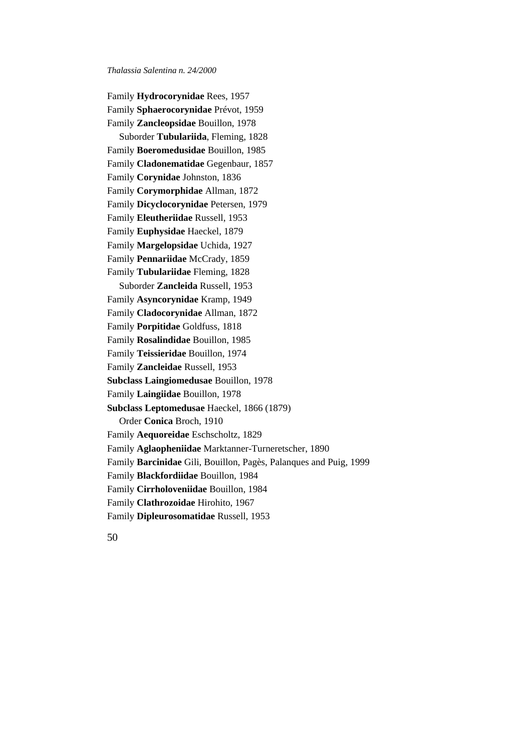Family **Hydrocorynidae** Rees, 1957 Family **Sphaerocorynidae** Prévot, 1959 Family **Zancleopsidae** Bouillon, 1978 Suborder **Tubulariida**, Fleming, 1828 Family **Boeromedusidae** Bouillon, 1985 Family **Cladonematidae** Gegenbaur, 1857 Family **Corynidae** Johnston, 1836 Family **Corymorphidae** Allman, 1872 Family **Dicyclocorynidae** Petersen, 1979 Family **Eleutheriidae** Russell, 1953 Family **Euphysidae** Haeckel, 1879 Family **Margelopsidae** Uchida, 1927 Family **Pennariidae** McCrady, 1859 Family **Tubulariidae** Fleming, 1828 Suborder **Zancleida** Russell, 1953 Family **Asyncorynidae** Kramp, 1949 Family **Cladocorynidae** Allman, 1872 Family **Porpitidae** Goldfuss, 1818 Family **Rosalindidae** Bouillon, 1985 Family **Teissieridae** Bouillon, 1974 Family **Zancleidae** Russell, 1953 **Subclass Laingiomedusae** Bouillon, 1978 Family **Laingiidae** Bouillon, 1978 **Subclass Leptomedusae** Haeckel, 1866 (1879) Order **Conica** Broch, 1910 Family **Aequoreidae** Eschscholtz, 1829 Family **Aglaopheniidae** Marktanner-Turneretscher, 1890 Family **Barcinidae** Gili, Bouillon, Pagès, Palanques and Puig*,* 1999 Family **Blackfordiidae** Bouillon, 1984 Family **Cirrholoveniidae** Bouillon, 1984 Family **Clathrozoidae** Hirohito, 1967 Family **Dipleurosomatidae** Russell, 1953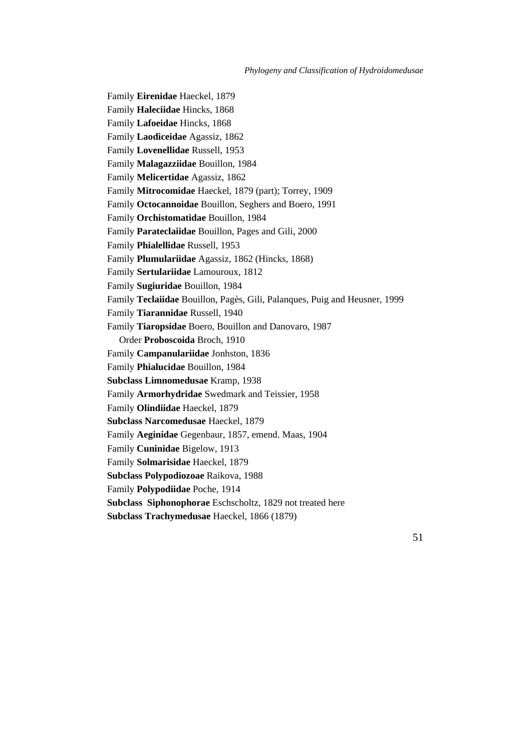*Phylogeny and Classification of Hydroidomedusae*

Family **Eirenidae** Haeckel, 1879 Family **Haleciidae** Hincks, 1868 Family **Lafoeidae** Hincks, 1868 Family **Laodiceidae** Agassiz, 1862 Family **Lovenellidae** Russell, 1953 Family **Malagazziidae** Bouillon, 1984 Family **Melicertidae** Agassiz, 1862 Family **Mitrocomidae** Haeckel, 1879 (part); Torrey, 1909 Family **Octocannoidae** Bouillon, Seghers and Boero, 1991 Family **Orchistomatidae** Bouillon, 1984 Family **Parateclaiidae** Bouillon, Pages and Gili, 2000 Family **Phialellidae** Russell, 1953 Family **Plumulariidae** Agassiz, 1862 (Hincks, 1868) Family **Sertulariidae** Lamouroux, 1812 Family **Sugiuridae** Bouillon, 1984 Family **Teclaiidae** Bouillon, Pagès, Gili, Palanques, Puig and Heusner, 1999 Family **Tiarannidae** Russell, 1940 Family **Tiaropsidae** Boero, Bouillon and Danovaro, 1987 Order **Proboscoida** Broch, 1910 Family **Campanulariidae** Jonhston, 1836 Family **Phialucidae** Bouillon, 1984 **Subclass Limnomedusae** Kramp, 1938 Family **Armorhydridae** Swedmark and Teissier, 1958 Family **Olindiidae** Haeckel, 1879 **Subclass Narcomedusae** Haeckel, 1879 Family **Aeginidae** Gegenbaur, 1857, emend. Maas, 1904 Family **Cuninidae** Bigelow, 1913 Family **Solmarisidae** Haeckel, 1879 **Subclass Polypodiozoae** Raikova, 1988 Family **Polypodiidae** Poche, 1914 **Subclass Siphonophorae** Eschscholtz, 1829 not treated here **Subclass Trachymedusae** Haeckel, 1866 (1879)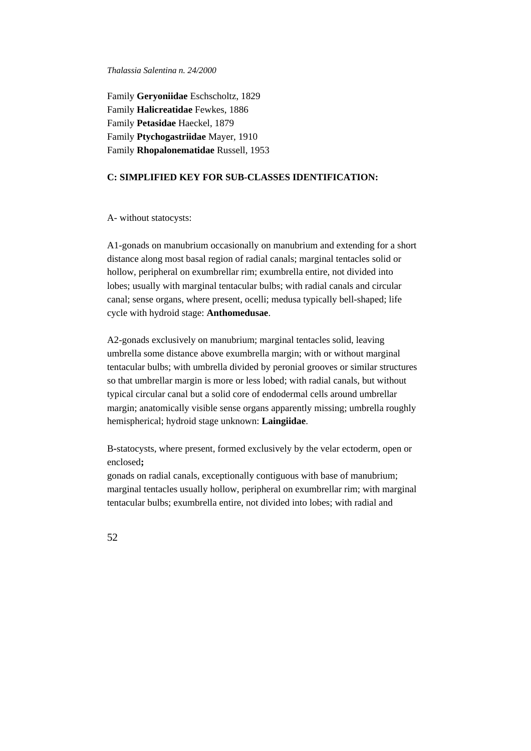Family **Geryoniidae** Eschscholtz, 1829 Family **Halicreatidae** Fewkes, 1886 Family **Petasidae** Haeckel, 1879 Family **Ptychogastriidae** Mayer, 1910 Family **Rhopalonematidae** Russell, 1953

## **C: SIMPLIFIED KEY FOR SUB-CLASSES IDENTIFICATION:**

A- without statocysts:

A1-gonads on manubrium occasionally on manubrium and extending for a short distance along most basal region of radial canals; marginal tentacles solid or hollow, peripheral on exumbrellar rim; exumbrella entire, not divided into lobes; usually with marginal tentacular bulbs; with radial canals and circular canal; sense organs, where present, ocelli; medusa typically bell-shaped; life cycle with hydroid stage: **Anthomedusae**.

A2-gonads exclusively on manubrium; marginal tentacles solid, leaving umbrella some distance above exumbrella margin; with or without marginal tentacular bulbs; with umbrella divided by peronial grooves or similar structures so that umbrellar margin is more or less lobed; with radial canals, but without typical circular canal but a solid core of endodermal cells around umbrellar margin; anatomically visible sense organs apparently missing; umbrella roughly hemispherical; hydroid stage unknown: **Laingiidae**.

B**-**statocysts, where present, formed exclusively by the velar ectoderm, open or enclosed**;**

gonads on radial canals, exceptionally contiguous with base of manubrium; marginal tentacles usually hollow, peripheral on exumbrellar rim; with marginal tentacular bulbs; exumbrella entire, not divided into lobes; with radial and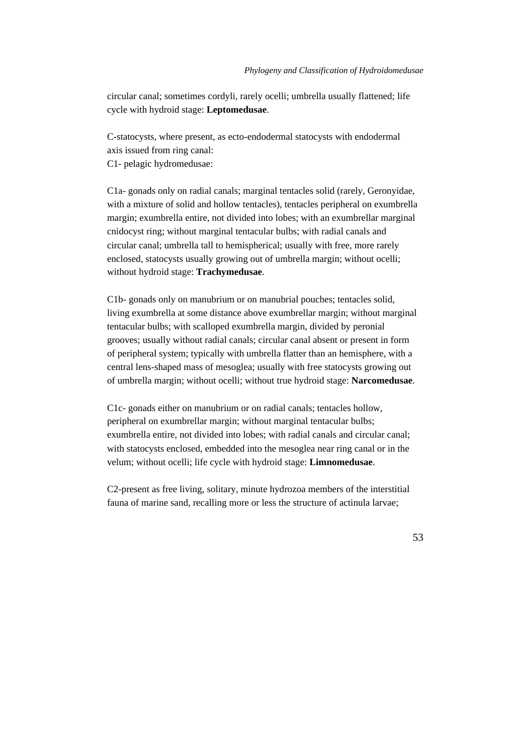circular canal; sometimes cordyli, rarely ocelli; umbrella usually flattened; life cycle with hydroid stage: **Leptomedusae**.

C-statocysts, where present, as ecto-endodermal statocysts with endodermal axis issued from ring canal:

C1- pelagic hydromedusae:

C1a- gonads only on radial canals; marginal tentacles solid (rarely, Geronyidae, with a mixture of solid and hollow tentacles), tentacles peripheral on exumbrella margin; exumbrella entire, not divided into lobes; with an exumbrellar marginal cnidocyst ring; without marginal tentacular bulbs; with radial canals and circular canal; umbrella tall to hemispherical; usually with free, more rarely enclosed, statocysts usually growing out of umbrella margin; without ocelli; without hydroid stage: **Trachymedusae**.

C1b- gonads only on manubrium or on manubrial pouches; tentacles solid, living exumbrella at some distance above exumbrellar margin; without marginal tentacular bulbs; with scalloped exumbrella margin, divided by peronial grooves; usually without radial canals; circular canal absent or present in form of peripheral system; typically with umbrella flatter than an hemisphere, with a central lens-shaped mass of mesoglea; usually with free statocysts growing out of umbrella margin; without ocelli; without true hydroid stage: **Narcomedusae**.

C1c- gonads either on manubrium or on radial canals; tentacles hollow, peripheral on exumbrellar margin; without marginal tentacular bulbs; exumbrella entire, not divided into lobes; with radial canals and circular canal; with statocysts enclosed, embedded into the mesoglea near ring canal or in the velum; without ocelli; life cycle with hydroid stage: **Limnomedusae**.

C2-present as free living, solitary, minute hydrozoa members of the interstitial fauna of marine sand, recalling more or less the structure of actinula larvae;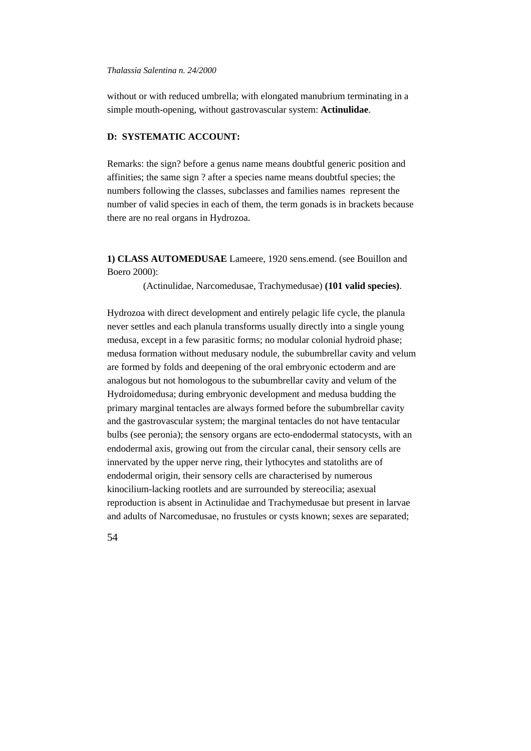without or with reduced umbrella; with elongated manubrium terminating in a simple mouth-opening, without gastrovascular system: **Actinulidae**.

# **D: SYSTEMATIC ACCOUNT:**

Remarks: the sign? before a genus name means doubtful generic position and affinities; the same sign ? after a species name means doubtful species; the numbers following the classes, subclasses and families names represent the number of valid species in each of them, the term gonads is in brackets because there are no real organs in Hydrozoa.

**1) CLASS AUTOMEDUSAE** Lameere, 1920 sens.emend. (see Bouillon and Boero 2000):

(Actinulidae, Narcomedusae, Trachymedusae) **(101 valid species)**.

Hydrozoa with direct development and entirely pelagic life cycle, the planula never settles and each planula transforms usually directly into a single young medusa, except in a few parasitic forms; no modular colonial hydroid phase; medusa formation without medusary nodule, the subumbrellar cavity and velum are formed by folds and deepening of the oral embryonic ectoderm and are analogous but not homologous to the subumbrellar cavity and velum of the Hydroidomedusa; during embryonic development and medusa budding the primary marginal tentacles are always formed before the subumbrellar cavity and the gastrovascular system; the marginal tentacles do not have tentacular bulbs (see peronia); the sensory organs are ecto-endodermal statocysts, with an endodermal axis, growing out from the circular canal, their sensory cells are innervated by the upper nerve ring, their lythocytes and statoliths are of endodermal origin, their sensory cells are characterised by numerous kinocilium-lacking rootlets and are surrounded by stereocilia; asexual reproduction is absent in Actinulidae and Trachymedusae but present in larvae and adults of Narcomedusae, no frustules or cysts known; sexes are separated;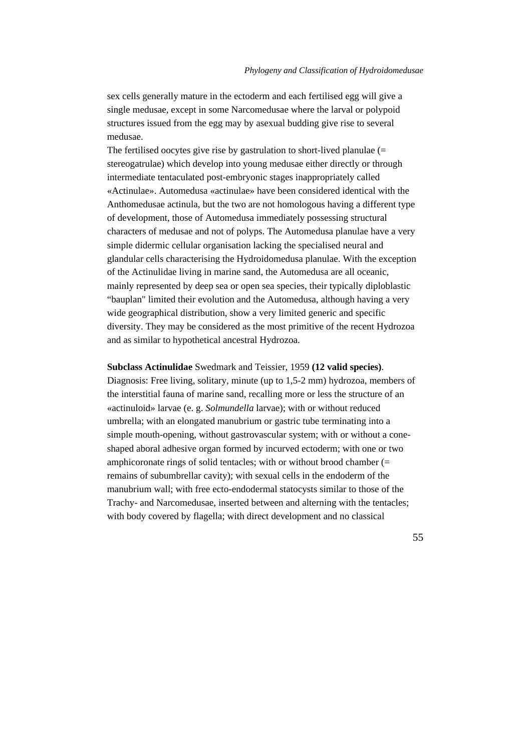sex cells generally mature in the ectoderm and each fertilised egg will give a single medusae, except in some Narcomedusae where the larval or polypoid structures issued from the egg may by asexual budding give rise to several medusae.

The fertilised oocytes give rise by gastrulation to short-lived planulae (= stereogatrulae) which develop into young medusae either directly or through intermediate tentaculated post-embryonic stages inappropriately called «Actinulae». Automedusa «actinulae» have been considered identical with the Anthomedusae actinula, but the two are not homologous having a different type of development, those of Automedusa immediately possessing structural characters of medusae and not of polyps. The Automedusa planulae have a very simple didermic cellular organisation lacking the specialised neural and glandular cells characterising the Hydroidomedusa planulae. With the exception of the Actinulidae living in marine sand, the Automedusa are all oceanic, mainly represented by deep sea or open sea species, their typically diploblastic "bauplan" limited their evolution and the Automedusa, although having a very wide geographical distribution, show a very limited generic and specific diversity. They may be considered as the most primitive of the recent Hydrozoa and as similar to hypothetical ancestral Hydrozoa.

# **Subclass Actinulidae** Swedmark and Teissier, 1959 **(12 valid species)**.

Diagnosis: Free living, solitary, minute (up to 1,5-2 mm) hydrozoa, members of the interstitial fauna of marine sand, recalling more or less the structure of an «actinuloid» larvae (e. g. *Solmundella* larvae); with or without reduced umbrella; with an elongated manubrium or gastric tube terminating into a simple mouth-opening, without gastrovascular system; with or without a coneshaped aboral adhesive organ formed by incurved ectoderm; with one or two amphicoronate rings of solid tentacles; with or without brood chamber (= remains of subumbrellar cavity); with sexual cells in the endoderm of the manubrium wall; with free ecto-endodermal statocysts similar to those of the Trachy- and Narcomedusae, inserted between and alterning with the tentacles; with body covered by flagella; with direct development and no classical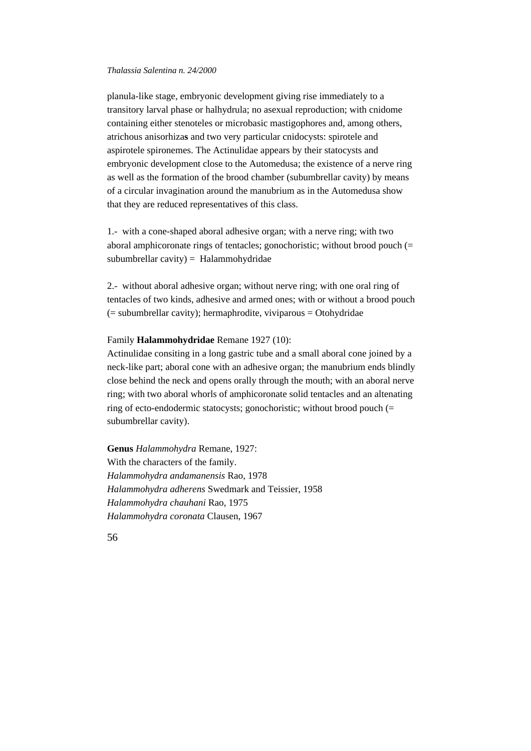planula-like stage, embryonic development giving rise immediately to a transitory larval phase or halhydrula; no asexual reproduction; with cnidome containing either stenoteles or microbasic mastigophores and, among others, atrichous anisorhiza**s** and two very particular cnidocysts: spirotele and aspirotele spironemes. The Actinulidae appears by their statocysts and embryonic development close to the Automedusa; the existence of a nerve ring as well as the formation of the brood chamber (subumbrellar cavity) by means of a circular invagination around the manubrium as in the Automedusa show that they are reduced representatives of this class.

1.- with a cone-shaped aboral adhesive organ; with a nerve ring; with two aboral amphicoronate rings of tentacles; gonochoristic; without brood pouch (= subumbrellar cavity) = Halammohydridae

2.- without aboral adhesive organ; without nerve ring; with one oral ring of tentacles of two kinds, adhesive and armed ones; with or without a brood pouch  $($  = subumbrellar cavity); hermaphrodite, viviparous = Otohydridae

#### Family **Halammohydridae** Remane 1927 (10):

Actinulidae consiting in a long gastric tube and a small aboral cone joined by a neck-like part; aboral cone with an adhesive organ; the manubrium ends blindly close behind the neck and opens orally through the mouth; with an aboral nerve ring; with two aboral whorls of amphicoronate solid tentacles and an altenating ring of ecto-endodermic statocysts; gonochoristic; without brood pouch (= subumbrellar cavity).

**Genus** *Halammohydra* Remane, 1927: With the characters of the family. *Halammohydra andamanensis* Rao, 1978 *Halammohydra adherens* Swedmark and Teissier, 1958 *Halammohydra chauhani* Rao, 1975 *Halammohydra coronata* Clausen, 1967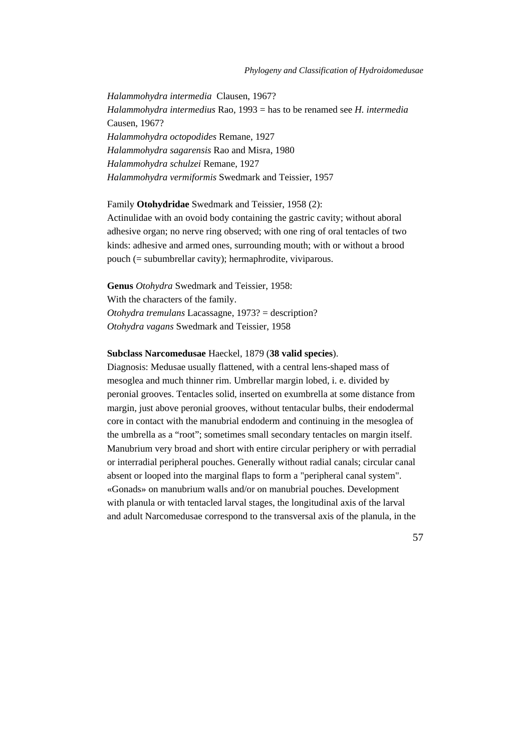*Halammohydra intermedia* Clausen, 1967? *Halammohydra intermedius* Rao, 1993 = has to be renamed see *H. intermedia* Causen, 1967? *Halammohydra octopodides* Remane, 1927 *Halammohydra sagarensis* Rao and Misra, 1980 *Halammohydra schulzei* Remane, 1927 *Halammohydra vermiformis* Swedmark and Teissier, 1957

Family **Otohydridae** Swedmark and Teissier, 1958 (2): Actinulidae with an ovoid body containing the gastric cavity; without aboral adhesive organ; no nerve ring observed; with one ring of oral tentacles of two kinds: adhesive and armed ones, surrounding mouth; with or without a brood pouch (= subumbrellar cavity); hermaphrodite, viviparous.

**Genus** *Otohydra* Swedmark and Teissier, 1958: With the characters of the family. *Otohydra tremulans* Lacassagne, 1973? = description? *Otohydra vagans* Swedmark and Teissier, 1958

#### **Subclass Narcomedusae** Haeckel, 1879 (**38 valid species**).

Diagnosis: Medusae usually flattened, with a central lens-shaped mass of mesoglea and much thinner rim. Umbrellar margin lobed, i. e. divided by peronial grooves. Tentacles solid, inserted on exumbrella at some distance from margin, just above peronial grooves, without tentacular bulbs, their endodermal core in contact with the manubrial endoderm and continuing in the mesoglea of the umbrella as a "root"; sometimes small secondary tentacles on margin itself. Manubrium very broad and short with entire circular periphery or with perradial or interradial peripheral pouches. Generally without radial canals; circular canal absent or looped into the marginal flaps to form a "peripheral canal system". «Gonads» on manubrium walls and/or on manubrial pouches. Development with planula or with tentacled larval stages, the longitudinal axis of the larval and adult Narcomedusae correspond to the transversal axis of the planula, in the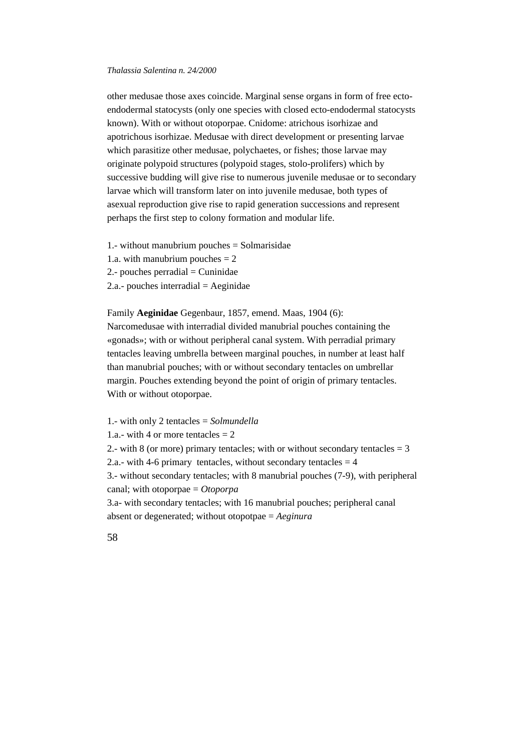other medusae those axes coincide. Marginal sense organs in form of free ectoendodermal statocysts (only one species with closed ecto-endodermal statocysts known). With or without otoporpae. Cnidome: atrichous isorhizae and apotrichous isorhizae. Medusae with direct development or presenting larvae which parasitize other medusae, polychaetes, or fishes; those larvae may originate polypoid structures (polypoid stages, stolo-prolifers) which by successive budding will give rise to numerous juvenile medusae or to secondary larvae which will transform later on into juvenile medusae, both types of asexual reproduction give rise to rapid generation successions and represent perhaps the first step to colony formation and modular life.

1.- without manubrium pouches = Solmarisidae 1.a. with manubrium pouches  $= 2$  $2$ - pouches perradial  $=$  Cuninidae  $2.a.-$  pouches interradial  $=$  Aeginidae

Family **Aeginidae** Gegenbaur, 1857, emend. Maas, 1904 (6): Narcomedusae with interradial divided manubrial pouches containing the «gonads»; with or without peripheral canal system. With perradial primary tentacles leaving umbrella between marginal pouches, in number at least half than manubrial pouches; with or without secondary tentacles on umbrellar margin. Pouches extending beyond the point of origin of primary tentacles. With or without otoporpae.

1.- with only 2 tentacles = *Solmundella* 1.a.- with 4 or more tentacles  $= 2$ 2.- with 8 (or more) primary tentacles; with or without secondary tentacles  $=$  3 2.a.- with 4-6 primary tentacles, without secondary tentacles  $= 4$ 3.- without secondary tentacles; with 8 manubrial pouches (7-9), with peripheral canal; with otoporpae = *Otoporpa* 3.a- with secondary tentacles; with 16 manubrial pouches; peripheral canal absent or degenerated; without otopotpae = *Aeginura*

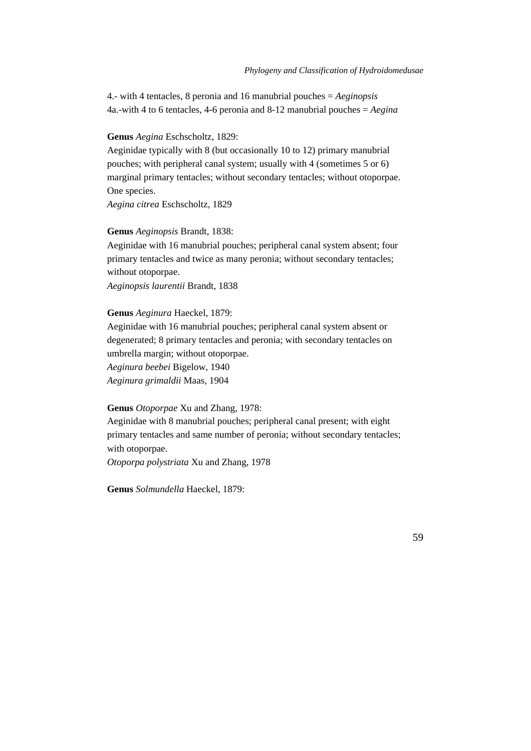4.- with 4 tentacles, 8 peronia and 16 manubrial pouches = *Aeginopsis* 4a.-with 4 to 6 tentacles, 4-6 peronia and 8-12 manubrial pouches = *Aegina*

# **Genus** *Aegina* Eschscholtz, 1829:

Aeginidae typically with 8 (but occasionally 10 to 12) primary manubrial pouches; with peripheral canal system; usually with 4 (sometimes 5 or 6) marginal primary tentacles; without secondary tentacles; without otoporpae. One species.

*Aegina citrea* Eschscholtz, 1829

# **Genus** *Aeginopsis* Brandt, 1838:

Aeginidae with 16 manubrial pouches; peripheral canal system absent; four primary tentacles and twice as many peronia; without secondary tentacles; without otoporpae.

*Aeginopsis laurentii* Brandt, 1838

### **Genus** *Aeginura* Haeckel, 1879:

Aeginidae with 16 manubrial pouches; peripheral canal system absent or degenerated; 8 primary tentacles and peronia; with secondary tentacles on umbrella margin; without otoporpae.

*Aeginura beebei* Bigelow, 1940 *Aeginura grimaldii* Maas, 1904

## **Genus** *Otoporpae* Xu and Zhang, 1978:

Aeginidae with 8 manubrial pouches; peripheral canal present; with eight primary tentacles and same number of peronia; without secondary tentacles; with otoporpae.

*Otoporpa polystriata* Xu and Zhang, 1978

**Genus** *Solmundella* Haeckel, 1879: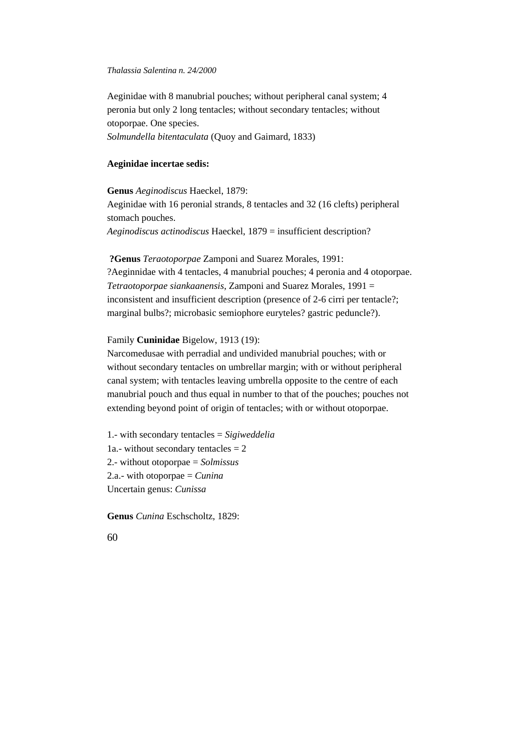Aeginidae with 8 manubrial pouches; without peripheral canal system; 4 peronia but only 2 long tentacles; without secondary tentacles; without otoporpae. One species. *Solmundella bitentaculata* (Quoy and Gaimard, 1833)

## **Aeginidae incertae sedis:**

**Genus** *Aeginodiscus* Haeckel, 1879: Aeginidae with 16 peronial strands, 8 tentacles and 32 (16 clefts) peripheral stomach pouches.

*Aeginodiscus actinodiscus* Haeckel, 1879 = insufficient description?

# **?Genus** *Teraotoporpae* Zamponi and Suarez Morales, 1991:

?Aeginnidae with 4 tentacles, 4 manubrial pouches; 4 peronia and 4 otoporpae. *Tetraotoporpae siankaanensis*, Zamponi and Suarez Morales, 1991 = inconsistent and insufficient description (presence of 2-6 cirri per tentacle?; marginal bulbs?; microbasic semiophore euryteles? gastric peduncle?).

# Family **Cuninidae** Bigelow, 1913 (19):

Narcomedusae with perradial and undivided manubrial pouches; with or without secondary tentacles on umbrellar margin; with or without peripheral canal system; with tentacles leaving umbrella opposite to the centre of each manubrial pouch and thus equal in number to that of the pouches; pouches not extending beyond point of origin of tentacles; with or without otoporpae.

1.- with secondary tentacles = *Sigiweddelia* 1a.- without secondary tentacles  $= 2$ 2.- without otoporpae = *Solmissus* 2.a.- with otoporpae = *Cunina* Uncertain genus: *Cunissa*

**Genus** *Cunina* Eschscholtz, 1829: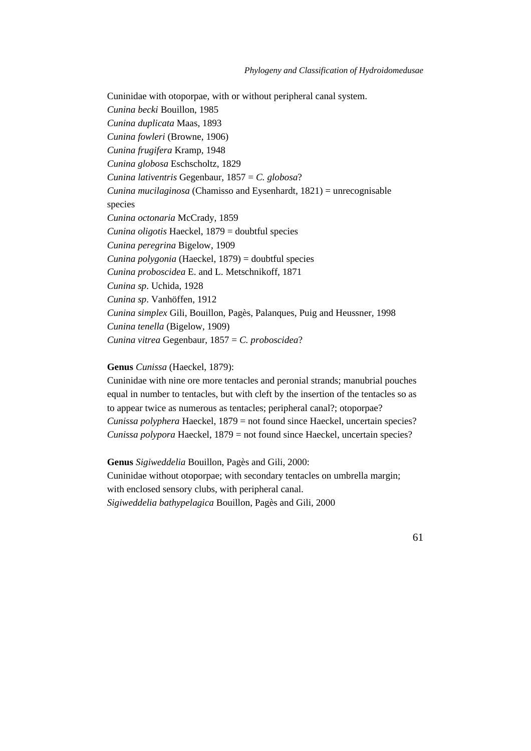Cuninidae with otoporpae, with or without peripheral canal system. *Cunina becki* Bouillon, 1985 *Cunina duplicata* Maas, 1893 *Cunina fowleri* (Browne, 1906) *Cunina frugifera* Kramp, 1948 *Cunina globosa* Eschscholtz, 1829 *Cunina lativentris* Gegenbaur, 1857 = *C. globosa*? *Cunina mucilaginosa* (Chamisso and Eysenhardt, 1821) = unrecognisable species *Cunina octonaria* McCrady, 1859 *Cunina oligotis* Haeckel, 1879 = doubtful species *Cunina peregrina* Bigelow, 1909 *Cunina polygonia* (Haeckel, 1879) = doubtful species *Cunina proboscidea* E. and L. Metschnikoff, 1871 *Cunina sp*. Uchida, 1928 *Cunina sp*. Vanhöffen, 1912 *Cunina simplex* Gili, Bouillon, Pagès, Palanques, Puig and Heussner*,* 1998 *Cunina tenella* (Bigelow, 1909) *Cunina vitrea* Gegenbaur, 1857 = *C. proboscidea*?

#### **Genus** *Cunissa* (Haeckel, 1879):

Cuninidae with nine ore more tentacles and peronial strands; manubrial pouches equal in number to tentacles, but with cleft by the insertion of the tentacles so as to appear twice as numerous as tentacles; peripheral canal?; otoporpae? *Cunissa polyphera* Haeckel, 1879 = not found since Haeckel, uncertain species? *Cunissa polypora* Haeckel, 1879 = not found since Haeckel, uncertain species?

**Genus** *Sigiweddelia* Bouillon, Pagès and Gili, 2000: Cuninidae without otoporpae; with secondary tentacles on umbrella margin; with enclosed sensory clubs, with peripheral canal. *Sigiweddelia bathypelagica* Bouillon, Pagès and Gili, 2000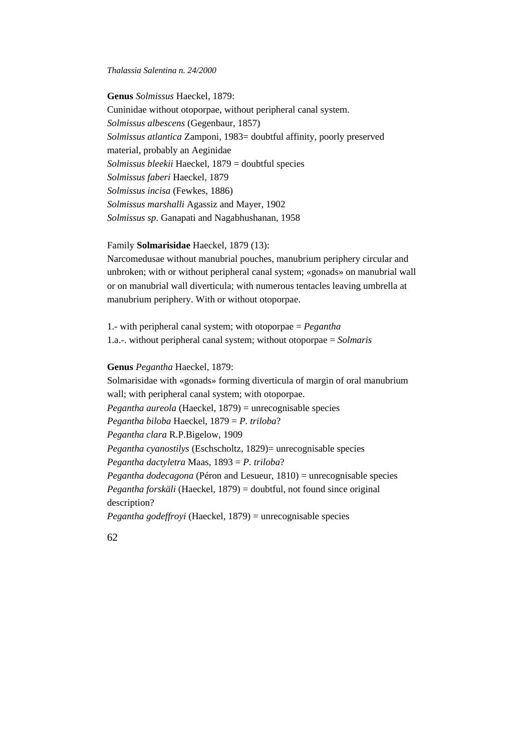**Genus** *Solmissus* Haeckel, 1879: Cuninidae without otoporpae, without peripheral canal system. *Solmissus albescens* (Gegenbaur, 1857) *Solmissus atlantica* Zamponi, 1983= doubtful affinity, poorly preserved material, probably an Aeginidae *Solmissus bleekii* Haeckel, 1879 = doubtful species *Solmissus faberi* Haeckel, 1879 *Solmissus incisa* (Fewkes, 1886) *Solmissus marshalli* Agassiz and Mayer, 1902 *Solmissus sp*. Ganapati and Nagabhushanan, 1958

#### Family **Solmarisidae** Haeckel, 1879 (13):

Narcomedusae without manubrial pouches, manubrium periphery circular and unbroken; with or without peripheral canal system; «gonads» on manubrial wall or on manubrial wall diverticula; with numerous tentacles leaving umbrella at manubrium periphery. With or without otoporpae.

1.- with peripheral canal system; with otoporpae = *Pegantha* 1.a.-. without peripheral canal system; without otoporpae = *Solmaris*

# **Genus** *Pegantha* Haeckel, 1879:

Solmarisidae with «gonads» forming diverticula of margin of oral manubrium wall; with peripheral canal system; with otoporpae. *Pegantha aureola* (Haeckel, 1879) = unrecognisable species *Pegantha biloba* Haeckel, 1879 = *P. triloba*? *Pegantha clara* R.P.Bigelow, 1909 *Pegantha cyanostilys* (Eschscholtz, 1829)= unrecognisable species *Pegantha dactyletra* Maas, 1893 = *P. triloba*? *Pegantha dodecagona* (Péron and Lesueur, 1810) = unrecognisable species *Pegantha forskäli* (Haeckel, 1879) = doubtful, not found since original description? *Pegantha godeffroyi* (Haeckel, 1879) = unrecognisable species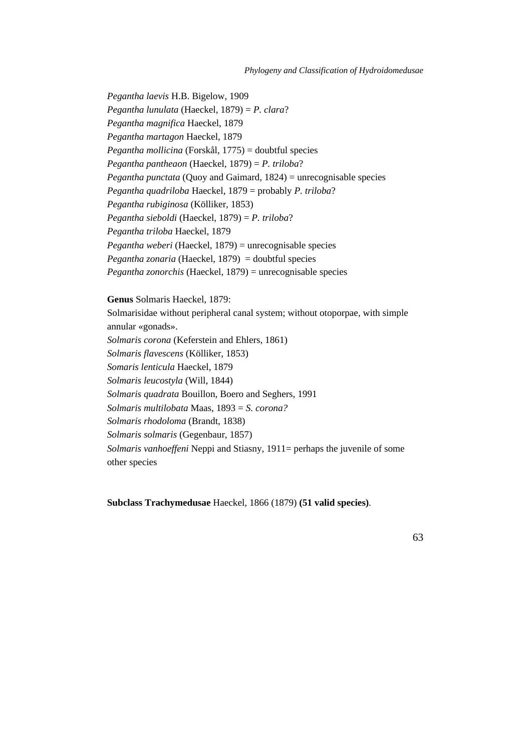*Pegantha laevis* H.B. Bigelow, 1909 *Pegantha lunulata* (Haeckel, 1879) = *P. clara*? *Pegantha magnifica* Haeckel, 1879 *Pegantha martagon* Haeckel, 1879 *Pegantha mollicina* (Forskål, 1775) = doubtful species *Pegantha pantheaon* (Haeckel, 1879) = *P. triloba*? *Pegantha punctata* (Quoy and Gaimard, 1824) = unrecognisable species *Pegantha quadriloba* Haeckel, 1879 = probably *P. triloba*? *Pegantha rubiginosa* (Kölliker, 1853) *Pegantha sieboldi* (Haeckel, 1879) = *P. triloba*? *Pegantha triloba* Haeckel, 1879 *Pegantha weberi* (Haeckel, 1879) = unrecognisable species *Pegantha zonaria* (Haeckel, 1879) = doubtful species *Pegantha zonorchis* (Haeckel, 1879) = unrecognisable species

# **Genus** Solmaris Haeckel, 1879:

Solmarisidae without peripheral canal system; without otoporpae, with simple annular «gonads». *Solmaris corona* (Keferstein and Ehlers, 1861) *Solmaris flavescens* (Kölliker, 1853) *Somaris lenticula* Haeckel, 1879 *Solmaris leucostyla* (Will, 1844) *Solmaris quadrata* Bouillon, Boero and Seghers, 1991 *Solmaris multilobata* Maas, 1893 = *S. corona? Solmaris rhodoloma* (Brandt, 1838) *Solmaris solmaris* (Gegenbaur, 1857) *Solmaris vanhoeffeni* Neppi and Stiasny, 1911= perhaps the juvenile of some other species

**Subclass Trachymedusae** Haeckel, 1866 (1879) **(51 valid species)**.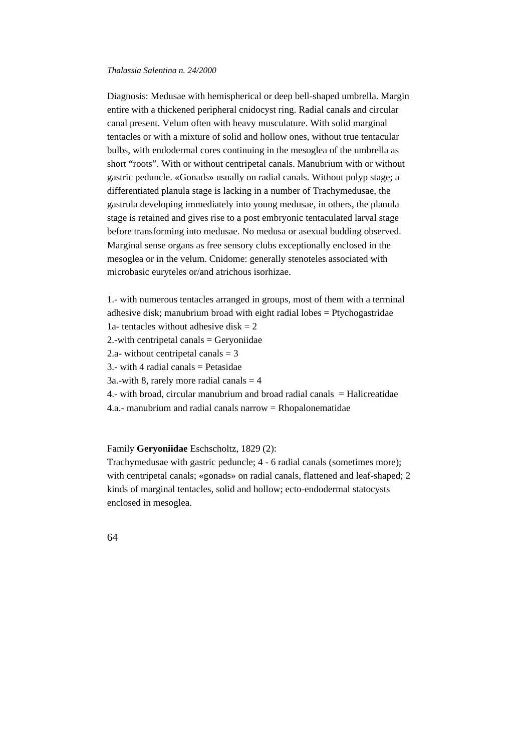Diagnosis: Medusae with hemispherical or deep bell-shaped umbrella. Margin entire with a thickened peripheral cnidocyst ring. Radial canals and circular canal present. Velum often with heavy musculature. With solid marginal tentacles or with a mixture of solid and hollow ones, without true tentacular bulbs, with endodermal cores continuing in the mesoglea of the umbrella as short "roots". With or without centripetal canals. Manubrium with or without gastric peduncle. «Gonads» usually on radial canals. Without polyp stage; a differentiated planula stage is lacking in a number of Trachymedusae, the gastrula developing immediately into young medusae, in others, the planula stage is retained and gives rise to a post embryonic tentaculated larval stage before transforming into medusae. No medusa or asexual budding observed. Marginal sense organs as free sensory clubs exceptionally enclosed in the mesoglea or in the velum. Cnidome: generally stenoteles associated with microbasic euryteles or/and atrichous isorhizae.

1.- with numerous tentacles arranged in groups, most of them with a terminal adhesive disk; manubrium broad with eight radial lobes = Ptychogastridae 1a- tentacles without adhesive disk  $= 2$ 2.-with centripetal canals  $=$  Geryoniidae 2.a- without centripetal canals  $=$  3  $3$ .- with 4 radial canals = Petasidae  $3a$ -with 8, rarely more radial canals  $= 4$ 4.- with broad, circular manubrium and broad radial canals = Halicreatidae 4.a.- manubrium and radial canals narrow  $=$  Rhopalonematidae

Family **Geryoniidae** Eschscholtz, 1829 (2):

Trachymedusae with gastric peduncle; 4 - 6 radial canals (sometimes more); with centripetal canals; «gonads» on radial canals, flattened and leaf-shaped; 2 kinds of marginal tentacles, solid and hollow; ecto-endodermal statocysts enclosed in mesoglea.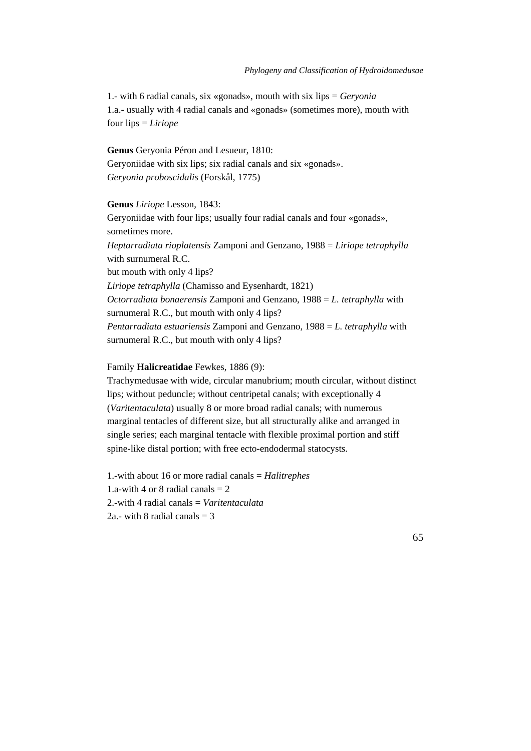1.- with 6 radial canals, six «gonads», mouth with six lips = *Geryonia* 1.a.- usually with 4 radial canals and «gonads» (sometimes more), mouth with four lips = *Liriope*

**Genus** Geryonia Péron and Lesueur, 1810: Geryoniidae with six lips; six radial canals and six «gonads». *Geryonia proboscidalis* (Forskål, 1775)

**Genus** *Liriope* Lesson, 1843: Geryoniidae with four lips; usually four radial canals and four «gonads», sometimes more. *Heptarradiata rioplatensis* Zamponi and Genzano, 1988 = *Liriope tetraphylla* with surnumeral R.C. but mouth with only 4 lips? *Liriope tetraphylla* (Chamisso and Eysenhardt, 1821) *Octorradiata bonaerensis* Zamponi and Genzano, 1988 = *L. tetraphylla* with surnumeral R.C., but mouth with only 4 lips? *Pentarradiata estuariensis* Zamponi and Genzano, 1988 = *L. tetraphylla* with surnumeral R.C., but mouth with only 4 lips?

#### Family **Halicreatidae** Fewkes, 1886 (9):

Trachymedusae with wide, circular manubrium; mouth circular, without distinct lips; without peduncle; without centripetal canals; with exceptionally 4 (*Varitentaculata*) usually 8 or more broad radial canals; with numerous marginal tentacles of different size, but all structurally alike and arranged in single series; each marginal tentacle with flexible proximal portion and stiff spine-like distal portion; with free ecto-endodermal statocysts.

1.-with about 16 or more radial canals = *Halitrephes* 1.a-with 4 or 8 radial canals  $= 2$ 2.-with 4 radial canals = *Varitentaculata* 2a.- with 8 radial canals  $=$  3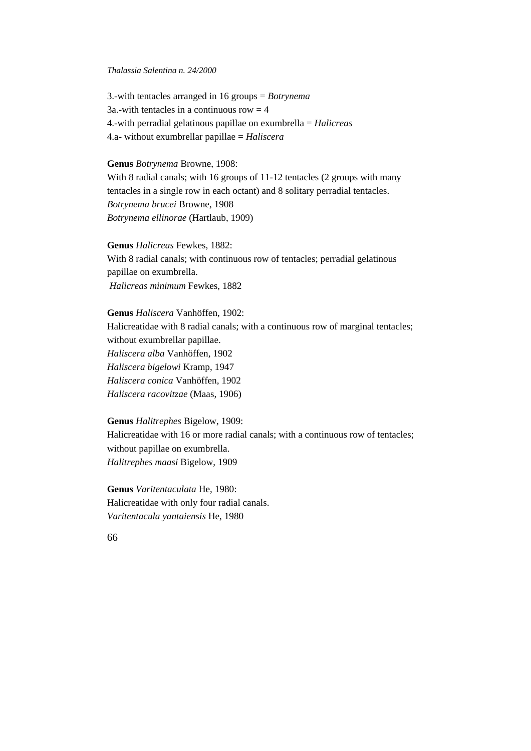3.-with tentacles arranged in 16 groups = *Botrynema*  $3a$ .-with tentacles in a continuous row  $= 4$ 4.-with perradial gelatinous papillae on exumbrella = *Halicreas* 4.a- without exumbrellar papillae = *Haliscera*

#### **Genus** *Botrynema* Browne, 1908:

With 8 radial canals; with 16 groups of 11-12 tentacles (2 groups with many tentacles in a single row in each octant) and 8 solitary perradial tentacles. *Botrynema brucei* Browne, 1908 *Botrynema ellinorae* (Hartlaub, 1909)

**Genus** *Halicreas* Fewkes, 1882: With 8 radial canals; with continuous row of tentacles; perradial gelatinous papillae on exumbrella. *Halicreas minimum* Fewkes, 1882

**Genus** *Haliscera* Vanhöffen, 1902: Halicreatidae with 8 radial canals; with a continuous row of marginal tentacles; without exumbrellar papillae. *Haliscera alba* Vanhöffen, 1902 *Haliscera bigelowi* Kramp, 1947 *Haliscera conica* Vanhöffen, 1902 *Haliscera racovitzae* (Maas, 1906)

**Genus** *Halitrephes* Bigelow, 1909: Halicreatidae with 16 or more radial canals; with a continuous row of tentacles; without papillae on exumbrella. *Halitrephes maasi* Bigelow, 1909

**Genus** *Varitentaculata* He, 1980: Halicreatidae with only four radial canals. *Varitentacula yantaiensis* He, 1980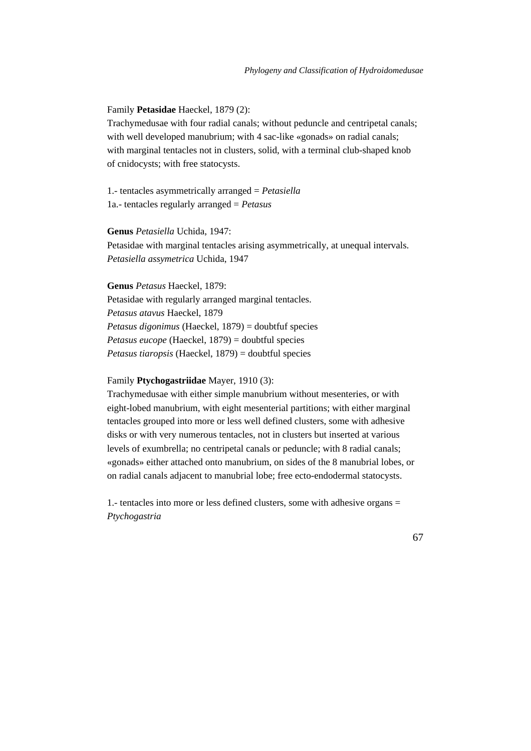## Family **Petasidae** Haeckel, 1879 (2):

Trachymedusae with four radial canals; without peduncle and centripetal canals; with well developed manubrium; with 4 sac-like «gonads» on radial canals; with marginal tentacles not in clusters, solid, with a terminal club-shaped knob of cnidocysts; with free statocysts.

1.- tentacles asymmetrically arranged = *Petasiella* 1a.- tentacles regularly arranged = *Petasus*

**Genus** *Petasiella* Uchida, 1947: Petasidae with marginal tentacles arising asymmetrically, at unequal intervals. *Petasiella assymetrica* Uchida, 1947

**Genus** *Petasus* Haeckel, 1879: Petasidae with regularly arranged marginal tentacles. *Petasus atavus* Haeckel, 1879 *Petasus digonimus* (Haeckel, 1879) = doubtfuf species *Petasus eucope* (Haeckel, 1879) = doubtful species *Petasus tiaropsis* (Haeckel, 1879) = doubtful species

## Family **Ptychogastriidae** Mayer, 1910 (3):

Trachymedusae with either simple manubrium without mesenteries, or with eight-lobed manubrium, with eight mesenterial partitions; with either marginal tentacles grouped into more or less well defined clusters, some with adhesive disks or with very numerous tentacles, not in clusters but inserted at various levels of exumbrella; no centripetal canals or peduncle; with 8 radial canals; «gonads» either attached onto manubrium, on sides of the 8 manubrial lobes, or on radial canals adjacent to manubrial lobe; free ecto-endodermal statocysts.

1.- tentacles into more or less defined clusters, some with adhesive organs = *Ptychogastria*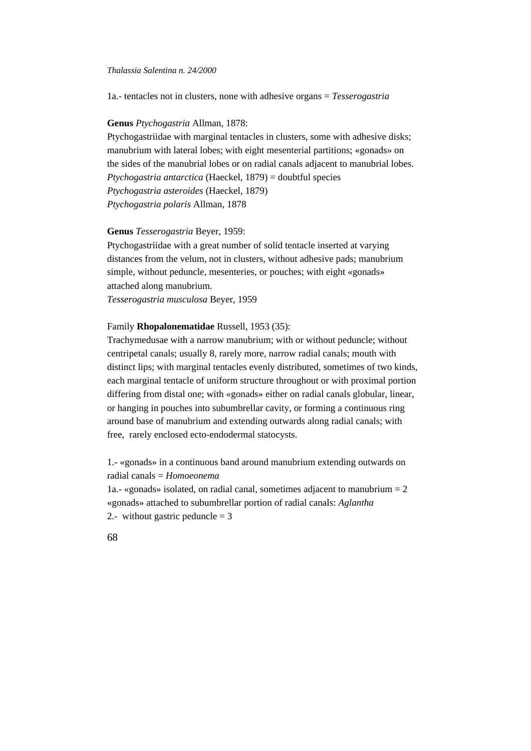1a.- tentacles not in clusters, none with adhesive organs = *Tesserogastria*

#### **Genus** *Ptychogastria* Allman, 1878:

Ptychogastriidae with marginal tentacles in clusters, some with adhesive disks; manubrium with lateral lobes; with eight mesenterial partitions; «gonads» on the sides of the manubrial lobes or on radial canals adjacent to manubrial lobes. *Ptychogastria antarctica* (Haeckel, 1879) = doubtful species *Ptychogastria asteroides* (Haeckel, 1879) *Ptychogastria polaris* Allman, 1878

## **Genus** *Tesserogastria* Beyer, 1959:

Ptychogastriidae with a great number of solid tentacle inserted at varying distances from the velum, not in clusters, without adhesive pads; manubrium simple, without peduncle, mesenteries, or pouches; with eight «gonads» attached along manubrium. *Tesserogastria musculosa* Beyer, 1959

## Family **Rhopalonematidae** Russell, 1953 (35):

Trachymedusae with a narrow manubrium; with or without peduncle; without centripetal canals; usually 8, rarely more, narrow radial canals; mouth with distinct lips; with marginal tentacles evenly distributed, sometimes of two kinds, each marginal tentacle of uniform structure throughout or with proximal portion differing from distal one; with «gonads» either on radial canals globular, linear, or hanging in pouches into subumbrellar cavity, or forming a continuous ring around base of manubrium and extending outwards along radial canals; with free, rarely enclosed ecto-endodermal statocysts.

1.- «gonads» in a continuous band around manubrium extending outwards on radial canals = *Homoeonema*

1a.- «gonads» isolated, on radial canal, sometimes adjacent to manubrium  $= 2$ «gonads» attached to subumbrellar portion of radial canals: *Aglantha* 2.- without gastric peduncle  $= 3$ 

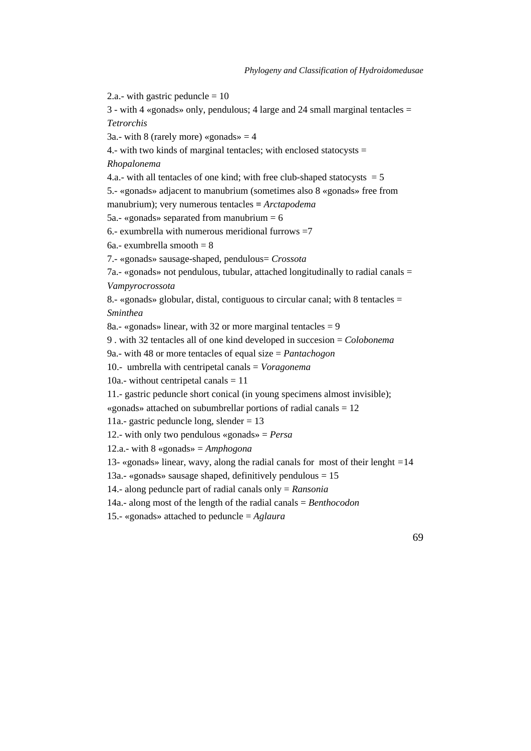2.a.- with gastric peduncle  $= 10$ 

3 - with 4 «gonads» only, pendulous; 4 large and 24 small marginal tentacles = *Tetrorchis*

3a.- with 8 (rarely more) «gonads»  $=$  4

4.- with two kinds of marginal tentacles; with enclosed statocysts  $=$ 

*Rhopalonema*

4.a.- with all tentacles of one kind; with free club-shaped statocysts  $= 5$ 

5.- «gonads» adjacent to manubrium (sometimes also 8 «gonads» free from

manubrium); very numerous tentacles **=** *Arctapodema*

5a.- «gonads» separated from manubrium  $= 6$ 

6.- exumbrella with numerous meridional furrows  $=7$ 

6a.- exumbrella smooth = 8

7.- «gonads» sausage-shaped, pendulous= *Crossota*

7a.- «gonads» not pendulous, tubular, attached longitudinally to radial canals = *Vampyrocrossota*

8.- «gonads» globular, distal, contiguous to circular canal; with 8 tentacles  $=$ *Sminthea*

8a.- «gonads» linear, with 32 or more marginal tentacles  $= 9$ 

9 . with 32 tentacles all of one kind developed in succesion = *Colobonema*

9a.- with 48 or more tentacles of equal size = *Pantachogon*

10.- umbrella with centripetal canals = *Voragonema*

10a.- without centripetal canals  $= 11$ 

11.- gastric peduncle short conical (in young specimens almost invisible);

«gonads» attached on subumbrellar portions of radial canals = 12

11a.- gastric peduncle long, slender = 13

12.- with only two pendulous «gonads» = *Persa*

12.a.- with 8 «gonads» = *Amphogona*

13- «gonads» linear, wavy, along the radial canals for most of their lenght *=*14

13a.- «gonads» sausage shaped, definitively pendulous  $= 15$ 

14.- along peduncle part of radial canals only = *Ransonia*

14a.- along most of the length of the radial canals = *Benthocodon*

15.- «gonads» attached to peduncle = *Aglaura*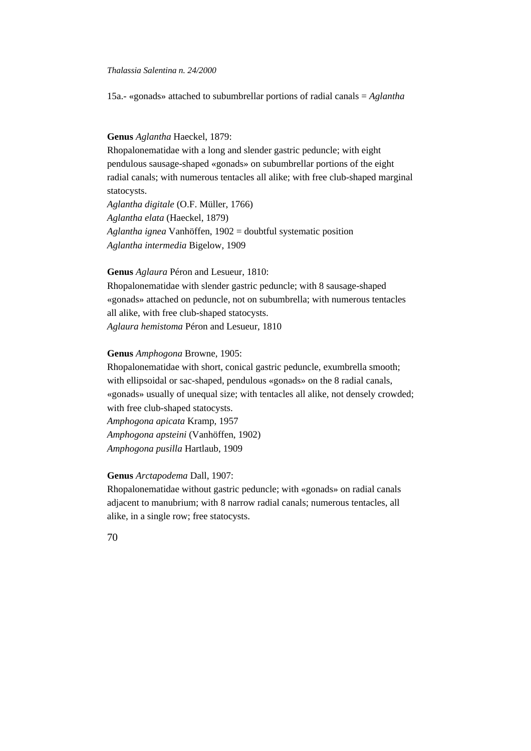15a.- «gonads» attached to subumbrellar portions of radial canals = *Aglantha*

#### **Genus** *Aglantha* Haeckel, 1879:

Rhopalonematidae with a long and slender gastric peduncle; with eight pendulous sausage-shaped «gonads» on subumbrellar portions of the eight radial canals; with numerous tentacles all alike; with free club-shaped marginal statocysts.

*Aglantha digitale* (O.F. Müller, 1766) *Aglantha elata* (Haeckel, 1879) *Aglantha ignea* Vanhöffen, 1902 = doubtful systematic position *Aglantha intermedia* Bigelow, 1909

#### **Genus** *Aglaura* Péron and Lesueur, 1810:

Rhopalonematidae with slender gastric peduncle; with 8 sausage-shaped «gonads» attached on peduncle, not on subumbrella; with numerous tentacles all alike, with free club-shaped statocysts. *Aglaura hemistoma* Péron and Lesueur, 1810

## **Genus** *Amphogona* Browne, 1905:

Rhopalonematidae with short, conical gastric peduncle, exumbrella smooth; with ellipsoidal or sac-shaped, pendulous «gonads» on the 8 radial canals, «gonads» usually of unequal size; with tentacles all alike, not densely crowded; with free club-shaped statocysts. *Amphogona apicata* Kramp, 1957 *Amphogona apsteini* (Vanhöffen, 1902) *Amphogona pusilla* Hartlaub, 1909

## **Genus** *Arctapodema* Dall, 1907:

Rhopalonematidae without gastric peduncle; with «gonads» on radial canals adjacent to manubrium; with 8 narrow radial canals; numerous tentacles, all alike, in a single row; free statocysts.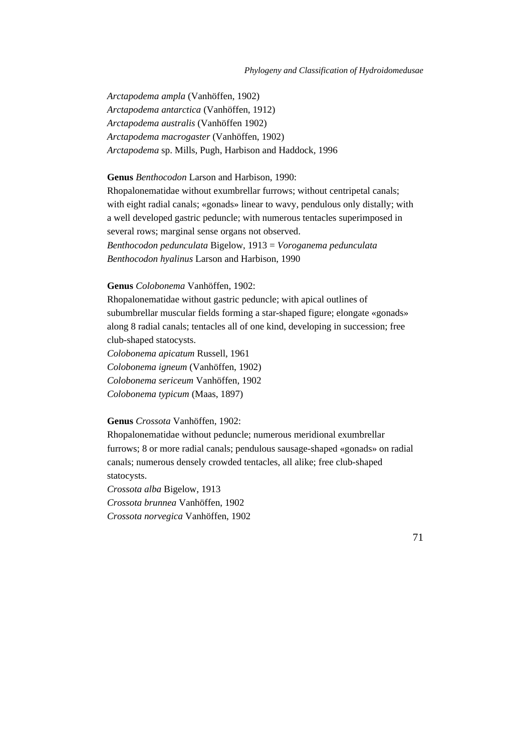*Arctapodema ampla* (Vanhöffen, 1902) *Arctapodema antarctica* (Vanhöffen, 1912) *Arctapodema australis* (Vanhöffen 1902) *Arctapodema macrogaster* (Vanhöffen, 1902) *Arctapodema* sp. Mills, Pugh, Harbison and Haddock*,* 1996

**Genus** *Benthocodon* Larson and Harbison, 1990: Rhopalonematidae without exumbrellar furrows; without centripetal canals; with eight radial canals; «gonads» linear to wavy, pendulous only distally; with a well developed gastric peduncle; with numerous tentacles superimposed in several rows; marginal sense organs not observed. *Benthocodon pedunculata* Bigelow, 1913 = *Voroganema pedunculata Benthocodon hyalinus* Larson and Harbison, 1990

#### **Genus** *Colobonema* Vanhöffen, 1902:

Rhopalonematidae without gastric peduncle; with apical outlines of subumbrellar muscular fields forming a star-shaped figure; elongate «gonads» along 8 radial canals; tentacles all of one kind, developing in succession; free club-shaped statocysts.

*Colobonema apicatum* Russell, 1961

*Colobonema igneum* (Vanhöffen, 1902)

*Colobonema sericeum* Vanhöffen, 1902

*Colobonema typicum* (Maas, 1897)

## **Genus** *Crossota* Vanhöffen, 1902:

Rhopalonematidae without peduncle; numerous meridional exumbrellar furrows; 8 or more radial canals; pendulous sausage-shaped «gonads» on radial canals; numerous densely crowded tentacles, all alike; free club-shaped statocysts.

*Crossota alba* Bigelow, 1913 *Crossota brunnea* Vanhöffen, 1902 *Crossota norvegica* Vanhöffen, 1902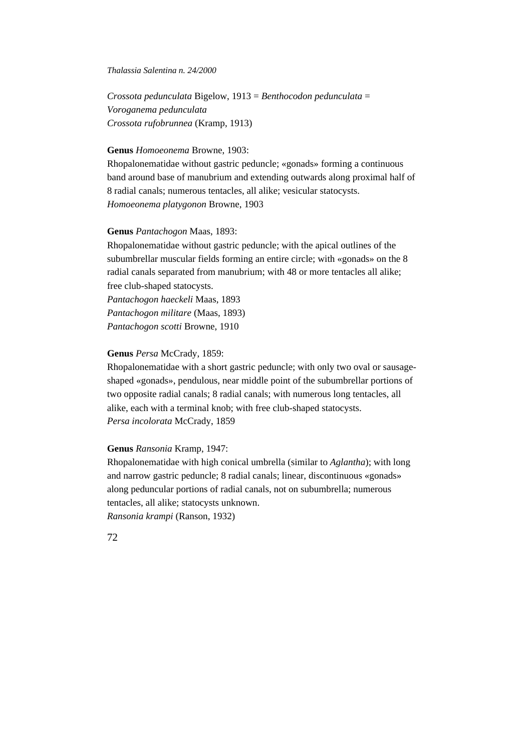*Crossota pedunculata* Bigelow, 1913 = *Benthocodon pedunculata* = *Voroganema pedunculata Crossota rufobrunnea* (Kramp, 1913)

#### **Genus** *Homoeonema* Browne, 1903:

Rhopalonematidae without gastric peduncle; «gonads» forming a continuous band around base of manubrium and extending outwards along proximal half of 8 radial canals; numerous tentacles, all alike; vesicular statocysts. *Homoeonema platygonon* Browne, 1903

# **Genus** *Pantachogon* Maas, 1893:

Rhopalonematidae without gastric peduncle; with the apical outlines of the subumbrellar muscular fields forming an entire circle; with «gonads» on the 8 radial canals separated from manubrium; with 48 or more tentacles all alike; free club-shaped statocysts. *Pantachogon haeckeli* Maas, 1893 *Pantachogon militare* (Maas, 1893) *Pantachogon scotti* Browne, 1910

## **Genus** *Persa* McCrady, 1859:

Rhopalonematidae with a short gastric peduncle; with only two oval or sausageshaped «gonads», pendulous, near middle point of the subumbrellar portions of two opposite radial canals; 8 radial canals; with numerous long tentacles, all alike, each with a terminal knob; with free club-shaped statocysts. *Persa incolorata* McCrady, 1859

## **Genus** *Ransonia* Kramp, 1947:

Rhopalonematidae with high conical umbrella (similar to *Aglantha*); with long and narrow gastric peduncle; 8 radial canals; linear, discontinuous «gonads» along peduncular portions of radial canals, not on subumbrella; numerous tentacles, all alike; statocysts unknown. *Ransonia krampi* (Ranson, 1932)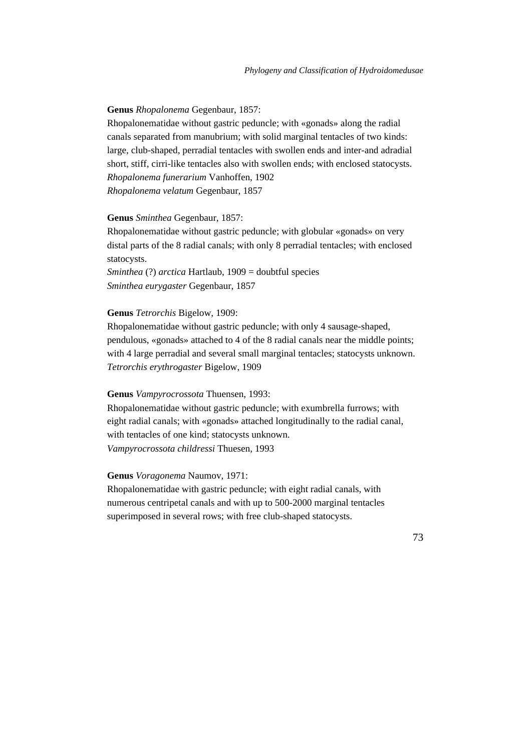#### **Genus** *Rhopalonema* Gegenbaur, 1857:

Rhopalonematidae without gastric peduncle; with «gonads» along the radial canals separated from manubrium; with solid marginal tentacles of two kinds: large, club-shaped, perradial tentacles with swollen ends and inter-and adradial short, stiff, cirri-like tentacles also with swollen ends; with enclosed statocysts. *Rhopalonema funerarium* Vanhoffen, 1902 *Rhopalonema velatum* Gegenbaur, 1857

#### **Genus** *Sminthea* Gegenbaur, 1857:

Rhopalonematidae without gastric peduncle; with globular «gonads» on very distal parts of the 8 radial canals; with only 8 perradial tentacles; with enclosed statocysts.

*Sminthea* (?) *arctica* Hartlaub, 1909 = doubtful species *Sminthea eurygaster* Gegenbaur, 1857

# **Genus** *Tetrorchis* Bigelow, 1909:

Rhopalonematidae without gastric peduncle; with only 4 sausage-shaped, pendulous, «gonads» attached to 4 of the 8 radial canals near the middle points; with 4 large perradial and several small marginal tentacles; statocysts unknown. *Tetrorchis erythrogaster* Bigelow, 1909

#### **Genus** *Vampyrocrossota* Thuensen, 1993:

Rhopalonematidae without gastric peduncle; with exumbrella furrows; with eight radial canals; with «gonads» attached longitudinally to the radial canal, with tentacles of one kind; statocysts unknown. *Vampyrocrossota childressi* Thuesen, 1993

## **Genus** *Voragonema* Naumov, 1971:

Rhopalonematidae with gastric peduncle; with eight radial canals, with numerous centripetal canals and with up to 500-2000 marginal tentacles superimposed in several rows; with free club-shaped statocysts.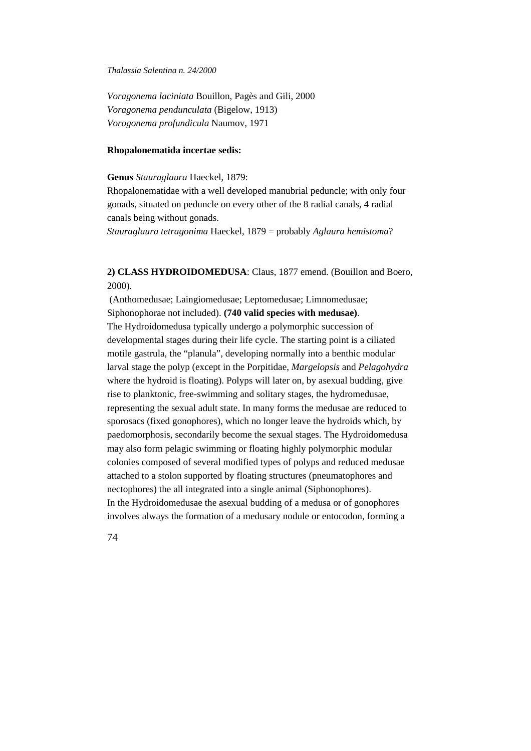*Voragonema laciniata* Bouillon, Pagès and Gili, 2000 *Voragonema pendunculata* (Bigelow, 1913) *Vorogonema profundicula* Naumov, 1971

### **Rhopalonematida incertae sedis:**

**Genus** *Stauraglaura* Haeckel, 1879:

Rhopalonematidae with a well developed manubrial peduncle; with only four gonads, situated on peduncle on every other of the 8 radial canals, 4 radial canals being without gonads.

*Stauraglaura tetragonima* Haeckel, 1879 = probably *Aglaura hemistoma*?

# **2) CLASS HYDROIDOMEDUSA**: Claus, 1877 emend. (Bouillon and Boero, 2000).

 (Anthomedusae; Laingiomedusae; Leptomedusae; Limnomedusae; Siphonophorae not included). **(740 valid species with medusae)**. The Hydroidomedusa typically undergo a polymorphic succession of developmental stages during their life cycle. The starting point is a ciliated motile gastrula, the "planula", developing normally into a benthic modular larval stage the polyp (except in the Porpitidae, *Margelopsis* and *Pelagohydra* where the hydroid is floating). Polyps will later on, by asexual budding, give rise to planktonic, free-swimming and solitary stages, the hydromedusae, representing the sexual adult state. In many forms the medusae are reduced to sporosacs (fixed gonophores), which no longer leave the hydroids which, by paedomorphosis, secondarily become the sexual stages. The Hydroidomedusa may also form pelagic swimming or floating highly polymorphic modular colonies composed of several modified types of polyps and reduced medusae attached to a stolon supported by floating structures (pneumatophores and nectophores) the all integrated into a single animal (Siphonophores). In the Hydroidomedusae the asexual budding of a medusa or of gonophores involves always the formation of a medusary nodule or entocodon, forming a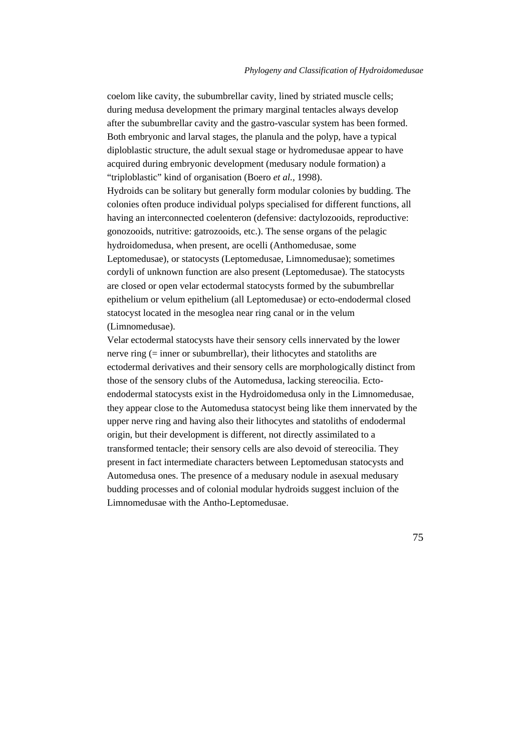coelom like cavity, the subumbrellar cavity, lined by striated muscle cells; during medusa development the primary marginal tentacles always develop after the subumbrellar cavity and the gastro-vascular system has been formed. Both embryonic and larval stages, the planula and the polyp, have a typical diploblastic structure, the adult sexual stage or hydromedusae appear to have acquired during embryonic development (medusary nodule formation) a "triploblastic" kind of organisation (Boero *et al.,* 1998). Hydroids can be solitary but generally form modular colonies by budding. The colonies often produce individual polyps specialised for different functions, all having an interconnected coelenteron (defensive: dactylozooids, reproductive: gonozooids, nutritive: gatrozooids, etc.). The sense organs of the pelagic hydroidomedusa, when present, are ocelli (Anthomedusae, some Leptomedusae), or statocysts (Leptomedusae, Limnomedusae); sometimes cordyli of unknown function are also present (Leptomedusae). The statocysts are closed or open velar ectodermal statocysts formed by the subumbrellar epithelium or velum epithelium (all Leptomedusae) or ecto-endodermal closed statocyst located in the mesoglea near ring canal or in the velum (Limnomedusae).

Velar ectodermal statocysts have their sensory cells innervated by the lower nerve ring (= inner or subumbrellar), their lithocytes and statoliths are ectodermal derivatives and their sensory cells are morphologically distinct from those of the sensory clubs of the Automedusa, lacking stereocilia. Ectoendodermal statocysts exist in the Hydroidomedusa only in the Limnomedusae, they appear close to the Automedusa statocyst being like them innervated by the upper nerve ring and having also their lithocytes and statoliths of endodermal origin, but their development is different, not directly assimilated to a transformed tentacle; their sensory cells are also devoid of stereocilia. They present in fact intermediate characters between Leptomedusan statocysts and Automedusa ones. The presence of a medusary nodule in asexual medusary budding processes and of colonial modular hydroids suggest incluion of the Limnomedusae with the Antho-Leptomedusae.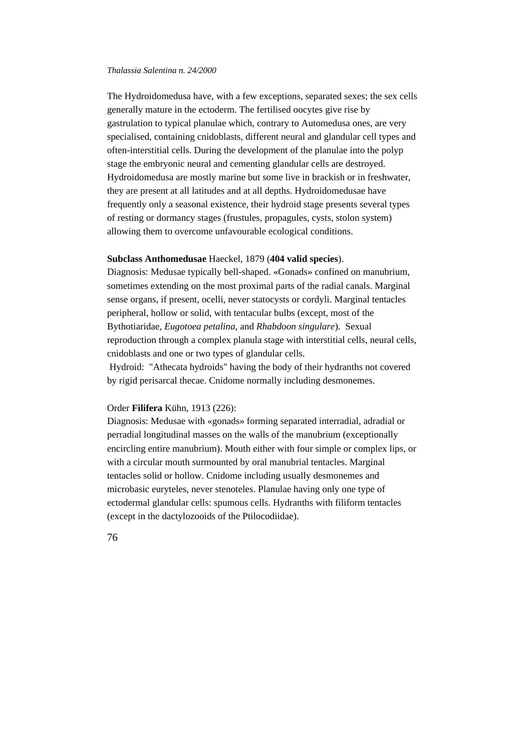The Hydroidomedusa have, with a few exceptions, separated sexes; the sex cells generally mature in the ectoderm. The fertilised oocytes give rise by gastrulation to typical planulae which, contrary to Automedusa ones, are very specialised, containing cnidoblasts, different neural and glandular cell types and often-interstitial cells. During the development of the planulae into the polyp stage the embryonic neural and cementing glandular cells are destroyed. Hydroidomedusa are mostly marine but some live in brackish or in freshwater, they are present at all latitudes and at all depths. Hydroidomedusae have frequently only a seasonal existence, their hydroid stage presents several types of resting or dormancy stages (frustules, propagules, cysts, stolon system) allowing them to overcome unfavourable ecological conditions.

# **Subclass Anthomedusae** Haeckel, 1879 (**404 valid species**).

Diagnosis: Medusae typically bell-shaped. «Gonads» confined on manubrium, sometimes extending on the most proximal parts of the radial canals. Marginal sense organs, if present, ocelli, never statocysts or cordyli. Marginal tentacles peripheral, hollow or solid, with tentacular bulbs (except, most of the Bythotiaridae, *Eugotoea petalina*, and *Rhabdoon singulare*). Sexual reproduction through a complex planula stage with interstitial cells, neural cells, cnidoblasts and one or two types of glandular cells.

 Hydroid: "Athecata hydroids" having the body of their hydranths not covered by rigid perisarcal thecae. Cnidome normally including desmonemes.

## Order **Filifera** Kühn, 1913 (226):

Diagnosis: Medusae with «gonads» forming separated interradial, adradial or perradial longitudinal masses on the walls of the manubrium (exceptionally encircling entire manubrium). Mouth either with four simple or complex lips, or with a circular mouth surmounted by oral manubrial tentacles. Marginal tentacles solid or hollow. Cnidome including usually desmonemes and microbasic euryteles, never stenoteles. Planulae having only one type of ectodermal glandular cells: spumous cells. Hydranths with filiform tentacles (except in the dactylozooids of the Ptilocodiidae).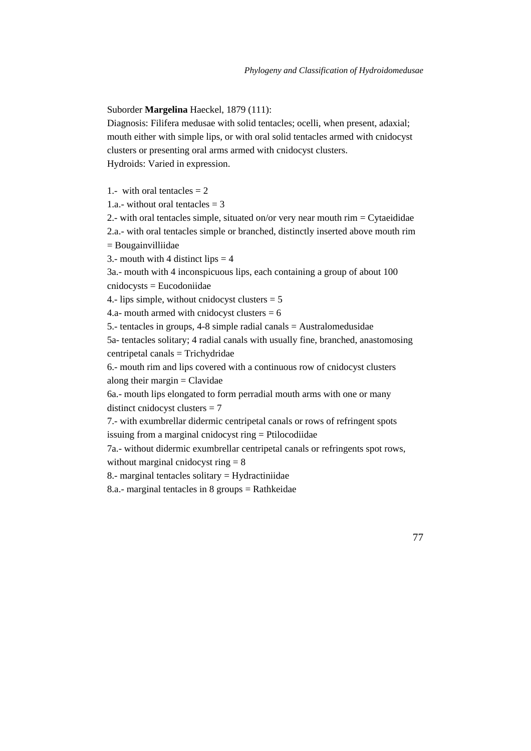Suborder **Margelina** Haeckel, 1879 (111):

Diagnosis: Filifera medusae with solid tentacles; ocelli, when present, adaxial; mouth either with simple lips, or with oral solid tentacles armed with cnidocyst clusters or presenting oral arms armed with cnidocyst clusters. Hydroids: Varied in expression.

1.- with oral tentacles  $= 2$ 

1.a.- without oral tentacles  $=$  3

2.- with oral tentacles simple, situated on/or very near mouth rim = Cytaeididae 2.a.- with oral tentacles simple or branched, distinctly inserted above mouth rim

= Bougainvilliidae

3.- mouth with 4 distinct lips  $=$  4

3a.- mouth with 4 inconspicuous lips, each containing a group of about 100 cnidocysts = Eucodoniidae

4.- lips simple, without cnidocyst clusters  $= 5$ 

4.a- mouth armed with cnidocyst clusters  $= 6$ 

5.- tentacles in groups, 4-8 simple radial canals = Australomedusidae

5a- tentacles solitary; 4 radial canals with usually fine, branched, anastomosing centripetal canals = Trichydridae

6.- mouth rim and lips covered with a continuous row of cnidocyst clusters along their margin  $=$  Clavidae

6a.- mouth lips elongated to form perradial mouth arms with one or many distinct cnidocyst clusters = 7

7.- with exumbrellar didermic centripetal canals or rows of refringent spots issuing from a marginal cnidocyst ring = Ptilocodiidae

7a.- without didermic exumbrellar centripetal canals or refringents spot rows, without marginal cnidocyst ring  $= 8$ 

8.- marginal tentacles solitary = Hydractiniidae

8.a.- marginal tentacles in 8 groups = Rathkeidae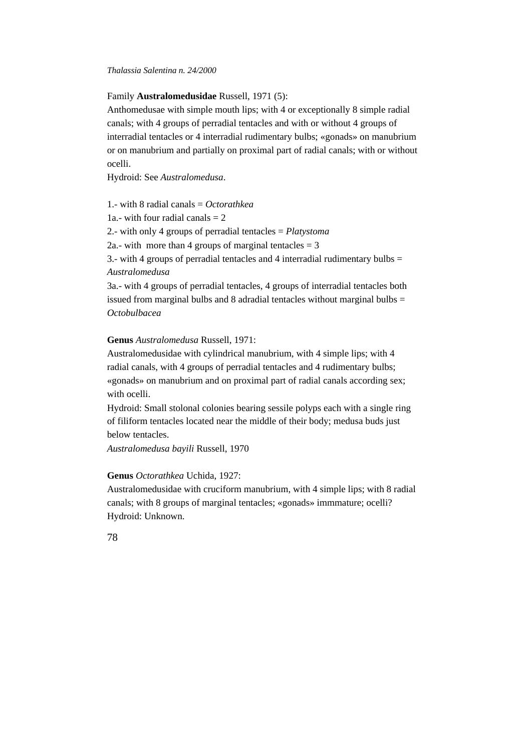Family **Australomedusidae** Russell, 1971 (5):

Anthomedusae with simple mouth lips; with 4 or exceptionally 8 simple radial canals; with 4 groups of perradial tentacles and with or without 4 groups of interradial tentacles or 4 interradial rudimentary bulbs; «gonads» on manubrium or on manubrium and partially on proximal part of radial canals; with or without ocelli.

Hydroid: See *Australomedusa*.

1.- with 8 radial canals = *Octorathkea* 1a.- with four radial canals  $= 2$ 2.- with only 4 groups of perradial tentacles = *Platystoma* 2a.- with more than 4 groups of marginal tentacles  $= 3$ 3.- with 4 groups of perradial tentacles and 4 interradial rudimentary bulbs  $=$ *Australomedusa* 3a.- with 4 groups of perradial tentacles, 4 groups of interradial tentacles both issued from marginal bulbs and 8 adradial tentacles without marginal bulbs  $=$ *Octobulbacea*

# **Genus** *Australomedusa* Russell, 1971:

Australomedusidae with cylindrical manubrium, with 4 simple lips; with 4 radial canals, with 4 groups of perradial tentacles and 4 rudimentary bulbs; «gonads» on manubrium and on proximal part of radial canals according sex; with ocelli.

Hydroid: Small stolonal colonies bearing sessile polyps each with a single ring of filiform tentacles located near the middle of their body; medusa buds just below tentacles.

*Australomedusa bayili* Russell, 1970

# **Genus** *Octorathkea* Uchida, 1927:

Australomedusidae with cruciform manubrium, with 4 simple lips; with 8 radial canals; with 8 groups of marginal tentacles; «gonads» immmature; ocelli? Hydroid: Unknown.

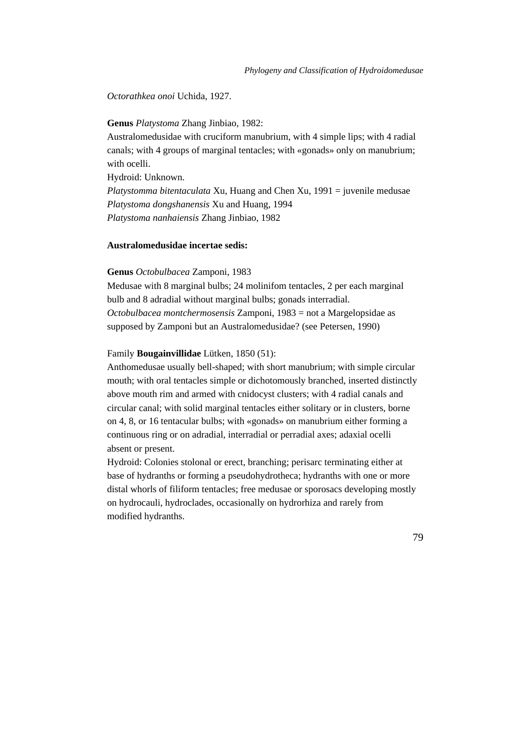# *Octorathkea onoi* Uchida, 1927.

**Genus** *Platystoma* Zhang Jinbiao, 1982:

Australomedusidae with cruciform manubrium, with 4 simple lips; with 4 radial canals; with 4 groups of marginal tentacles; with «gonads» only on manubrium; with ocelli.

Hydroid: Unknown.

*Platystomma bitentaculata* Xu, Huang and Chen Xu, 1991 = juvenile medusae *Platystoma dongshanensis* Xu and Huang, 1994 *Platystoma nanhaiensis* Zhang Jinbiao, 1982

#### **Australomedusidae incertae sedis:**

#### **Genus** *Octobulbacea* Zamponi, 1983

Medusae with 8 marginal bulbs; 24 molinifom tentacles, 2 per each marginal bulb and 8 adradial without marginal bulbs; gonads interradial. *Octobulbacea montchermosensis* Zamponi, 1983 = not a Margelopsidae as supposed by Zamponi but an Australomedusidae? (see Petersen, 1990)

## Family **Bougainvillidae** Lütken, 1850 (51):

Anthomedusae usually bell-shaped; with short manubrium; with simple circular mouth; with oral tentacles simple or dichotomously branched, inserted distinctly above mouth rim and armed with cnidocyst clusters; with 4 radial canals and circular canal; with solid marginal tentacles either solitary or in clusters, borne on 4, 8, or 16 tentacular bulbs; with «gonads» on manubrium either forming a continuous ring or on adradial, interradial or perradial axes; adaxial ocelli absent or present.

Hydroid: Colonies stolonal or erect, branching; perisarc terminating either at base of hydranths or forming a pseudohydrotheca; hydranths with one or more distal whorls of filiform tentacles; free medusae or sporosacs developing mostly on hydrocauli, hydroclades, occasionally on hydrorhiza and rarely from modified hydranths.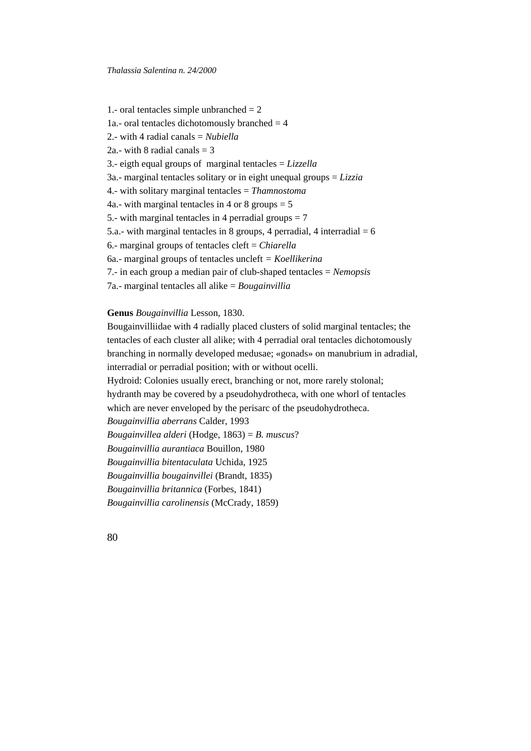1.- oral tentacles simple unbranched  $= 2$ 1a.- oral tentacles dichotomously branched  $=$  4 2.- with 4 radial canals = *Nubiella* 2a.- with 8 radial canals  $=$  3 3.- eigth equal groups of marginal tentacles = *Lizzella* 3a.- marginal tentacles solitary or in eight unequal groups = *Lizzia* 4.- with solitary marginal tentacles = *Thamnostoma* 4a.- with marginal tentacles in 4 or 8 groups  $= 5$ 5.- with marginal tentacles in 4 perradial groups  $= 7$ 5.a.- with marginal tentacles in 8 groups, 4 perradial, 4 interradial  $= 6$ 6.- marginal groups of tentacles cleft = *Chiarella* 6a.- marginal groups of tentacles uncleft *= Koellikerina* 7.- in each group a median pair of club-shaped tentacles = *Nemopsis* 7a.- marginal tentacles all alike = *Bougainvillia*

## **Genus** *Bougainvillia* Lesson, 1830.

Bougainvilliidae with 4 radially placed clusters of solid marginal tentacles; the tentacles of each cluster all alike; with 4 perradial oral tentacles dichotomously branching in normally developed medusae; «gonads» on manubrium in adradial, interradial or perradial position; with or without ocelli. Hydroid: Colonies usually erect, branching or not, more rarely stolonal;

hydranth may be covered by a pseudohydrotheca, with one whorl of tentacles

which are never enveloped by the perisarc of the pseudohydrotheca.

*Bougainvillia aberrans* Calder, 1993

*Bougainvillea alderi* (Hodge, 1863) = *B. muscus*?

*Bougainvillia aurantiaca* Bouillon, 1980

*Bougainvillia bitentaculata* Uchida, 1925

*Bougainvillia bougainvillei* (Brandt, 1835)

*Bougainvillia britannica* (Forbes, 1841)

*Bougainvillia carolinensis* (McCrady, 1859)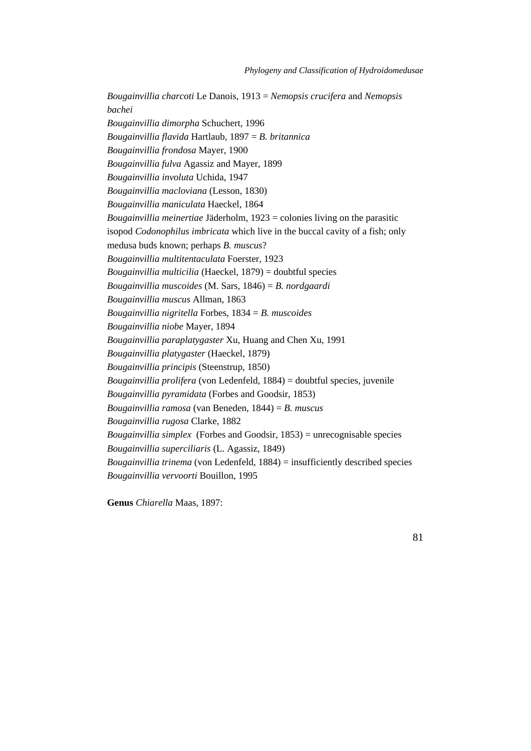*Bougainvillia charcoti* Le Danois, 1913 = *Nemopsis crucifera* and *Nemopsis bachei Bougainvillia dimorpha* Schuchert, 1996 *Bougainvillia flavida* Hartlaub, 1897 = *B. britannica Bougainvillia frondosa* Mayer, 1900 *Bougainvillia fulva* Agassiz and Mayer, 1899 *Bougainvillia involuta* Uchida, 1947 *Bougainvillia macloviana* (Lesson, 1830) *Bougainvillia maniculata* Haeckel, 1864 *Bougainvillia meinertiae* Jäderholm, 1923 = colonies living on the parasitic isopod *Codonophilus imbricata* which live in the buccal cavity of a fish; only medusa buds known; perhaps *B. muscus*? *Bougainvillia multitentaculata* Foerster, 1923 *Bougainvillia multicilia* (Haeckel, 1879) = doubtful species *Bougainvillia muscoides* (M. Sars, 1846) = *B. nordgaardi Bougainvillia muscus* Allman, 1863 *Bougainvillia nigritella* Forbes, 1834 = *B. muscoides Bougainvillia niobe* Mayer, 1894 *Bougainvillia paraplatygaster* Xu, Huang and Chen Xu, 1991 *Bougainvillia platygaster* (Haeckel, 1879) *Bougainvillia principis* (Steenstrup, 1850) *Bougainvillia prolifera* (von Ledenfeld, 1884) = doubtful species, juvenile *Bougainvillia pyramidata* (Forbes and Goodsir, 1853) *Bougainvillia ramosa* (van Beneden, 1844) = *B. muscus Bougainvillia rugosa* Clarke, 1882 *Bougainvillia simplex* (Forbes and Goodsir, 1853) = unrecognisable species *Bougainvillia superciliaris* (L. Agassiz, 1849) *Bougainvillia trinema* (von Ledenfeld, 1884) = insufficiently described species *Bougainvillia vervoorti* Bouillon, 1995

**Genus** *Chiarella* Maas, 1897: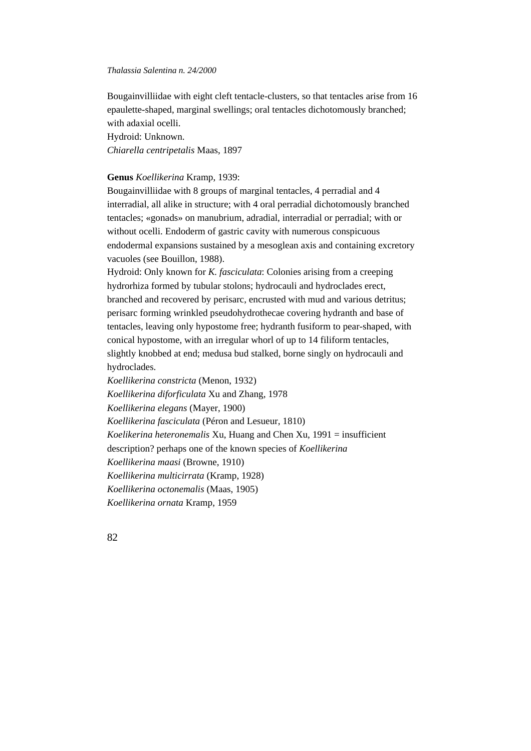Bougainvilliidae with eight cleft tentacle-clusters, so that tentacles arise from 16 epaulette-shaped, marginal swellings; oral tentacles dichotomously branched; with adaxial ocelli.

Hydroid: Unknown. *Chiarella centripetalis* Maas, 1897

## **Genus** *Koellikerina* Kramp, 1939:

Bougainvilliidae with 8 groups of marginal tentacles, 4 perradial and 4 interradial, all alike in structure; with 4 oral perradial dichotomously branched tentacles; «gonads» on manubrium, adradial, interradial or perradial; with or without ocelli. Endoderm of gastric cavity with numerous conspicuous endodermal expansions sustained by a mesoglean axis and containing excretory vacuoles (see Bouillon, 1988).

Hydroid: Only known for *K. fasciculata*: Colonies arising from a creeping hydrorhiza formed by tubular stolons; hydrocauli and hydroclades erect, branched and recovered by perisarc, encrusted with mud and various detritus; perisarc forming wrinkled pseudohydrothecae covering hydranth and base of tentacles, leaving only hypostome free; hydranth fusiform to pear-shaped, with conical hypostome, with an irregular whorl of up to 14 filiform tentacles, slightly knobbed at end; medusa bud stalked, borne singly on hydrocauli and hydroclades.

*Koellikerina constricta* (Menon, 1932)

*Koellikerina diforficulata* Xu and Zhang, 1978

*Koellikerina elegans* (Mayer, 1900)

*Koellikerina fasciculata* (Péron and Lesueur, 1810)

*Koelikerina heteronemalis* Xu, Huang and Chen Xu, 1991 = insufficient

description? perhaps one of the known species of *Koellikerina*

*Koellikerina maasi* (Browne, 1910)

*Koellikerina multicirrata* (Kramp, 1928)

*Koellikerina octonemalis* (Maas, 1905)

*Koellikerina ornata* Kramp, 1959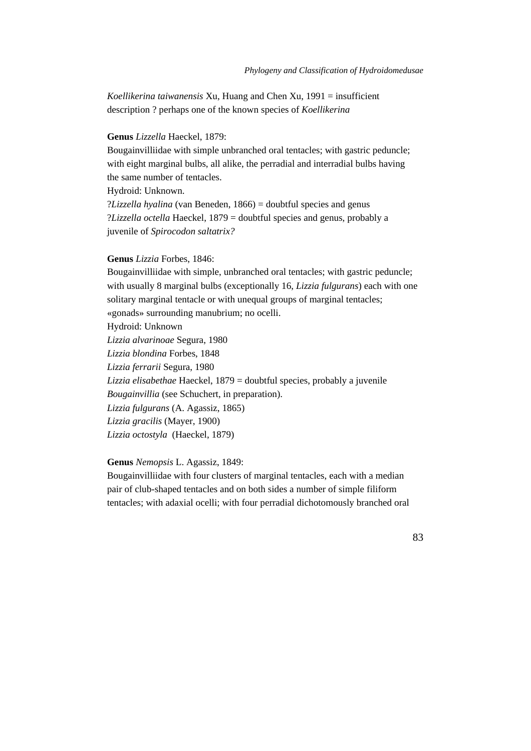*Koellikerina taiwanensis* Xu, Huang and Chen Xu, 1991 = insufficient description ? perhaps one of the known species of *Koellikerina*

### **Genus** *Lizzella* Haeckel, 1879:

Bougainvilliidae with simple unbranched oral tentacles; with gastric peduncle; with eight marginal bulbs, all alike, the perradial and interradial bulbs having the same number of tentacles. Hydroid: Unknown. ?*Lizzella hyalina* (van Beneden, 1866) = doubtful species and genus

?*Lizzella octella* Haeckel, 1879 = doubtful species and genus*,* probably a juvenile of *Spirocodon saltatrix?*

# **Genus** *Lizzia* Forbes, 1846:

Bougainvilliidae with simple, unbranched oral tentacles; with gastric peduncle; with usually 8 marginal bulbs (exceptionally 16, *Lizzia fulgurans*) each with one solitary marginal tentacle or with unequal groups of marginal tentacles;

«gonads» surrounding manubrium; no ocelli.

Hydroid: Unknown

*Lizzia alvarinoae* Segura, 1980

*Lizzia blondina* Forbes, 1848

*Lizzia ferrarii* Segura, 1980

*Lizzia elisabethae* Haeckel, 1879 = doubtful species, probably a juvenile

*Bougainvillia* (see Schuchert, in preparation).

*Lizzia fulgurans* (A. Agassiz, 1865)

*Lizzia gracilis* (Mayer, 1900)

*Lizzia octostyla* (Haeckel, 1879)

### **Genus** *Nemopsis* L. Agassiz, 1849:

Bougainvilliidae with four clusters of marginal tentacles, each with a median pair of club-shaped tentacles and on both sides a number of simple filiform tentacles; with adaxial ocelli; with four perradial dichotomously branched oral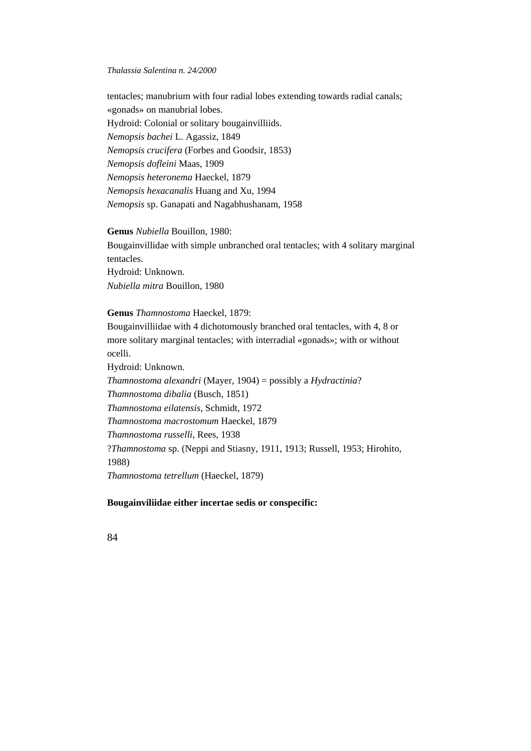tentacles; manubrium with four radial lobes extending towards radial canals; «gonads» on manubrial lobes. Hydroid: Colonial or solitary bougainvilliids. *Nemopsis bachei* L. Agassiz, 1849 *Nemopsis crucifera* (Forbes and Goodsir, 1853) *Nemopsis dofleini* Maas, 1909 *Nemopsis heteronema* Haeckel, 1879 *Nemopsis hexacanalis* Huang and Xu, 1994 *Nemopsis* sp. Ganapati and Nagabhushanam, 1958

# **Genus** *Nubiella* Bouillon, 1980:

Bougainvillidae with simple unbranched oral tentacles; with 4 solitary marginal tentacles. Hydroid: Unknown. *Nubiella mitra* Bouillon, 1980

**Genus** *Thamnostoma* Haeckel, 1879:

Bougainvilliidae with 4 dichotomously branched oral tentacles, with 4, 8 or more solitary marginal tentacles; with interradial «gonads»; with or without ocelli.

Hydroid: Unknown. *Thamnostoma alexandri* (Mayer, 1904) = possibly a *Hydractinia*? *Thamnostoma dibalia* (Busch, 1851) *Thamnostoma eilatensis*, Schmidt, 1972 *Thamnostoma macrostomum* Haeckel, 1879 *Thamnostoma russelli*, Rees, 1938 ?*Thamnostoma* sp. (Neppi and Stiasny, 1911, 1913; Russell, 1953; Hirohito, 1988) *Thamnostoma tetrellum* (Haeckel, 1879)

## **Bougainviliidae either incertae sedis or conspecific:**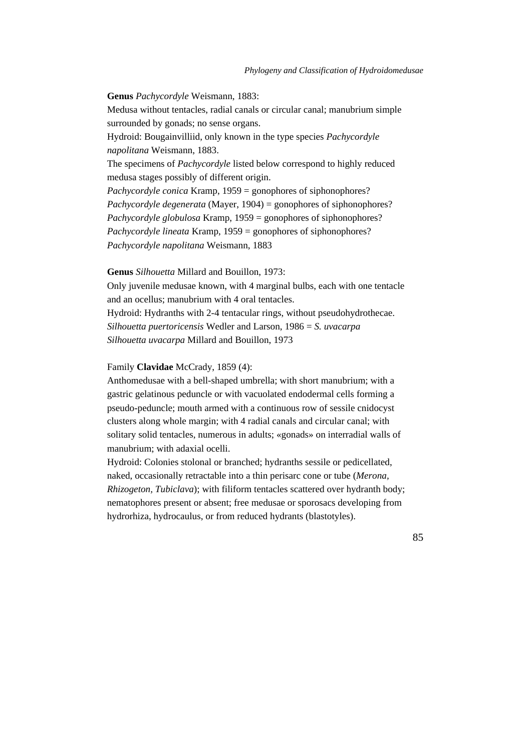**Genus** *Pachycordyle* Weismann, 1883: Medusa without tentacles, radial canals or circular canal; manubrium simple surrounded by gonads; no sense organs. Hydroid: Bougainvilliid, only known in the type species *Pachycordyle napolitana* Weismann, 1883. The specimens of *Pachycordyle* listed below correspond to highly reduced medusa stages possibly of different origin. *Pachycordyle conica* Kramp, 1959 = gonophores of siphonophores? *Pachycordyle degenerata* (Mayer, 1904) = gonophores of siphonophores? *Pachycordyle globulosa* Kramp, 1959 = gonophores of siphonophores? *Pachycordyle lineata* Kramp, 1959 = gonophores of siphonophores? *Pachycordyle napolitana* Weismann, 1883

**Genus** *Silhouetta* Millard and Bouillon, 1973:

Only juvenile medusae known, with 4 marginal bulbs, each with one tentacle and an ocellus; manubrium with 4 oral tentacles.

Hydroid: Hydranths with 2-4 tentacular rings, without pseudohydrothecae. *Silhouetta puertoricensis* Wedler and Larson, 1986 = *S. uvacarpa Silhouetta uvacarpa* Millard and Bouillon, 1973

# Family **Clavidae** McCrady, 1859 (4):

Anthomedusae with a bell-shaped umbrella; with short manubrium; with a gastric gelatinous peduncle or with vacuolated endodermal cells forming a pseudo-peduncle; mouth armed with a continuous row of sessile cnidocyst clusters along whole margin; with 4 radial canals and circular canal; with solitary solid tentacles, numerous in adults; «gonads» on interradial walls of manubrium; with adaxial ocelli.

Hydroid: Colonies stolonal or branched; hydranths sessile or pedicellated, naked, occasionally retractable into a thin perisarc cone or tube (*Merona, Rhizogeton, Tubiclava*); with filiform tentacles scattered over hydranth body; nematophores present or absent; free medusae or sporosacs developing from hydrorhiza, hydrocaulus, or from reduced hydrants (blastotyles).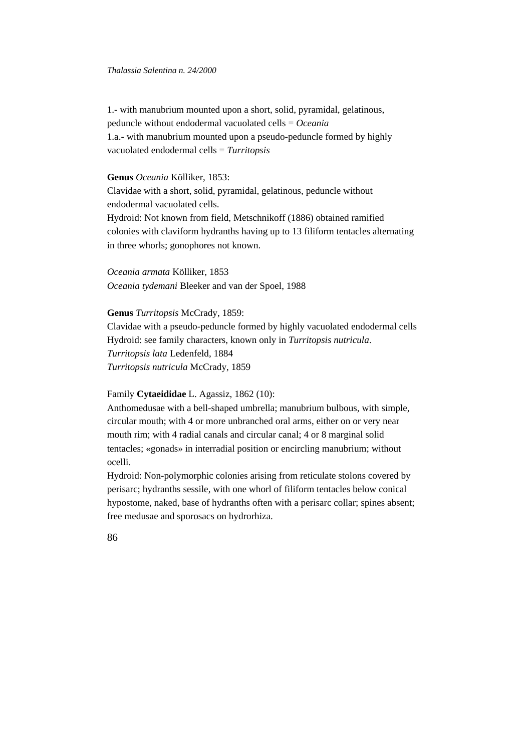1.- with manubrium mounted upon a short, solid, pyramidal, gelatinous, peduncle without endodermal vacuolated cells = *Oceania* 1.a.- with manubrium mounted upon a pseudo-peduncle formed by highly vacuolated endodermal cells = *Turritopsis*

# **Genus** *Oceania* Kölliker, 1853:

Clavidae with a short, solid, pyramidal, gelatinous, peduncle without endodermal vacuolated cells. Hydroid: Not known from field, Metschnikoff (1886) obtained ramified colonies with claviform hydranths having up to 13 filiform tentacles alternating in three whorls; gonophores not known.

*Oceania armata* Kölliker, 1853 *Oceania tydemani* Bleeker and van der Spoel, 1988

### **Genus** *Turritopsis* McCrady, 1859:

Clavidae with a pseudo-peduncle formed by highly vacuolated endodermal cells Hydroid: see family characters, known only in *Turritopsis nutricula*. *Turritopsis lata* Ledenfeld, 1884 *Turritopsis nutricula* McCrady, 1859

### Family **Cytaeididae** L. Agassiz, 1862 (10):

Anthomedusae with a bell-shaped umbrella; manubrium bulbous, with simple, circular mouth; with 4 or more unbranched oral arms, either on or very near mouth rim; with 4 radial canals and circular canal; 4 or 8 marginal solid tentacles; «gonads» in interradial position or encircling manubrium; without ocelli.

Hydroid: Non-polymorphic colonies arising from reticulate stolons covered by perisarc; hydranths sessile, with one whorl of filiform tentacles below conical hypostome, naked, base of hydranths often with a perisarc collar; spines absent; free medusae and sporosacs on hydrorhiza.

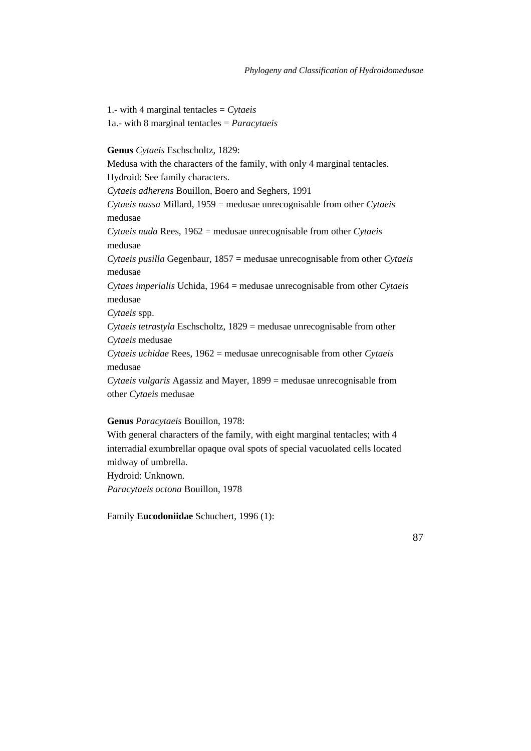1.- with 4 marginal tentacles = *Cytaeis* 1a.- with 8 marginal tentacles = *Paracytaeis*

**Genus** *Cytaeis* Eschscholtz, 1829:

Medusa with the characters of the family, with only 4 marginal tentacles.

Hydroid: See family characters.

*Cytaeis adherens* Bouillon, Boero and Seghers, 1991

*Cytaeis nassa* Millard, 1959 = medusae unrecognisable from other *Cytaeis* medusae

*Cytaeis nuda* Rees, 1962 = medusae unrecognisable from other *Cytaeis* medusae

*Cytaeis pusilla* Gegenbaur, 1857 = medusae unrecognisable from other *Cytaeis* medusae

*Cytaes imperialis* Uchida, 1964 = medusae unrecognisable from other *Cytaeis* medusae

*Cytaeis* spp.

*Cytaeis tetrastyla* Eschscholtz, 1829 = medusae unrecognisable from other *Cytaeis* medusae

*Cytaeis uchidae* Rees, 1962 = medusae unrecognisable from other *Cytaeis* medusae

*Cytaeis vulgaris* Agassiz and Mayer, 1899 = medusae unrecognisable from other *Cytaeis* medusae

## **Genus** *Paracytaeis* Bouillon, 1978:

With general characters of the family, with eight marginal tentacles; with 4 interradial exumbrellar opaque oval spots of special vacuolated cells located midway of umbrella.

Hydroid: Unknown.

*Paracytaeis octona* Bouillon, 1978

Family **Eucodoniidae** Schuchert, 1996 (1):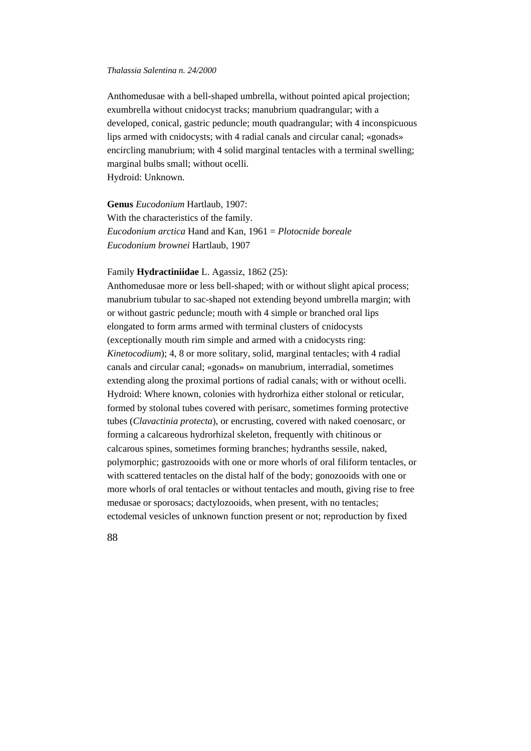Anthomedusae with a bell-shaped umbrella, without pointed apical projection; exumbrella without cnidocyst tracks; manubrium quadrangular; with a developed, conical, gastric peduncle; mouth quadrangular; with 4 inconspicuous lips armed with cnidocysts; with 4 radial canals and circular canal; «gonads» encircling manubrium; with 4 solid marginal tentacles with a terminal swelling; marginal bulbs small; without ocelli. Hydroid: Unknown.

**Genus** *Eucodonium* Hartlaub, 1907: With the characteristics of the family. *Eucodonium arctica* Hand and Kan, 1961 = *Plotocnide boreale Eucodonium brownei* Hartlaub, 1907

# Family **Hydractiniidae** L. Agassiz, 1862 (25):

Anthomedusae more or less bell-shaped; with or without slight apical process; manubrium tubular to sac-shaped not extending beyond umbrella margin; with or without gastric peduncle; mouth with 4 simple or branched oral lips elongated to form arms armed with terminal clusters of cnidocysts (exceptionally mouth rim simple and armed with a cnidocysts ring: *Kinetocodium*); 4, 8 or more solitary, solid, marginal tentacles; with 4 radial canals and circular canal; «gonads» on manubrium, interradial, sometimes extending along the proximal portions of radial canals; with or without ocelli. Hydroid: Where known, colonies with hydrorhiza either stolonal or reticular, formed by stolonal tubes covered with perisarc, sometimes forming protective tubes (*Clavactinia protecta*), or encrusting, covered with naked coenosarc, or forming a calcareous hydrorhizal skeleton, frequently with chitinous or calcarous spines, sometimes forming branches; hydranths sessile, naked, polymorphic; gastrozooids with one or more whorls of oral filiform tentacles, or with scattered tentacles on the distal half of the body; gonozooids with one or more whorls of oral tentacles or without tentacles and mouth, giving rise to free medusae or sporosacs; dactylozooids, when present, with no tentacles; ectodemal vesicles of unknown function present or not; reproduction by fixed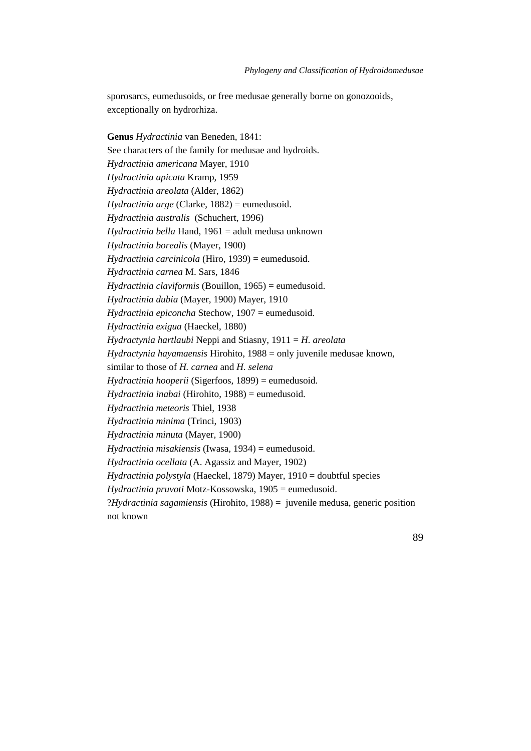sporosarcs, eumedusoids, or free medusae generally borne on gonozooids, exceptionally on hydrorhiza.

**Genus** *Hydractinia* van Beneden, 1841: See characters of the family for medusae and hydroids. *Hydractinia americana* Mayer, 1910 *Hydractinia apicata* Kramp, 1959 *Hydractinia areolata* (Alder, 1862) *Hydractinia arge* (Clarke, 1882) = eumedusoid. *Hydractinia australis* (Schuchert, 1996) *Hydractinia bella* Hand, 1961 = adult medusa unknown *Hydractinia borealis* (Mayer, 1900) *Hydractinia carcinicola* (Hiro, 1939) = eumedusoid. *Hydractinia carnea* M. Sars, 1846 *Hydractinia claviformis* (Bouillon, 1965) = eumedusoid. *Hydractinia dubia* (Mayer, 1900) Mayer, 1910 *Hydractinia epiconcha* Stechow, 1907 = eumedusoid. *Hydractinia exigua* (Haeckel, 1880) *Hydractynia hartlaubi* Neppi and Stiasny, 1911 = *H. areolata Hydractynia hayamaensis* Hirohito, 1988 = only juvenile medusae known, similar to those of *H. carnea* and *H. selena Hydractinia hooperii* (Sigerfoos, 1899) = eumedusoid. *Hydractinia inabai* (Hirohito, 1988) = eumedusoid. *Hydractinia meteoris* Thiel, 1938 *Hydractinia minima* (Trinci, 1903) *Hydractinia minuta* (Mayer, 1900) *Hydractinia misakiensis* (Iwasa, 1934) = eumedusoid. *Hydractinia ocellata* (A. Agassiz and Mayer, 1902) *Hydractinia polystyla* (Haeckel, 1879) Mayer, 1910 = doubtful species *Hydractinia pruvoti* Motz-Kossowska, 1905 = eumedusoid. ?*Hydractinia sagamiensis* (Hirohito, 1988) = juvenile medusa, generic position not known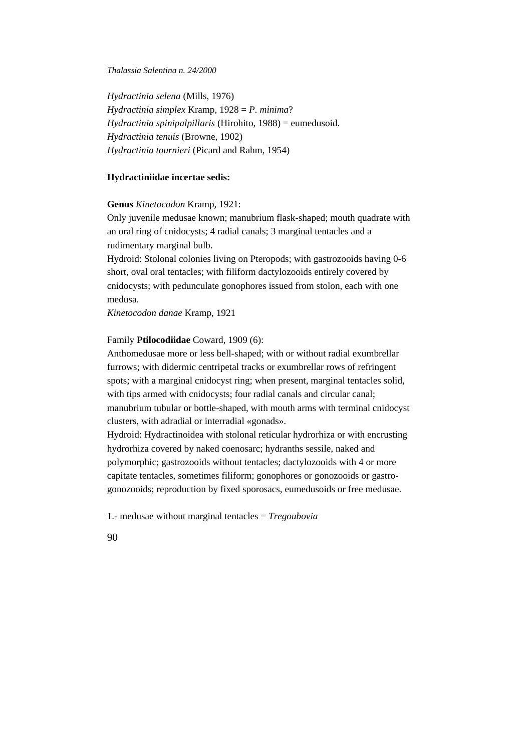*Hydractinia selena* (Mills, 1976) *Hydractinia simplex* Kramp, 1928 = *P. minima*? *Hydractinia spinipalpillaris* (Hirohito, 1988) = eumedusoid. *Hydractinia tenuis* (Browne, 1902) *Hydractinia tournieri* (Picard and Rahm, 1954)

# **Hydractiniidae incertae sedis:**

### **Genus** *Kinetocodon* Kramp, 1921:

Only juvenile medusae known; manubrium flask-shaped; mouth quadrate with an oral ring of cnidocysts; 4 radial canals; 3 marginal tentacles and a rudimentary marginal bulb.

Hydroid: Stolonal colonies living on Pteropods; with gastrozooids having 0-6 short, oval oral tentacles; with filiform dactylozooids entirely covered by cnidocysts; with pedunculate gonophores issued from stolon, each with one medusa.

*Kinetocodon danae* Kramp, 1921

### Family **Ptilocodiidae** Coward, 1909 (6):

Anthomedusae more or less bell-shaped; with or without radial exumbrellar furrows; with didermic centripetal tracks or exumbrellar rows of refringent spots; with a marginal cnidocyst ring; when present, marginal tentacles solid, with tips armed with cnidocysts; four radial canals and circular canal; manubrium tubular or bottle-shaped, with mouth arms with terminal cnidocyst clusters, with adradial or interradial «gonads».

Hydroid: Hydractinoidea with stolonal reticular hydrorhiza or with encrusting hydrorhiza covered by naked coenosarc; hydranths sessile, naked and polymorphic; gastrozooids without tentacles; dactylozooids with 4 or more capitate tentacles, sometimes filiform; gonophores or gonozooids or gastrogonozooids; reproduction by fixed sporosacs, eumedusoids or free medusae.

1.- medusae without marginal tentacles = *Tregoubovia*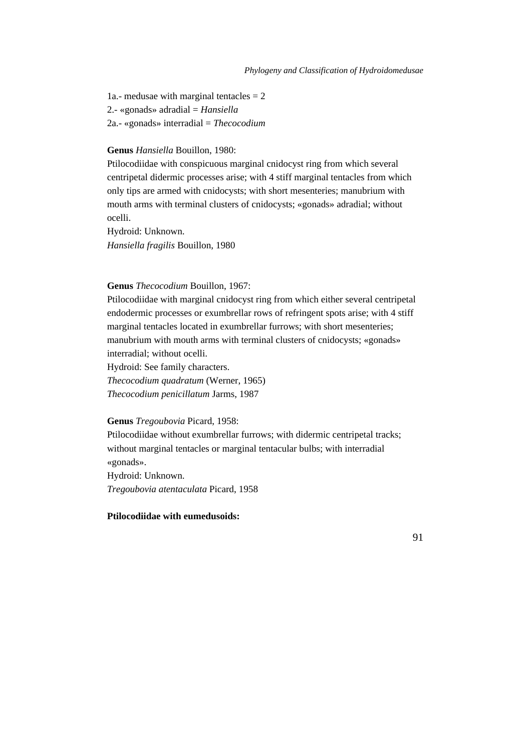1a.- medusae with marginal tentacles  $= 2$ 2.- «gonads» adradial = *Hansiella* 2a.- «gonads» interradial = *Thecocodium*

## **Genus** *Hansiella* Bouillon, 1980:

Ptilocodiidae with conspicuous marginal cnidocyst ring from which several centripetal didermic processes arise; with 4 stiff marginal tentacles from which only tips are armed with cnidocysts; with short mesenteries; manubrium with mouth arms with terminal clusters of cnidocysts; «gonads» adradial; without ocelli.

Hydroid: Unknown. *Hansiella fragilis* Bouillon, 1980

#### **Genus** *Thecocodium* Bouillon, 1967:

Ptilocodiidae with marginal cnidocyst ring from which either several centripetal endodermic processes or exumbrellar rows of refringent spots arise; with 4 stiff marginal tentacles located in exumbrellar furrows; with short mesenteries; manubrium with mouth arms with terminal clusters of cnidocysts; «gonads» interradial; without ocelli.

Hydroid: See family characters. *Thecocodium quadratum* (Werner, 1965) *Thecocodium penicillatum* Jarms, 1987

### **Genus** *Tregoubovia* Picard, 1958:

Ptilocodiidae without exumbrellar furrows; with didermic centripetal tracks; without marginal tentacles or marginal tentacular bulbs; with interradial «gonads».

Hydroid: Unknown. *Tregoubovia atentaculata* Picard, 1958

# **Ptilocodiidae with eumedusoids:**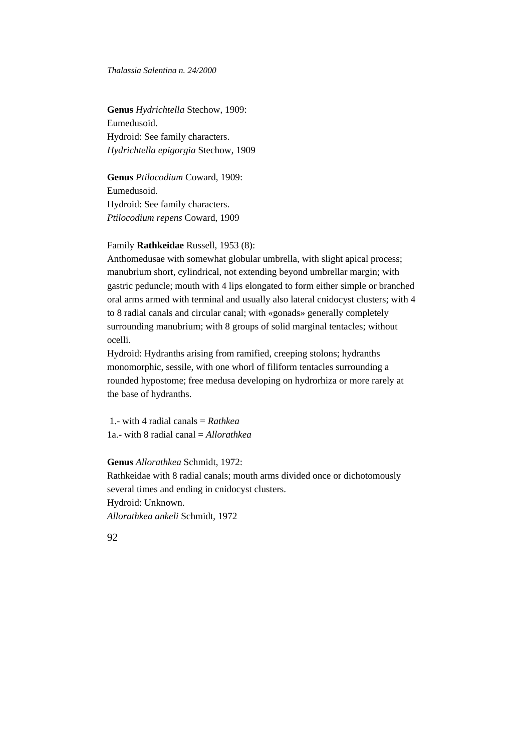**Genus** *Hydrichtella* Stechow, 1909: Eumedusoid. Hydroid: See family characters. *Hydrichtella epigorgia* Stechow, 1909

**Genus** *Ptilocodium* Coward, 1909: Eumedusoid. Hydroid: See family characters. *Ptilocodium repens* Coward, 1909

### Family **Rathkeidae** Russell, 1953 (8):

Anthomedusae with somewhat globular umbrella, with slight apical process; manubrium short, cylindrical, not extending beyond umbrellar margin; with gastric peduncle; mouth with 4 lips elongated to form either simple or branched oral arms armed with terminal and usually also lateral cnidocyst clusters; with 4 to 8 radial canals and circular canal; with «gonads» generally completely surrounding manubrium; with 8 groups of solid marginal tentacles; without ocelli.

Hydroid: Hydranths arising from ramified, creeping stolons; hydranths monomorphic, sessile, with one whorl of filiform tentacles surrounding a rounded hypostome; free medusa developing on hydrorhiza or more rarely at the base of hydranths.

 1.- with 4 radial canals = *Rathkea* 1a.- with 8 radial canal = *Allorathkea*

# **Genus** *Allorathkea* Schmidt, 1972:

Rathkeidae with 8 radial canals; mouth arms divided once or dichotomously several times and ending in cnidocyst clusters. Hydroid: Unknown.

*Allorathkea ankeli* Schmidt, 1972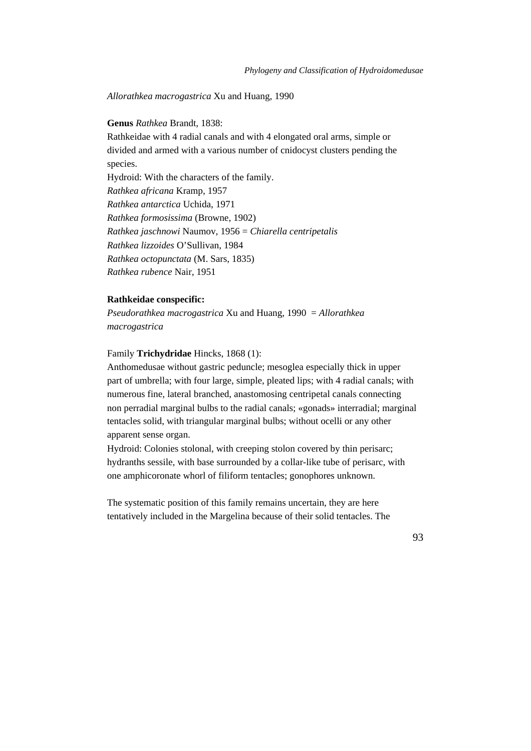*Allorathkea macrogastrica* Xu and Huang, 1990

## **Genus** *Rathkea* Brandt, 1838:

Rathkeidae with 4 radial canals and with 4 elongated oral arms, simple or divided and armed with a various number of cnidocyst clusters pending the species. Hydroid: With the characters of the family. *Rathkea africana* Kramp, 1957 *Rathkea antarctica* Uchida, 1971 *Rathkea formosissima* (Browne, 1902) *Rathkea jaschnowi* Naumov, 1956 = *Chiarella centripetalis Rathkea lizzoides* O'Sullivan, 1984 *Rathkea octopunctata* (M. Sars, 1835) *Rathkea rubence* Nair, 1951

# **Rathkeidae conspecific:**

*Pseudorathkea macrogastrica* Xu and Huang, 1990 = *Allorathkea macrogastrica*

# Family **Trichydridae** Hincks, 1868 (1):

Anthomedusae without gastric peduncle; mesoglea especially thick in upper part of umbrella; with four large, simple, pleated lips; with 4 radial canals; with numerous fine, lateral branched, anastomosing centripetal canals connecting non perradial marginal bulbs to the radial canals; «gonads» interradial; marginal tentacles solid, with triangular marginal bulbs; without ocelli or any other apparent sense organ.

Hydroid: Colonies stolonal, with creeping stolon covered by thin perisarc; hydranths sessile, with base surrounded by a collar-like tube of perisarc, with one amphicoronate whorl of filiform tentacles; gonophores unknown.

The systematic position of this family remains uncertain, they are here tentatively included in the Margelina because of their solid tentacles. The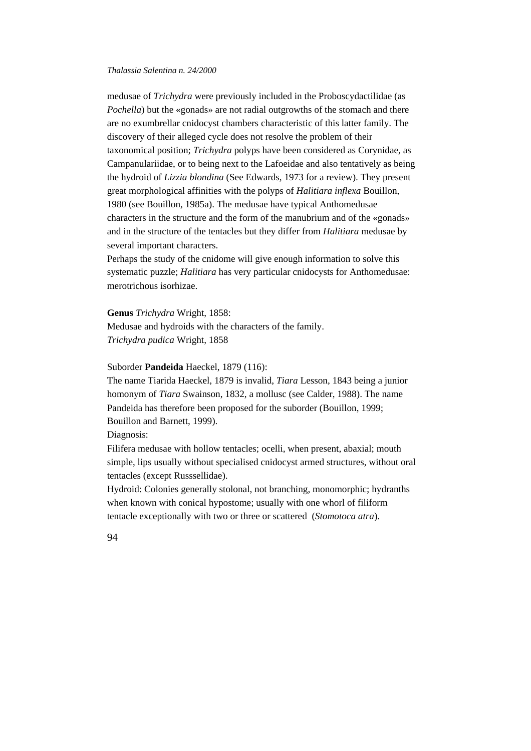medusae of *Trichydra* were previously included in the Proboscydactilidae (as *Pochella*) but the «gonads» are not radial outgrowths of the stomach and there are no exumbrellar cnidocyst chambers characteristic of this latter family. The discovery of their alleged cycle does not resolve the problem of their taxonomical position; *Trichydra* polyps have been considered as Corynidae, as Campanulariidae, or to being next to the Lafoeidae and also tentatively as being the hydroid of *Lizzia blondina* (See Edwards, 1973 for a review). They present great morphological affinities with the polyps of *Halitiara inflexa* Bouillon, 1980 (see Bouillon, 1985a). The medusae have typical Anthomedusae characters in the structure and the form of the manubrium and of the «gonads» and in the structure of the tentacles but they differ from *Halitiara* medusae by several important characters.

Perhaps the study of the cnidome will give enough information to solve this systematic puzzle; *Halitiara* has very particular cnidocysts for Anthomedusae: merotrichous isorhizae.

**Genus** *Trichydra* Wright, 1858:

Medusae and hydroids with the characters of the family. *Trichydra pudica* Wright, 1858

# Suborder **Pandeida** Haeckel, 1879 (116):

The name Tiarida Haeckel, 1879 is invalid, *Tiara* Lesson, 1843 being a junior homonym of *Tiara* Swainson, 1832, a mollusc (see Calder, 1988). The name Pandeida has therefore been proposed for the suborder (Bouillon, 1999; Bouillon and Barnett, 1999).

Diagnosis:

Filifera medusae with hollow tentacles; ocelli, when present, abaxial; mouth simple, lips usually without specialised cnidocyst armed structures, without oral tentacles (except Russsellidae).

Hydroid: Colonies generally stolonal, not branching, monomorphic; hydranths when known with conical hypostome; usually with one whorl of filiform tentacle exceptionally with two or three or scattered (*Stomotoca atra*).

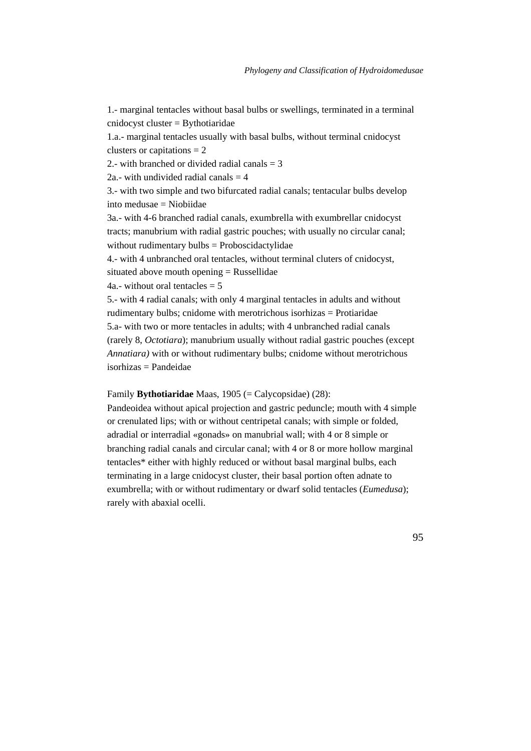1.- marginal tentacles without basal bulbs or swellings, terminated in a terminal cnidocyst cluster = Bythotiaridae

1.a.- marginal tentacles usually with basal bulbs, without terminal cnidocyst clusters or capitations  $= 2$ 

2.- with branched or divided radial canals  $=$  3

2a.- with undivided radial canals  $=$  4

3.- with two simple and two bifurcated radial canals; tentacular bulbs develop into medusae = Niobiidae

3a.- with 4-6 branched radial canals, exumbrella with exumbrellar cnidocyst tracts; manubrium with radial gastric pouches; with usually no circular canal; without rudimentary bulbs = Proboscidactylidae

4.- with 4 unbranched oral tentacles, without terminal cluters of cnidocyst,

situated above mouth opening = Russellidae

4a.- without oral tentacles  $= 5$ 

5.- with 4 radial canals; with only 4 marginal tentacles in adults and without rudimentary bulbs; cnidome with merotrichous isorhizas = Protiaridae 5.a- with two or more tentacles in adults; with 4 unbranched radial canals (rarely 8, *Octotiara*); manubrium usually without radial gastric pouches (except *Annatiara)* with or without rudimentary bulbs; cnidome without merotrichous isorhizas = Pandeidae

Family **Bythotiaridae** Maas, 1905 (= Calycopsidae) (28):

Pandeoidea without apical projection and gastric peduncle; mouth with 4 simple or crenulated lips; with or without centripetal canals; with simple or folded, adradial or interradial «gonads» on manubrial wall; with 4 or 8 simple or branching radial canals and circular canal; with 4 or 8 or more hollow marginal tentacles\* either with highly reduced or without basal marginal bulbs, each terminating in a large cnidocyst cluster, their basal portion often adnate to exumbrella; with or without rudimentary or dwarf solid tentacles (*Eumedusa*); rarely with abaxial ocelli.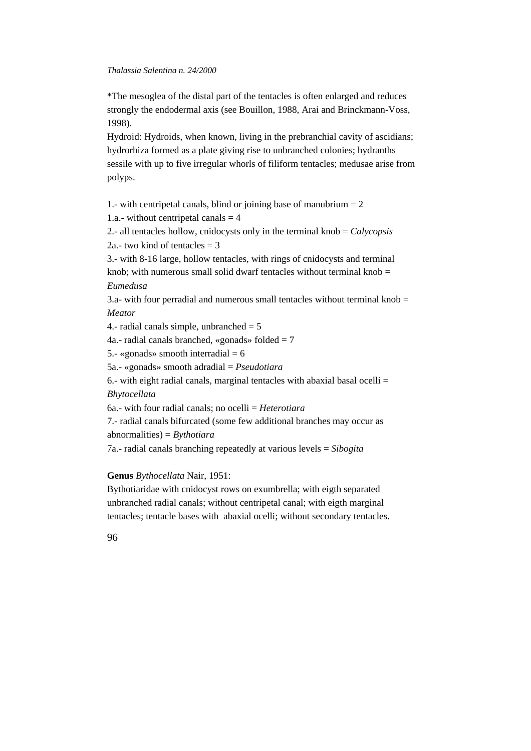\*The mesoglea of the distal part of the tentacles is often enlarged and reduces strongly the endodermal axis (see Bouillon, 1988, Arai and Brinckmann-Voss, 1998).

Hydroid: Hydroids, when known, living in the prebranchial cavity of ascidians; hydrorhiza formed as a plate giving rise to unbranched colonies; hydranths sessile with up to five irregular whorls of filiform tentacles; medusae arise from polyps.

1.- with centripetal canals, blind or joining base of manubrium  $= 2$ 

1.a.- without centripetal canals  $=$  4

2.- all tentacles hollow, cnidocysts only in the terminal knob = *Calycopsis* 2a.- two kind of tentacles  $=$  3

3.- with 8-16 large, hollow tentacles, with rings of cnidocysts and terminal knob; with numerous small solid dwarf tentacles without terminal knob  $=$ *Eumedusa*

3.a- with four perradial and numerous small tentacles without terminal knob  $=$ *Meator*

4.- radial canals simple, unbranched  $= 5$ 

4a.- radial canals branched, «gonads» folded  $= 7$ 

5.- «gonads» smooth interradial  $= 6$ 

5a.- «gonads» smooth adradial = *Pseudotiara*

6.- with eight radial canals, marginal tentacles with abaxial basal ocelli = *Bhytocellata*

6a.- with four radial canals; no ocelli = *Heterotiara*

7.- radial canals bifurcated (some few additional branches may occur as abnormalities) = *Bythotiara*

7a.- radial canals branching repeatedly at various levels = *Sibogita*

# **Genus** *Bythocellata* Nair, 1951:

Bythotiaridae with cnidocyst rows on exumbrella; with eigth separated unbranched radial canals; without centripetal canal; with eigth marginal tentacles; tentacle bases with abaxial ocelli; without secondary tentacles.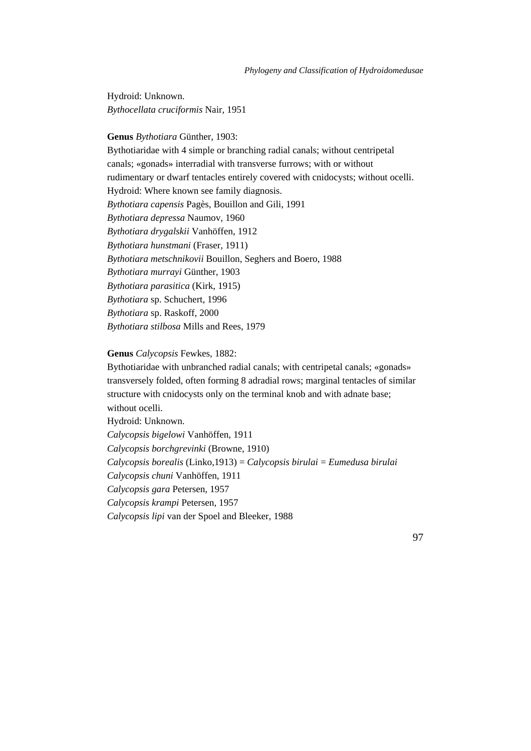Hydroid: Unknown. *Bythocellata cruciformis* Nair, 1951

# **Genus** *Bythotiara* Günther, 1903:

Bythotiaridae with 4 simple or branching radial canals; without centripetal canals; «gonads» interradial with transverse furrows; with or without rudimentary or dwarf tentacles entirely covered with cnidocysts; without ocelli. Hydroid: Where known see family diagnosis. *Bythotiara capensis* Pagès, Bouillon and Gili, 1991 *Bythotiara depressa* Naumov, 1960 *Bythotiara drygalskii* Vanhöffen, 1912 *Bythotiara hunstmani* (Fraser, 1911) *Bythotiara metschnikovii* Bouillon, Seghers and Boero, 1988 *Bythotiara murrayi* Günther, 1903 *Bythotiara parasitica* (Kirk, 1915) *Bythotiara* sp. Schuchert, 1996 *Bythotiara* sp. Raskoff, 2000 *Bythotiara stilbosa* Mills and Rees, 1979

# **Genus** *Calycopsis* Fewkes, 1882:

Bythotiaridae with unbranched radial canals; with centripetal canals; «gonads» transversely folded, often forming 8 adradial rows; marginal tentacles of similar structure with cnidocysts only on the terminal knob and with adnate base; without ocelli. Hydroid: Unknown. *Calycopsis bigelowi* Vanhöffen, 1911 *Calycopsis borchgrevinki* (Browne, 1910) *Calycopsis borealis* (Linko,1913) = *Calycopsis birulai* = *Eumedusa birulai Calycopsis chuni* Vanhöffen, 1911 *Calycopsis gara* Petersen, 1957 *Calycopsis krampi* Petersen, 1957

*Calycopsis lipi* van der Spoel and Bleeker, 1988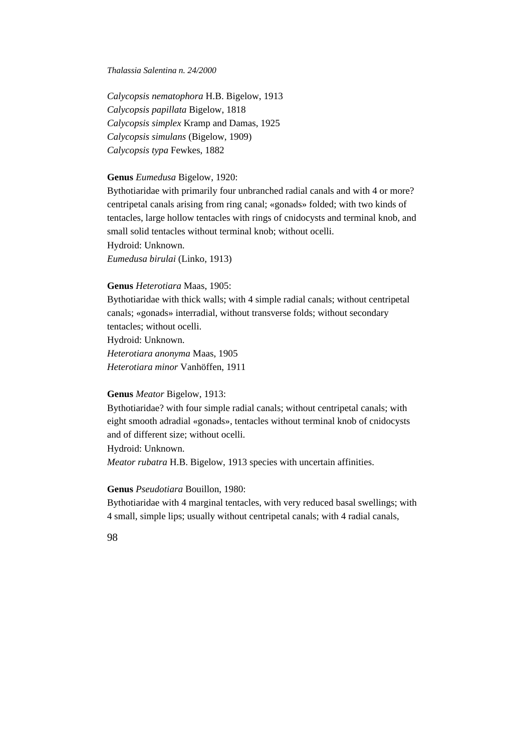*Calycopsis nematophora* H.B. Bigelow, 1913 *Calycopsis papillata* Bigelow, 1818 *Calycopsis simplex* Kramp and Damas, 1925 *Calycopsis simulans* (Bigelow, 1909) *Calycopsis typa* Fewkes, 1882

# **Genus** *Eumedusa* Bigelow, 1920:

Bythotiaridae with primarily four unbranched radial canals and with 4 or more? centripetal canals arising from ring canal; «gonads» folded; with two kinds of tentacles, large hollow tentacles with rings of cnidocysts and terminal knob, and small solid tentacles without terminal knob; without ocelli. Hydroid: Unknown. *Eumedusa birulai* (Linko, 1913)

### **Genus** *Heterotiara* Maas, 1905:

Bythotiaridae with thick walls; with 4 simple radial canals; without centripetal canals; «gonads» interradial, without transverse folds; without secondary tentacles; without ocelli. Hydroid: Unknown. *Heterotiara anonyma* Maas, 1905 *Heterotiara minor* Vanhöffen, 1911

## **Genus** *Meator* Bigelow, 1913:

Bythotiaridae? with four simple radial canals; without centripetal canals; with eight smooth adradial «gonads», tentacles without terminal knob of cnidocysts and of different size; without ocelli.

Hydroid: Unknown.

*Meator rubatra* H.B. Bigelow, 1913 species with uncertain affinities.

# **Genus** *Pseudotiara* Bouillon, 1980:

Bythotiaridae with 4 marginal tentacles, with very reduced basal swellings; with 4 small, simple lips; usually without centripetal canals; with 4 radial canals,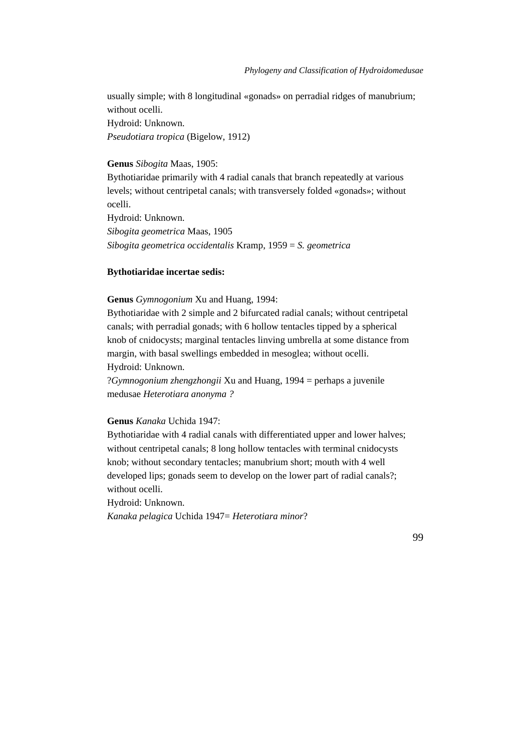usually simple; with 8 longitudinal «gonads» on perradial ridges of manubrium; without ocelli.

Hydroid: Unknown.

*Pseudotiara tropica* (Bigelow, 1912)

# **Genus** *Sibogita* Maas, 1905:

Bythotiaridae primarily with 4 radial canals that branch repeatedly at various levels; without centripetal canals; with transversely folded «gonads»; without ocelli. Hydroid: Unknown. *Sibogita geometrica* Maas, 1905

*Sibogita geometrica occidentalis* Kramp, 1959 = *S. geometrica*

## **Bythotiaridae incertae sedis:**

### **Genus** *Gymnogonium* Xu and Huang, 1994:

Bythotiaridae with 2 simple and 2 bifurcated radial canals; without centripetal canals; with perradial gonads; with 6 hollow tentacles tipped by a spherical knob of cnidocysts; marginal tentacles linving umbrella at some distance from margin, with basal swellings embedded in mesoglea; without ocelli. Hydroid: Unknown.

?*Gymnogonium zhengzhongii* Xu and Huang, 1994 = perhaps a juvenile medusae *Heterotiara anonyma ?*

## **Genus** *Kanaka* Uchida 1947:

Bythotiaridae with 4 radial canals with differentiated upper and lower halves; without centripetal canals; 8 long hollow tentacles with terminal cnidocysts knob; without secondary tentacles; manubrium short; mouth with 4 well developed lips; gonads seem to develop on the lower part of radial canals?; without ocelli.

Hydroid: Unknown.

*Kanaka pelagica* Uchida 1947= *Heterotiara minor*?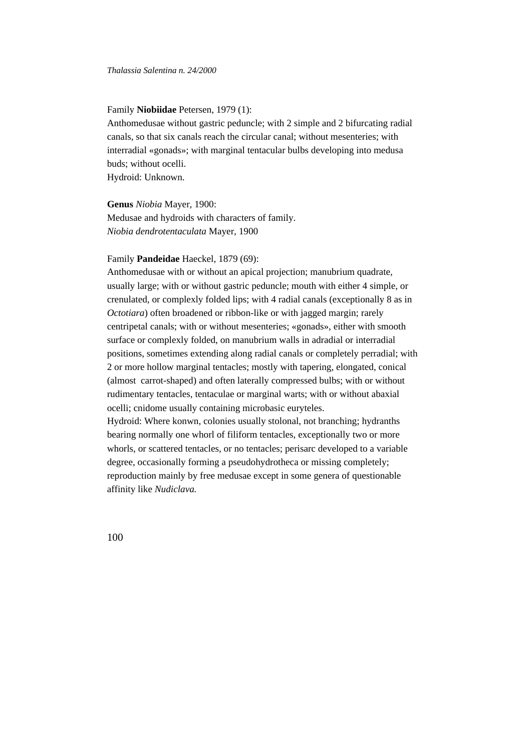### Family **Niobiidae** Petersen, 1979 (1):

Anthomedusae without gastric peduncle; with 2 simple and 2 bifurcating radial canals, so that six canals reach the circular canal; without mesenteries; with interradial «gonads»; with marginal tentacular bulbs developing into medusa buds; without ocelli.

Hydroid: Unknown.

**Genus** *Niobia* Mayer, 1900: Medusae and hydroids with characters of family. *Niobia dendrotentaculata* Mayer, 1900

# Family **Pandeidae** Haeckel, 1879 (69):

Anthomedusae with or without an apical projection; manubrium quadrate, usually large; with or without gastric peduncle; mouth with either 4 simple, or crenulated, or complexly folded lips; with 4 radial canals (exceptionally 8 as in *Octotiara*) often broadened or ribbon-like or with jagged margin; rarely centripetal canals; with or without mesenteries; «gonads», either with smooth surface or complexly folded, on manubrium walls in adradial or interradial positions, sometimes extending along radial canals or completely perradial; with 2 or more hollow marginal tentacles; mostly with tapering, elongated, conical (almost carrot-shaped) and often laterally compressed bulbs; with or without rudimentary tentacles, tentaculae or marginal warts; with or without abaxial ocelli; cnidome usually containing microbasic euryteles.

Hydroid: Where konwn, colonies usually stolonal, not branching; hydranths bearing normally one whorl of filiform tentacles, exceptionally two or more whorls, or scattered tentacles, or no tentacles; perisarc developed to a variable degree, occasionally forming a pseudohydrotheca or missing completely; reproduction mainly by free medusae except in some genera of questionable affinity like *Nudiclava.*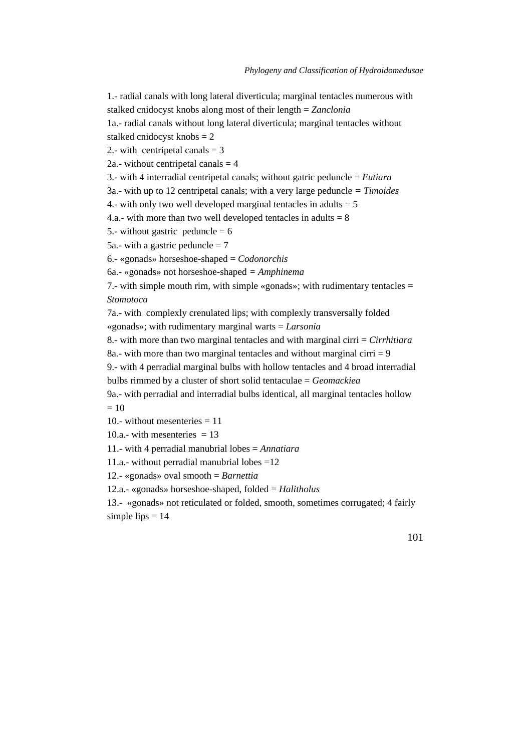1.- radial canals with long lateral diverticula; marginal tentacles numerous with

stalked cnidocyst knobs along most of their length = *Zanclonia*

1a.- radial canals without long lateral diverticula; marginal tentacles without stalked cnidocyst knobs = 2

2.- with centripetal canals  $=$  3

2a.- without centripetal canals  $=$  4

3.- with 4 interradial centripetal canals; without gatric peduncle = *Eutiara*

3a.- with up to 12 centripetal canals; with a very large peduncle *= Timoides*

4.- with only two well developed marginal tentacles in adults  $= 5$ 

4.a.- with more than two well developed tentacles in adults  $= 8$ 

5.- without gastric peduncle  $= 6$ 

5a.- with a gastric peduncle  $= 7$ 

6.- «gonads» horseshoe-shaped = *Codonorchis*

6a.- «gonads» not horseshoe-shaped *= Amphinema*

7.- with simple mouth rim, with simple «gonads»; with rudimentary tentacles = *Stomotoca*

7a.- with complexly crenulated lips; with complexly transversally folded

«gonads»; with rudimentary marginal warts = *Larsonia*

8.- with more than two marginal tentacles and with marginal cirri = *Cirrhitiara*

8a.- with more than two marginal tentacles and without marginal cirri  $= 9$ 

9.- with 4 perradial marginal bulbs with hollow tentacles and 4 broad interradial bulbs rimmed by a cluster of short solid tentaculae = *Geomackiea*

9a.- with perradial and interradial bulbs identical, all marginal tentacles hollow  $= 10$ 

10.- without mesenteries  $= 11$ 

10.a.- with mesenteries  $= 13$ 

11.- with 4 perradial manubrial lobes = *Annatiara*

11.a.- without perradial manubrial lobes =12

12.- «gonads» oval smooth = *Barnettia*

12.a.- «gonads» horseshoe-shaped, folded = *Halitholus*

13.- «gonads» not reticulated or folded, smooth, sometimes corrugated; 4 fairly simple lips  $= 14$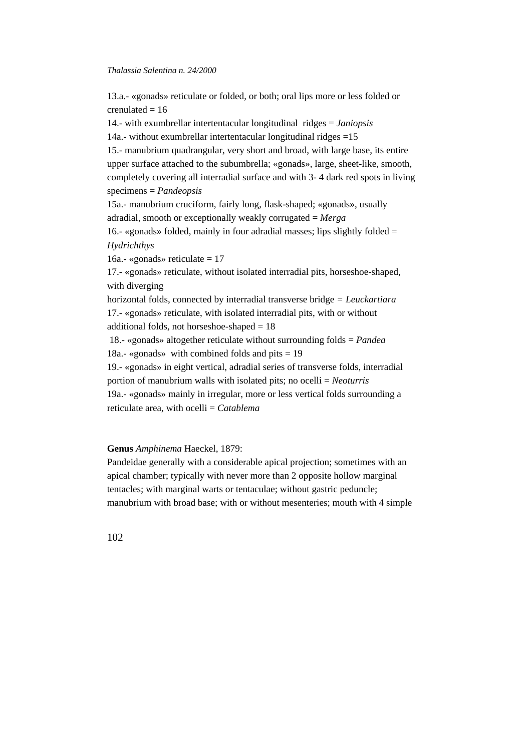13.a.- «gonads» reticulate or folded, or both; oral lips more or less folded or crenulated  $= 16$ 

14.- with exumbrellar intertentacular longitudinal ridges = *Janiopsis* 14a.- without exumbrellar intertentacular longitudinal ridges  $=15$ 15.- manubrium quadrangular, very short and broad, with large base, its entire upper surface attached to the subumbrella; «gonads», large, sheet-like, smooth, completely covering all interradial surface and with 3- 4 dark red spots in living specimens = *Pandeopsis* 15a.- manubrium cruciform, fairly long, flask-shaped; «gonads», usually adradial, smooth or exceptionally weakly corrugated = *Merga* 16.- «gonads» folded, mainly in four adradial masses; lips slightly folded  $=$ *Hydrichthys* 16a.- «gonads» reticulate  $= 17$ 17.- «gonads» reticulate, without isolated interradial pits, horseshoe-shaped, with diverging horizontal folds, connected by interradial transverse bridge *= Leuckartiara* 17.- «gonads» reticulate, with isolated interradial pits, with or without additional folds, not horseshoe-shaped = 18 18.- «gonads» altogether reticulate without surrounding folds = *Pandea* 18a.- «gonads» with combined folds and pits  $= 19$ 19.- «gonads» in eight vertical, adradial series of transverse folds, interradial portion of manubrium walls with isolated pits; no ocelli = *Neoturris* 19a.- «gonads» mainly in irregular, more or less vertical folds surrounding a

reticulate area, with ocelli = *Catablema*

# **Genus** *Amphinema* Haeckel, 1879:

Pandeidae generally with a considerable apical projection; sometimes with an apical chamber; typically with never more than 2 opposite hollow marginal tentacles; with marginal warts or tentaculae; without gastric peduncle; manubrium with broad base; with or without mesenteries; mouth with 4 simple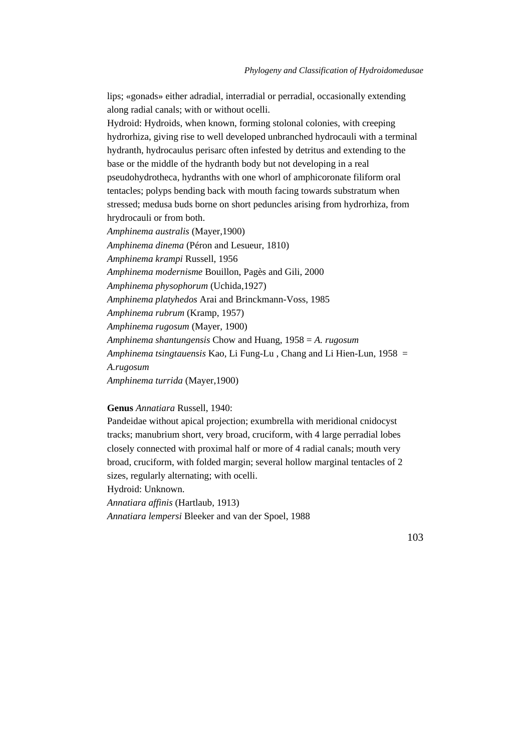lips; «gonads» either adradial, interradial or perradial, occasionally extending along radial canals; with or without ocelli.

Hydroid: Hydroids, when known, forming stolonal colonies, with creeping hydrorhiza, giving rise to well developed unbranched hydrocauli with a terminal hydranth, hydrocaulus perisarc often infested by detritus and extending to the base or the middle of the hydranth body but not developing in a real pseudohydrotheca, hydranths with one whorl of amphicoronate filiform oral tentacles; polyps bending back with mouth facing towards substratum when stressed; medusa buds borne on short peduncles arising from hydrorhiza, from hrydrocauli or from both.

*Amphinema australis* (Mayer,1900) *Amphinema dinema* (Péron and Lesueur, 1810) *Amphinema krampi* Russell, 1956 *Amphinema modernisme* Bouillon, Pagès and Gili, 2000 *Amphinema physophorum* (Uchida,1927) *Amphinema platyhedos* Arai and Brinckmann-Voss, 1985 *Amphinema rubrum* (Kramp, 1957) *Amphinema rugosum* (Mayer, 1900) *Amphinema shantungensis* Chow and Huang, 1958 = *A. rugosum Amphinema tsingtauensis* Kao, Li Fung-Lu , Chang and Li Hien-Lun, 1958 = *A.rugosum*

*Amphinema turrida* (Mayer,1900)

# **Genus** *Annatiara* Russell, 1940:

Pandeidae without apical projection; exumbrella with meridional cnidocyst tracks; manubrium short, very broad, cruciform, with 4 large perradial lobes closely connected with proximal half or more of 4 radial canals; mouth very broad, cruciform, with folded margin; several hollow marginal tentacles of 2 sizes, regularly alternating; with ocelli.

Hydroid: Unknown.

*Annatiara affinis* (Hartlaub, 1913)

*Annatiara lempersi* Bleeker and van der Spoel, 1988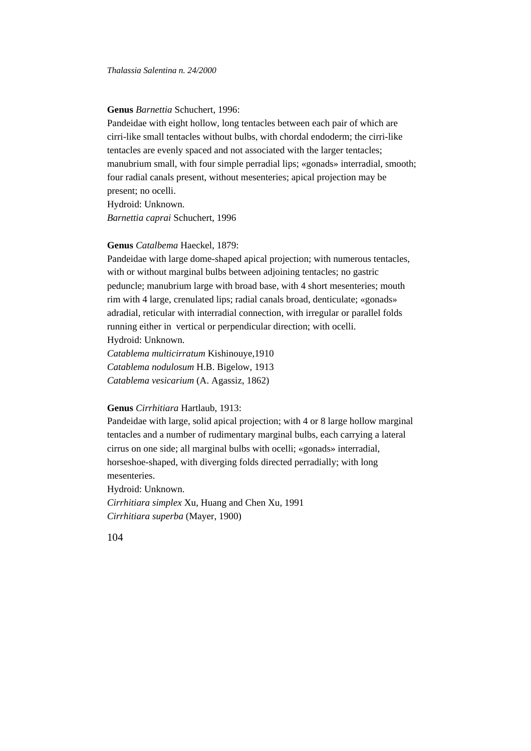## **Genus** *Barnettia* Schuchert, 1996:

Pandeidae with eight hollow, long tentacles between each pair of which are cirri-like small tentacles without bulbs, with chordal endoderm; the cirri-like tentacles are evenly spaced and not associated with the larger tentacles; manubrium small, with four simple perradial lips; «gonads» interradial, smooth; four radial canals present, without mesenteries; apical projection may be present; no ocelli.

Hydroid: Unknown. *Barnettia caprai* Schuchert, 1996

#### **Genus** *Catalbema* Haeckel, 1879:

Pandeidae with large dome-shaped apical projection; with numerous tentacles, with or without marginal bulbs between adjoining tentacles; no gastric peduncle; manubrium large with broad base, with 4 short mesenteries; mouth rim with 4 large, crenulated lips; radial canals broad, denticulate; «gonads» adradial, reticular with interradial connection, with irregular or parallel folds running either in vertical or perpendicular direction; with ocelli. Hydroid: Unknown.

*Catablema multicirratum* Kishinouye,1910 *Catablema nodulosum* H.B. Bigelow, 1913 *Catablema vesicarium* (A. Agassiz, 1862)

# **Genus** *Cirrhitiara* Hartlaub, 1913:

Pandeidae with large, solid apical projection; with 4 or 8 large hollow marginal tentacles and a number of rudimentary marginal bulbs, each carrying a lateral cirrus on one side; all marginal bulbs with ocelli; «gonads» interradial, horseshoe-shaped, with diverging folds directed perradially; with long mesenteries.

Hydroid: Unknown.

*Cirrhitiara simplex* Xu, Huang and Chen Xu, 1991 *Cirrhitiara superba* (Mayer, 1900)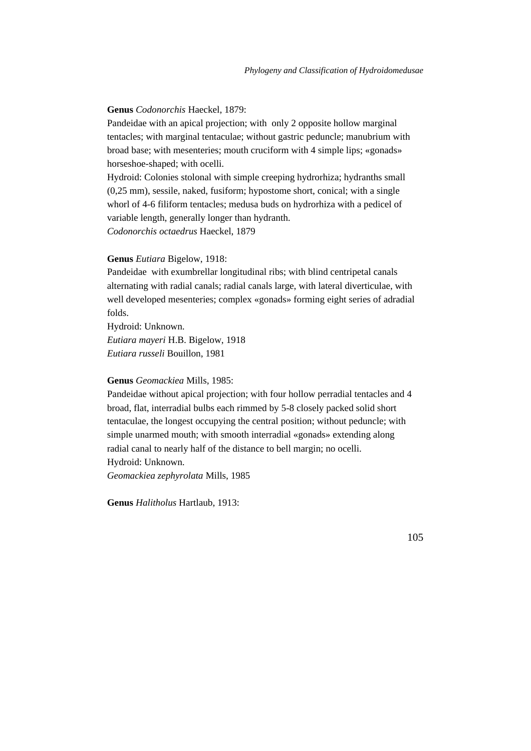## **Genus** *Codonorchis* Haeckel, 1879:

Pandeidae with an apical projection; with only 2 opposite hollow marginal tentacles; with marginal tentaculae; without gastric peduncle; manubrium with broad base; with mesenteries; mouth cruciform with 4 simple lips; «gonads» horseshoe-shaped; with ocelli.

Hydroid: Colonies stolonal with simple creeping hydrorhiza; hydranths small (0,25 mm), sessile, naked, fusiform; hypostome short, conical; with a single whorl of 4-6 filiform tentacles; medusa buds on hydrorhiza with a pedicel of variable length, generally longer than hydranth. *Codonorchis octaedrus* Haeckel, 1879

# **Genus** *Eutiara* Bigelow, 1918:

Pandeidae with exumbrellar longitudinal ribs; with blind centripetal canals alternating with radial canals; radial canals large, with lateral diverticulae, with well developed mesenteries; complex «gonads» forming eight series of adradial folds.

Hydroid: Unknown. *Eutiara mayeri* H.B. Bigelow, 1918 *Eutiara russeli* Bouillon, 1981

## **Genus** *Geomackiea* Mills, 1985:

Pandeidae without apical projection; with four hollow perradial tentacles and 4 broad, flat, interradial bulbs each rimmed by 5-8 closely packed solid short tentaculae, the longest occupying the central position; without peduncle; with simple unarmed mouth; with smooth interradial «gonads» extending along radial canal to nearly half of the distance to bell margin; no ocelli. Hydroid: Unknown.

*Geomackiea zephyrolata* Mills, 1985

**Genus** *Halitholus* Hartlaub, 1913: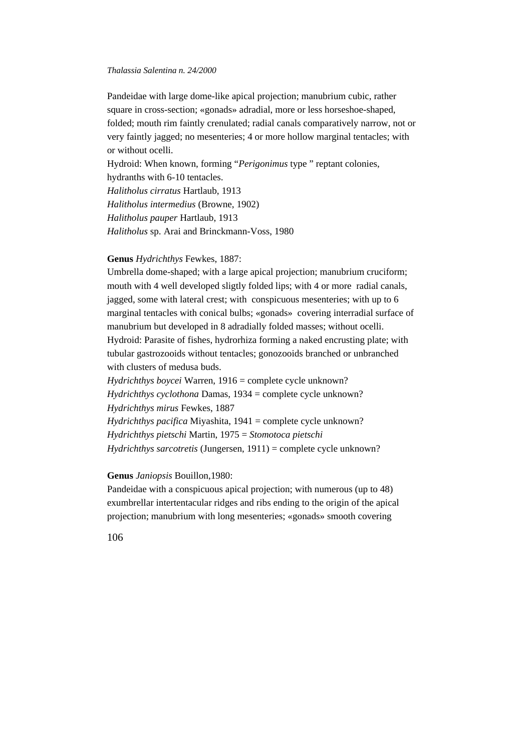Pandeidae with large dome-like apical projection; manubrium cubic, rather square in cross-section; «gonads» adradial, more or less horseshoe-shaped, folded; mouth rim faintly crenulated; radial canals comparatively narrow, not or very faintly jagged; no mesenteries; 4 or more hollow marginal tentacles; with or without ocelli.

Hydroid: When known, forming "*Perigonimus* type " reptant colonies, hydranths with 6-10 tentacles. *Halitholus cirratus* Hartlaub, 1913 *Halitholus intermedius* (Browne, 1902)

*Halitholus pauper* Hartlaub, 1913

*Halitholus* sp. Arai and Brinckmann-Voss, 1980

# **Genus** *Hydrichthys* Fewkes, 1887:

Umbrella dome-shaped; with a large apical projection; manubrium cruciform; mouth with 4 well developed sligtly folded lips; with 4 or more radial canals, jagged, some with lateral crest; with conspicuous mesenteries; with up to 6 marginal tentacles with conical bulbs; «gonads» covering interradial surface of manubrium but developed in 8 adradially folded masses; without ocelli. Hydroid: Parasite of fishes, hydrorhiza forming a naked encrusting plate; with tubular gastrozooids without tentacles; gonozooids branched or unbranched with clusters of medusa buds.

*Hydrichthys boycei* Warren, 1916 = complete cycle unknown? *Hydrichthys cyclothona* Damas, 1934 = complete cycle unknown? *Hydrichthys mirus* Fewkes, 1887 *Hydrichthys pacifica* Miyashita, 1941 = complete cycle unknown? *Hydrichthys pietschi* Martin, 1975 = *Stomotoca pietschi Hydrichthys sarcotretis* (Jungersen, 1911) = complete cycle unknown?

# **Genus** *Janiopsis* Bouillon,1980:

Pandeidae with a conspicuous apical projection; with numerous (up to 48) exumbrellar intertentacular ridges and ribs ending to the origin of the apical projection; manubrium with long mesenteries; «gonads» smooth covering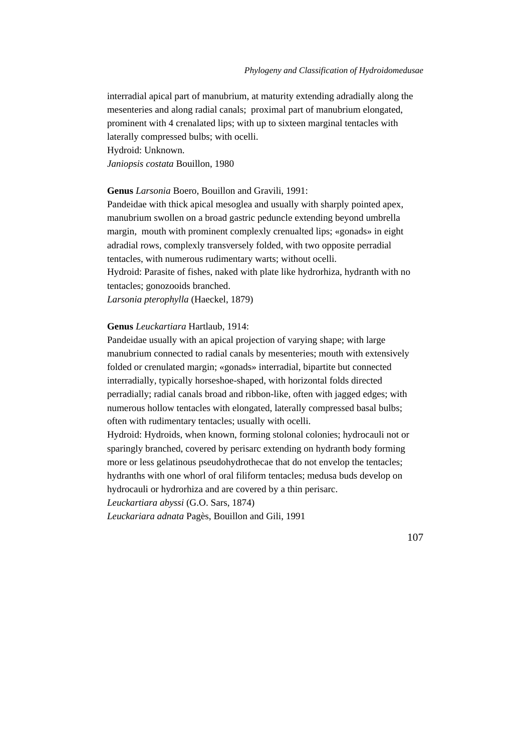interradial apical part of manubrium, at maturity extending adradially along the mesenteries and along radial canals; proximal part of manubrium elongated, prominent with 4 crenalated lips; with up to sixteen marginal tentacles with laterally compressed bulbs; with ocelli.

Hydroid: Unknown.

*Janiopsis costata* Bouillon, 1980

**Genus** *Larsonia* Boero, Bouillon and Gravili, 1991:

Pandeidae with thick apical mesoglea and usually with sharply pointed apex, manubrium swollen on a broad gastric peduncle extending beyond umbrella margin, mouth with prominent complexly crenualted lips; «gonads» in eight adradial rows, complexly transversely folded, with two opposite perradial tentacles, with numerous rudimentary warts; without ocelli.

Hydroid: Parasite of fishes, naked with plate like hydrorhiza, hydranth with no tentacles; gonozooids branched.

*Larsonia pterophylla* (Haeckel, 1879)

# **Genus** *Leuckartiara* Hartlaub, 1914:

Pandeidae usually with an apical projection of varying shape; with large manubrium connected to radial canals by mesenteries; mouth with extensively folded or crenulated margin; «gonads» interradial, bipartite but connected interradially, typically horseshoe-shaped, with horizontal folds directed perradially; radial canals broad and ribbon-like, often with jagged edges; with numerous hollow tentacles with elongated, laterally compressed basal bulbs; often with rudimentary tentacles; usually with ocelli.

Hydroid: Hydroids, when known, forming stolonal colonies; hydrocauli not or sparingly branched, covered by perisarc extending on hydranth body forming more or less gelatinous pseudohydrothecae that do not envelop the tentacles; hydranths with one whorl of oral filiform tentacles; medusa buds develop on hydrocauli or hydrorhiza and are covered by a thin perisarc.

*Leuckartiara abyssi* (G.O. Sars, 1874)

*Leuckariara adnata* Pagès, Bouillon and Gili, 1991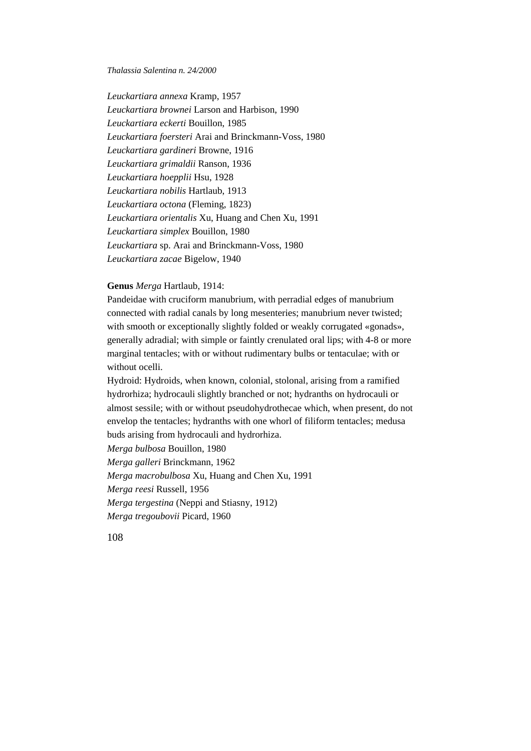*Leuckartiara annexa* Kramp, 1957 *Leuckartiara brownei* Larson and Harbison, 1990 *Leuckartiara eckerti* Bouillon, 1985 *Leuckartiara foersteri* Arai and Brinckmann-Voss, 1980 *Leuckartiara gardineri* Browne, 1916 *Leuckartiara grimaldii* Ranson, 1936 *Leuckartiara hoepplii* Hsu, 1928 *Leuckartiara nobilis* Hartlaub, 1913 *Leuckartiara octona* (Fleming, 1823) *Leuckartiara orientalis* Xu, Huang and Chen Xu, 1991 *Leuckartiara simplex* Bouillon, 1980 *Leuckartiara* sp. Arai and Brinckmann-Voss, 1980 *Leuckartiara zacae* Bigelow, 1940

### **Genus** *Merga* Hartlaub, 1914:

Pandeidae with cruciform manubrium, with perradial edges of manubrium connected with radial canals by long mesenteries; manubrium never twisted; with smooth or exceptionally slightly folded or weakly corrugated «gonads», generally adradial; with simple or faintly crenulated oral lips; with 4-8 or more marginal tentacles; with or without rudimentary bulbs or tentaculae; with or without ocelli.

Hydroid: Hydroids, when known, colonial, stolonal, arising from a ramified hydrorhiza; hydrocauli slightly branched or not; hydranths on hydrocauli or almost sessile; with or without pseudohydrothecae which, when present, do not envelop the tentacles; hydranths with one whorl of filiform tentacles; medusa buds arising from hydrocauli and hydrorhiza.

*Merga bulbosa* Bouillon, 1980

*Merga galleri* Brinckmann, 1962 *Merga macrobulbosa* Xu, Huang and Chen Xu, 1991 *Merga reesi* Russell, 1956 *Merga tergestina* (Neppi and Stiasny, 1912) *Merga tregoubovii* Picard, 1960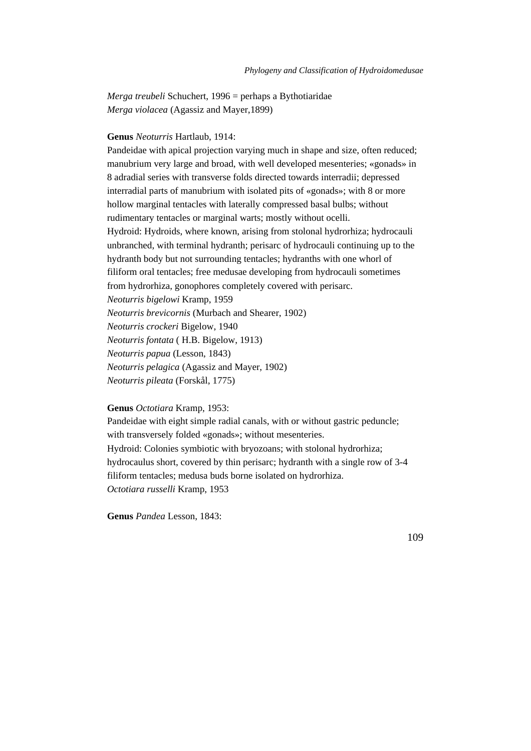*Merga treubeli* Schuchert, 1996 = perhaps a Bythotiaridae *Merga violacea* (Agassiz and Mayer,1899)

# **Genus** *Neoturris* Hartlaub, 1914:

Pandeidae with apical projection varying much in shape and size, often reduced; manubrium very large and broad, with well developed mesenteries; «gonads» in 8 adradial series with transverse folds directed towards interradii; depressed interradial parts of manubrium with isolated pits of «gonads»; with 8 or more hollow marginal tentacles with laterally compressed basal bulbs; without rudimentary tentacles or marginal warts; mostly without ocelli. Hydroid: Hydroids, where known, arising from stolonal hydrorhiza; hydrocauli unbranched, with terminal hydranth; perisarc of hydrocauli continuing up to the hydranth body but not surrounding tentacles; hydranths with one whorl of filiform oral tentacles; free medusae developing from hydrocauli sometimes from hydrorhiza, gonophores completely covered with perisarc. *Neoturris bigelowi* Kramp, 1959 *Neoturris brevicornis* (Murbach and Shearer, 1902) *Neoturris crockeri* Bigelow, 1940 *Neoturris fontata* ( H.B. Bigelow, 1913) *Neoturris papua* (Lesson, 1843) *Neoturris pelagica* (Agassiz and Mayer, 1902) *Neoturris pileata* (Forskål, 1775)

# **Genus** *Octotiara* Kramp, 1953:

Pandeidae with eight simple radial canals, with or without gastric peduncle; with transversely folded «gonads»; without mesenteries. Hydroid: Colonies symbiotic with bryozoans; with stolonal hydrorhiza; hydrocaulus short, covered by thin perisarc; hydranth with a single row of 3-4 filiform tentacles; medusa buds borne isolated on hydrorhiza. *Octotiara russelli* Kramp, 1953

**Genus** *Pandea* Lesson, 1843: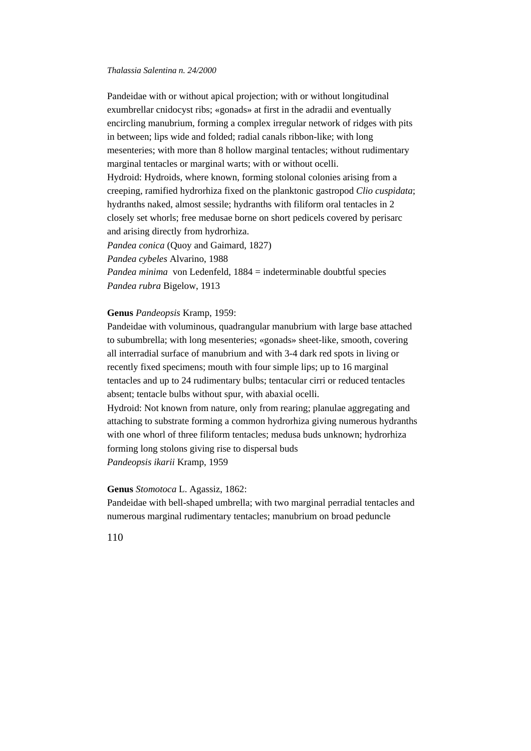Pandeidae with or without apical projection; with or without longitudinal exumbrellar cnidocyst ribs; «gonads» at first in the adradii and eventually encircling manubrium, forming a complex irregular network of ridges with pits in between; lips wide and folded; radial canals ribbon-like; with long mesenteries; with more than 8 hollow marginal tentacles; without rudimentary marginal tentacles or marginal warts; with or without ocelli. Hydroid: Hydroids, where known, forming stolonal colonies arising from a creeping, ramified hydrorhiza fixed on the planktonic gastropod *Clio cuspidata*; hydranths naked, almost sessile; hydranths with filiform oral tentacles in 2 closely set whorls; free medusae borne on short pedicels covered by perisarc and arising directly from hydrorhiza. *Pandea conica* (Quoy and Gaimard, 1827) *Pandea cybeles* Alvarino, 1988 *Pandea minima* von Ledenfeld, 1884 = indeterminable doubtful species *Pandea rubra* Bigelow, 1913

# **Genus** *Pandeopsis* Kramp, 1959:

Pandeidae with voluminous, quadrangular manubrium with large base attached to subumbrella; with long mesenteries; «gonads» sheet-like, smooth, covering all interradial surface of manubrium and with 3-4 dark red spots in living or recently fixed specimens; mouth with four simple lips; up to 16 marginal tentacles and up to 24 rudimentary bulbs; tentacular cirri or reduced tentacles absent; tentacle bulbs without spur, with abaxial ocelli.

Hydroid: Not known from nature, only from rearing; planulae aggregating and attaching to substrate forming a common hydrorhiza giving numerous hydranths with one whorl of three filiform tentacles; medusa buds unknown; hydrorhiza forming long stolons giving rise to dispersal buds *Pandeopsis ikarii* Kramp, 1959

#### **Genus** *Stomotoca* L. Agassiz, 1862:

Pandeidae with bell-shaped umbrella; with two marginal perradial tentacles and numerous marginal rudimentary tentacles; manubrium on broad peduncle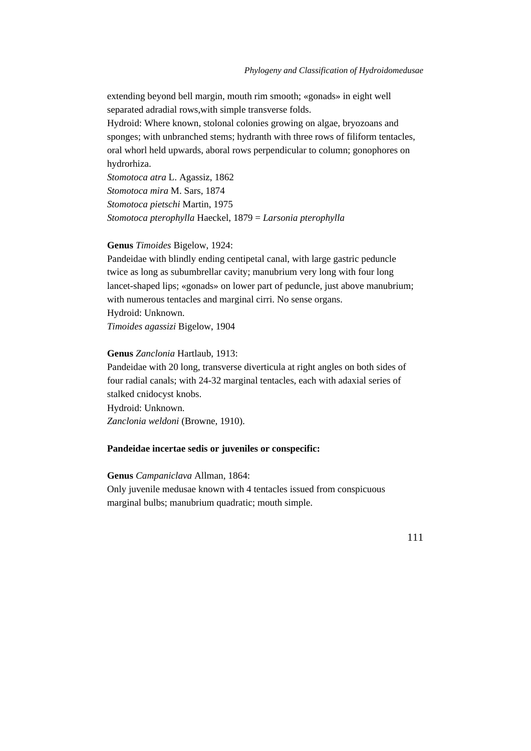extending beyond bell margin, mouth rim smooth; «gonads» in eight well separated adradial rows,with simple transverse folds.

Hydroid: Where known, stolonal colonies growing on algae, bryozoans and sponges; with unbranched stems; hydranth with three rows of filiform tentacles, oral whorl held upwards, aboral rows perpendicular to column; gonophores on hydrorhiza.

*Stomotoca atra* L. Agassiz, 1862 *Stomotoca mira* M. Sars, 1874 *Stomotoca pietschi* Martin, 1975 *Stomotoca pterophylla* Haeckel, 1879 = *Larsonia pterophylla*

#### **Genus** *Timoides* Bigelow, 1924:

Pandeidae with blindly ending centipetal canal, with large gastric peduncle twice as long as subumbrellar cavity; manubrium very long with four long lancet-shaped lips; «gonads» on lower part of peduncle, just above manubrium; with numerous tentacles and marginal cirri. No sense organs. Hydroid: Unknown.

*Timoides agassizi* Bigelow, 1904

## **Genus** *Zanclonia* Hartlaub, 1913:

Pandeidae with 20 long, transverse diverticula at right angles on both sides of four radial canals; with 24-32 marginal tentacles, each with adaxial series of stalked cnidocyst knobs.

Hydroid: Unknown. *Zanclonia weldoni* (Browne, 1910).

## **Pandeidae incertae sedis or juveniles or conspecific:**

# **Genus** *Campaniclava* Allman, 1864:

Only juvenile medusae known with 4 tentacles issued from conspicuous marginal bulbs; manubrium quadratic; mouth simple.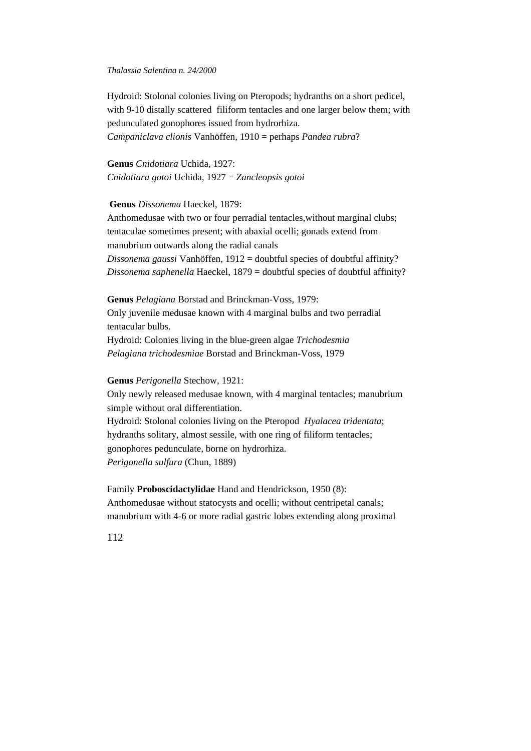Hydroid: Stolonal colonies living on Pteropods; hydranths on a short pedicel, with 9-10 distally scattered filiform tentacles and one larger below them; with pedunculated gonophores issued from hydrorhiza. *Campaniclava clionis* Vanhöffen, 1910 = perhaps *Pandea rubra*?

**Genus** *Cnidotiara* Uchida, 1927: *Cnidotiara gotoi* Uchida, 1927 = *Zancleopsis gotoi*

**Genus** *Dissonema* Haeckel, 1879:

Anthomedusae with two or four perradial tentacles,without marginal clubs; tentaculae sometimes present; with abaxial ocelli; gonads extend from manubrium outwards along the radial canals

*Dissonema gaussi* Vanhöffen, 1912 = doubtful species of doubtful affinity? *Dissonema saphenella* Haeckel, 1879 = doubtful species of doubtful affinity?

**Genus** *Pelagiana* Borstad and Brinckman-Voss, 1979: Only juvenile medusae known with 4 marginal bulbs and two perradial tentacular bulbs. Hydroid: Colonies living in the blue-green algae *Trichodesmia Pelagiana trichodesmiae* Borstad and Brinckman-Voss, 1979

**Genus** *Perigonella* Stechow, 1921:

Only newly released medusae known, with 4 marginal tentacles; manubrium simple without oral differentiation. Hydroid: Stolonal colonies living on the Pteropod *Hyalacea tridentata*; hydranths solitary, almost sessile, with one ring of filiform tentacles; gonophores pedunculate, borne on hydrorhiza. *Perigonella sulfura* (Chun, 1889)

Family **Proboscidactylidae** Hand and Hendrickson, 1950 (8): Anthomedusae without statocysts and ocelli; without centripetal canals; manubrium with 4-6 or more radial gastric lobes extending along proximal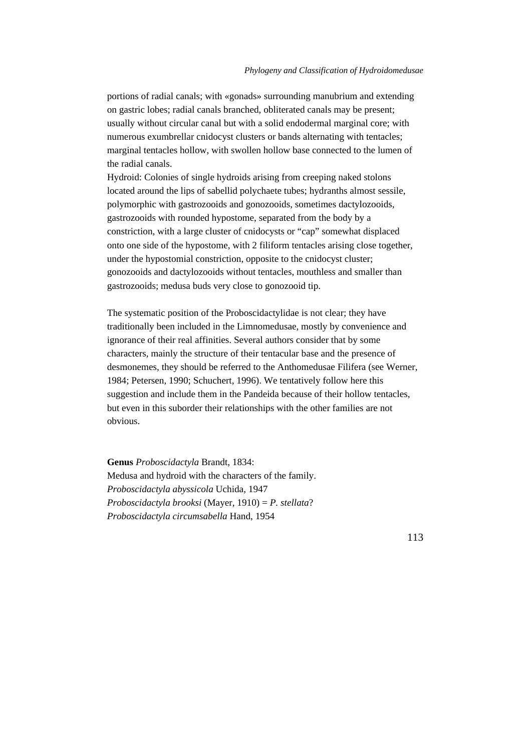portions of radial canals; with «gonads» surrounding manubrium and extending on gastric lobes; radial canals branched, obliterated canals may be present; usually without circular canal but with a solid endodermal marginal core; with numerous exumbrellar cnidocyst clusters or bands alternating with tentacles; marginal tentacles hollow, with swollen hollow base connected to the lumen of the radial canals.

Hydroid: Colonies of single hydroids arising from creeping naked stolons located around the lips of sabellid polychaete tubes; hydranths almost sessile, polymorphic with gastrozooids and gonozooids, sometimes dactylozooids, gastrozooids with rounded hypostome, separated from the body by a constriction, with a large cluster of cnidocysts or "cap" somewhat displaced onto one side of the hypostome, with 2 filiform tentacles arising close together, under the hypostomial constriction, opposite to the cnidocyst cluster; gonozooids and dactylozooids without tentacles, mouthless and smaller than gastrozooids; medusa buds very close to gonozooid tip.

The systematic position of the Proboscidactylidae is not clear; they have traditionally been included in the Limnomedusae, mostly by convenience and ignorance of their real affinities. Several authors consider that by some characters, mainly the structure of their tentacular base and the presence of desmonemes, they should be referred to the Anthomedusae Filifera (see Werner, 1984; Petersen, 1990; Schuchert, 1996). We tentatively follow here this suggestion and include them in the Pandeida because of their hollow tentacles, but even in this suborder their relationships with the other families are not obvious.

**Genus** *Proboscidactyla* Brandt, 1834: Medusa and hydroid with the characters of the family. *Proboscidactyla abyssicola* Uchida, 1947 *Proboscidactyla brooksi* (Mayer, 1910) = *P. stellata*? *Proboscidactyla circumsabella* Hand, 1954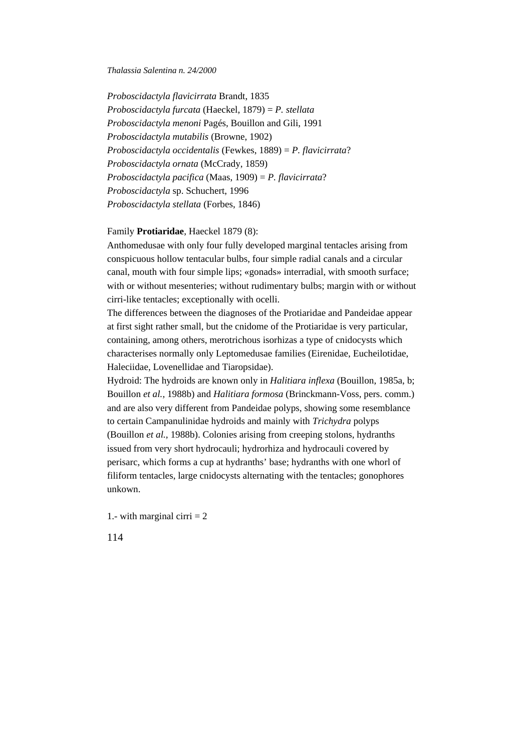*Proboscidactyla flavicirrata* Brandt, 1835 *Proboscidactyla furcata* (Haeckel, 1879) = *P. stellata Proboscidactyla menoni* Pagés, Bouillon and Gili, 1991 *Proboscidactyla mutabilis* (Browne, 1902) *Proboscidactyla occidentalis* (Fewkes, 1889) = *P. flavicirrata*? *Proboscidactyla ornata* (McCrady, 1859) *Proboscidactyla pacifica* (Maas, 1909) = *P. flavicirrata*? *Proboscidactyla* sp. Schuchert, 1996 *Proboscidactyla stellata* (Forbes, 1846)

# Family **Protiaridae**, Haeckel 1879 (8):

Anthomedusae with only four fully developed marginal tentacles arising from conspicuous hollow tentacular bulbs, four simple radial canals and a circular canal, mouth with four simple lips; «gonads» interradial, with smooth surface; with or without mesenteries; without rudimentary bulbs; margin with or without cirri-like tentacles; exceptionally with ocelli.

The differences between the diagnoses of the Protiaridae and Pandeidae appear at first sight rather small, but the cnidome of the Protiaridae is very particular, containing, among others, merotrichous isorhizas a type of cnidocysts which characterises normally only Leptomedusae families (Eirenidae, Eucheilotidae, Haleciidae, Lovenellidae and Tiaropsidae).

Hydroid: The hydroids are known only in *Halitiara inflexa* (Bouillon, 1985a, b; Bouillon *et al.,* 1988b) and *Halitiara formosa* (Brinckmann-Voss, pers. comm.) and are also very different from Pandeidae polyps, showing some resemblance to certain Campanulinidae hydroids and mainly with *Trichydra* polyps (Bouillon *et al.,* 1988b). Colonies arising from creeping stolons, hydranths issued from very short hydrocauli; hydrorhiza and hydrocauli covered by perisarc, which forms a cup at hydranths' base; hydranths with one whorl of filiform tentacles, large cnidocysts alternating with the tentacles; gonophores unkown.

1.- with marginal cirri  $= 2$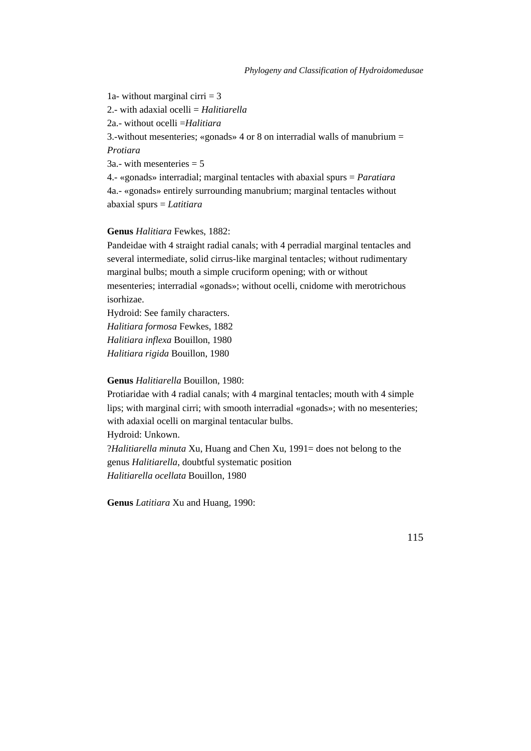1a- without marginal cirri  $=$  3 2.- with adaxial ocelli = *Halitiarella* 2a.- without ocelli =*Halitiara* 3.-without mesenteries; «gonads» 4 or 8 on interradial walls of manubrium = *Protiara*  $3a$ .- with mesenteries = 5 4.- «gonads» interradial; marginal tentacles with abaxial spurs = *Paratiara* 4a.- «gonads» entirely surrounding manubrium; marginal tentacles without

abaxial spurs = *Latitiara*

# **Genus** *Halitiara* Fewkes, 1882:

Pandeidae with 4 straight radial canals; with 4 perradial marginal tentacles and several intermediate, solid cirrus-like marginal tentacles; without rudimentary marginal bulbs; mouth a simple cruciform opening; with or without mesenteries; interradial «gonads»; without ocelli, cnidome with merotrichous isorhizae.

Hydroid: See family characters. *Halitiara formosa* Fewkes, 1882 *Halitiara inflexa* Bouillon, 1980 *Halitiara rigida* Bouillon, 1980

**Genus** *Halitiarella* Bouillon, 1980:

Protiaridae with 4 radial canals; with 4 marginal tentacles; mouth with 4 simple lips; with marginal cirri; with smooth interradial «gonads»; with no mesenteries; with adaxial ocelli on marginal tentacular bulbs. Hydroid: Unkown. ?*Halitiarella minuta* Xu, Huang and Chen Xu, 1991= does not belong to the genus *Halitiarella*, doubtful systematic position

*Halitiarella ocellata* Bouillon, 1980

**Genus** *Latitiara* Xu and Huang, 1990: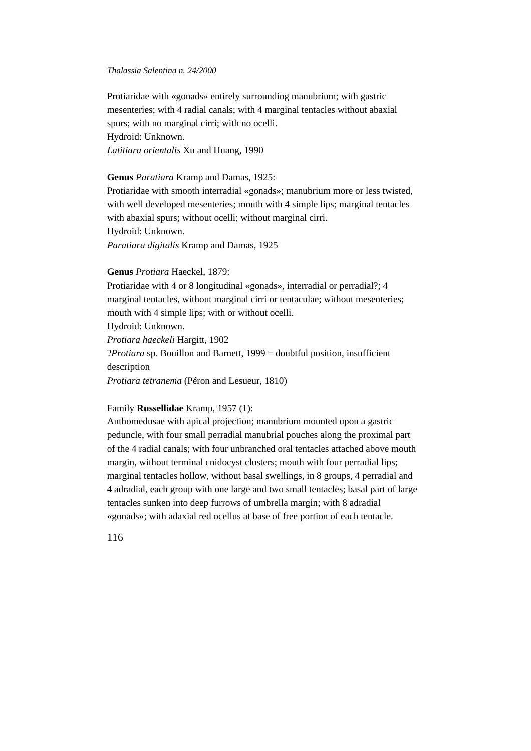Protiaridae with «gonads» entirely surrounding manubrium; with gastric mesenteries; with 4 radial canals; with 4 marginal tentacles without abaxial spurs; with no marginal cirri; with no ocelli. Hydroid: Unknown. *Latitiara orientalis* Xu and Huang, 1990

# **Genus** *Paratiara* Kramp and Damas, 1925:

Protiaridae with smooth interradial «gonads»; manubrium more or less twisted, with well developed mesenteries; mouth with 4 simple lips; marginal tentacles with abaxial spurs; without ocelli; without marginal cirri. Hydroid: Unknown. *Paratiara digitalis* Kramp and Damas, 1925

# **Genus** *Protiara* Haeckel, 1879:

Protiaridae with 4 or 8 longitudinal «gonads», interradial or perradial?; 4 marginal tentacles, without marginal cirri or tentaculae; without mesenteries; mouth with 4 simple lips; with or without ocelli. Hydroid: Unknown. *Protiara haeckeli* Hargitt, 1902 ?*Protiara* sp. Bouillon and Barnett, 1999 = doubtful position, insufficient description *Protiara tetranema* (Péron and Lesueur, 1810)

# Family **Russellidae** Kramp, 1957 (1):

Anthomedusae with apical projection; manubrium mounted upon a gastric peduncle, with four small perradial manubrial pouches along the proximal part of the 4 radial canals; with four unbranched oral tentacles attached above mouth margin, without terminal cnidocyst clusters; mouth with four perradial lips; marginal tentacles hollow, without basal swellings, in 8 groups, 4 perradial and 4 adradial, each group with one large and two small tentacles; basal part of large tentacles sunken into deep furrows of umbrella margin; with 8 adradial «gonads»; with adaxial red ocellus at base of free portion of each tentacle.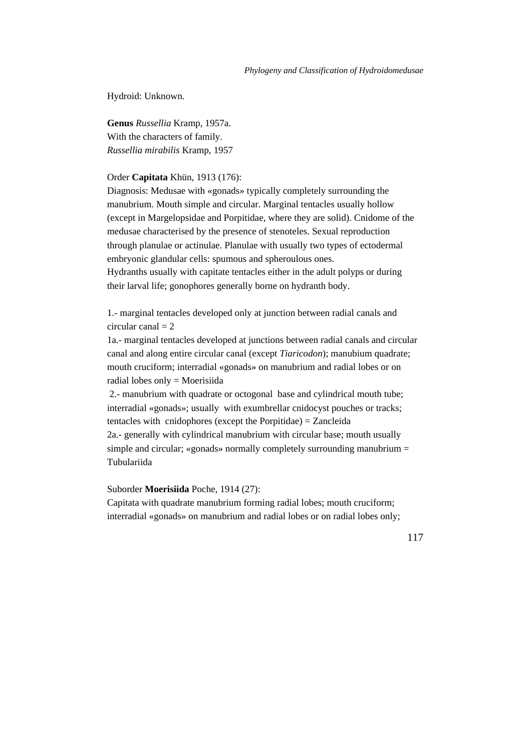Hydroid: Unknown.

**Genus** *Russellia* Kramp, 1957a. With the characters of family. *Russellia mirabilis* Kramp, 1957

# Order **Capitata** Khün, 1913 (176):

Diagnosis: Medusae with «gonads» typically completely surrounding the manubrium. Mouth simple and circular. Marginal tentacles usually hollow (except in Margelopsidae and Porpitidae, where they are solid). Cnidome of the medusae characterised by the presence of stenoteles. Sexual reproduction through planulae or actinulae. Planulae with usually two types of ectodermal embryonic glandular cells: spumous and spheroulous ones. Hydranths usually with capitate tentacles either in the adult polyps or during

their larval life; gonophores generally borne on hydranth body.

1.- marginal tentacles developed only at junction between radial canals and circular canal  $= 2$ 

1a.- marginal tentacles developed at junctions between radial canals and circular canal and along entire circular canal (except *Tiaricodon*); manubium quadrate; mouth cruciform; interradial «gonads» on manubrium and radial lobes or on radial lobes only = Moerisiida

 2.- manubrium with quadrate or octogonal base and cylindrical mouth tube; interradial «gonads»; usually with exumbrellar cnidocyst pouches or tracks; tentacles with cnidophores (except the Porpitidae) = Zancleida 2a.- generally with cylindrical manubrium with circular base; mouth usually simple and circular; «gonads» normally completely surrounding manubrium =

Tubulariida

Suborder **Moerisiida** Poche, 1914 (27):

Capitata with quadrate manubrium forming radial lobes; mouth cruciform; interradial «gonads» on manubrium and radial lobes or on radial lobes only;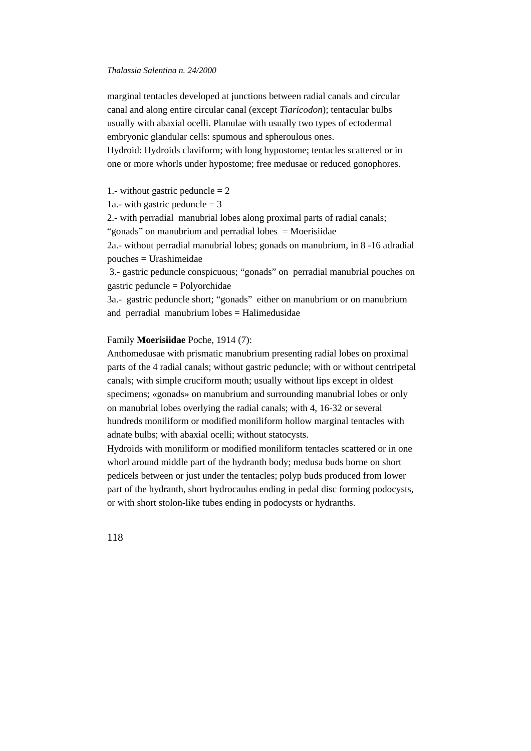marginal tentacles developed at junctions between radial canals and circular canal and along entire circular canal (except *Tiaricodon*); tentacular bulbs usually with abaxial ocelli. Planulae with usually two types of ectodermal embryonic glandular cells: spumous and spheroulous ones.

Hydroid: Hydroids claviform; with long hypostome; tentacles scattered or in one or more whorls under hypostome; free medusae or reduced gonophores.

# 1.- without gastric peduncle  $= 2$

1a.- with gastric peduncle  $=$  3

2.- with perradial manubrial lobes along proximal parts of radial canals;

"gonads" on manubrium and perradial lobes = Moerisiidae

2a.- without perradial manubrial lobes; gonads on manubrium, in 8 -16 adradial pouches = Urashimeidae

 3.- gastric peduncle conspicuous; "gonads" on perradial manubrial pouches on gastric peduncle = Polyorchidae

3a.- gastric peduncle short; "gonads" either on manubrium or on manubrium and perradial manubrium lobes = Halimedusidae

### Family **Moerisiidae** Poche, 1914 (7):

Anthomedusae with prismatic manubrium presenting radial lobes on proximal parts of the 4 radial canals; without gastric peduncle; with or without centripetal canals; with simple cruciform mouth; usually without lips except in oldest specimens; «gonads» on manubrium and surrounding manubrial lobes or only on manubrial lobes overlying the radial canals; with 4, 16-32 or several hundreds moniliform or modified moniliform hollow marginal tentacles with adnate bulbs; with abaxial ocelli; without statocysts.

Hydroids with moniliform or modified moniliform tentacles scattered or in one whorl around middle part of the hydranth body; medusa buds borne on short pedicels between or just under the tentacles; polyp buds produced from lower part of the hydranth, short hydrocaulus ending in pedal disc forming podocysts, or with short stolon-like tubes ending in podocysts or hydranths.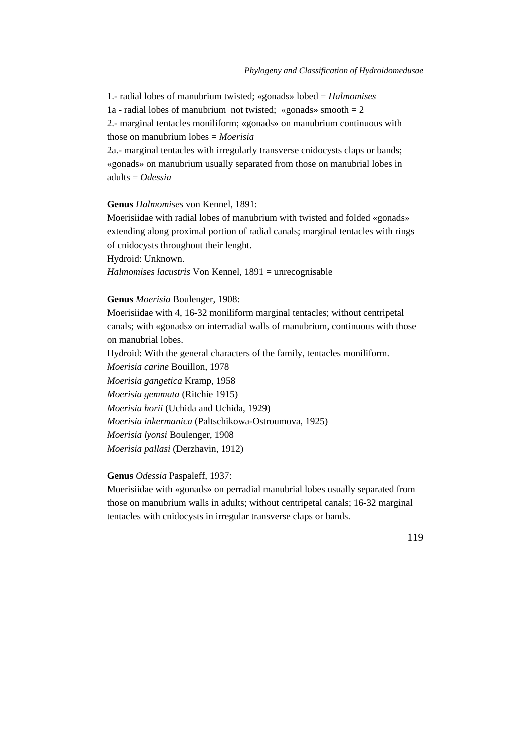1.- radial lobes of manubrium twisted; «gonads» lobed = *Halmomises* 1a - radial lobes of manubrium not twisted; «gonads» smooth  $= 2$ 

2.- marginal tentacles moniliform; «gonads» on manubrium continuous with those on manubrium lobes = *Moerisia*

2a.- marginal tentacles with irregularly transverse cnidocysts claps or bands; «gonads» on manubrium usually separated from those on manubrial lobes in adults = *Odessia*

### **Genus** *Halmomises* von Kennel, 1891:

Moerisiidae with radial lobes of manubrium with twisted and folded «gonads» extending along proximal portion of radial canals; marginal tentacles with rings of cnidocysts throughout their lenght.

Hydroid: Unknown.

*Halmomises lacustris* Von Kennel, 1891 = unrecognisable

### **Genus** *Moerisia* Boulenger, 1908:

Moerisiidae with 4, 16-32 moniliform marginal tentacles; without centripetal canals; with «gonads» on interradial walls of manubrium, continuous with those on manubrial lobes.

Hydroid: With the general characters of the family, tentacles moniliform.

*Moerisia carine* Bouillon, 1978

*Moerisia gangetica* Kramp, 1958

*Moerisia gemmata* (Ritchie 1915)

*Moerisia horii* (Uchida and Uchida, 1929)

*Moerisia inkermanica* (Paltschikowa-Ostroumova, 1925)

*Moerisia lyonsi* Boulenger, 1908

*Moerisia pallasi* (Derzhavin, 1912)

# **Genus** *Odessia* Paspaleff, 1937:

Moerisiidae with «gonads» on perradial manubrial lobes usually separated from those on manubrium walls in adults; without centripetal canals; 16-32 marginal tentacles with cnidocysts in irregular transverse claps or bands.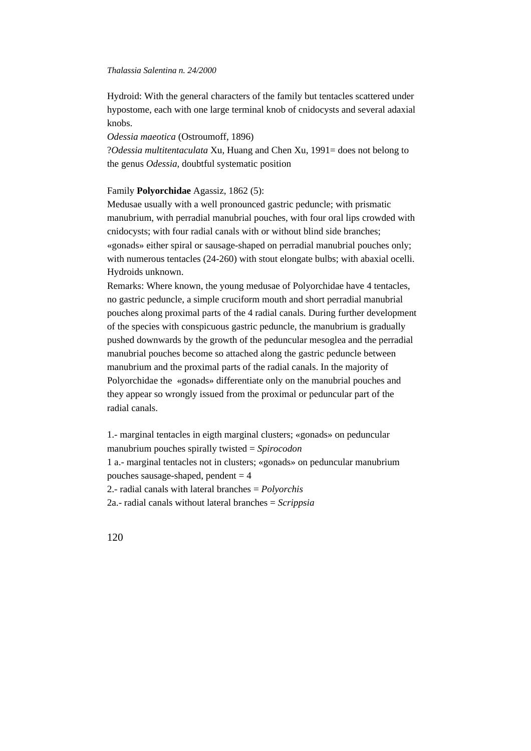Hydroid: With the general characters of the family but tentacles scattered under hypostome, each with one large terminal knob of cnidocysts and several adaxial knobs.

*Odessia maeotica* (Ostroumoff, 1896)

?*Odessia multitentaculata* Xu, Huang and Chen Xu, 1991= does not belong to the genus *Odessia*, doubtful systematic position

# Family **Polyorchidae** Agassiz, 1862 (5):

Medusae usually with a well pronounced gastric peduncle; with prismatic manubrium, with perradial manubrial pouches, with four oral lips crowded with cnidocysts; with four radial canals with or without blind side branches; «gonads» either spiral or sausage-shaped on perradial manubrial pouches only; with numerous tentacles (24-260) with stout elongate bulbs; with abaxial ocelli. Hydroids unknown.

Remarks: Where known, the young medusae of Polyorchidae have 4 tentacles, no gastric peduncle, a simple cruciform mouth and short perradial manubrial pouches along proximal parts of the 4 radial canals. During further development of the species with conspicuous gastric peduncle, the manubrium is gradually pushed downwards by the growth of the peduncular mesoglea and the perradial manubrial pouches become so attached along the gastric peduncle between manubrium and the proximal parts of the radial canals. In the majority of Polyorchidae the «gonads» differentiate only on the manubrial pouches and they appear so wrongly issued from the proximal or peduncular part of the radial canals.

1.- marginal tentacles in eigth marginal clusters; «gonads» on peduncular manubrium pouches spirally twisted = *Spirocodon* 1 a.- marginal tentacles not in clusters; «gonads» on peduncular manubrium pouches sausage-shaped, pendent  $= 4$ 2.- radial canals with lateral branches = *Polyorchis* 2a.- radial canals without lateral branches = *Scrippsia*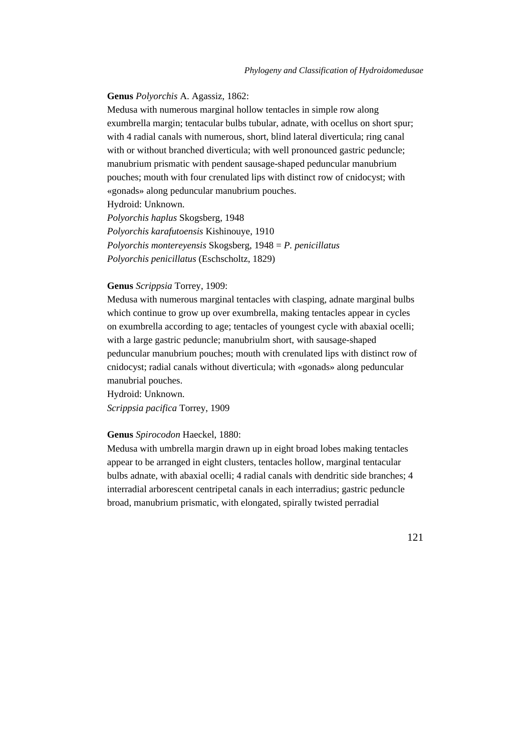# **Genus** *Polyorchis* A. Agassiz, 1862:

Medusa with numerous marginal hollow tentacles in simple row along exumbrella margin; tentacular bulbs tubular, adnate, with ocellus on short spur; with 4 radial canals with numerous, short, blind lateral diverticula; ring canal with or without branched diverticula; with well pronounced gastric peduncle; manubrium prismatic with pendent sausage-shaped peduncular manubrium pouches; mouth with four crenulated lips with distinct row of cnidocyst; with «gonads» along peduncular manubrium pouches.

Hydroid: Unknown.

*Polyorchis haplus* Skogsberg, 1948

*Polyorchis karafutoensis* Kishinouye, 1910 *Polyorchis montereyensis* Skogsberg, 1948 = *P. penicillatus Polyorchis penicillatus* (Eschscholtz, 1829)

### **Genus** *Scrippsia* Torrey, 1909:

Medusa with numerous marginal tentacles with clasping, adnate marginal bulbs which continue to grow up over exumbrella, making tentacles appear in cycles on exumbrella according to age; tentacles of youngest cycle with abaxial ocelli; with a large gastric peduncle; manubriulm short, with sausage-shaped peduncular manubrium pouches; mouth with crenulated lips with distinct row of cnidocyst; radial canals without diverticula; with «gonads» along peduncular manubrial pouches.

Hydroid: Unknown. *Scrippsia pacifica* Torrey, 1909

### **Genus** *Spirocodon* Haeckel, 1880:

Medusa with umbrella margin drawn up in eight broad lobes making tentacles appear to be arranged in eight clusters, tentacles hollow, marginal tentacular bulbs adnate, with abaxial ocelli; 4 radial canals with dendritic side branches; 4 interradial arborescent centripetal canals in each interradius; gastric peduncle broad, manubrium prismatic, with elongated, spirally twisted perradial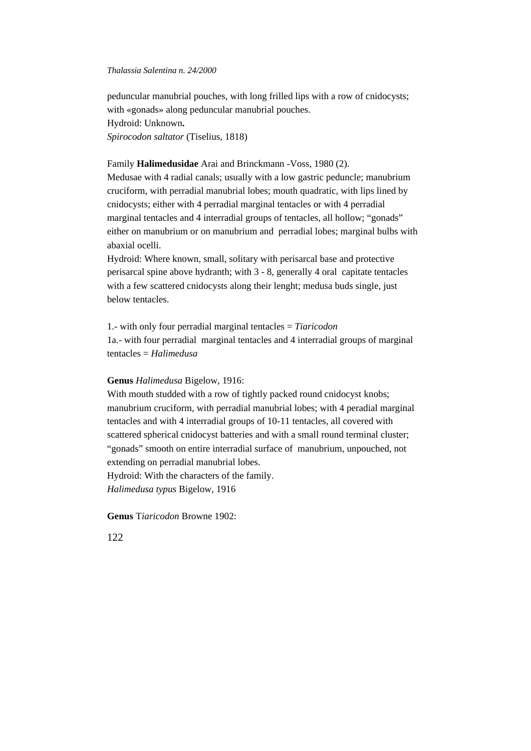peduncular manubrial pouches, with long frilled lips with a row of cnidocysts; with «gonads» along peduncular manubrial pouches. Hydroid: Unknown**.** *Spirocodon saltator* (Tiselius, 1818)

# Family **Halimedusidae** Arai and Brinckmann -Voss, 1980 (2).

Medusae with 4 radial canals; usually with a low gastric peduncle; manubrium cruciform, with perradial manubrial lobes; mouth quadratic, with lips lined by cnidocysts; either with 4 perradial marginal tentacles or with 4 perradial marginal tentacles and 4 interradial groups of tentacles, all hollow; "gonads" either on manubrium or on manubrium and perradial lobes; marginal bulbs with abaxial ocelli.

Hydroid: Where known, small, solitary with perisarcal base and protective perisarcal spine above hydranth; with 3 - 8, generally 4 oral capitate tentacles with a few scattered cnidocysts along their lenght; medusa buds single, just below tentacles.

1.- with only four perradial marginal tentacles = *Tiaricodon* 1a.- with four perradial marginal tentacles and 4 interradial groups of marginal tentacles = *Halimedusa*

### **Genus** *Halimedusa* Bigelow, 1916:

With mouth studded with a row of tightly packed round cnidocyst knobs; manubrium cruciform, with perradial manubrial lobes; with 4 peradial marginal tentacles and with 4 interradial groups of 10-11 tentacles, all covered with scattered spherical cnidocyst batteries and with a small round terminal cluster; "gonads" smooth on entire interradial surface of manubrium, unpouched, not extending on perradial manubrial lobes.

Hydroid: With the characters of the family.

*Halimedusa typus* Bigelow, 1916

**Genus** T*iaricodon* Browne 1902: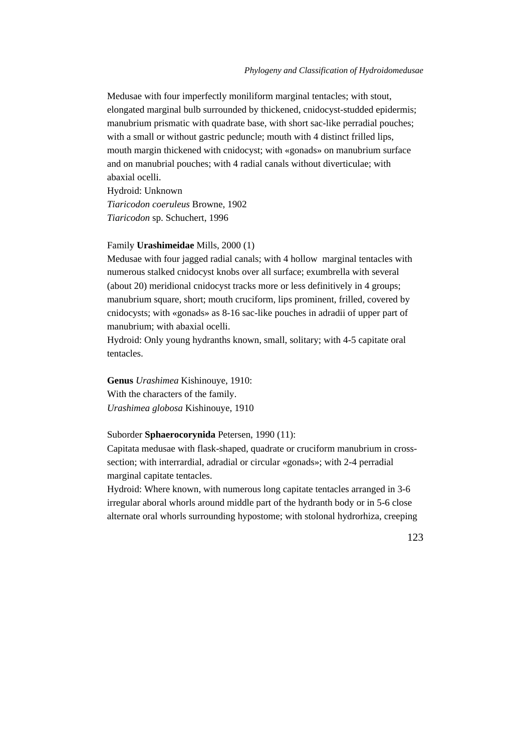Medusae with four imperfectly moniliform marginal tentacles; with stout, elongated marginal bulb surrounded by thickened, cnidocyst-studded epidermis; manubrium prismatic with quadrate base, with short sac-like perradial pouches; with a small or without gastric peduncle; mouth with 4 distinct frilled lips, mouth margin thickened with cnidocyst; with «gonads» on manubrium surface and on manubrial pouches; with 4 radial canals without diverticulae; with abaxial ocelli.

Hydroid: Unknown *Tiaricodon coeruleus* Browne, 1902 *Tiaricodon* sp. Schuchert, 1996

#### Family **Urashimeidae** Mills, 2000 (1)

Medusae with four jagged radial canals; with 4 hollow marginal tentacles with numerous stalked cnidocyst knobs over all surface; exumbrella with several (about 20) meridional cnidocyst tracks more or less definitively in 4 groups; manubrium square, short; mouth cruciform, lips prominent, frilled, covered by cnidocysts; with «gonads» as 8-16 sac-like pouches in adradii of upper part of manubrium; with abaxial ocelli.

Hydroid: Only young hydranths known, small, solitary; with 4-5 capitate oral tentacles.

**Genus** *Urashimea* Kishinouye, 1910: With the characters of the family. *Urashimea globosa* Kishinouye, 1910

# Suborder **Sphaerocorynida** Petersen, 1990 (11):

Capitata medusae with flask-shaped, quadrate or cruciform manubrium in crosssection; with interrardial, adradial or circular «gonads»; with 2-4 perradial marginal capitate tentacles.

Hydroid: Where known, with numerous long capitate tentacles arranged in 3-6 irregular aboral whorls around middle part of the hydranth body or in 5-6 close alternate oral whorls surrounding hypostome; with stolonal hydrorhiza, creeping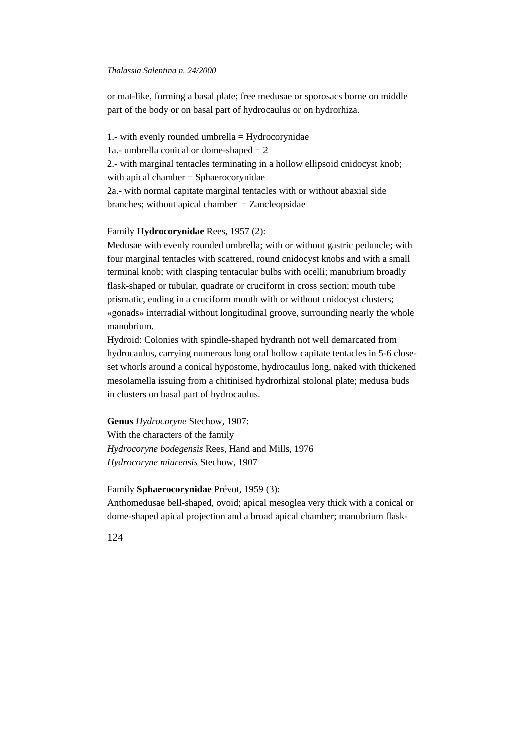or mat-like, forming a basal plate; free medusae or sporosacs borne on middle part of the body or on basal part of hydrocaulus or on hydrorhiza.

1.- with evenly rounded umbrella = Hydrocorynidae 1a.- umbrella conical or dome-shaped  $= 2$ 2.- with marginal tentacles terminating in a hollow ellipsoid cnidocyst knob; with apical chamber = Sphaerocorynidae 2a.- with normal capitate marginal tentacles with or without abaxial side branches; without apical chamber  $=$  Zancleopsidae

# Family **Hydrocorynidae** Rees, 1957 (2):

Medusae with evenly rounded umbrella; with or without gastric peduncle; with four marginal tentacles with scattered, round cnidocyst knobs and with a small terminal knob; with clasping tentacular bulbs with ocelli; manubrium broadly flask-shaped or tubular, quadrate or cruciform in cross section; mouth tube prismatic, ending in a cruciform mouth with or without cnidocyst clusters; «gonads» interradial without longitudinal groove, surrounding nearly the whole manubrium.

Hydroid: Colonies with spindle-shaped hydranth not well demarcated from hydrocaulus, carrying numerous long oral hollow capitate tentacles in 5-6 closeset whorls around a conical hypostome, hydrocaulus long, naked with thickened mesolamella issuing from a chitinised hydrorhizal stolonal plate; medusa buds in clusters on basal part of hydrocaulus.

**Genus** *Hydrocoryne* Stechow, 1907: With the characters of the family *Hydrocoryne bodegensis* Rees, Hand and Mills, 1976 *Hydrocoryne miurensis* Stechow, 1907

Family **Sphaerocorynidae** Prévot, 1959 (3):

Anthomedusae bell-shaped, ovoid; apical mesoglea very thick with a conical or dome-shaped apical projection and a broad apical chamber; manubrium flask-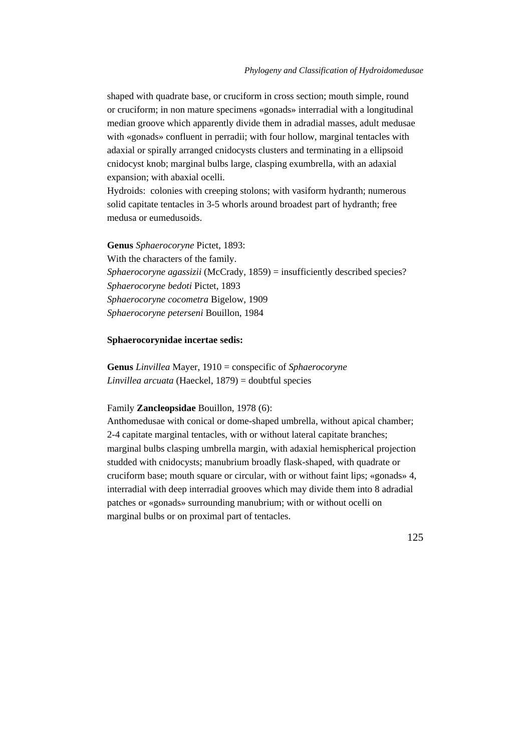shaped with quadrate base, or cruciform in cross section; mouth simple, round or cruciform; in non mature specimens «gonads» interradial with a longitudinal median groove which apparently divide them in adradial masses, adult medusae with «gonads» confluent in perradii; with four hollow, marginal tentacles with adaxial or spirally arranged cnidocysts clusters and terminating in a ellipsoid cnidocyst knob; marginal bulbs large, clasping exumbrella, with an adaxial expansion; with abaxial ocelli.

Hydroids: colonies with creeping stolons; with vasiform hydranth; numerous solid capitate tentacles in 3-5 whorls around broadest part of hydranth; free medusa or eumedusoids.

**Genus** *Sphaerocoryne* Pictet, 1893: With the characters of the family. *Sphaerocoryne agassizii* (McCrady, 1859) = insufficiently described species? *Sphaerocoryne bedoti* Pictet, 1893 *Sphaerocoryne cocometra* Bigelow, 1909 *Sphaerocoryne peterseni* Bouillon, 1984

# **Sphaerocorynidae incertae sedis:**

**Genus** *Linvillea* Mayer, 1910 = conspecific of *Sphaerocoryne Linvillea arcuata* (Haeckel, 1879) = doubtful species

# Family **Zancleopsidae** Bouillon, 1978 (6):

Anthomedusae with conical or dome-shaped umbrella, without apical chamber; 2-4 capitate marginal tentacles, with or without lateral capitate branches; marginal bulbs clasping umbrella margin, with adaxial hemispherical projection studded with cnidocysts; manubrium broadly flask-shaped, with quadrate or cruciform base; mouth square or circular, with or without faint lips; «gonads» 4, interradial with deep interradial grooves which may divide them into 8 adradial patches or «gonads» surrounding manubrium; with or without ocelli on marginal bulbs or on proximal part of tentacles.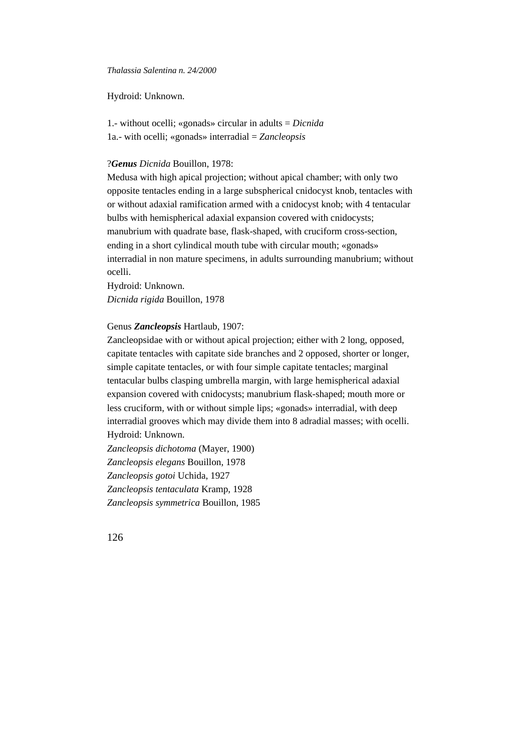Hydroid: Unknown.

1.- without ocelli; «gonads» circular in adults = *Dicnida* 1a.- with ocelli; «gonads» interradial = *Zancleopsis*

# ?*Genus Dicnida* Bouillon, 1978:

Medusa with high apical projection; without apical chamber; with only two opposite tentacles ending in a large subspherical cnidocyst knob, tentacles with or without adaxial ramification armed with a cnidocyst knob; with 4 tentacular bulbs with hemispherical adaxial expansion covered with cnidocysts; manubrium with quadrate base, flask-shaped, with cruciform cross-section, ending in a short cylindical mouth tube with circular mouth; «gonads» interradial in non mature specimens, in adults surrounding manubrium; without ocelli.

Hydroid: Unknown. *Dicnida rigida* Bouillon, 1978

# Genus *Zancleopsis* Hartlaub, 1907:

Zancleopsidae with or without apical projection; either with 2 long, opposed, capitate tentacles with capitate side branches and 2 opposed, shorter or longer, simple capitate tentacles, or with four simple capitate tentacles; marginal tentacular bulbs clasping umbrella margin, with large hemispherical adaxial expansion covered with cnidocysts; manubrium flask-shaped; mouth more or less cruciform, with or without simple lips; «gonads» interradial, with deep interradial grooves which may divide them into 8 adradial masses; with ocelli. Hydroid: Unknown.

*Zancleopsis dichotoma* (Mayer, 1900) *Zancleopsis elegans* Bouillon, 1978 *Zancleopsis gotoi* Uchida, 1927 *Zancleopsis tentaculata* Kramp, 1928 *Zancleopsis symmetrica* Bouillon, 1985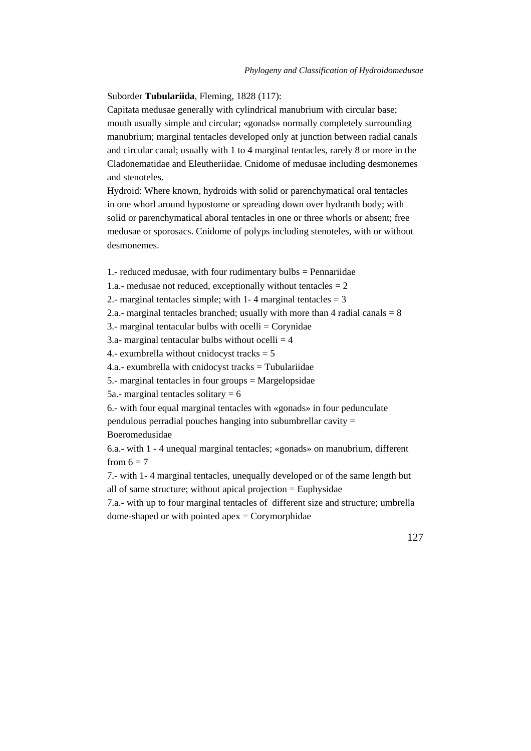Suborder **Tubulariida**, Fleming, 1828 (117):

Capitata medusae generally with cylindrical manubrium with circular base; mouth usually simple and circular; «gonads» normally completely surrounding manubrium; marginal tentacles developed only at junction between radial canals and circular canal; usually with 1 to 4 marginal tentacles, rarely 8 or more in the Cladonematidae and Eleutheriidae. Cnidome of medusae including desmonemes and stenoteles.

Hydroid: Where known, hydroids with solid or parenchymatical oral tentacles in one whorl around hypostome or spreading down over hydranth body; with solid or parenchymatical aboral tentacles in one or three whorls or absent; free medusae or sporosacs. Cnidome of polyps including stenoteles, with or without desmonemes.

1.- reduced medusae, with four rudimentary bulbs = Pennariidae

1.a.- medusae not reduced, exceptionally without tentacles  $= 2$ 

2.- marginal tentacles simple; with 1-4 marginal tentacles  $= 3$ 

2.a.- marginal tentacles branched; usually with more than 4 radial canals  $= 8$ 

3.- marginal tentacular bulbs with  $ocelli = Corynidae$ 

3.a- marginal tentacular bulbs without ocelli  $=$  4

4.- exumbrella without cnidocyst tracks  $= 5$ 

4.a.- exumbrella with cnidocyst tracks = Tubulariidae

5.- marginal tentacles in four groups = Margelopsidae

5a.- marginal tentacles solitary  $= 6$ 

6.- with four equal marginal tentacles with «gonads» in four pedunculate pendulous perradial pouches hanging into subumbrellar cavity = Boeromedusidae

6.a.- with 1 - 4 unequal marginal tentacles; «gonads» on manubrium, different from  $6 = 7$ 

7.- with 1- 4 marginal tentacles, unequally developed or of the same length but all of same structure; without apical projection = Euphysidae

7.a.- with up to four marginal tentacles of different size and structure; umbrella dome-shaped or with pointed apex  $=$  Corymorphidae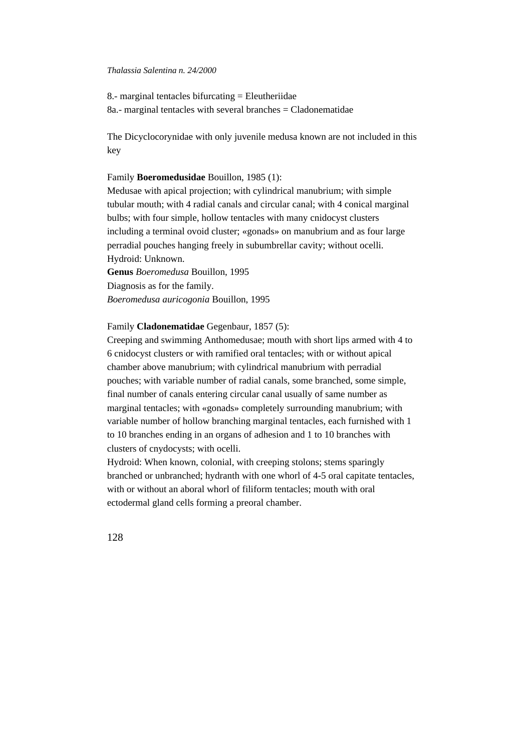8.- marginal tentacles bifurcating  $=$  Eleutheriidae 8a.- marginal tentacles with several branches = Cladonematidae

The Dicyclocorynidae with only juvenile medusa known are not included in this key

# Family **Boeromedusidae** Bouillon, 1985 (1):

Medusae with apical projection; with cylindrical manubrium; with simple tubular mouth; with 4 radial canals and circular canal; with 4 conical marginal bulbs; with four simple, hollow tentacles with many cnidocyst clusters including a terminal ovoid cluster; «gonads» on manubrium and as four large perradial pouches hanging freely in subumbrellar cavity; without ocelli. Hydroid: Unknown.

**Genus** *Boeromedusa* Bouillon, 1995 Diagnosis as for the family. *Boeromedusa auricogonia* Bouillon, 1995

# Family **Cladonematidae** Gegenbaur, 1857 (5):

Creeping and swimming Anthomedusae; mouth with short lips armed with 4 to 6 cnidocyst clusters or with ramified oral tentacles; with or without apical chamber above manubrium; with cylindrical manubrium with perradial pouches; with variable number of radial canals, some branched, some simple, final number of canals entering circular canal usually of same number as marginal tentacles; with «gonads» completely surrounding manubrium; with variable number of hollow branching marginal tentacles, each furnished with 1 to 10 branches ending in an organs of adhesion and 1 to 10 branches with clusters of cnydocysts; with ocelli.

Hydroid: When known, colonial, with creeping stolons; stems sparingly branched or unbranched; hydranth with one whorl of 4-5 oral capitate tentacles, with or without an aboral whorl of filiform tentacles; mouth with oral ectodermal gland cells forming a preoral chamber.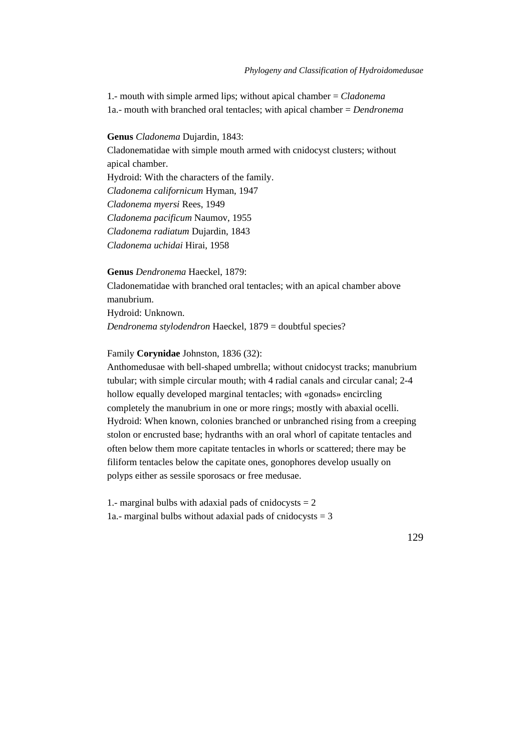1.- mouth with simple armed lips; without apical chamber = *Cladonema* 1a.- mouth with branched oral tentacles; with apical chamber = *Dendronema*

**Genus** *Cladonema* Dujardin, 1843:

Cladonematidae with simple mouth armed with cnidocyst clusters; without apical chamber. Hydroid: With the characters of the family. *Cladonema californicum* Hyman, 1947 *Cladonema myersi* Rees, 1949 *Cladonema pacificum* Naumov, 1955

*Cladonema radiatum* Dujardin, 1843

*Cladonema uchidai* Hirai, 1958

**Genus** *Dendronema* Haeckel, 1879:

Cladonematidae with branched oral tentacles; with an apical chamber above manubrium.

Hydroid: Unknown. *Dendronema stylodendron* Haeckel, 1879 = doubtful species?

Family **Corynidae** Johnston, 1836 (32):

Anthomedusae with bell-shaped umbrella; without cnidocyst tracks; manubrium tubular; with simple circular mouth; with 4 radial canals and circular canal; 2-4 hollow equally developed marginal tentacles; with «gonads» encircling completely the manubrium in one or more rings; mostly with abaxial ocelli. Hydroid: When known, colonies branched or unbranched rising from a creeping stolon or encrusted base; hydranths with an oral whorl of capitate tentacles and often below them more capitate tentacles in whorls or scattered; there may be filiform tentacles below the capitate ones, gonophores develop usually on polyps either as sessile sporosacs or free medusae.

1.- marginal bulbs with adaxial pads of cnidocysts  $= 2$ 1a.- marginal bulbs without adaxial pads of cnidocysts = 3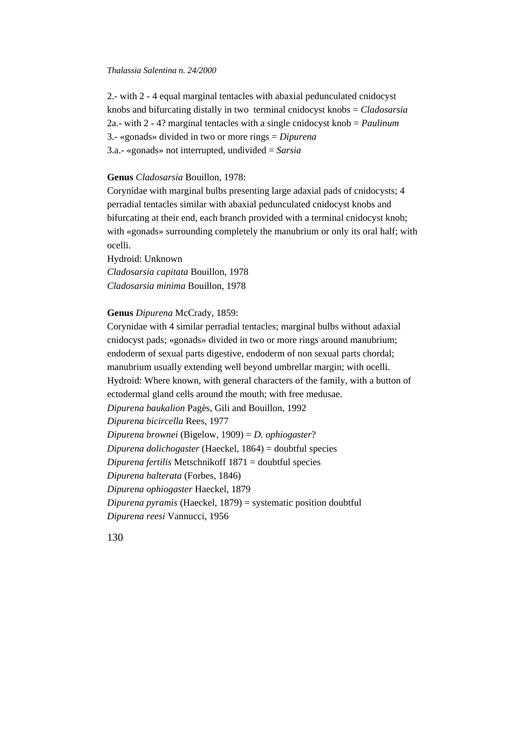2.- with 2 - 4 equal marginal tentacles with abaxial pedunculated cnidocyst knobs and bifurcating distally in two terminal cnidocyst knobs = *Cladosarsia* 2a.- with 2 - 4? marginal tentacles with a single cnidocyst knob = *Paulinum* 3.- «gonads» divided in two or more rings = *Dipurena* 3.a.- «gonads» not interrupted, undivided = *Sarsia*

# **Genus** *Cladosarsia* Bouillon, 1978:

Corynidae with marginal bulbs presenting large adaxial pads of cnidocysts; 4 perradial tentacles similar with abaxial pedunculated cnidocyst knobs and bifurcating at their end, each branch provided with a terminal cnidocyst knob; with «gonads» surrounding completely the manubrium or only its oral half; with ocelli.

Hydroid: Unknown *Cladosarsia capitata* Bouillon, 1978 *Cladosarsia minima* Bouillon, 1978

**Genus** *Dipurena* McCrady, 1859:

Corynidae with 4 similar perradial tentacles; marginal bulbs without adaxial cnidocyst pads; «gonads» divided in two or more rings around manubrium; endoderm of sexual parts digestive, endoderm of non sexual parts chordal; manubrium usually extending well beyond umbrellar margin; with ocelli. Hydroid: Where known, with general characters of the family, with a button of ectodermal gland cells around the mouth; with free medusae. *Dipurena baukalion* Pagès, Gili and Bouillon, 1992 *Dipurena bicircella* Rees, 1977 *Dipurena brownei* (Bigelow, 1909) = *D. ophiogaster*? *Dipurena dolichogaster* (Haeckel, 1864) = doubtful species *Dipurena fertilis* Metschnikoff 1871 = doubtful species *Dipurena halterata* (Forbes, 1846) *Dipurena ophiogaster* Haeckel, 1879 *Dipurena pyramis* (Haeckel, 1879) = systematic position doubtful *Dipurena reesi* Vannucci, 1956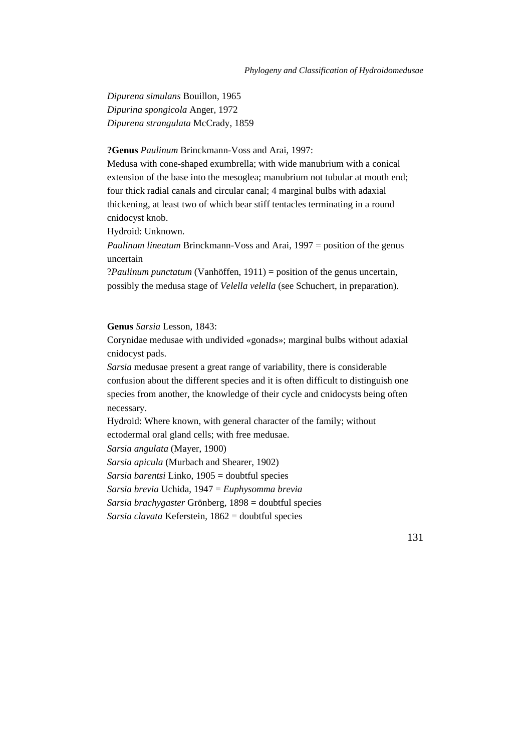*Dipurena simulans* Bouillon, 1965 *Dipurina spongicola* Anger, 1972 *Dipurena strangulata* McCrady, 1859

# **?Genus** *Paulinum* Brinckmann-Voss and Arai, 1997:

Medusa with cone-shaped exumbrella; with wide manubrium with a conical extension of the base into the mesoglea; manubrium not tubular at mouth end; four thick radial canals and circular canal; 4 marginal bulbs with adaxial thickening, at least two of which bear stiff tentacles terminating in a round cnidocyst knob.

Hydroid: Unknown.

*Paulinum lineatum* Brinckmann-Voss and Arai, 1997 = position of the genus uncertain

?*Paulinum punctatum* (Vanhöffen, 1911) = position of the genus uncertain, possibly the medusa stage of *Velella velella* (see Schuchert, in preparation).

# **Genus** *Sarsia* Lesson, 1843:

Corynidae medusae with undivided «gonads»; marginal bulbs without adaxial cnidocyst pads.

*Sarsia* medusae present a great range of variability, there is considerable confusion about the different species and it is often difficult to distinguish one species from another, the knowledge of their cycle and cnidocysts being often necessary.

Hydroid: Where known, with general character of the family; without ectodermal oral gland cells; with free medusae. *Sarsia angulata* (Mayer, 1900)

*Sarsia apicula* (Murbach and Shearer, 1902)

*Sarsia barentsi* Linko, 1905 = doubtful species

*Sarsia brevia* Uchida, 1947 = *Euphysomma brevia*

*Sarsia brachygaster* Grönberg, 1898 = doubtful species

*Sarsia clavata* Keferstein, 1862 = doubtful species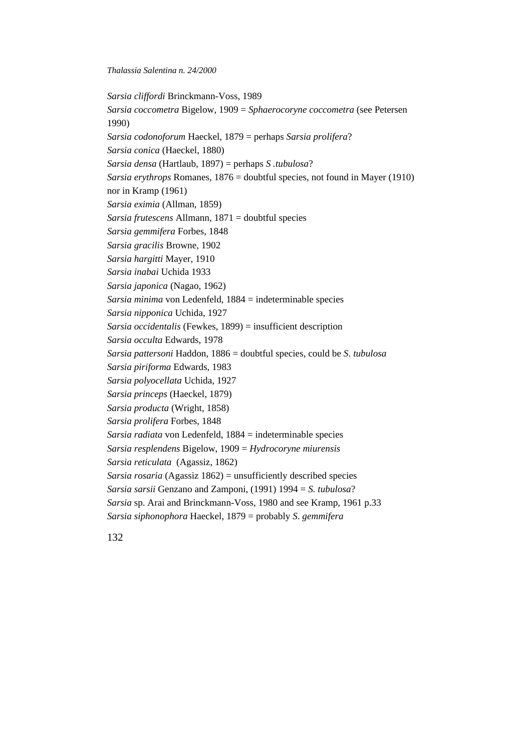*Sarsia cliffordi* Brinckmann-Voss, 1989 *Sarsia coccometra* Bigelow, 1909 = *Sphaerocoryne coccometra* (see Petersen 1990) *Sarsia codonoforum* Haeckel, 1879 = perhaps *Sarsia prolifera*? *Sarsia conica* (Haeckel, 1880) *Sarsia densa* (Hartlaub, 1897) = perhaps *S .tubulosa*? *Sarsia erythrops* Romanes, 1876 = doubtful species, not found in Mayer (1910) nor in Kramp (1961) *Sarsia eximia* (Allman, 1859) *Sarsia frutescens* Allmann, 1871 = doubtful species *Sarsia gemmifera* Forbes, 1848 *Sarsia gracilis* Browne, 1902 *Sarsia hargitti* Mayer, 1910 *Sarsia inabai* Uchida 1933 *Sarsia japonica* (Nagao, 1962) *Sarsia minima* von Ledenfeld, 1884 = indeterminable species *Sarsia nipponica* Uchida, 1927 *Sarsia occidentalis* (Fewkes, 1899) = insufficient description *Sarsia occulta* Edwards, 1978 *Sarsia pattersoni* Haddon, 1886 = doubtful species, could be *S*. *tubulosa Sarsia piriforma* Edwards, 1983 *Sarsia polyocellata* Uchida, 1927 *Sarsia princeps* (Haeckel, 1879) *Sarsia producta* (Wright, 1858) *Sarsia prolifera* Forbes, 1848 *Sarsia radiata* von Ledenfeld, 1884 = indeterminable species *Sarsia resplendens* Bigelow, 1909 = *Hydrocoryne miurensis Sarsia reticulata* (Agassiz, 1862) *Sarsia rosaria* (Agassiz 1862) = unsufficiently described species *Sarsia sarsii* Genzano and Zamponi, (1991) 1994 = *S. tubulosa*? *Sarsia* sp. Arai and Brinckmann-Voss, 1980 and see Kramp, 1961 p.33 *Sarsia siphonophora* Haeckel, 1879 = probably *S*. *gemmifera*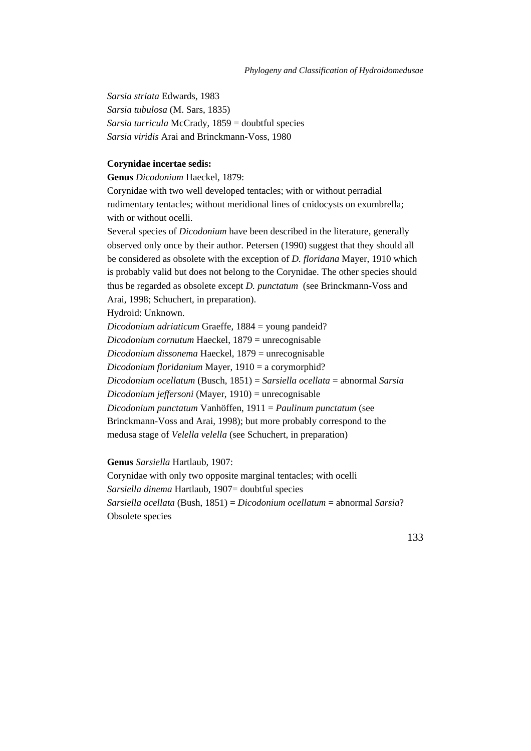*Sarsia striata* Edwards, 1983 *Sarsia tubulosa* (M. Sars, 1835) *Sarsia turricula* McCrady, 1859 = doubtful species *Sarsia viridis* Arai and Brinckmann-Voss, 1980

# **Corynidae incertae sedis:**

**Genus** *Dicodonium* Haeckel, 1879:

Corynidae with two well developed tentacles; with or without perradial rudimentary tentacles; without meridional lines of cnidocysts on exumbrella; with or without ocelli.

Several species of *Dicodonium* have been described in the literature, generally observed only once by their author. Petersen (1990) suggest that they should all be considered as obsolete with the exception of *D. floridana* Mayer, 1910 which is probably valid but does not belong to the Corynidae. The other species should thus be regarded as obsolete except *D. punctatum* (see Brinckmann-Voss and Arai, 1998; Schuchert, in preparation).

### Hydroid: Unknown.

*Dicodonium adriaticum* Graeffe, 1884 = young pandeid? *Dicodonium cornutum* Haeckel, 1879 = unrecognisable *Dicodonium dissonema* Haeckel, 1879 = unrecognisable *Dicodonium floridanium* Mayer, 1910 = a corymorphid? *Dicodonium ocellatum* (Busch, 1851) = *Sarsiella ocellata* = abnormal *Sarsia Dicodonium jeffersoni* (Mayer, 1910) = unrecognisable *Dicodonium punctatum* Vanhöffen, 1911 = *Paulinum punctatum* (see Brinckmann-Voss and Arai, 1998); but more probably correspond to the medusa stage of *Velella velella* (see Schuchert, in preparation)

### **Genus** *Sarsiella* Hartlaub, 1907:

Corynidae with only two opposite marginal tentacles; with ocelli *Sarsiella dinema* Hartlaub, 1907= doubtful species *Sarsiella ocellata* (Bush, 1851) = *Dicodonium ocellatum* = abnormal *Sarsia*? Obsolete species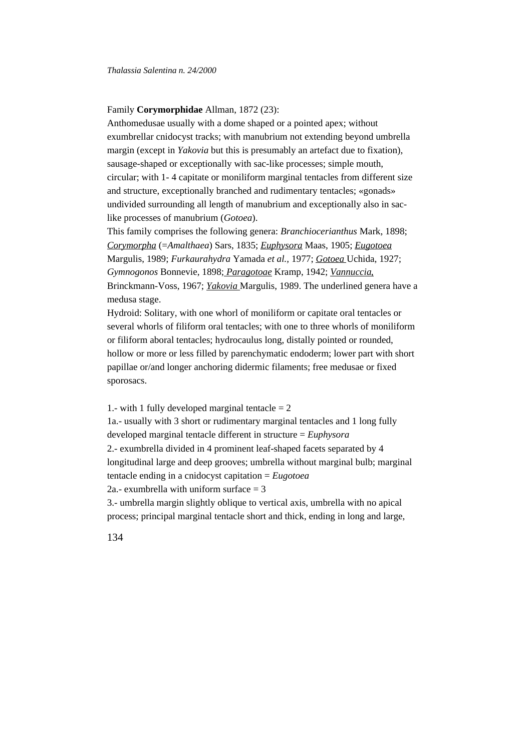## Family **Corymorphidae** Allman, 1872 (23):

Anthomedusae usually with a dome shaped or a pointed apex; without exumbrellar cnidocyst tracks; with manubrium not extending beyond umbrella margin (except in *Yakovia* but this is presumably an artefact due to fixation), sausage-shaped or exceptionally with sac-like processes; simple mouth, circular; with 1- 4 capitate or moniliform marginal tentacles from different size and structure, exceptionally branched and rudimentary tentacles; «gonads» undivided surrounding all length of manubrium and exceptionally also in saclike processes of manubrium (*Gotoea*).

This family comprises the following genera: *Branchiocerianthus* Mark, 1898; *Corymorpha* (=*Amalthaea*) Sars, 1835; *Euphysora* Maas, 1905; *Eugotoea* Margulis, 1989; *Furkaurahydra* Yamada *et al.,* 1977; *Gotoea* Uchida, 1927; *Gymnogonos* Bonnevie, 1898; *Paragotoae* Kramp, 1942; *Vannuccia*, Brinckmann-Voss, 1967; *Yakovia* Margulis, 1989. The underlined genera have a medusa stage.

Hydroid: Solitary, with one whorl of moniliform or capitate oral tentacles or several whorls of filiform oral tentacles; with one to three whorls of moniliform or filiform aboral tentacles; hydrocaulus long, distally pointed or rounded, hollow or more or less filled by parenchymatic endoderm; lower part with short papillae or/and longer anchoring didermic filaments; free medusae or fixed sporosacs.

1.- with 1 fully developed marginal tentacle  $= 2$ 1a.- usually with 3 short or rudimentary marginal tentacles and 1 long fully developed marginal tentacle different in structure = *Euphysora* 2.- exumbrella divided in 4 prominent leaf-shaped facets separated by 4 longitudinal large and deep grooves; umbrella without marginal bulb; marginal tentacle ending in a cnidocyst capitation = *Eugotoea* 2a.- exumbrella with uniform surface  $=$  3 3.- umbrella margin slightly oblique to vertical axis, umbrella with no apical

process; principal marginal tentacle short and thick, ending in long and large,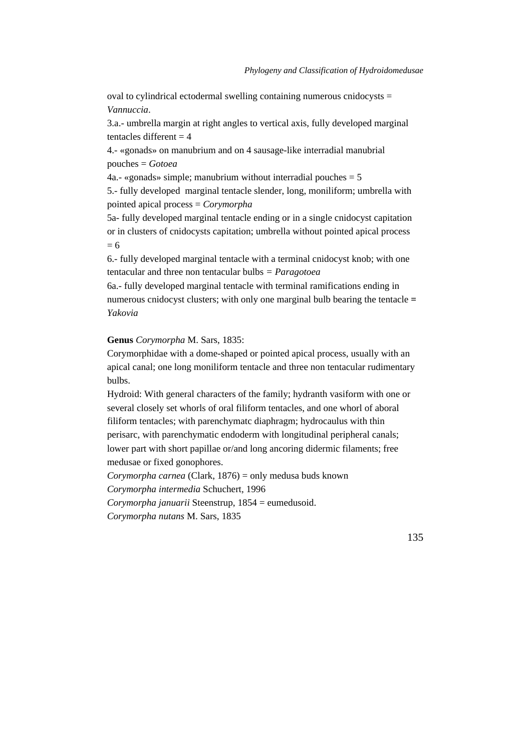oval to cylindrical ectodermal swelling containing numerous cnidocysts  $=$ *Vannuccia*.

3.a.- umbrella margin at right angles to vertical axis, fully developed marginal tentacles different  $= 4$ 

4.- «gonads» on manubrium and on 4 sausage-like interradial manubrial pouches = *Gotoea*

4a.- «gonads» simple; manubrium without interradial pouches  $= 5$ 

5.- fully developed marginal tentacle slender, long, moniliform; umbrella with pointed apical process = *Corymorpha*

5a*-* fully developed marginal tentacle ending or in a single cnidocyst capitation or in clusters of cnidocysts capitation; umbrella without pointed apical process  $= 6$ 

6.- fully developed marginal tentacle with a terminal cnidocyst knob; with one tentacular and three non tentacular bulbs *= Paragotoea*

6a.- fully developed marginal tentacle with terminal ramifications ending in numerous cnidocyst clusters; with only one marginal bulb bearing the tentacle = *Yakovia*

### **Genus** *Corymorpha* M. Sars, 1835:

Corymorphidae with a dome-shaped or pointed apical process, usually with an apical canal; one long moniliform tentacle and three non tentacular rudimentary bulbs.

Hydroid: With general characters of the family; hydranth vasiform with one or several closely set whorls of oral filiform tentacles, and one whorl of aboral filiform tentacles; with parenchymatc diaphragm; hydrocaulus with thin perisarc, with parenchymatic endoderm with longitudinal peripheral canals; lower part with short papillae or/and long ancoring didermic filaments; free medusae or fixed gonophores.

*Corymorpha carnea* (Clark, 1876) = only medusa buds known

*Corymorpha intermedia* Schuchert, 1996

*Corymorpha januarii* Steenstrup, 1854 = eumedusoid.

*Corymorpha nutans* M. Sars, 1835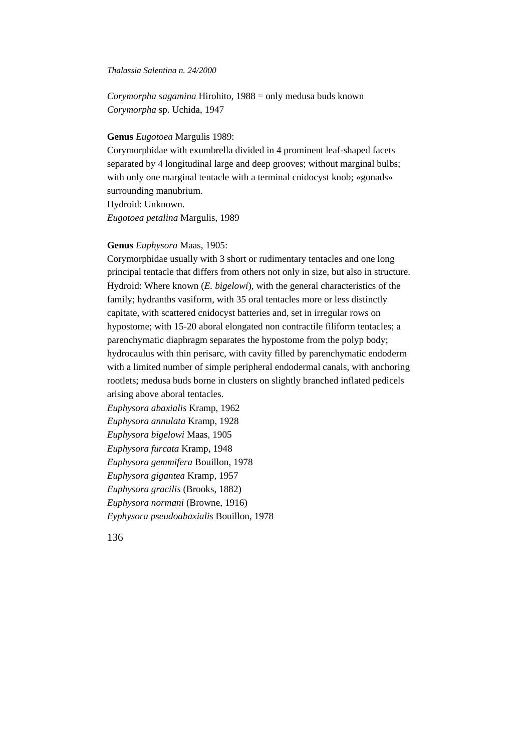*Corymorpha sagamina* Hirohito, 1988 = only medusa buds known *Corymorpha* sp. Uchida, 1947

# **Genus** *Eugotoea* Margulis 1989:

Corymorphidae with exumbrella divided in 4 prominent leaf-shaped facets separated by 4 longitudinal large and deep grooves; without marginal bulbs; with only one marginal tentacle with a terminal cnidocyst knob; «gonads» surrounding manubrium.

Hydroid: Unknown. *Eugotoea petalina* Margulis, 1989

## **Genus** *Euphysora* Maas, 1905:

Corymorphidae usually with 3 short or rudimentary tentacles and one long principal tentacle that differs from others not only in size, but also in structure. Hydroid: Where known (*E. bigelowi*), with the general characteristics of the family; hydranths vasiform, with 35 oral tentacles more or less distinctly capitate, with scattered cnidocyst batteries and, set in irregular rows on hypostome; with 15-20 aboral elongated non contractile filiform tentacles; a parenchymatic diaphragm separates the hypostome from the polyp body; hydrocaulus with thin perisarc, with cavity filled by parenchymatic endoderm with a limited number of simple peripheral endodermal canals, with anchoring rootlets; medusa buds borne in clusters on slightly branched inflated pedicels arising above aboral tentacles.

*Euphysora abaxialis* Kramp, 1962 *Euphysora annulata* Kramp, 1928 *Euphysora bigelowi* Maas, 1905 *Euphysora furcata* Kramp, 1948 *Euphysora gemmifera* Bouillon, 1978 *Euphysora gigantea* Kramp, 1957 *Euphysora gracilis* (Brooks, 1882) *Euphysora normani* (Browne, 1916) *Eyphysora pseudoabaxialis* Bouillon, 1978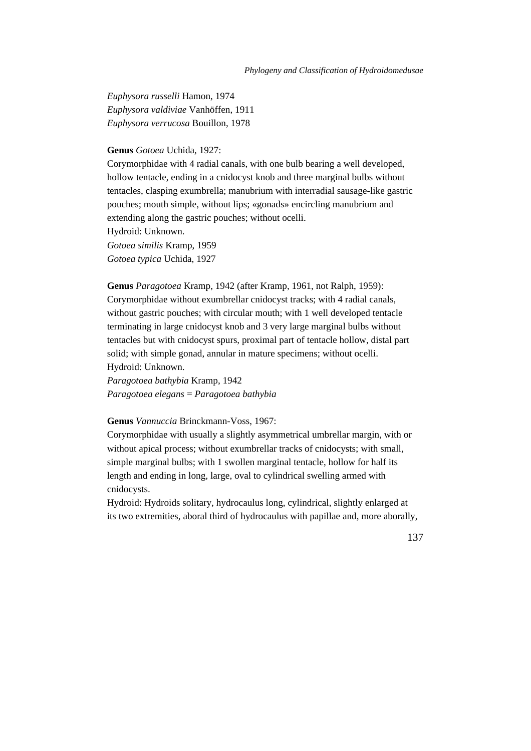*Euphysora russelli* Hamon, 1974 *Euphysora valdiviae* Vanhöffen, 1911 *Euphysora verrucosa* Bouillon, 1978

## **Genus** *Gotoea* Uchida, 1927:

Corymorphidae with 4 radial canals, with one bulb bearing a well developed, hollow tentacle, ending in a cnidocyst knob and three marginal bulbs without tentacles, clasping exumbrella; manubrium with interradial sausage-like gastric pouches; mouth simple, without lips; «gonads» encircling manubrium and extending along the gastric pouches; without ocelli. Hydroid: Unknown. *Gotoea similis* Kramp, 1959 *Gotoea typica* Uchida, 1927

**Genus** *Paragotoea* Kramp, 1942 (after Kramp, 1961, not Ralph, 1959): Corymorphidae without exumbrellar cnidocyst tracks; with 4 radial canals, without gastric pouches; with circular mouth; with 1 well developed tentacle terminating in large cnidocyst knob and 3 very large marginal bulbs without tentacles but with cnidocyst spurs, proximal part of tentacle hollow, distal part solid; with simple gonad, annular in mature specimens; without ocelli. Hydroid: Unknown.

*Paragotoea bathybia* Kramp, 1942 *Paragotoea elegans* = *Paragotoea bathybia*

### **Genus** *Vannuccia* Brinckmann-Voss, 1967:

Corymorphidae with usually a slightly asymmetrical umbrellar margin, with or without apical process; without exumbrellar tracks of cnidocysts; with small, simple marginal bulbs; with 1 swollen marginal tentacle, hollow for half its length and ending in long, large, oval to cylindrical swelling armed with cnidocysts.

Hydroid: Hydroids solitary, hydrocaulus long, cylindrical, slightly enlarged at its two extremities, aboral third of hydrocaulus with papillae and, more aborally,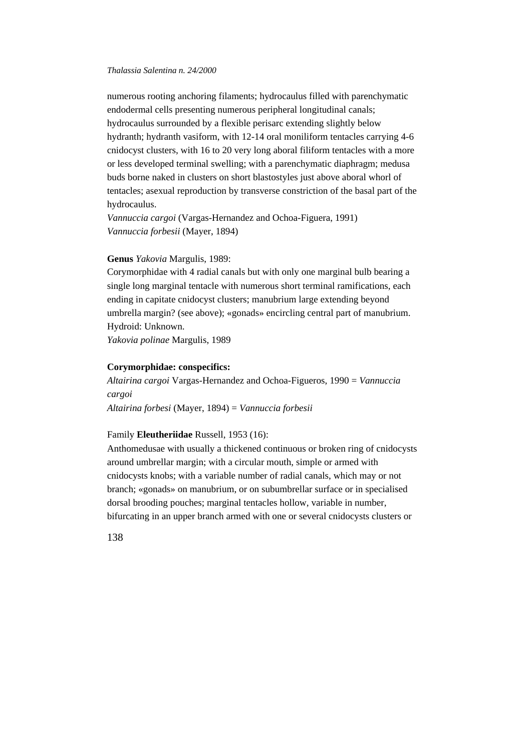numerous rooting anchoring filaments; hydrocaulus filled with parenchymatic endodermal cells presenting numerous peripheral longitudinal canals; hydrocaulus surrounded by a flexible perisarc extending slightly below hydranth; hydranth vasiform, with 12-14 oral moniliform tentacles carrying 4-6 cnidocyst clusters, with 16 to 20 very long aboral filiform tentacles with a more or less developed terminal swelling; with a parenchymatic diaphragm; medusa buds borne naked in clusters on short blastostyles just above aboral whorl of tentacles; asexual reproduction by transverse constriction of the basal part of the hydrocaulus.

*Vannuccia cargoi* (Vargas-Hernandez and Ochoa-Figuera, 1991) *Vannuccia forbesii* (Mayer, 1894)

# **Genus** *Yakovia* Margulis, 1989:

Corymorphidae with 4 radial canals but with only one marginal bulb bearing a single long marginal tentacle with numerous short terminal ramifications, each ending in capitate cnidocyst clusters; manubrium large extending beyond umbrella margin? (see above); «gonads» encircling central part of manubrium. Hydroid: Unknown.

*Yakovia polinae* Margulis, 1989

## **Corymorphidae: conspecifics:**

*Altairina cargoi* Vargas-Hernandez and Ochoa-Figueros, 1990 = *Vannuccia cargoi*

*Altairina forbesi* (Mayer, 1894) = *Vannuccia forbesii*

# Family **Eleutheriidae** Russell, 1953 (16):

Anthomedusae with usually a thickened continuous or broken ring of cnidocysts around umbrellar margin; with a circular mouth, simple or armed with cnidocysts knobs; with a variable number of radial canals, which may or not branch; «gonads» on manubrium, or on subumbrellar surface or in specialised dorsal brooding pouches; marginal tentacles hollow, variable in number, bifurcating in an upper branch armed with one or several cnidocysts clusters or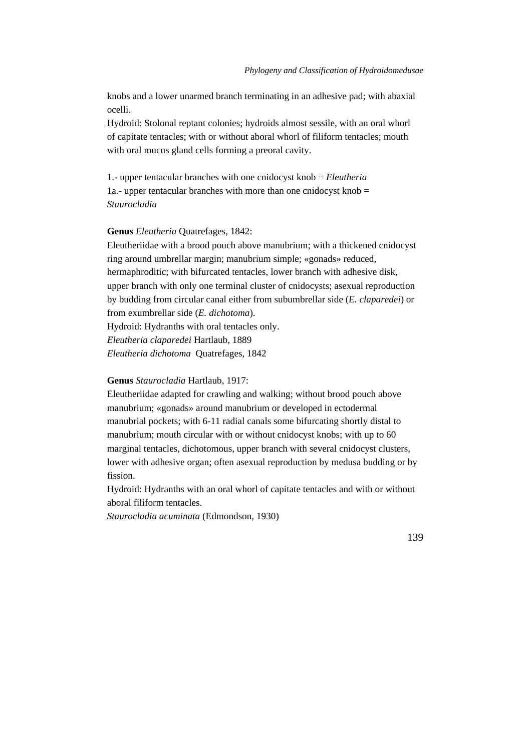knobs and a lower unarmed branch terminating in an adhesive pad; with abaxial ocelli.

Hydroid: Stolonal reptant colonies; hydroids almost sessile, with an oral whorl of capitate tentacles; with or without aboral whorl of filiform tentacles; mouth with oral mucus gland cells forming a preoral cavity.

1.- upper tentacular branches with one cnidocyst knob = *Eleutheria* 1a.- upper tentacular branches with more than one cnidocyst knob  $=$ *Staurocladia*

### **Genus** *Eleutheria* Quatrefages, 1842:

Eleutheriidae with a brood pouch above manubrium; with a thickened cnidocyst ring around umbrellar margin; manubrium simple; «gonads» reduced, hermaphroditic; with bifurcated tentacles, lower branch with adhesive disk, upper branch with only one terminal cluster of cnidocysts; asexual reproduction by budding from circular canal either from subumbrellar side (*E. claparedei*) or from exumbrellar side (*E. dichotoma*).

Hydroid: Hydranths with oral tentacles only.

*Eleutheria claparedei* Hartlaub, 1889

*Eleutheria dichotoma* Quatrefages, 1842

**Genus** *Staurocladia* Hartlaub, 1917:

Eleutheriidae adapted for crawling and walking; without brood pouch above manubrium; «gonads» around manubrium or developed in ectodermal manubrial pockets; with 6-11 radial canals some bifurcating shortly distal to manubrium; mouth circular with or without cnidocyst knobs; with up to 60 marginal tentacles, dichotomous, upper branch with several cnidocyst clusters, lower with adhesive organ; often asexual reproduction by medusa budding or by fission.

Hydroid: Hydranths with an oral whorl of capitate tentacles and with or without aboral filiform tentacles.

*Staurocladia acuminata* (Edmondson, 1930)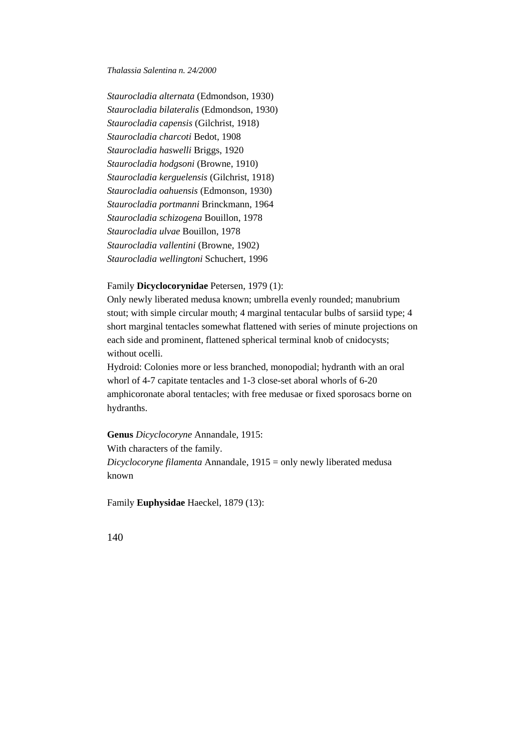*Staurocladia alternata* (Edmondson, 1930) *Staurocladia bilateralis* (Edmondson, 1930) *Staurocladia capensis* (Gilchrist, 1918) *Staurocladia charcoti* Bedot, 1908 *Staurocladia haswelli* Briggs, 1920 *Staurocladia hodgsoni* (Browne, 1910) *Staurocladia kerguelensis* (Gilchrist, 1918) *Staurocladia oahuensis* (Edmonson, 1930) *Staurocladia portmanni* Brinckmann, 1964 *Staurocladia schizogena* Bouillon, 1978 *Staurocladia ulvae* Bouillon, 1978 *Staurocladia vallentini* (Browne, 1902) *Staurocladia wellingtoni* Schuchert, 1996

# Family **Dicyclocorynidae** Petersen, 1979 (1):

Only newly liberated medusa known; umbrella evenly rounded; manubrium stout; with simple circular mouth; 4 marginal tentacular bulbs of sarsiid type; 4 short marginal tentacles somewhat flattened with series of minute projections on each side and prominent, flattened spherical terminal knob of cnidocysts; without ocelli.

Hydroid: Colonies more or less branched, monopodial; hydranth with an oral whorl of 4-7 capitate tentacles and 1-3 close-set aboral whorls of 6-20 amphicoronate aboral tentacles; with free medusae or fixed sporosacs borne on hydranths.

**Genus** *Dicyclocoryne* Annandale, 1915:

With characters of the family.

*Dicyclocoryne filamenta* Annandale, 1915 = only newly liberated medusa known

Family **Euphysidae** Haeckel, 1879 (13):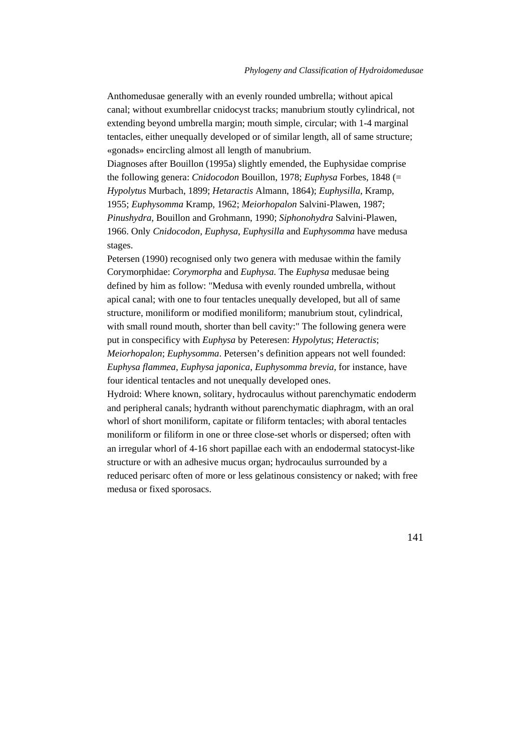Anthomedusae generally with an evenly rounded umbrella; without apical canal; without exumbrellar cnidocyst tracks; manubrium stoutly cylindrical, not extending beyond umbrella margin; mouth simple, circular; with 1-4 marginal tentacles, either unequally developed or of similar length, all of same structure; «gonads» encircling almost all length of manubrium.

Diagnoses after Bouillon (1995a) slightly emended, the Euphysidae comprise the following genera: *Cnidocodon* Bouillon, 1978; *Euphysa* Forbes, 1848 (= *Hypolytus* Murbach, 1899; *Hetaractis* Almann, 1864); *Euphysilla*, Kramp, 1955; *Euphysomma* Kramp, 1962; *Meiorhopalon* Salvini-Plawen, 1987; *Pinushydra*, Bouillon and Grohmann, 1990; *Siphonohydra* Salvini-Plawen, 1966. Only *Cnidocodon, Euphysa*, *Euphysilla* and *Euphysomma* have medusa stages.

Petersen (1990) recognised only two genera with medusae within the family Corymorphidae: *Corymorpha* and *Euphysa*. The *Euphysa* medusae being defined by him as follow: "Medusa with evenly rounded umbrella, without apical canal; with one to four tentacles unequally developed, but all of same structure, moniliform or modified moniliform; manubrium stout, cylindrical, with small round mouth, shorter than bell cavity:" The following genera were put in conspecificy with *Euphysa* by Peteresen: *Hypolytus*; *Heteractis*; *Meiorhopalon*; *Euphysomma*. Petersen's definition appears not well founded: *Euphysa flammea*, *Euphysa japonica*, *Euphysomma brevia*, for instance, have four identical tentacles and not unequally developed ones.

Hydroid: Where known, solitary, hydrocaulus without parenchymatic endoderm and peripheral canals; hydranth without parenchymatic diaphragm, with an oral whorl of short moniliform, capitate or filiform tentacles; with aboral tentacles moniliform or filiform in one or three close-set whorls or dispersed; often with an irregular whorl of 4-16 short papillae each with an endodermal statocyst-like structure or with an adhesive mucus organ; hydrocaulus surrounded by a reduced perisarc often of more or less gelatinous consistency or naked; with free medusa or fixed sporosacs.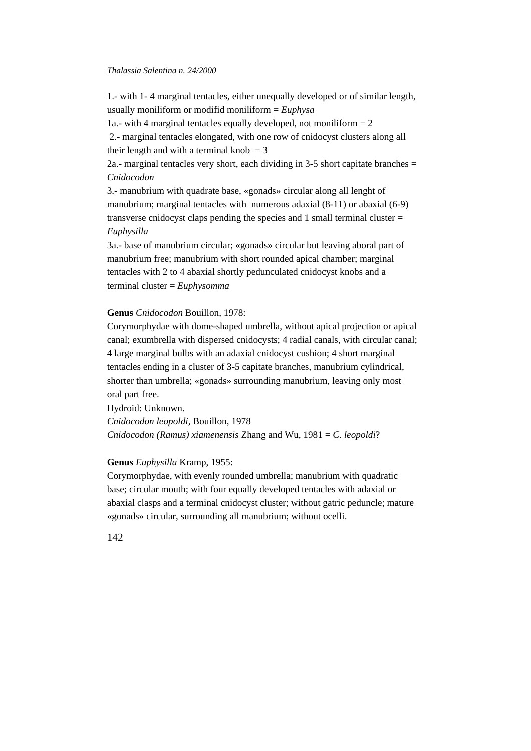1.- with 1- 4 marginal tentacles, either unequally developed or of similar length, usually moniliform or modifid moniliform = *Euphysa*

1a.- with 4 marginal tentacles equally developed, not moniliform  $= 2$ 

 2.- marginal tentacles elongated, with one row of cnidocyst clusters along all their length and with a terminal knob  $= 3$ 

2a.- marginal tentacles very short, each dividing in 3-5 short capitate branches  $=$ *Cnidocodon*

3.- manubrium with quadrate base, «gonads» circular along all lenght of manubrium; marginal tentacles with numerous adaxial (8-11) or abaxial (6-9) transverse cnidocyst claps pending the species and 1 small terminal cluster = *Euphysilla*

3a.- base of manubrium circular; «gonads» circular but leaving aboral part of manubrium free; manubrium with short rounded apical chamber; marginal tentacles with 2 to 4 abaxial shortly pedunculated cnidocyst knobs and a terminal cluster = *Euphysomma*

# **Genus** *Cnidocodon* Bouillon, 1978:

Corymorphydae with dome-shaped umbrella, without apical projection or apical canal; exumbrella with dispersed cnidocysts; 4 radial canals, with circular canal; 4 large marginal bulbs with an adaxial cnidocyst cushion; 4 short marginal tentacles ending in a cluster of 3-5 capitate branches, manubrium cylindrical, shorter than umbrella; «gonads» surrounding manubrium, leaving only most oral part free.

Hydroid: Unknown. *Cnidocodon leopoldi*, Bouillon, 1978 *Cnidocodon (Ramus) xiamenensis* Zhang and Wu, 1981 = *C. leopoldi*?

## **Genus** *Euphysilla* Kramp, 1955:

Corymorphydae, with evenly rounded umbrella; manubrium with quadratic base; circular mouth; with four equally developed tentacles with adaxial or abaxial clasps and a terminal cnidocyst cluster; without gatric peduncle; mature «gonads» circular, surrounding all manubrium; without ocelli.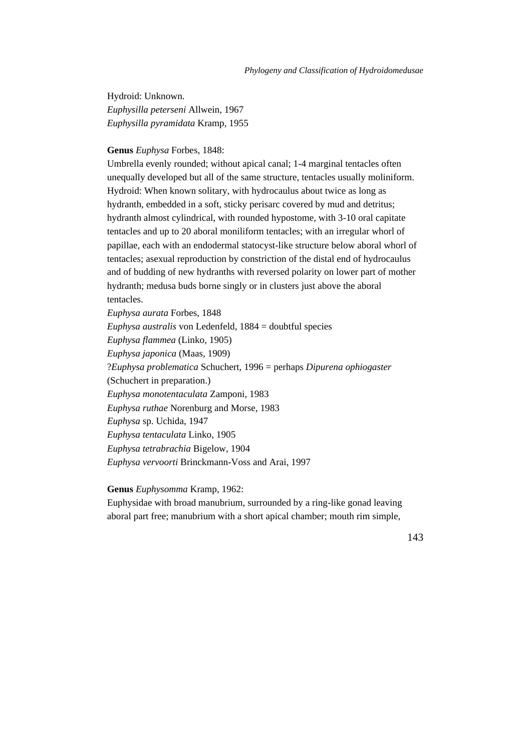Hydroid: Unknown. *Euphysilla peterseni* Allwein, 1967 *Euphysilla pyramidata* Kramp, 1955

## **Genus** *Euphysa* Forbes, 1848:

Umbrella evenly rounded; without apical canal; 1-4 marginal tentacles often unequally developed but all of the same structure, tentacles usually moliniform. Hydroid: When known solitary, with hydrocaulus about twice as long as hydranth, embedded in a soft, sticky perisarc covered by mud and detritus; hydranth almost cylindrical, with rounded hypostome, with 3-10 oral capitate tentacles and up to 20 aboral moniliform tentacles; with an irregular whorl of papillae, each with an endodermal statocyst-like structure below aboral whorl of tentacles; asexual reproduction by constriction of the distal end of hydrocaulus and of budding of new hydranths with reversed polarity on lower part of mother hydranth; medusa buds borne singly or in clusters just above the aboral tentacles.

*Euphysa aurata* Forbes, 1848 *Euphysa australis* von Ledenfeld, 1884 = doubtful species *Euphysa flammea* (Linko, 1905) *Euphysa japonica* (Maas, 1909) ?*Euphysa problematica* Schuchert, 1996 = perhaps *Dipurena ophiogaster* (Schuchert in preparation.) *Euphysa monotentaculata* Zamponi, 1983 *Euphysa ruthae* Norenburg and Morse, 1983 *Euphysa* sp. Uchida, 1947 *Euphysa tentaculata* Linko, 1905 *Euphysa tetrabrachia* Bigelow, 1904 *Euphysa vervoorti* Brinckmann-Voss and Arai, 1997

**Genus** *Euphysomma* Kramp, 1962:

Euphysidae with broad manubrium, surrounded by a ring-like gonad leaving aboral part free; manubrium with a short apical chamber; mouth rim simple,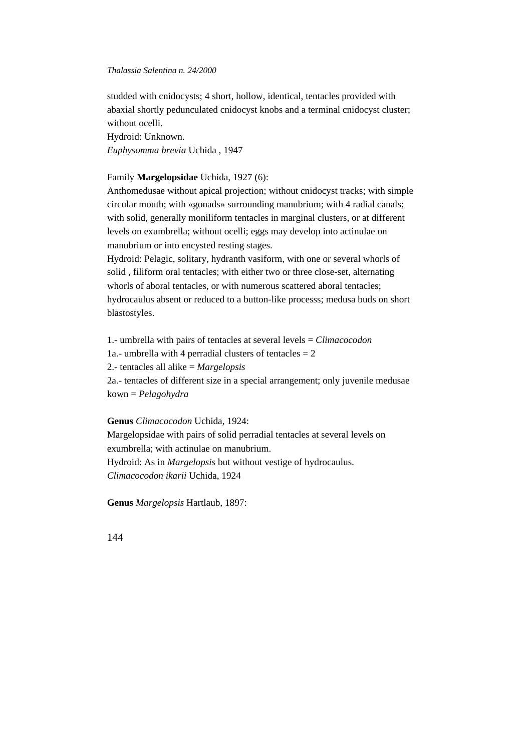studded with cnidocysts; 4 short, hollow, identical, tentacles provided with abaxial shortly pedunculated cnidocyst knobs and a terminal cnidocyst cluster; without ocelli.

Hydroid: Unknown. *Euphysomma brevia* Uchida , 1947

# Family **Margelopsidae** Uchida, 1927 (6):

Anthomedusae without apical projection; without cnidocyst tracks; with simple circular mouth; with «gonads» surrounding manubrium; with 4 radial canals; with solid, generally moniliform tentacles in marginal clusters, or at different levels on exumbrella; without ocelli; eggs may develop into actinulae on manubrium or into encysted resting stages.

Hydroid: Pelagic, solitary, hydranth vasiform, with one or several whorls of solid , filiform oral tentacles; with either two or three close-set, alternating whorls of aboral tentacles, or with numerous scattered aboral tentacles; hydrocaulus absent or reduced to a button-like processs; medusa buds on short blastostyles.

1.- umbrella with pairs of tentacles at several levels = *Climacocodon* 1a.- umbrella with 4 perradial clusters of tentacles  $= 2$ 2.- tentacles all alike = *Margelopsis* 2a.- tentacles of different size in a special arrangement; only juvenile medusae kown = *Pelagohydra*

**Genus** *Climacocodon* Uchida, 1924:

Margelopsidae with pairs of solid perradial tentacles at several levels on exumbrella; with actinulae on manubrium.

Hydroid: As in *Margelopsis* but without vestige of hydrocaulus. *Climacocodon ikarii* Uchida, 1924

**Genus** *Margelopsis* Hartlaub, 1897: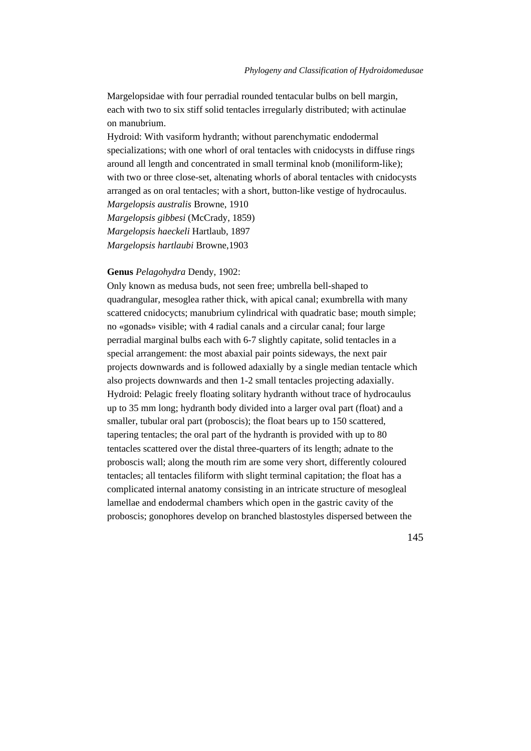Margelopsidae with four perradial rounded tentacular bulbs on bell margin, each with two to six stiff solid tentacles irregularly distributed; with actinulae on manubrium.

Hydroid: With vasiform hydranth; without parenchymatic endodermal specializations; with one whorl of oral tentacles with cnidocysts in diffuse rings around all length and concentrated in small terminal knob (moniliform-like); with two or three close-set, altenating whorls of aboral tentacles with cnidocysts arranged as on oral tentacles; with a short, button-like vestige of hydrocaulus. *Margelopsis australis* Browne, 1910

*Margelopsis gibbesi* (McCrady, 1859) *Margelopsis haeckeli* Hartlaub, 1897 *Margelopsis hartlaubi* Browne,1903

### **Genus** *Pelagohydra* Dendy, 1902:

Only known as medusa buds, not seen free; umbrella bell-shaped to quadrangular, mesoglea rather thick, with apical canal; exumbrella with many scattered cnidocycts; manubrium cylindrical with quadratic base; mouth simple; no «gonads» visible; with 4 radial canals and a circular canal; four large perradial marginal bulbs each with 6-7 slightly capitate, solid tentacles in a special arrangement: the most abaxial pair points sideways, the next pair projects downwards and is followed adaxially by a single median tentacle which also projects downwards and then 1-2 small tentacles projecting adaxially. Hydroid: Pelagic freely floating solitary hydranth without trace of hydrocaulus up to 35 mm long; hydranth body divided into a larger oval part (float) and a smaller, tubular oral part (proboscis); the float bears up to 150 scattered, tapering tentacles; the oral part of the hydranth is provided with up to 80 tentacles scattered over the distal three-quarters of its length; adnate to the proboscis wall; along the mouth rim are some very short, differently coloured tentacles; all tentacles filiform with slight terminal capitation; the float has a complicated internal anatomy consisting in an intricate structure of mesogleal lamellae and endodermal chambers which open in the gastric cavity of the proboscis; gonophores develop on branched blastostyles dispersed between the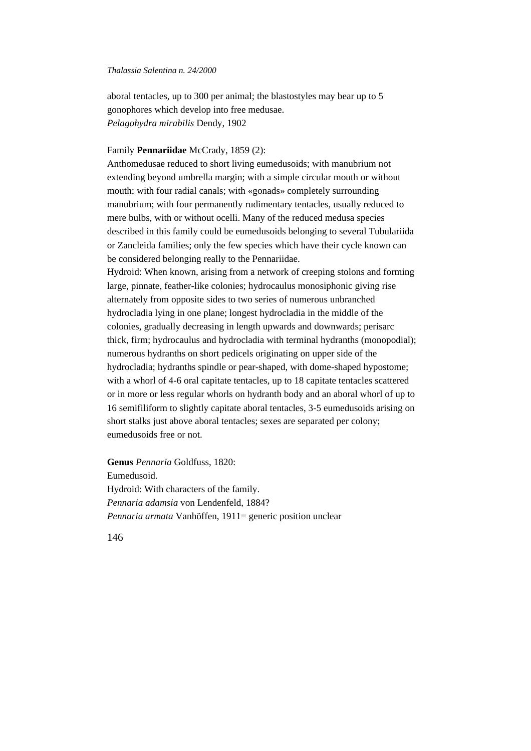aboral tentacles, up to 300 per animal; the blastostyles may bear up to 5 gonophores which develop into free medusae. *Pelagohydra mirabilis* Dendy, 1902

# Family **Pennariidae** McCrady, 1859 (2):

Anthomedusae reduced to short living eumedusoids; with manubrium not extending beyond umbrella margin; with a simple circular mouth or without mouth; with four radial canals; with «gonads» completely surrounding manubrium; with four permanently rudimentary tentacles, usually reduced to mere bulbs, with or without ocelli. Many of the reduced medusa species described in this family could be eumedusoids belonging to several Tubulariida or Zancleida families; only the few species which have their cycle known can be considered belonging really to the Pennariidae.

Hydroid: When known, arising from a network of creeping stolons and forming large, pinnate, feather-like colonies; hydrocaulus monosiphonic giving rise alternately from opposite sides to two series of numerous unbranched hydrocladia lying in one plane; longest hydrocladia in the middle of the colonies, gradually decreasing in length upwards and downwards; perisarc thick, firm; hydrocaulus and hydrocladia with terminal hydranths (monopodial); numerous hydranths on short pedicels originating on upper side of the hydrocladia; hydranths spindle or pear-shaped, with dome-shaped hypostome; with a whorl of 4-6 oral capitate tentacles, up to 18 capitate tentacles scattered or in more or less regular whorls on hydranth body and an aboral whorl of up to 16 semifiliform to slightly capitate aboral tentacles, 3-5 eumedusoids arising on short stalks just above aboral tentacles; sexes are separated per colony; eumedusoids free or not.

**Genus** *Pennaria* Goldfuss, 1820: Eumedusoid. Hydroid: With characters of the family. *Pennaria adamsia* von Lendenfeld, 1884? *Pennaria armata* Vanhöffen, 1911= generic position unclear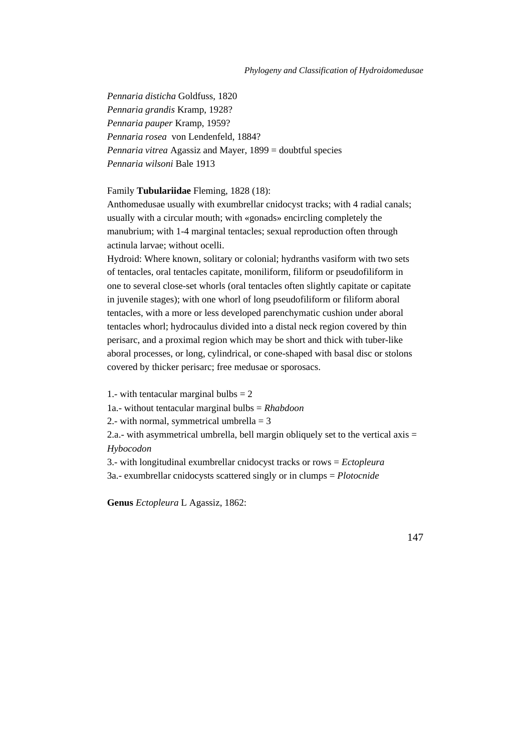*Pennaria disticha* Goldfuss, 1820 *Pennaria grandis* Kramp, 1928? *Pennaria pauper* Kramp, 1959? *Pennaria rosea* von Lendenfeld, 1884? *Pennaria vitrea* Agassiz and Mayer, 1899 = doubtful species *Pennaria wilsoni* Bale 1913

# Family **Tubulariidae** Fleming, 1828 (18):

Anthomedusae usually with exumbrellar cnidocyst tracks; with 4 radial canals; usually with a circular mouth; with «gonads» encircling completely the manubrium; with 1-4 marginal tentacles; sexual reproduction often through actinula larvae; without ocelli.

Hydroid: Where known, solitary or colonial; hydranths vasiform with two sets of tentacles, oral tentacles capitate, moniliform, filiform or pseudofiliform in one to several close-set whorls (oral tentacles often slightly capitate or capitate in juvenile stages); with one whorl of long pseudofiliform or filiform aboral tentacles, with a more or less developed parenchymatic cushion under aboral tentacles whorl; hydrocaulus divided into a distal neck region covered by thin perisarc, and a proximal region which may be short and thick with tuber-like aboral processes, or long, cylindrical, or cone-shaped with basal disc or stolons covered by thicker perisarc; free medusae or sporosacs.

1.- with tentacular marginal bulbs  $= 2$ 

1a.- without tentacular marginal bulbs = *Rhabdoon*

2.- with normal, symmetrical umbrella  $=$  3

2.a.- with asymmetrical umbrella, bell margin obliquely set to the vertical axis  $=$ *Hybocodon*

3.- with longitudinal exumbrellar cnidocyst tracks or rows = *Ectopleura* 3a.- exumbrellar cnidocysts scattered singly or in clumps = *Plotocnide*

**Genus** *Ectopleura* L Agassiz, 1862: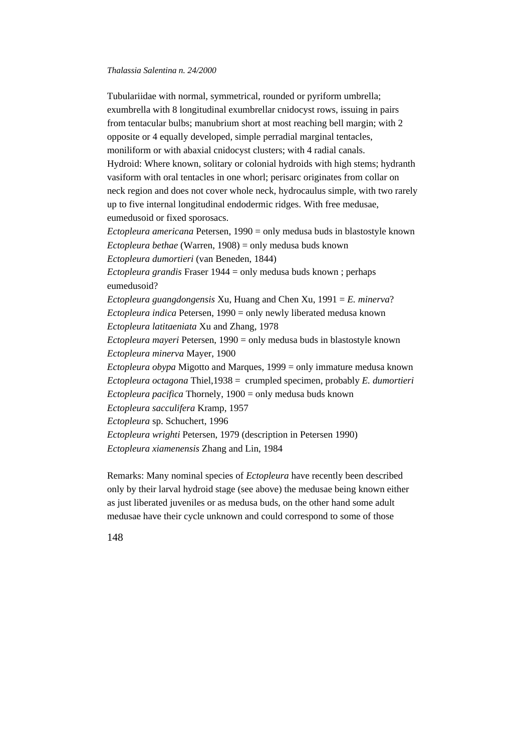Tubulariidae with normal, symmetrical, rounded or pyriform umbrella; exumbrella with 8 longitudinal exumbrellar cnidocyst rows, issuing in pairs from tentacular bulbs; manubrium short at most reaching bell margin; with 2 opposite or 4 equally developed, simple perradial marginal tentacles, moniliform or with abaxial cnidocyst clusters; with 4 radial canals. Hydroid: Where known, solitary or colonial hydroids with high stems; hydranth vasiform with oral tentacles in one whorl; perisarc originates from collar on neck region and does not cover whole neck, hydrocaulus simple, with two rarely up to five internal longitudinal endodermic ridges. With free medusae, eumedusoid or fixed sporosacs. *Ectopleura americana* Petersen, 1990 = only medusa buds in blastostyle known *Ectopleura bethae* (Warren, 1908) = only medusa buds known *Ectopleura dumortieri* (van Beneden, 1844) *Ectopleura grandis* Fraser 1944 = only medusa buds known ; perhaps eumedusoid? *Ectopleura guangdongensis* Xu, Huang and Chen Xu, 1991 = *E. minerva*? *Ectopleura indica* Petersen, 1990 = only newly liberated medusa known *Ectopleura latitaeniata* Xu and Zhang, 1978 *Ectopleura mayeri* Petersen, 1990 = only medusa buds in blastostyle known *Ectopleura minerva* Mayer, 1900 *Ectopleura obypa* Migotto and Marques, 1999 = only immature medusa known *Ectopleura octagona* Thiel,1938 = crumpled specimen, probably *E. dumortieri Ectopleura pacifica* Thornely, 1900 = only medusa buds known *Ectopleura sacculifera* Kramp, 1957 *Ectopleura* sp. Schuchert, 1996

*Ectopleura wrighti* Petersen, 1979 (description in Petersen 1990) *Ectopleura xiamenensis* Zhang and Lin, 1984

Remarks: Many nominal species of *Ectopleura* have recently been described only by their larval hydroid stage (see above) the medusae being known either as just liberated juveniles or as medusa buds, on the other hand some adult medusae have their cycle unknown and could correspond to some of those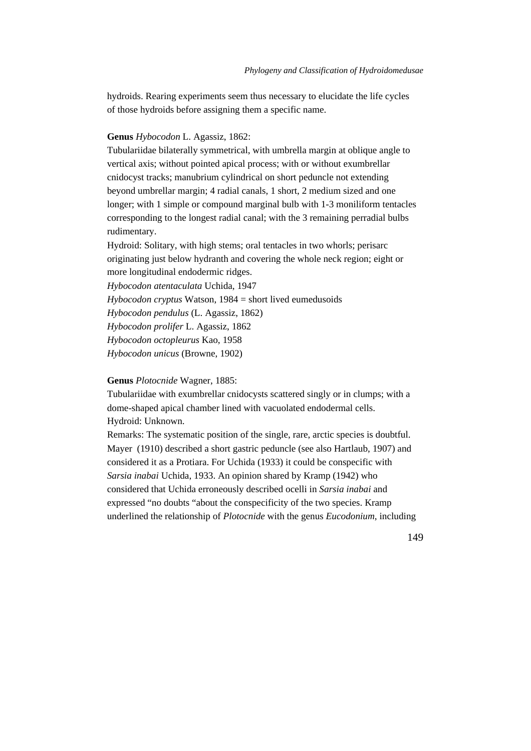hydroids. Rearing experiments seem thus necessary to elucidate the life cycles of those hydroids before assigning them a specific name.

# **Genus** *Hybocodon* L. Agassiz, 1862:

Tubulariidae bilaterally symmetrical, with umbrella margin at oblique angle to vertical axis; without pointed apical process; with or without exumbrellar cnidocyst tracks; manubrium cylindrical on short peduncle not extending beyond umbrellar margin; 4 radial canals, 1 short, 2 medium sized and one longer; with 1 simple or compound marginal bulb with 1-3 moniliform tentacles corresponding to the longest radial canal; with the 3 remaining perradial bulbs rudimentary.

Hydroid: Solitary, with high stems; oral tentacles in two whorls; perisarc originating just below hydranth and covering the whole neck region; eight or more longitudinal endodermic ridges.

*Hybocodon atentaculata* Uchida, 1947

*Hybocodon cryptus* Watson, 1984 = short lived eumedusoids

*Hybocodon pendulus* (L. Agassiz, 1862)

*Hybocodon prolifer* L. Agassiz, 1862

*Hybocodon octopleurus* Kao, 1958

*Hybocodon unicus* (Browne, 1902)

### **Genus** *Plotocnide* Wagner, 1885:

Tubulariidae with exumbrellar cnidocysts scattered singly or in clumps; with a dome-shaped apical chamber lined with vacuolated endodermal cells. Hydroid: Unknown.

Remarks: The systematic position of the single, rare, arctic species is doubtful. Mayer (1910) described a short gastric peduncle (see also Hartlaub, 1907) and considered it as a Protiara. For Uchida (1933) it could be conspecific with *Sarsia inabai* Uchida, 1933. An opinion shared by Kramp (1942) who considered that Uchida erroneously described ocelli in *Sarsia inabai* and expressed "no doubts "about the conspecificity of the two species. Kramp underlined the relationship of *Plotocnide* with the genus *Eucodonium*, including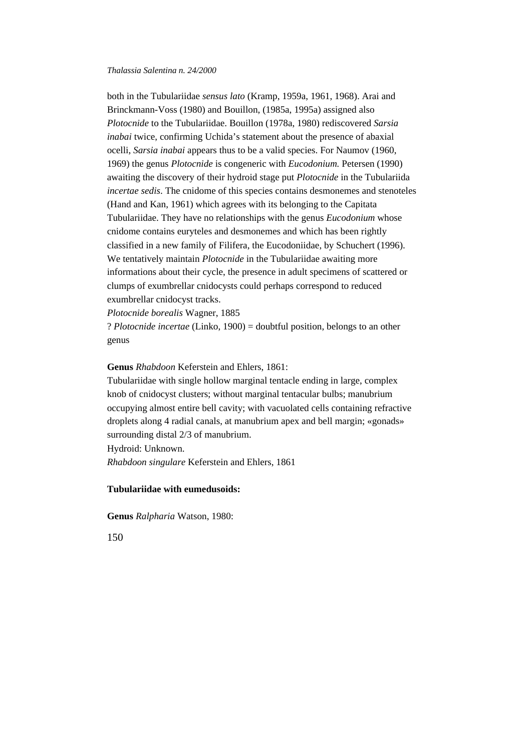both in the Tubulariidae *sensus lato* (Kramp, 1959a, 1961, 1968). Arai and Brinckmann-Voss (1980) and Bouillon, (1985a, 1995a) assigned also *Plotocnide* to the Tubulariidae. Bouillon (1978a, 1980) rediscovered *Sarsia inabai* twice, confirming Uchida's statement about the presence of abaxial ocelli, *Sarsia inabai* appears thus to be a valid species. For Naumov (1960, 1969) the genus *Plotocnide* is congeneric with *Eucodonium.* Petersen (1990) awaiting the discovery of their hydroid stage put *Plotocnide* in the Tubulariida *incertae sedis*. The cnidome of this species contains desmonemes and stenoteles (Hand and Kan, 1961) which agrees with its belonging to the Capitata Tubulariidae. They have no relationships with the genus *Eucodonium* whose cnidome contains euryteles and desmonemes and which has been rightly classified in a new family of Filifera, the Eucodoniidae, by Schuchert (1996). We tentatively maintain *Plotocnide* in the Tubulariidae awaiting more informations about their cycle, the presence in adult specimens of scattered or clumps of exumbrellar cnidocysts could perhaps correspond to reduced exumbrellar cnidocyst tracks.

*Plotocnide borealis* Wagner, 1885

? *Plotocnide incertae* (Linko, 1900) = doubtful position, belongs to an other genus

**Genus** *Rhabdoon* Keferstein and Ehlers, 1861:

Tubulariidae with single hollow marginal tentacle ending in large, complex knob of cnidocyst clusters; without marginal tentacular bulbs; manubrium occupying almost entire bell cavity; with vacuolated cells containing refractive droplets along 4 radial canals, at manubrium apex and bell margin; «gonads» surrounding distal 2/3 of manubrium.

Hydroid: Unknown.

*Rhabdoon singulare* Keferstein and Ehlers, 1861

# **Tubulariidae with eumedusoids:**

**Genus** *Ralpharia* Watson, 1980: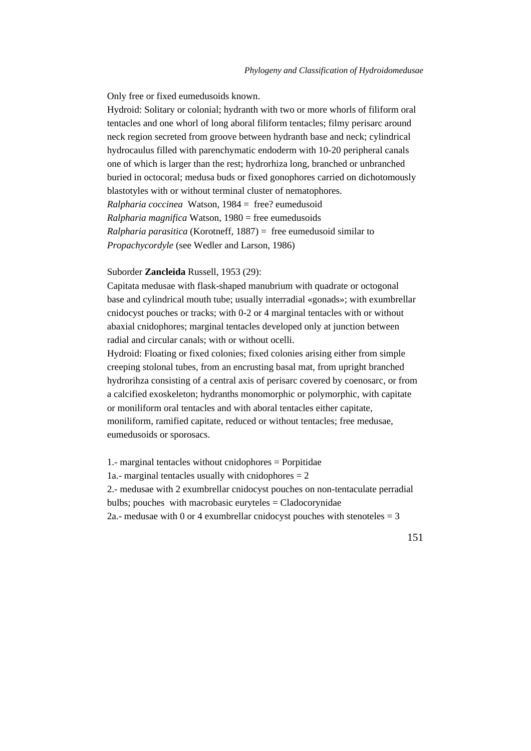Only free or fixed eumedusoids known.

Hydroid: Solitary or colonial; hydranth with two or more whorls of filiform oral tentacles and one whorl of long aboral filiform tentacles; filmy perisarc around neck region secreted from groove between hydranth base and neck; cylindrical hydrocaulus filled with parenchymatic endoderm with 10-20 peripheral canals one of which is larger than the rest; hydrorhiza long, branched or unbranched buried in octocoral; medusa buds or fixed gonophores carried on dichotomously blastotyles with or without terminal cluster of nematophores. *Ralpharia coccinea* Watson, 1984 = free? eumedusoid *Ralpharia magnifica* Watson, 1980 = free eumedusoids *Ralpharia parasitica* (Korotneff, 1887) = free eumedusoid similar to *Propachycordyle* (see Wedler and Larson, 1986)

## Suborder **Zancleida** Russell, 1953 (29):

Capitata medusae with flask-shaped manubrium with quadrate or octogonal base and cylindrical mouth tube; usually interradial «gonads»; with exumbrellar cnidocyst pouches or tracks; with 0-2 or 4 marginal tentacles with or without abaxial cnidophores; marginal tentacles developed only at junction between radial and circular canals; with or without ocelli.

Hydroid: Floating or fixed colonies; fixed colonies arising either from simple creeping stolonal tubes, from an encrusting basal mat, from upright branched hydrorihza consisting of a central axis of perisarc covered by coenosarc, or from a calcified exoskeleton; hydranths monomorphic or polymorphic, with capitate or moniliform oral tentacles and with aboral tentacles either capitate, moniliform, ramified capitate, reduced or without tentacles; free medusae, eumedusoids or sporosacs.

1.- marginal tentacles without cnidophores = Porpitidae 1a.- marginal tentacles usually with cnidophores  $= 2$ 2.- medusae with 2 exumbrellar cnidocyst pouches on non-tentaculate perradial bulbs; pouches with macrobasic euryteles = Cladocorynidae 2a.- medusae with 0 or 4 exumbrellar cnidocyst pouches with stenoteles  $=$  3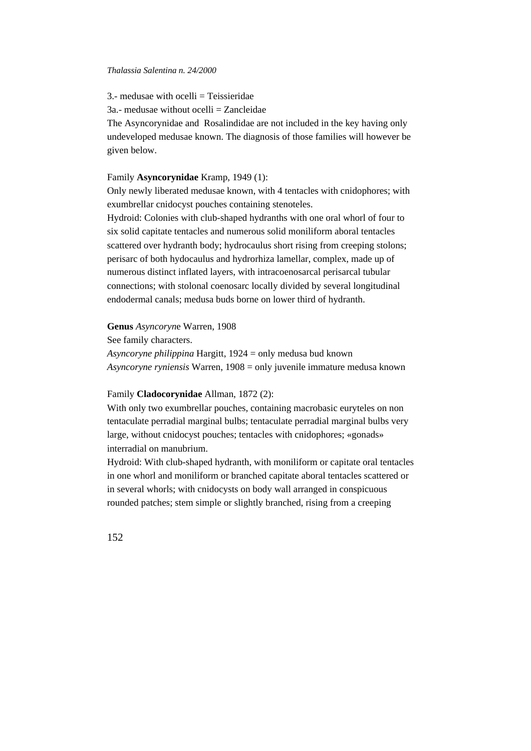$3$  - medusae with ocelli  $=$  Teissieridae

3a.- medusae without ocelli = Zancleidae

The Asyncorynidae and Rosalindidae are not included in the key having only undeveloped medusae known. The diagnosis of those families will however be given below.

## Family **Asyncorynidae** Kramp, 1949 (1):

Only newly liberated medusae known, with 4 tentacles with cnidophores; with exumbrellar cnidocyst pouches containing stenoteles.

Hydroid: Colonies with club-shaped hydranths with one oral whorl of four to six solid capitate tentacles and numerous solid moniliform aboral tentacles scattered over hydranth body; hydrocaulus short rising from creeping stolons; perisarc of both hydocaulus and hydrorhiza lamellar, complex, made up of numerous distinct inflated layers, with intracoenosarcal perisarcal tubular connections; with stolonal coenosarc locally divided by several longitudinal endodermal canals; medusa buds borne on lower third of hydranth.

**Genus** *Asyncoryn*e Warren, 1908

See family characters.

*Asyncoryne philippina* Hargitt, 1924 = only medusa bud known *Asyncoryne ryniensis* Warren, 1908 = only juvenile immature medusa known

Family **Cladocorynidae** Allman, 1872 (2):

With only two exumbrellar pouches, containing macrobasic euryteles on non tentaculate perradial marginal bulbs; tentaculate perradial marginal bulbs very large, without cnidocyst pouches; tentacles with cnidophores; «gonads» interradial on manubrium.

Hydroid: With club-shaped hydranth, with moniliform or capitate oral tentacles in one whorl and moniliform or branched capitate aboral tentacles scattered or in several whorls; with cnidocysts on body wall arranged in conspicuous rounded patches; stem simple or slightly branched, rising from a creeping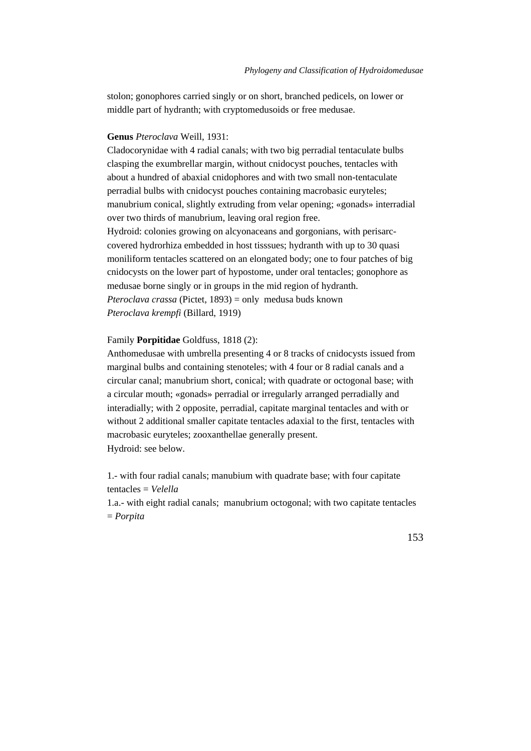stolon; gonophores carried singly or on short, branched pedicels, on lower or middle part of hydranth; with cryptomedusoids or free medusae.

# **Genus** *Pteroclava* Weill, 1931:

Cladocorynidae with 4 radial canals; with two big perradial tentaculate bulbs clasping the exumbrellar margin, without cnidocyst pouches, tentacles with about a hundred of abaxial cnidophores and with two small non-tentaculate perradial bulbs with cnidocyst pouches containing macrobasic euryteles; manubrium conical, slightly extruding from velar opening; «gonads» interradial over two thirds of manubrium, leaving oral region free. Hydroid: colonies growing on alcyonaceans and gorgonians, with perisarccovered hydrorhiza embedded in host tisssues; hydranth with up to 30 quasi moniliform tentacles scattered on an elongated body; one to four patches of big cnidocysts on the lower part of hypostome, under oral tentacles; gonophore as medusae borne singly or in groups in the mid region of hydranth. *Pteroclava crassa* (Pictet, 1893) = only medusa buds known *Pteroclava krempfi* (Billard, 1919)

## Family **Porpitidae** Goldfuss, 1818 (2):

Anthomedusae with umbrella presenting 4 or 8 tracks of cnidocysts issued from marginal bulbs and containing stenoteles; with 4 four or 8 radial canals and a circular canal; manubrium short, conical; with quadrate or octogonal base; with a circular mouth; «gonads» perradial or irregularly arranged perradially and interadially; with 2 opposite, perradial, capitate marginal tentacles and with or without 2 additional smaller capitate tentacles adaxial to the first, tentacles with macrobasic euryteles; zooxanthellae generally present. Hydroid: see below.

1.- with four radial canals; manubium with quadrate base; with four capitate tentacles = *Velella*

1.a.- with eight radial canals; manubrium octogonal; with two capitate tentacles = *Porpita*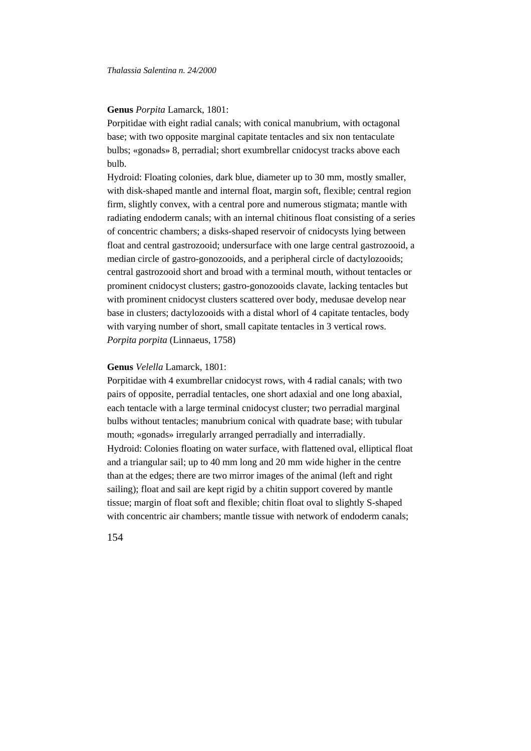## **Genus** *Porpita* Lamarck, 1801:

Porpitidae with eight radial canals; with conical manubrium, with octagonal base; with two opposite marginal capitate tentacles and six non tentaculate bulbs; «gonads» 8, perradial; short exumbrellar cnidocyst tracks above each bulb.

Hydroid: Floating colonies, dark blue, diameter up to 30 mm, mostly smaller, with disk-shaped mantle and internal float, margin soft, flexible; central region firm, slightly convex, with a central pore and numerous stigmata; mantle with radiating endoderm canals; with an internal chitinous float consisting of a series of concentric chambers; a disks-shaped reservoir of cnidocysts lying between float and central gastrozooid; undersurface with one large central gastrozooid, a median circle of gastro-gonozooids, and a peripheral circle of dactylozooids; central gastrozooid short and broad with a terminal mouth, without tentacles or prominent cnidocyst clusters; gastro-gonozooids clavate, lacking tentacles but with prominent cnidocyst clusters scattered over body, medusae develop near base in clusters; dactylozooids with a distal whorl of 4 capitate tentacles, body with varying number of short, small capitate tentacles in 3 vertical rows. *Porpita porpita* (Linnaeus, 1758)

## **Genus** *Velella* Lamarck, 1801:

Porpitidae with 4 exumbrellar cnidocyst rows, with 4 radial canals; with two pairs of opposite, perradial tentacles, one short adaxial and one long abaxial, each tentacle with a large terminal cnidocyst cluster; two perradial marginal bulbs without tentacles; manubrium conical with quadrate base; with tubular mouth; «gonads» irregularly arranged perradially and interradially. Hydroid: Colonies floating on water surface, with flattened oval, elliptical float and a triangular sail; up to 40 mm long and 20 mm wide higher in the centre than at the edges; there are two mirror images of the animal (left and right sailing); float and sail are kept rigid by a chitin support covered by mantle tissue; margin of float soft and flexible; chitin float oval to slightly S-shaped with concentric air chambers; mantle tissue with network of endoderm canals;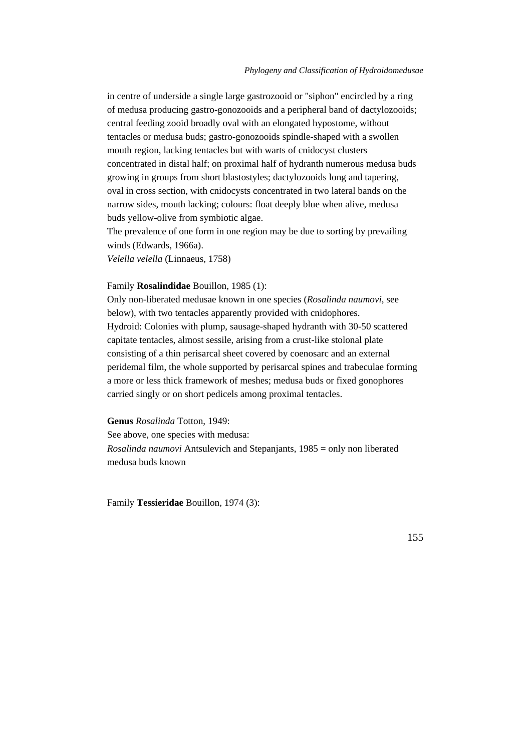in centre of underside a single large gastrozooid or "siphon" encircled by a ring of medusa producing gastro-gonozooids and a peripheral band of dactylozooids; central feeding zooid broadly oval with an elongated hypostome, without tentacles or medusa buds; gastro-gonozooids spindle-shaped with a swollen mouth region, lacking tentacles but with warts of cnidocyst clusters concentrated in distal half; on proximal half of hydranth numerous medusa buds growing in groups from short blastostyles; dactylozooids long and tapering, oval in cross section, with cnidocysts concentrated in two lateral bands on the narrow sides, mouth lacking; colours: float deeply blue when alive, medusa buds yellow-olive from symbiotic algae.

The prevalence of one form in one region may be due to sorting by prevailing winds (Edwards, 1966a).

*Velella velella* (Linnaeus, 1758)

### Family **Rosalindidae** Bouillon, 1985 (1):

Only non-liberated medusae known in one species (*Rosalinda naumovi*, see below), with two tentacles apparently provided with cnidophores. Hydroid: Colonies with plump, sausage-shaped hydranth with 30-50 scattered capitate tentacles, almost sessile, arising from a crust-like stolonal plate consisting of a thin perisarcal sheet covered by coenosarc and an external peridemal film, the whole supported by perisarcal spines and trabeculae forming a more or less thick framework of meshes; medusa buds or fixed gonophores carried singly or on short pedicels among proximal tentacles.

**Genus** *Rosalinda* Totton, 1949:

See above, one species with medusa: *Rosalinda naumovi* Antsulevich and Stepanjants, 1985 = only non liberated medusa buds known

Family **Tessieridae** Bouillon, 1974 (3):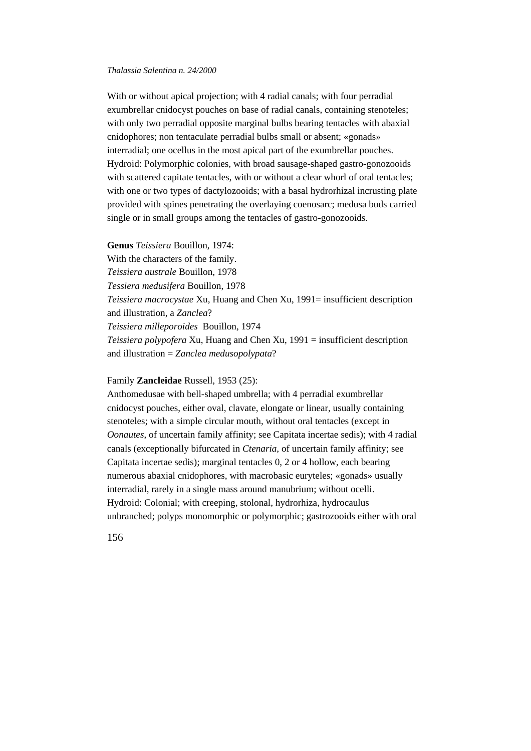With or without apical projection; with 4 radial canals; with four perradial exumbrellar cnidocyst pouches on base of radial canals, containing stenoteles; with only two perradial opposite marginal bulbs bearing tentacles with abaxial cnidophores; non tentaculate perradial bulbs small or absent; «gonads» interradial; one ocellus in the most apical part of the exumbrellar pouches. Hydroid: Polymorphic colonies, with broad sausage-shaped gastro-gonozooids with scattered capitate tentacles, with or without a clear whorl of oral tentacles; with one or two types of dactylozooids; with a basal hydrorhizal incrusting plate provided with spines penetrating the overlaying coenosarc; medusa buds carried single or in small groups among the tentacles of gastro-gonozooids.

**Genus** *Teissiera* Bouillon, 1974:

With the characters of the family.

*Teissiera australe* Bouillon, 1978

*Tessiera medusifera* Bouillon, 1978

*Teissiera macrocystae* Xu, Huang and Chen Xu, 1991= insufficient description and illustration, a *Zanclea*?

*Teissiera milleporoides* Bouillon, 1974

*Teissiera polypofera* Xu, Huang and Chen Xu, 1991 = insufficient description and illustration = *Zanclea medusopolypata*?

Family **Zancleidae** Russell, 1953 (25):

Anthomedusae with bell-shaped umbrella; with 4 perradial exumbrellar cnidocyst pouches, either oval, clavate, elongate or linear, usually containing stenoteles; with a simple circular mouth, without oral tentacles (except in *Oonautes*, of uncertain family affinity; see Capitata incertae sedis); with 4 radial canals (exceptionally bifurcated in *Ctenaria*, of uncertain family affinity; see Capitata incertae sedis); marginal tentacles 0, 2 or 4 hollow, each bearing numerous abaxial cnidophores, with macrobasic euryteles; «gonads» usually interradial, rarely in a single mass around manubrium; without ocelli. Hydroid: Colonial; with creeping, stolonal, hydrorhiza, hydrocaulus unbranched; polyps monomorphic or polymorphic; gastrozooids either with oral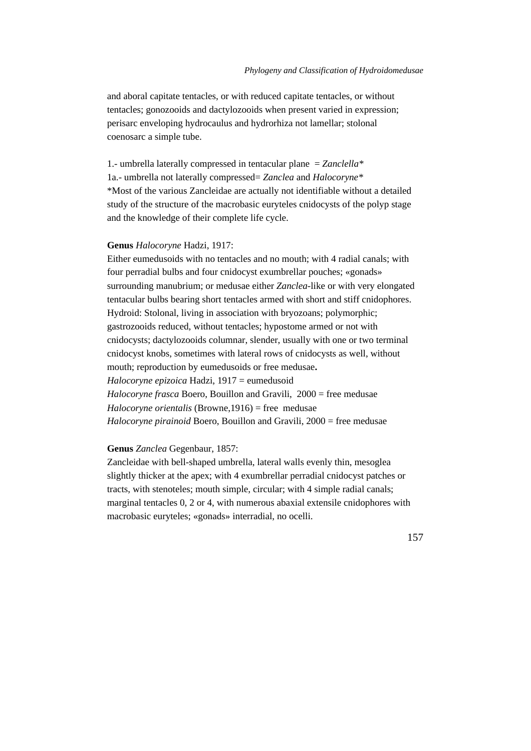and aboral capitate tentacles, or with reduced capitate tentacles, or without tentacles; gonozooids and dactylozooids when present varied in expression; perisarc enveloping hydrocaulus and hydrorhiza not lamellar; stolonal coenosarc a simple tube.

1.- umbrella laterally compressed in tentacular plane = *Zanclella\** 1a.- umbrella not laterally compressed= *Zanclea* and *Halocoryne\** \*Most of the various Zancleidae are actually not identifiable without a detailed study of the structure of the macrobasic euryteles cnidocysts of the polyp stage and the knowledge of their complete life cycle.

# **Genus** *Halocoryne* Hadzi, 1917:

Either eumedusoids with no tentacles and no mouth; with 4 radial canals; with four perradial bulbs and four cnidocyst exumbrellar pouches; «gonads» surrounding manubrium; or medusae either *Zanclea*-like or with very elongated tentacular bulbs bearing short tentacles armed with short and stiff cnidophores. Hydroid: Stolonal, living in association with bryozoans; polymorphic; gastrozooids reduced, without tentacles; hypostome armed or not with cnidocysts; dactylozooids columnar, slender, usually with one or two terminal cnidocyst knobs, sometimes with lateral rows of cnidocysts as well, without mouth; reproduction by eumedusoids or free medusae**.** *Halocoryne epizoica* Hadzi, 1917 = eumedusoid *Halocoryne frasca* Boero, Bouillon and Gravili, 2000 = free medusae *Halocoryne orientalis* (Browne,1916) = free medusae *Halocoryne pirainoid* Boero, Bouillon and Gravili, 2000 = free medusae

# **Genus** *Zanclea* Gegenbaur, 1857:

Zancleidae with bell-shaped umbrella, lateral walls evenly thin, mesoglea slightly thicker at the apex; with 4 exumbrellar perradial cnidocyst patches or tracts, with stenoteles; mouth simple, circular; with 4 simple radial canals; marginal tentacles 0, 2 or 4, with numerous abaxial extensile cnidophores with macrobasic euryteles; «gonads» interradial, no ocelli.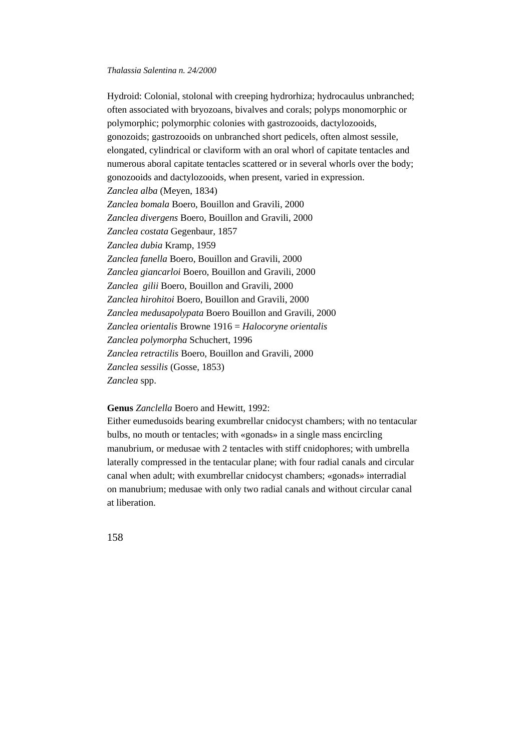Hydroid: Colonial, stolonal with creeping hydrorhiza; hydrocaulus unbranched; often associated with bryozoans, bivalves and corals; polyps monomorphic or polymorphic; polymorphic colonies with gastrozooids, dactylozooids, gonozoids; gastrozooids on unbranched short pedicels, often almost sessile, elongated, cylindrical or claviform with an oral whorl of capitate tentacles and numerous aboral capitate tentacles scattered or in several whorls over the body; gonozooids and dactylozooids, when present, varied in expression. *Zanclea alba* (Meyen, 1834) *Zanclea bomala* Boero, Bouillon and Gravili, 2000 *Zanclea divergens* Boero, Bouillon and Gravili, 2000 *Zanclea costata* Gegenbaur, 1857 *Zanclea dubia* Kramp, 1959 *Zanclea fanella* Boero, Bouillon and Gravili, 2000 *Zanclea giancarloi* Boero, Bouillon and Gravili, 2000 *Zanclea gilii* Boero, Bouillon and Gravili, 2000 *Zanclea hirohitoi* Boero, Bouillon and Gravili, 2000 *Zanclea medusapolypata* Boero Bouillon and Gravili, 2000 *Zanclea orientalis* Browne 1916 = *Halocoryne orientalis Zanclea polymorpha* Schuchert, 1996 *Zanclea retractilis* Boero, Bouillon and Gravili, 2000 *Zanclea sessilis* (Gosse, 1853) *Zanclea* spp.

**Genus** *Zanclella* Boero and Hewitt, 1992:

Either eumedusoids bearing exumbrellar cnidocyst chambers; with no tentacular bulbs, no mouth or tentacles; with «gonads» in a single mass encircling manubrium, or medusae with 2 tentacles with stiff cnidophores; with umbrella laterally compressed in the tentacular plane; with four radial canals and circular canal when adult; with exumbrellar cnidocyst chambers; «gonads» interradial on manubrium; medusae with only two radial canals and without circular canal at liberation.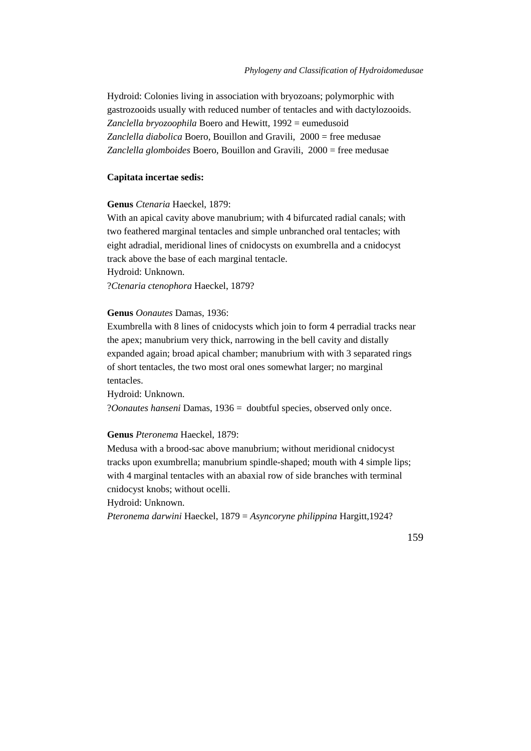Hydroid: Colonies living in association with bryozoans; polymorphic with gastrozooids usually with reduced number of tentacles and with dactylozooids. *Zanclella bryozoophila* Boero and Hewitt, 1992 = eumedusoid *Zanclella diabolica* Boero, Bouillon and Gravili, 2000 = free medusae *Zanclella glomboides* Boero, Bouillon and Gravili, 2000 = free medusae

# **Capitata incertae sedis:**

#### **Genus** *Ctenaria* Haeckel, 1879:

With an apical cavity above manubrium; with 4 bifurcated radial canals; with two feathered marginal tentacles and simple unbranched oral tentacles; with eight adradial, meridional lines of cnidocysts on exumbrella and a cnidocyst track above the base of each marginal tentacle. Hydroid: Unknown.

?*Ctenaria ctenophora* Haeckel, 1879?

# **Genus** *Oonautes* Damas, 1936:

Exumbrella with 8 lines of cnidocysts which join to form 4 perradial tracks near the apex; manubrium very thick, narrowing in the bell cavity and distally expanded again; broad apical chamber; manubrium with with 3 separated rings of short tentacles, the two most oral ones somewhat larger; no marginal tentacles.

Hydroid: Unknown. ?*Oonautes hanseni* Damas, 1936 = doubtful species, observed only once.

#### **Genus** *Pteronema* Haeckel, 1879:

Medusa with a brood-sac above manubrium; without meridional cnidocyst tracks upon exumbrella; manubrium spindle-shaped; mouth with 4 simple lips; with 4 marginal tentacles with an abaxial row of side branches with terminal cnidocyst knobs; without ocelli.

Hydroid: Unknown.

*Pteronema darwini* Haeckel, 1879 = *Asyncoryne philippina* Hargitt,1924?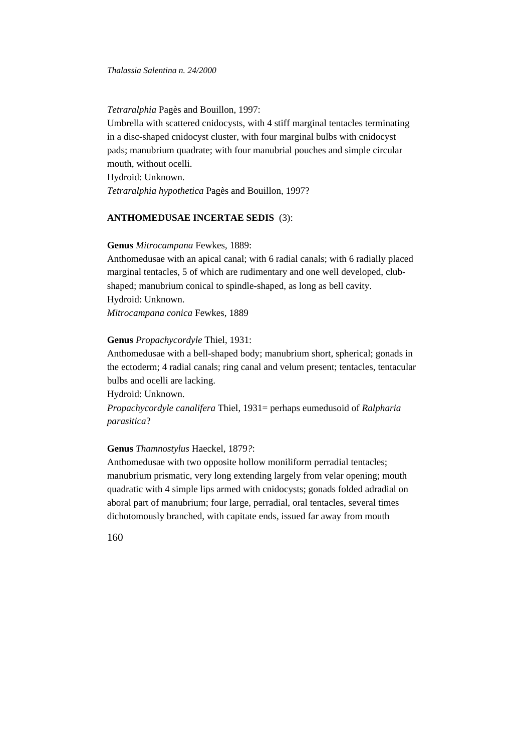*Tetraralphia* Pagès and Bouillon, 1997:

Umbrella with scattered cnidocysts, with 4 stiff marginal tentacles terminating in a disc-shaped cnidocyst cluster, with four marginal bulbs with cnidocyst pads; manubrium quadrate; with four manubrial pouches and simple circular mouth, without ocelli.

Hydroid: Unknown.

*Tetraralphia hypothetica* Pagès and Bouillon, 1997?

# **ANTHOMEDUSAE INCERTAE SEDIS** (3):

#### **Genus** *Mitrocampana* Fewkes, 1889:

Anthomedusae with an apical canal; with 6 radial canals; with 6 radially placed marginal tentacles, 5 of which are rudimentary and one well developed, clubshaped; manubrium conical to spindle-shaped, as long as bell cavity. Hydroid: Unknown.

*Mitrocampana conica* Fewkes, 1889

### **Genus** *Propachycordyle* Thiel, 1931:

Anthomedusae with a bell-shaped body; manubrium short, spherical; gonads in the ectoderm; 4 radial canals; ring canal and velum present; tentacles, tentacular bulbs and ocelli are lacking.

Hydroid: Unknown.

*Propachycordyle canalifera* Thiel, 1931= perhaps eumedusoid of *Ralpharia parasitica*?

# **Genus** *Thamnostylus* Haeckel, 1879*?*:

Anthomedusae with two opposite hollow moniliform perradial tentacles; manubrium prismatic, very long extending largely from velar opening; mouth quadratic with 4 simple lips armed with cnidocysts; gonads folded adradial on aboral part of manubrium; four large, perradial, oral tentacles, several times dichotomously branched, with capitate ends, issued far away from mouth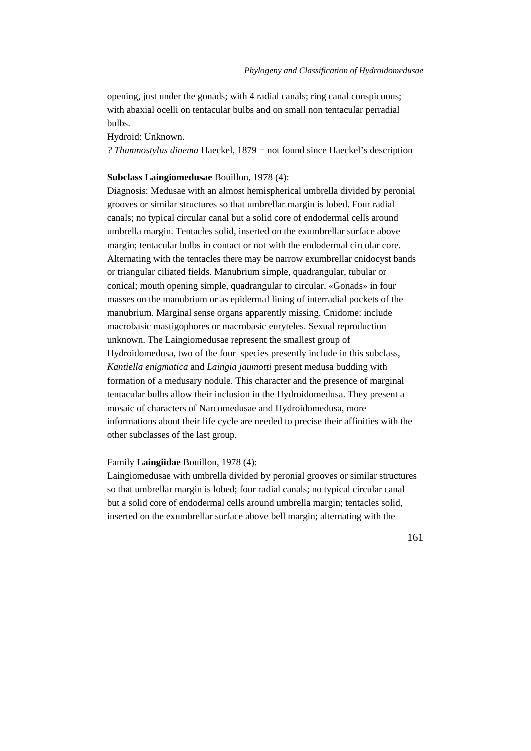opening, just under the gonads; with 4 radial canals; ring canal conspicuous; with abaxial ocelli on tentacular bulbs and on small non tentacular perradial bulbs.

Hydroid: Unknown.

*? Thamnostylus dinema* Haeckel, 1879 = not found since Haeckel's description

# **Subclass Laingiomedusae** Bouillon, 1978 (4):

Diagnosis: Medusae with an almost hemispherical umbrella divided by peronial grooves or similar structures so that umbrellar margin is lobed. Four radial canals; no typical circular canal but a solid core of endodermal cells around umbrella margin. Tentacles solid, inserted on the exumbrellar surface above margin; tentacular bulbs in contact or not with the endodermal circular core. Alternating with the tentacles there may be narrow exumbrellar cnidocyst bands or triangular ciliated fields. Manubrium simple, quadrangular, tubular or conical; mouth opening simple, quadrangular to circular. «Gonads» in four masses on the manubrium or as epidermal lining of interradial pockets of the manubrium. Marginal sense organs apparently missing. Cnidome: include macrobasic mastigophores or macrobasic euryteles. Sexual reproduction unknown. The Laingiomedusae represent the smallest group of Hydroidomedusa, two of the four species presently include in this subclass, *Kantiella enigmatica* and *Laingia jaumotti* present medusa budding with formation of a medusary nodule. This character and the presence of marginal tentacular bulbs allow their inclusion in the Hydroidomedusa. They present a mosaic of characters of Narcomedusae and Hydroidomedusa, more informations about their life cycle are needed to precise their affinities with the other subclasses of the last group.

#### Family **Laingiidae** Bouillon, 1978 (4):

Laingiomedusae with umbrella divided by peronial grooves or similar structures so that umbrellar margin is lobed; four radial canals; no typical circular canal but a solid core of endodermal cells around umbrella margin; tentacles solid, inserted on the exumbrellar surface above bell margin; alternating with the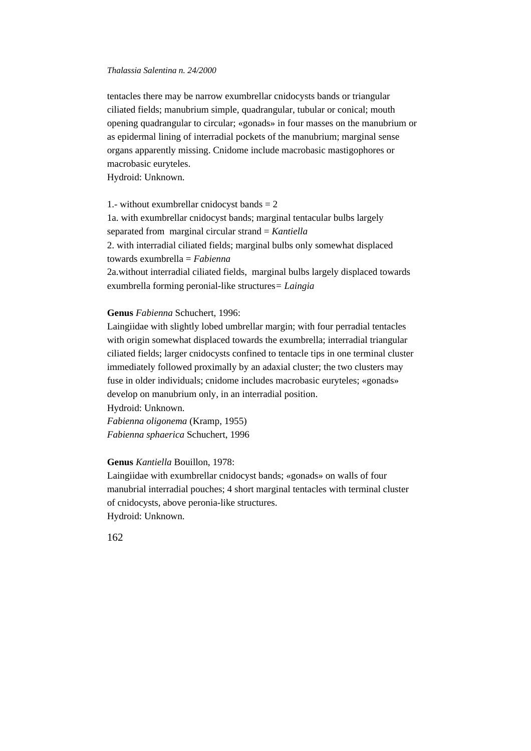tentacles there may be narrow exumbrellar cnidocysts bands or triangular ciliated fields; manubrium simple, quadrangular, tubular or conical; mouth opening quadrangular to circular; «gonads» in four masses on the manubrium or as epidermal lining of interradial pockets of the manubrium; marginal sense organs apparently missing. Cnidome include macrobasic mastigophores or macrobasic euryteles.

Hydroid: Unknown.

1.- without exumbrellar cnidocyst bands  $= 2$ 1a. with exumbrellar cnidocyst bands; marginal tentacular bulbs largely separated from marginal circular strand = *Kantiella* 2. with interradial ciliated fields; marginal bulbs only somewhat displaced towards exumbrella = *Fabienna* 2a.without interradial ciliated fields, marginal bulbs largely displaced towards exumbrella forming peronial-like structures*= Laingia*

# **Genus** *Fabienna* Schuchert, 1996:

Laingiidae with slightly lobed umbrellar margin; with four perradial tentacles with origin somewhat displaced towards the exumbrella; interradial triangular ciliated fields; larger cnidocysts confined to tentacle tips in one terminal cluster immediately followed proximally by an adaxial cluster; the two clusters may fuse in older individuals; cnidome includes macrobasic euryteles; «gonads» develop on manubrium only, in an interradial position.

Hydroid: Unknown. *Fabienna oligonema* (Kramp, 1955) *Fabienna sphaerica* Schuchert, 1996

#### **Genus** *Kantiella* Bouillon, 1978:

Laingiidae with exumbrellar cnidocyst bands; «gonads» on walls of four manubrial interradial pouches; 4 short marginal tentacles with terminal cluster of cnidocysts, above peronia-like structures. Hydroid: Unknown.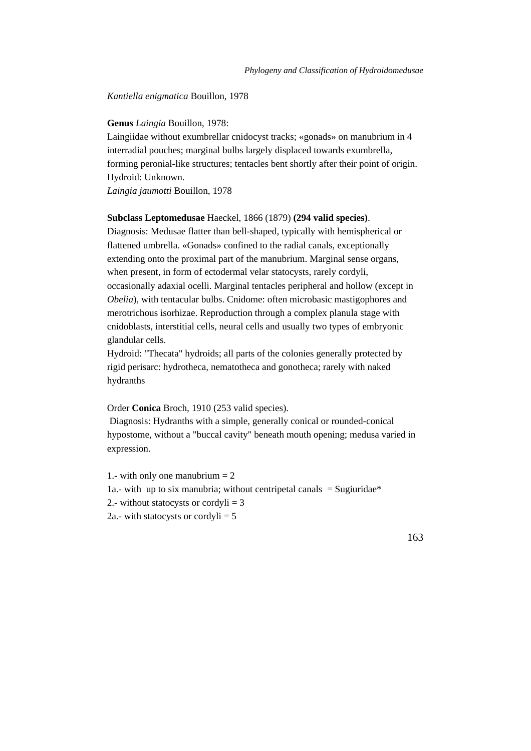### *Kantiella enigmatica* Bouillon, 1978

### **Genus** *Laingia* Bouillon, 1978:

Laingiidae without exumbrellar cnidocyst tracks; «gonads» on manubrium in 4 interradial pouches; marginal bulbs largely displaced towards exumbrella, forming peronial-like structures; tentacles bent shortly after their point of origin. Hydroid: Unknown.

*Laingia jaumotti* Bouillon, 1978

### **Subclass Leptomedusae** Haeckel, 1866 (1879) **(294 valid species)**.

Diagnosis: Medusae flatter than bell-shaped, typically with hemispherical or flattened umbrella. «Gonads» confined to the radial canals, exceptionally extending onto the proximal part of the manubrium. Marginal sense organs, when present, in form of ectodermal velar statocysts, rarely cordyli, occasionally adaxial ocelli. Marginal tentacles peripheral and hollow (except in *Obelia*), with tentacular bulbs. Cnidome: often microbasic mastigophores and merotrichous isorhizae. Reproduction through a complex planula stage with cnidoblasts, interstitial cells, neural cells and usually two types of embryonic glandular cells.

Hydroid: "Thecata" hydroids; all parts of the colonies generally protected by rigid perisarc: hydrotheca, nematotheca and gonotheca; rarely with naked hydranths

# Order **Conica** Broch, 1910 (253 valid species).

 Diagnosis: Hydranths with a simple, generally conical or rounded-conical hypostome, without a "buccal cavity" beneath mouth opening; medusa varied in expression.

- 1.- with only one manubrium  $= 2$ 1a.- with up to six manubria; without centripetal canals  $=$  Sugiuridae\* 2.- without statocysts or cordyli  $=$  3
- 2a.- with statocysts or cordyli  $= 5$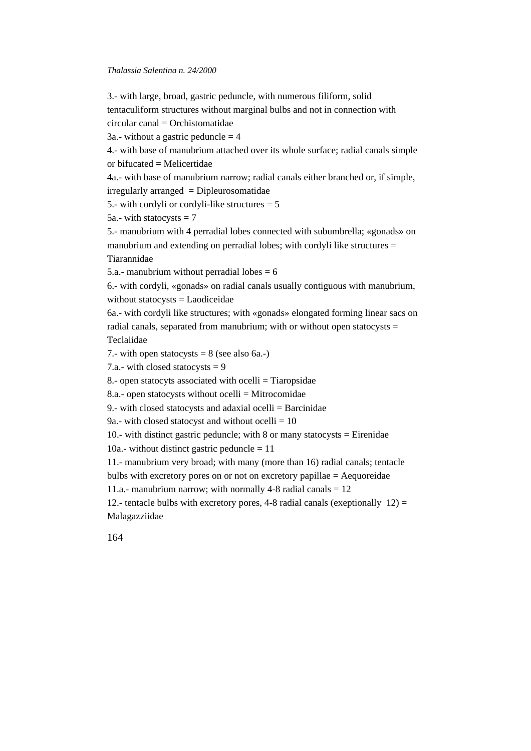3.- with large, broad, gastric peduncle, with numerous filiform, solid tentaculiform structures without marginal bulbs and not in connection with  $circular canal = Ornistomatic$ 3a.- without a gastric peduncle  $=$  4 4.- with base of manubrium attached over its whole surface; radial canals simple or bifucated  $=$  Melicertidae 4a.- with base of manubrium narrow; radial canals either branched or, if simple, irregularly arranged = Dipleurosomatidae 5.- with cordyli or cordyli-like structures  $= 5$ 5a.- with statocysts  $= 7$ 5.- manubrium with 4 perradial lobes connected with subumbrella; «gonads» on manubrium and extending on perradial lobes; with cordyli like structures = Tiarannidae 5.a.- manubrium without perradial lobes  $= 6$ 6.- with cordyli, «gonads» on radial canals usually contiguous with manubrium, without statocysts = Laodiceidae 6a.- with cordyli like structures; with «gonads» elongated forming linear sacs on radial canals, separated from manubrium; with or without open statocysts  $=$ 

Teclaiidae

7.- with open statocysts  $= 8$  (see also 6a.-)

7.a.- with closed statocysts  $= 9$ 

8.- open statocyts associated with ocelli = Tiaropsidae

8.a.- open statocysts without ocelli  $=$  Mitrocomidae

9.- with closed statocysts and adaxial ocelli = Barcinidae

9a.- with closed statocyst and without ocelli  $= 10$ 

10.- with distinct gastric peduncle; with 8 or many statocysts  $=$  Eirenidae

10a.- without distinct gastric peduncle  $= 11$ 

11.- manubrium very broad; with many (more than 16) radial canals; tentacle

bulbs with excretory pores on or not on excretory papillae = Aequoreidae

11.a.- manubrium narrow; with normally 4-8 radial canals  $= 12$ 

12.- tentacle bulbs with excretory pores, 4-8 radial canals (exeptionally  $12$ ) = Malagazziidae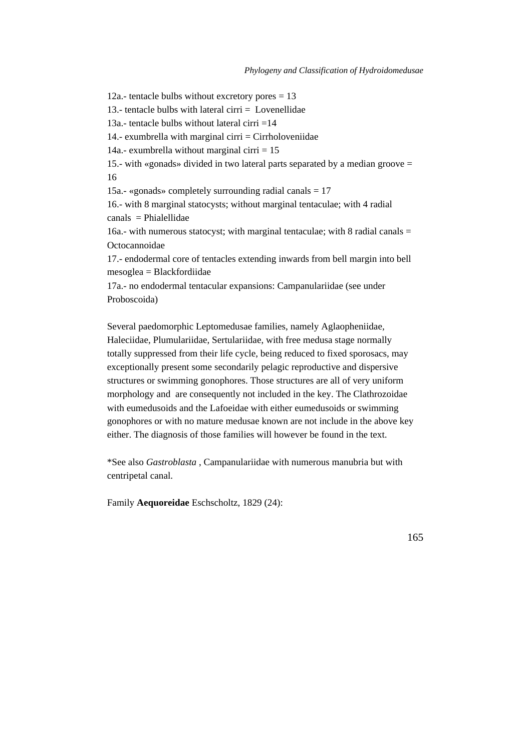12a.- tentacle bulbs without excretory pores  $= 13$ 13.- tentacle bulbs with lateral cirri  $=$  Lovenellidae 13a.- tentacle bulbs without lateral cirri  $=14$ 14.- exumbrella with marginal cirri  $=$  Cirrholoveniidae 14a.- exumbrella without marginal cirri  $= 15$ 15.- with «gonads» divided in two lateral parts separated by a median groove = 16 15a.- «gonads» completely surrounding radial canals  $= 17$ 16.- with 8 marginal statocysts; without marginal tentaculae; with 4 radial  $canals = Philadelphiae$ 16a.- with numerous statocyst; with marginal tentaculae; with 8 radial canals  $=$ Octocannoidae 17.- endodermal core of tentacles extending inwards from bell margin into bell mesoglea = Blackfordiidae

17a.- no endodermal tentacular expansions: Campanulariidae (see under Proboscoida)

Several paedomorphic Leptomedusae families, namely Aglaopheniidae, Haleciidae, Plumulariidae, Sertulariidae, with free medusa stage normally totally suppressed from their life cycle, being reduced to fixed sporosacs, may exceptionally present some secondarily pelagic reproductive and dispersive structures or swimming gonophores. Those structures are all of very uniform morphology and are consequently not included in the key. The Clathrozoidae with eumedusoids and the Lafoeidae with either eumedusoids or swimming gonophores or with no mature medusae known are not include in the above key either. The diagnosis of those families will however be found in the text.

\*See also *Gastroblasta* , Campanulariidae with numerous manubria but with centripetal canal.

Family **Aequoreidae** Eschscholtz, 1829 (24):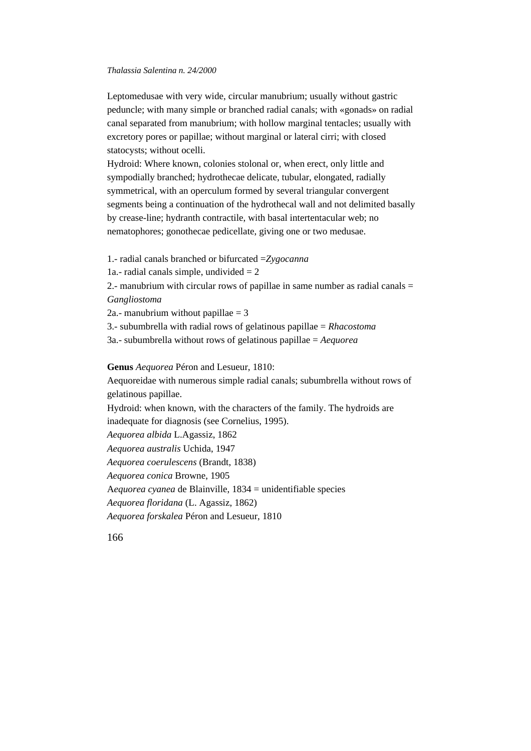Leptomedusae with very wide, circular manubrium; usually without gastric peduncle; with many simple or branched radial canals; with «gonads» on radial canal separated from manubrium; with hollow marginal tentacles; usually with excretory pores or papillae; without marginal or lateral cirri; with closed statocysts; without ocelli.

Hydroid: Where known, colonies stolonal or, when erect, only little and sympodially branched; hydrothecae delicate, tubular, elongated, radially symmetrical, with an operculum formed by several triangular convergent segments being a continuation of the hydrothecal wall and not delimited basally by crease-line; hydranth contractile, with basal intertentacular web; no nematophores; gonothecae pedicellate, giving one or two medusae.

1.- radial canals branched or bifurcated =*Zygocanna*

1a.- radial canals simple, undivided  $= 2$ 

2.- manubrium with circular rows of papillae in same number as radial canals = *Gangliostoma*

2a.- manubrium without papillae  $=$  3

3.- subumbrella with radial rows of gelatinous papillae = *Rhacostoma*

3a.- subumbrella without rows of gelatinous papillae = *Aequorea*

**Genus** *Aequorea* Péron and Lesueur, 1810:

Aequoreidae with numerous simple radial canals; subumbrella without rows of gelatinous papillae.

Hydroid: when known, with the characters of the family. The hydroids are inadequate for diagnosis (see Cornelius, 1995).

*Aequorea albida* L.Agassiz, 1862

*Aequorea australis* Uchida, 1947

*Aequorea coerulescens* (Brandt, 1838)

*Aequorea conica* Browne, 1905

A*equorea cyanea* de Blainville, 1834 = unidentifiable species

*Aequorea floridana* (L. Agassiz, 1862)

*Aequorea forskalea* Péron and Lesueur, 1810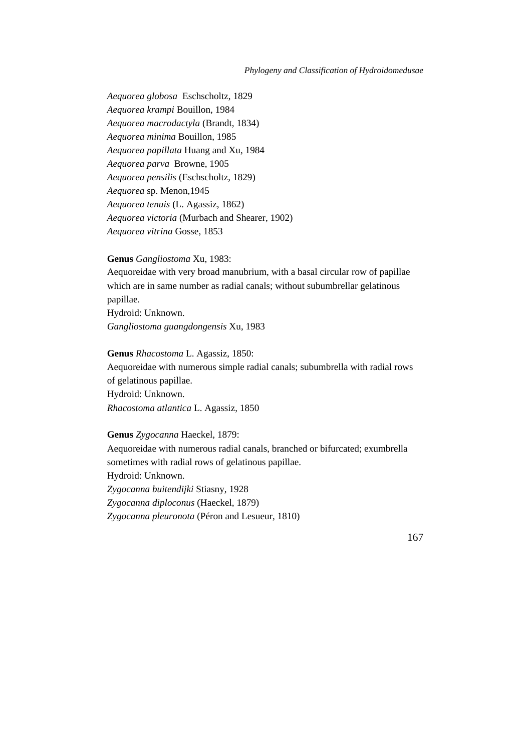#### *Phylogeny and Classification of Hydroidomedusae*

*Aequorea globosa* Eschscholtz, 1829 *Aequorea krampi* Bouillon, 1984 *Aequorea macrodactyla* (Brandt, 1834) *Aequorea minima* Bouillon, 1985 *Aequorea papillata* Huang and Xu, 1984 *Aequorea parva* Browne, 1905 *Aequorea pensilis* (Eschscholtz, 1829) *Aequorea* sp. Menon,1945 *Aequorea tenuis* (L. Agassiz, 1862) *Aequorea victoria* (Murbach and Shearer, 1902) *Aequorea vitrina* Gosse, 1853

# **Genus** *Gangliostoma* Xu, 1983:

Aequoreidae with very broad manubrium, with a basal circular row of papillae which are in same number as radial canals; without subumbrellar gelatinous papillae.

Hydroid: Unknown. *Gangliostoma guangdongensis* Xu, 1983

# **Genus** *Rhacostoma* L. Agassiz, 1850:

Aequoreidae with numerous simple radial canals; subumbrella with radial rows of gelatinous papillae. Hydroid: Unknown. *Rhacostoma atlantica* L. Agassiz, 1850

#### **Genus** *Zygocanna* Haeckel, 1879:

Aequoreidae with numerous radial canals, branched or bifurcated; exumbrella sometimes with radial rows of gelatinous papillae. Hydroid: Unknown. *Zygocanna buitendijki* Stiasny, 1928 *Zygocanna diploconus* (Haeckel, 1879) *Zygocanna pleuronota* (Péron and Lesueur, 1810)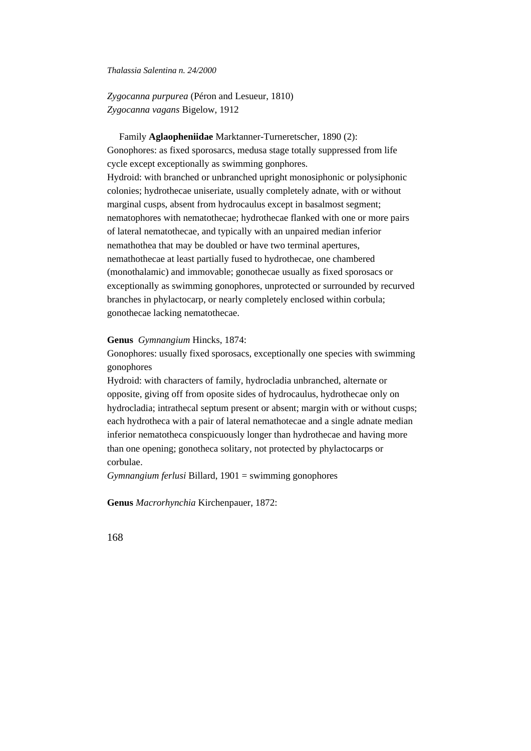*Zygocanna purpurea* (Péron and Lesueur, 1810) *Zygocanna vagans* Bigelow, 1912

 Family **Aglaopheniidae** Marktanner-Turneretscher, 1890 (2): Gonophores: as fixed sporosarcs, medusa stage totally suppressed from life cycle except exceptionally as swimming gonphores. Hydroid: with branched or unbranched upright monosiphonic or polysiphonic colonies; hydrothecae uniseriate, usually completely adnate, with or without marginal cusps, absent from hydrocaulus except in basalmost segment; nematophores with nematothecae; hydrothecae flanked with one or more pairs of lateral nematothecae, and typically with an unpaired median inferior nemathothea that may be doubled or have two terminal apertures, nemathothecae at least partially fused to hydrothecae, one chambered (monothalamic) and immovable; gonothecae usually as fixed sporosacs or exceptionally as swimming gonophores, unprotected or surrounded by recurved branches in phylactocarp, or nearly completely enclosed within corbula; gonothecae lacking nematothecae.

#### **Genus** *Gymnangium* Hincks, 1874:

Gonophores: usually fixed sporosacs, exceptionally one species with swimming gonophores

Hydroid: with characters of family, hydrocladia unbranched, alternate or opposite, giving off from oposite sides of hydrocaulus, hydrothecae only on hydrocladia; intrathecal septum present or absent; margin with or without cusps; each hydrotheca with a pair of lateral nemathotecae and a single adnate median inferior nematotheca conspicuously longer than hydrothecae and having more than one opening; gonotheca solitary, not protected by phylactocarps or corbulae.

*Gymnangium ferlusi* Billard, 1901 = swimming gonophores

**Genus** *Macrorhynchia* Kirchenpauer, 1872: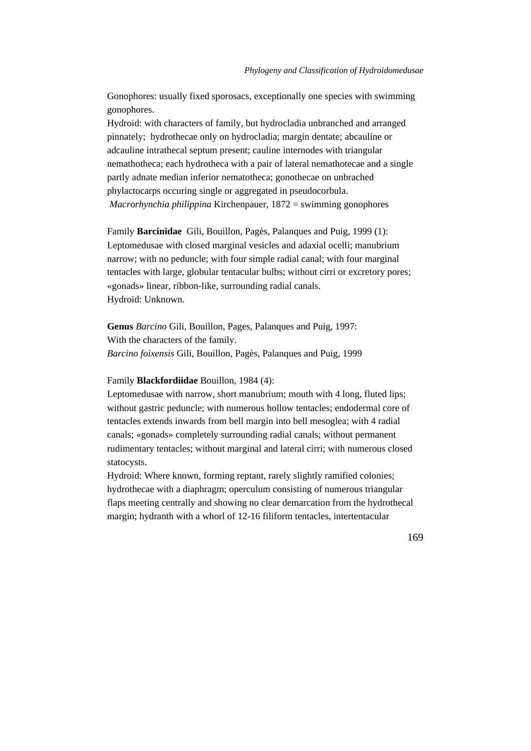Gonophores: usually fixed sporosacs, exceptionally one species with swimming gonophores.

Hydroid: with characters of family, but hydrocladia unbranched and arranged pinnately; hydrothecae only on hydrocladia; margin dentate; abcauline or adcauline intrathecal septum present; cauline internodes with triangular nemathotheca; each hydrotheca with a pair of lateral nemathotecae and a single partly adnate median inferior nematotheca; gonothecae on unbrached phylactocarps occuring single or aggregated in pseudocorbula. *Macrorhynchia philippina* Kirchenpauer, 1872 = swimming gonophores

Family **Barcinidae** Gili, Bouillon, Pagès, Palanques and Puig, 1999 (1): Leptomedusae with closed marginal vesicles and adaxial ocelli; manubrium narrow; with no peduncle; with four simple radial canal; with four marginal tentacles with large, globular tentacular bulbs; without cirri or excretory pores; «gonads» linear, ribbon-like, surrounding radial canals. Hydroid: Unknown.

**Genus** *Barcino* Gili, Bouillon, Pages, Palanques and Puig, 1997: With the characters of the family. *Barcino foixensis* Gili, Bouillon, Pagès, Palanques and Puig, 1999

#### Family **Blackfordiidae** Bouillon, 1984 (4):

Leptomedusae with narrow, short manubrium; mouth with 4 long, fluted lips; without gastric peduncle; with numerous hollow tentacles; endodermal core of tentacles extends inwards from bell margin into bell mesoglea; with 4 radial canals; «gonads» completely surrounding radial canals; without permanent rudimentary tentacles; without marginal and lateral cirri; with numerous closed statocysts.

Hydroid: Where known, forming reptant, rarely slightly ramified colonies; hydrothecae with a diaphragm; operculum consisting of numerous triangular flaps meeting centrally and showing no clear demarcation from the hydrothecal margin; hydranth with a whorl of 12-16 filiform tentacles, intertentacular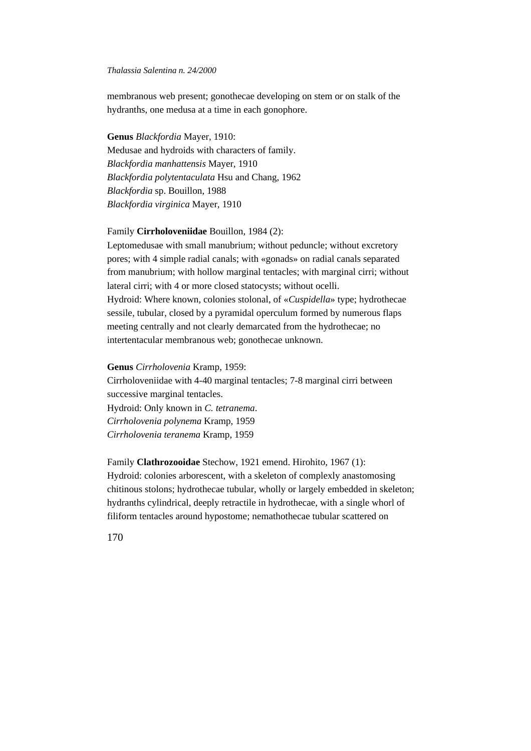membranous web present; gonothecae developing on stem or on stalk of the hydranths, one medusa at a time in each gonophore.

**Genus** *Blackfordia* Mayer, 1910: Medusae and hydroids with characters of family. *Blackfordia manhattensis* Mayer, 1910 *Blackfordia polytentaculata* Hsu and Chang, 1962 *Blackfordia* sp. Bouillon, 1988 *Blackfordia virginica* Mayer, 1910

# Family **Cirrholoveniidae** Bouillon, 1984 (2):

Leptomedusae with small manubrium; without peduncle; without excretory pores; with 4 simple radial canals; with «gonads» on radial canals separated from manubrium; with hollow marginal tentacles; with marginal cirri; without lateral cirri; with 4 or more closed statocysts; without ocelli. Hydroid: Where known, colonies stolonal, of «*Cuspidella*» type; hydrothecae sessile, tubular, closed by a pyramidal operculum formed by numerous flaps meeting centrally and not clearly demarcated from the hydrothecae; no intertentacular membranous web; gonothecae unknown.

#### **Genus** *Cirrholovenia* Kramp, 1959:

Cirrholoveniidae with 4-40 marginal tentacles; 7-8 marginal cirri between successive marginal tentacles.

Hydroid: Only known in *C. tetranema*. *Cirrholovenia polynema* Kramp, 1959 *Cirrholovenia teranema* Kramp, 1959

# Family **Clathrozooidae** Stechow, 1921 emend. Hirohito, 1967 (1): Hydroid: colonies arborescent, with a skeleton of complexly anastomosing chitinous stolons; hydrothecae tubular, wholly or largely embedded in skeleton; hydranths cylindrical, deeply retractile in hydrothecae, with a single whorl of filiform tentacles around hypostome; nemathothecae tubular scattered on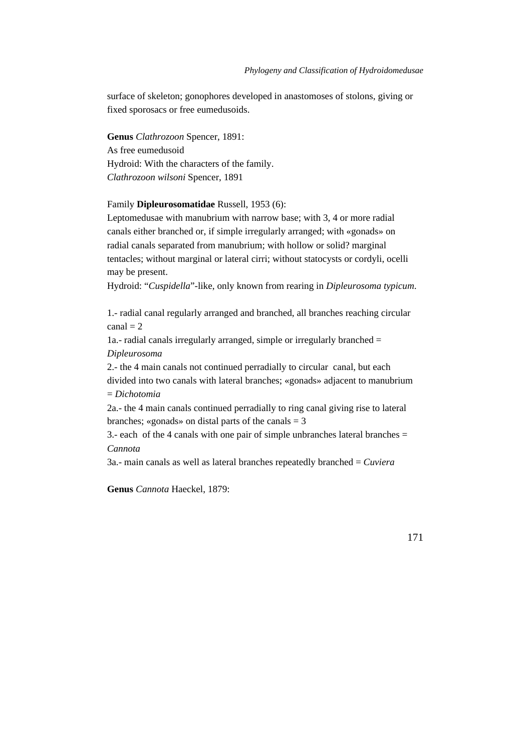surface of skeleton; gonophores developed in anastomoses of stolons, giving or fixed sporosacs or free eumedusoids.

**Genus** *Clathrozoon* Spencer, 1891: As free eumedusoid Hydroid: With the characters of the family. *Clathrozoon wilsoni* Spencer, 1891

### Family **Dipleurosomatidae** Russell, 1953 (6):

Leptomedusae with manubrium with narrow base; with 3, 4 or more radial canals either branched or, if simple irregularly arranged; with «gonads» on radial canals separated from manubrium; with hollow or solid? marginal tentacles; without marginal or lateral cirri; without statocysts or cordyli, ocelli may be present.

Hydroid: "*Cuspidella*"-like, only known from rearing in *Dipleurosoma typicum*.

1.- radial canal regularly arranged and branched, all branches reaching circular  $\text{canal} = 2$ 

1a.- radial canals irregularly arranged, simple or irregularly branched = *Dipleurosoma*

2.- the 4 main canals not continued perradially to circular canal, but each divided into two canals with lateral branches; «gonads» adjacent to manubrium = *Dichotomia*

2a.- the 4 main canals continued perradially to ring canal giving rise to lateral branches; «gonads» on distal parts of the canals  $= 3$ 

3.- each of the 4 canals with one pair of simple unbranches lateral branches  $=$ *Cannota*

3a.- main canals as well as lateral branches repeatedly branched = *Cuviera*

**Genus** *Cannota* Haeckel, 1879: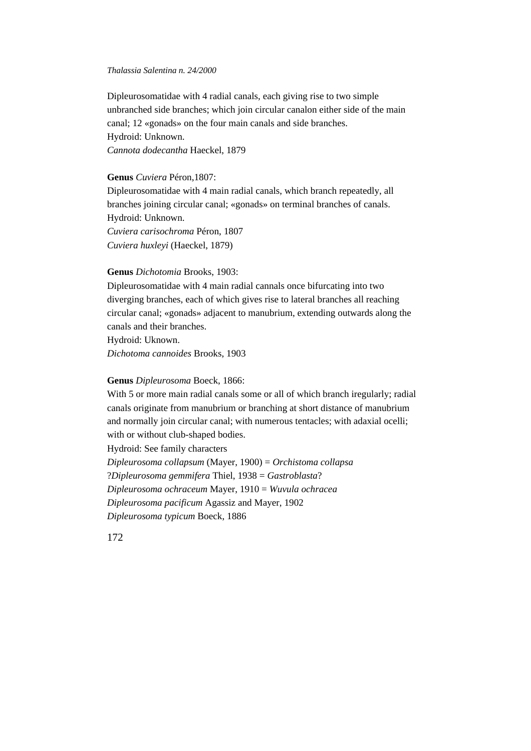Dipleurosomatidae with 4 radial canals, each giving rise to two simple unbranched side branches; which join circular canalon either side of the main canal; 12 «gonads» on the four main canals and side branches. Hydroid: Unknown. *Cannota dodecantha* Haeckel, 1879

### **Genus** *Cuviera* Péron,1807:

Dipleurosomatidae with 4 main radial canals, which branch repeatedly, all branches joining circular canal; «gonads» on terminal branches of canals. Hydroid: Unknown. *Cuviera carisochroma* Péron, 1807 *Cuviera huxleyi* (Haeckel, 1879)

# **Genus** *Dichotomia* Brooks, 1903:

Dipleurosomatidae with 4 main radial cannals once bifurcating into two diverging branches, each of which gives rise to lateral branches all reaching circular canal; «gonads» adjacent to manubrium, extending outwards along the canals and their branches. Hydroid: Uknown. *Dichotoma cannoides* Brooks, 1903

### **Genus** *Dipleurosoma* Boeck, 1866:

With 5 or more main radial canals some or all of which branch iregularly; radial canals originate from manubrium or branching at short distance of manubrium and normally join circular canal; with numerous tentacles; with adaxial ocelli; with or without club-shaped bodies. Hydroid: See family characters *Dipleurosoma collapsum* (Mayer, 1900) = *Orchistoma collapsa* ?*Dipleurosoma gemmifera* Thiel, 1938 = *Gastroblasta*? *Dipleurosoma ochraceum* Mayer, 1910 = *Wuvula ochracea Dipleurosoma pacificum* Agassiz and Mayer, 1902 *Dipleurosoma typicum* Boeck, 1886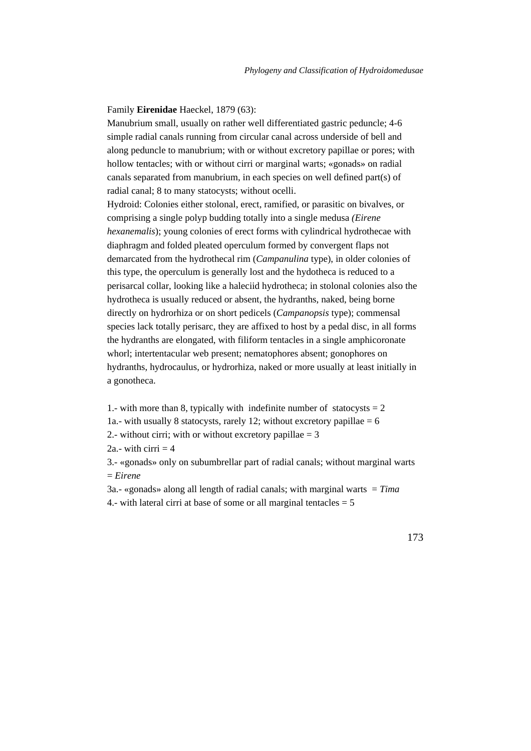#### Family **Eirenidae** Haeckel, 1879 (63):

Manubrium small, usually on rather well differentiated gastric peduncle; 4-6 simple radial canals running from circular canal across underside of bell and along peduncle to manubrium; with or without excretory papillae or pores; with hollow tentacles; with or without cirri or marginal warts; «gonads» on radial canals separated from manubrium, in each species on well defined part(s) of radial canal; 8 to many statocysts; without ocelli.

Hydroid: Colonies either stolonal, erect, ramified, or parasitic on bivalves, or comprising a single polyp budding totally into a single medusa *(Eirene hexanemalis*); young colonies of erect forms with cylindrical hydrothecae with diaphragm and folded pleated operculum formed by convergent flaps not demarcated from the hydrothecal rim (*Campanulina* type), in older colonies of this type, the operculum is generally lost and the hydotheca is reduced to a perisarcal collar, looking like a haleciid hydrotheca; in stolonal colonies also the hydrotheca is usually reduced or absent, the hydranths, naked, being borne directly on hydrorhiza or on short pedicels (*Campanopsis* type); commensal species lack totally perisarc, they are affixed to host by a pedal disc, in all forms the hydranths are elongated, with filiform tentacles in a single amphicoronate whorl; intertentacular web present; nematophores absent; gonophores on hydranths, hydrocaulus, or hydrorhiza, naked or more usually at least initially in a gonotheca.

1.- with more than 8, typically with indefinite number of statocysts  $= 2$ 1a.- with usually 8 statocysts, rarely 12; without excretory papillae  $= 6$ 

2.- without cirri; with or without excretory papillae  $= 3$ 

2a - with cirri  $= 4$ 

3.- «gonads» only on subumbrellar part of radial canals; without marginal warts = *Eirene*

3a.- «gonads» along all length of radial canals; with marginal warts = *Tima* 4.- with lateral cirri at base of some or all marginal tentacles  $= 5$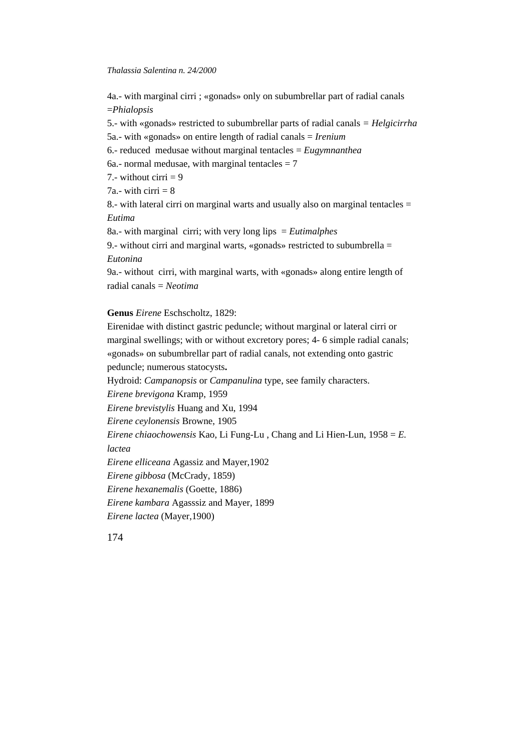4a.- with marginal cirri ; «gonads» only on subumbrellar part of radial canals =*Phialopsis* 5.- with «gonads» restricted to subumbrellar parts of radial canals *= Helgicirrha* 5a.- with «gonads» on entire length of radial canals = *Irenium* 6.- reduced medusae without marginal tentacles = *Eugymnanthea* 6a.- normal medusae, with marginal tentacles  $= 7$ 7.- without cirri  $= 9$ 7a.- with cirri  $= 8$ 8.- with lateral cirri on marginal warts and usually also on marginal tentacles = *Eutima* 8a.- with marginal cirri; with very long lips = *Eutimalphes* 9.- without cirri and marginal warts, «gonads» restricted to subumbrella  $=$ *Eutonina* 9a.- without cirri, with marginal warts, with «gonads» along entire length of radial canals = *Neotima* **Genus** *Eirene* Eschscholtz, 1829: Eirenidae with distinct gastric peduncle; without marginal or lateral cirri or marginal swellings; with or without excretory pores; 4- 6 simple radial canals;

«gonads» on subumbrellar part of radial canals, not extending onto gastric peduncle; numerous statocysts**.** Hydroid: *Campanopsis* or *Campanulina* type, see family characters. *Eirene brevigona* Kramp, 1959 *Eirene brevistylis* Huang and Xu, 1994 *Eirene ceylonensis* Browne, 1905 *Eirene chiaochowensis* Kao, Li Fung-Lu , Chang and Li Hien-Lun, 1958 = *E. lactea Eirene elliceana* Agassiz and Mayer,1902 *Eirene gibbosa* (McCrady, 1859) *Eirene hexanemalis* (Goette, 1886) *Eirene kambara* Agasssiz and Mayer, 1899 *Eirene lactea* (Mayer,1900)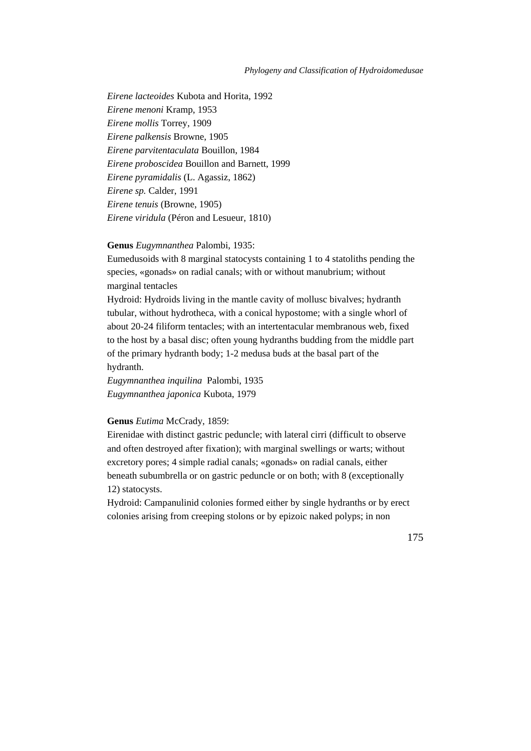#### *Phylogeny and Classification of Hydroidomedusae*

*Eirene lacteoides* Kubota and Horita, 1992 *Eirene menoni* Kramp, 1953 *Eirene mollis* Torrey, 1909 *Eirene palkensis* Browne, 1905 *Eirene parvitentaculata* Bouillon, 1984 *Eirene proboscidea* Bouillon and Barnett, 1999 *Eirene pyramidalis* (L. Agassiz, 1862) *Eirene sp.* Calder, 1991 *Eirene tenuis* (Browne, 1905) *Eirene viridula* (Péron and Lesueur, 1810)

#### **Genus** *Eugymnanthea* Palombi, 1935:

Eumedusoids with 8 marginal statocysts containing 1 to 4 statoliths pending the species, «gonads» on radial canals; with or without manubrium; without marginal tentacles

Hydroid: Hydroids living in the mantle cavity of mollusc bivalves; hydranth tubular, without hydrotheca, with a conical hypostome; with a single whorl of about 20-24 filiform tentacles; with an intertentacular membranous web, fixed to the host by a basal disc; often young hydranths budding from the middle part of the primary hydranth body; 1-2 medusa buds at the basal part of the hydranth.

*Eugymnanthea inquilina* Palombi, 1935 *Eugymnanthea japonica* Kubota, 1979

#### **Genus** *Eutima* McCrady, 1859:

Eirenidae with distinct gastric peduncle; with lateral cirri (difficult to observe and often destroyed after fixation); with marginal swellings or warts; without excretory pores; 4 simple radial canals; «gonads» on radial canals, either beneath subumbrella or on gastric peduncle or on both; with 8 (exceptionally 12) statocysts.

Hydroid: Campanulinid colonies formed either by single hydranths or by erect colonies arising from creeping stolons or by epizoic naked polyps; in non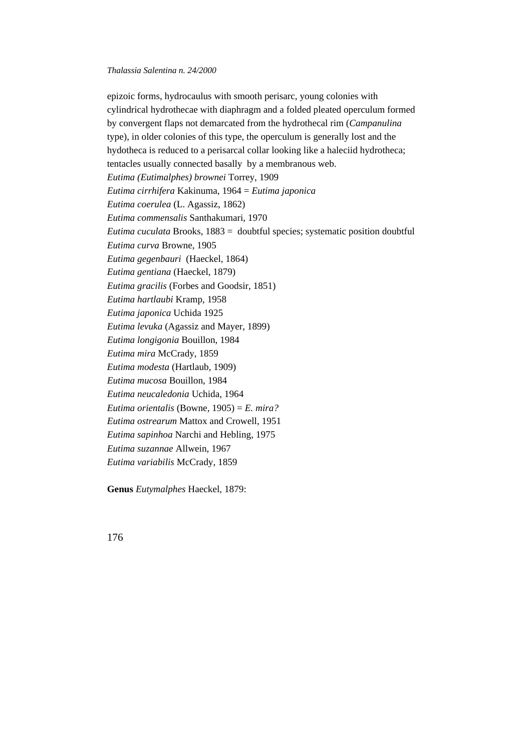epizoic forms, hydrocaulus with smooth perisarc, young colonies with cylindrical hydrothecae with diaphragm and a folded pleated operculum formed by convergent flaps not demarcated from the hydrothecal rim (*Campanulina* type), in older colonies of this type, the operculum is generally lost and the hydotheca is reduced to a perisarcal collar looking like a haleciid hydrotheca; tentacles usually connected basally by a membranous web. *Eutima (Eutimalphes) brownei* Torrey, 1909 *Eutima cirrhifera* Kakinuma, 1964 = *Eutima japonica Eutima coerulea* (L. Agassiz, 1862) *Eutima commensalis* Santhakumari, 1970 *Eutima cuculata* Brooks, 1883 = doubtful species; systematic position doubtful *Eutima curva* Browne, 1905 *Eutima gegenbauri* (Haeckel, 1864) *Eutima gentiana* (Haeckel, 1879) *Eutima gracilis* (Forbes and Goodsir, 1851) *Eutima hartlaubi* Kramp, 1958 *Eutima japonica* Uchida 1925 *Eutima levuka* (Agassiz and Mayer, 1899) *Eutima longigonia* Bouillon, 1984 *Eutima mira* McCrady, 1859 *Eutima modesta* (Hartlaub, 1909) *Eutima mucosa* Bouillon, 1984 *Eutima neucaledonia* Uchida, 1964 *Eutima orientalis* (Bowne, 1905) = *E. mira? Eutima ostrearum* Mattox and Crowell, 1951 *Eutima sapinhoa* Narchi and Hebling, 1975 *Eutima suzannae* Allwein, 1967 *Eutima variabilis* McCrady, 1859

**Genus** *Eutymalphes* Haeckel, 1879: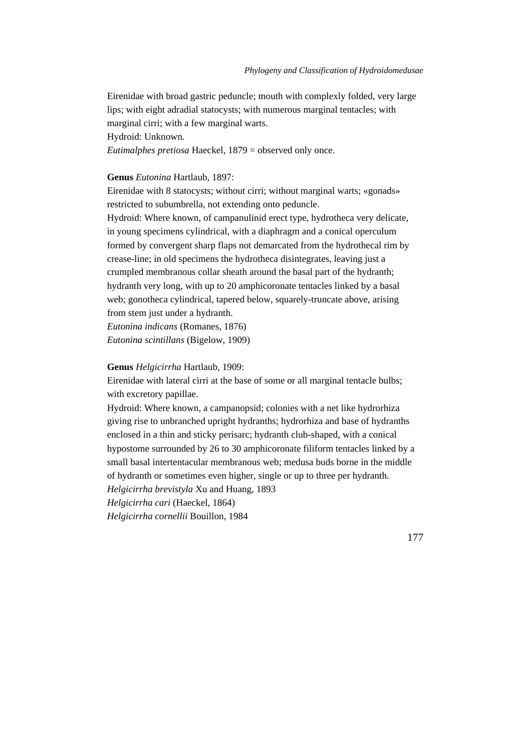Eirenidae with broad gastric peduncle; mouth with complexly folded, very large lips; with eight adradial statocysts; with numerous marginal tentacles; with marginal cirri; with a few marginal warts.

Hydroid: Unknown.

*Eutimalphes pretiosa* Haeckel, 1879 = observed only once.

### **Genus** *Eutonina* Hartlaub, 1897:

Eirenidae with 8 statocysts; without cirri; without marginal warts; «gonads» restricted to subumbrella, not extending onto peduncle.

Hydroid: Where known, of campanulinid erect type, hydrotheca very delicate, in young specimens cylindrical, with a diaphragm and a conical operculum formed by convergent sharp flaps not demarcated from the hydrothecal rim by crease-line; in old specimens the hydrotheca disintegrates, leaving just a crumpled membranous collar sheath around the basal part of the hydranth; hydranth very long, with up to 20 amphicoronate tentacles linked by a basal web; gonotheca cylindrical, tapered below, squarely-truncate above, arising from stem just under a hydranth.

*Eutonina indicans* (Romanes, 1876) *Eutonina scintillans* (Bigelow, 1909)

### **Genus** *Helgicirrha* Hartlaub, 1909:

Eirenidae with lateral cirri at the base of some or all marginal tentacle bulbs; with excretory papillae.

Hydroid: Where known, a campanopsid; colonies with a net like hydrorhiza giving rise to unbranched upright hydranths; hydrorhiza and base of hydranths enclosed in a thin and sticky perisarc; hydranth club-shaped, with a conical hypostome surrounded by 26 to 30 amphicoronate filiform tentacles linked by a small basal intertentacular membranous web; medusa buds borne in the middle of hydranth or sometimes even higher, single or up to three per hydranth. *Helgicirrha brevistyla* Xu and Huang, 1893 *Helgicirrha cari* (Haeckel, 1864) *Helgicirrha cornellii* Bouillon, 1984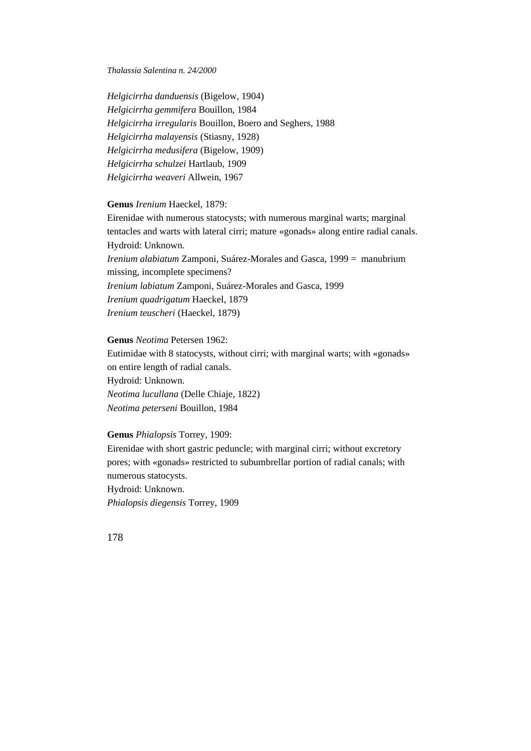*Helgicirrha danduensis* (Bigelow, 1904) *Helgicirrha gemmifera* Bouillon, 1984 *Helgicirrha irregularis* Bouillon, Boero and Seghers, 1988 *Helgicirrha malayensis* (Stiasny, 1928) *Helgicirrha medusifera* (Bigelow, 1909) *Helgicirrha schulzei* Hartlaub, 1909 *Helgicirrha weaveri* Allwein, 1967

### **Genus** *Irenium* Haeckel, 1879:

Eirenidae with numerous statocysts; with numerous marginal warts; marginal tentacles and warts with lateral cirri; mature «gonads» along entire radial canals. Hydroid: Unknown. *Irenium alabiatum* Zamponi, Suárez-Morales and Gasca, 1999 = manubrium missing, incomplete specimens? *Irenium labiatum* Zamponi, Suárez-Morales and Gasca, 1999 *Irenium quadrigatum* Haeckel, 1879 *Irenium teuscheri* (Haeckel, 1879)

**Genus** *Neotima* Petersen 1962: Eutimidae with 8 statocysts, without cirri; with marginal warts; with «gonads» on entire length of radial canals. Hydroid: Unknown. *Neotima lucullana* (Delle Chiaje, 1822) *Neotima peterseni* Bouillon, 1984

### **Genus** *Phialopsis* Torrey, 1909:

Eirenidae with short gastric peduncle; with marginal cirri; without excretory pores; with «gonads» restricted to subumbrellar portion of radial canals; with numerous statocysts. Hydroid: Unknown. *Phialopsis diegensis* Torrey, 1909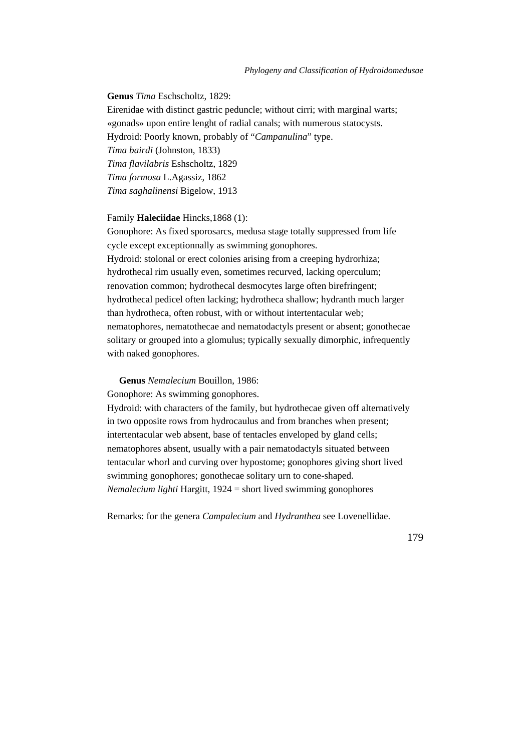**Genus** *Tima* Eschscholtz, 1829:

Eirenidae with distinct gastric peduncle; without cirri; with marginal warts; «gonads» upon entire lenght of radial canals; with numerous statocysts. Hydroid: Poorly known, probably of "*Campanulina*" type. *Tima bairdi* (Johnston, 1833) *Tima flavilabris* Eshscholtz, 1829 *Tima formosa* L.Agassiz, 1862 *Tima saghalinensi* Bigelow, 1913

Family **Haleciidae** Hincks,1868 (1):

Gonophore: As fixed sporosarcs, medusa stage totally suppressed from life cycle except exceptionnally as swimming gonophores. Hydroid: stolonal or erect colonies arising from a creeping hydrorhiza; hydrothecal rim usually even, sometimes recurved, lacking operculum; renovation common; hydrothecal desmocytes large often birefringent; hydrothecal pedicel often lacking; hydrotheca shallow; hydranth much larger than hydrotheca, often robust, with or without intertentacular web; nematophores, nematothecae and nematodactyls present or absent; gonothecae solitary or grouped into a glomulus; typically sexually dimorphic, infrequently with naked gonophores.

**Genus** *Nemalecium* Bouillon, 1986:

Gonophore: As swimming gonophores.

Hydroid: with characters of the family, but hydrothecae given off alternatively in two opposite rows from hydrocaulus and from branches when present; intertentacular web absent, base of tentacles enveloped by gland cells; nematophores absent, usually with a pair nematodactyls situated between tentacular whorl and curving over hypostome; gonophores giving short lived swimming gonophores; gonothecae solitary urn to cone-shaped. *Nemalecium lighti* Hargitt, 1924 = short lived swimming gonophores

Remarks: for the genera *Campalecium* and *Hydranthea* see Lovenellidae.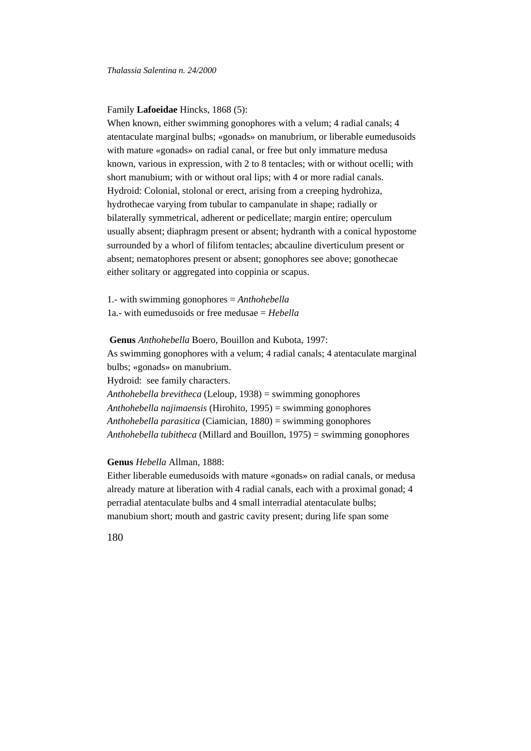# Family **Lafoeidae** Hincks, 1868 (5):

When known, either swimming gonophores with a velum; 4 radial canals; 4 atentaculate marginal bulbs; «gonads» on manubrium, or liberable eumedusoids with mature «gonads» on radial canal, or free but only immature medusa known, various in expression, with 2 to 8 tentacles; with or without ocelli; with short manubium; with or without oral lips; with 4 or more radial canals. Hydroid: Colonial, stolonal or erect, arising from a creeping hydrohiza, hydrothecae varying from tubular to campanulate in shape; radially or bilaterally symmetrical, adherent or pedicellate; margin entire; operculum usually absent; diaphragm present or absent; hydranth with a conical hypostome surrounded by a whorl of filifom tentacles; abcauline diverticulum present or absent; nematophores present or absent; gonophores see above; gonothecae either solitary or aggregated into coppinia or scapus.

1.- with swimming gonophores = *Anthohebella* 1a.- with eumedusoids or free medusae = *Hebella*

**Genus** *Anthohebella* Boero, Bouillon and Kubota, 1997: As swimming gonophores with a velum; 4 radial canals; 4 atentaculate marginal bulbs; «gonads» on manubrium. Hydroid: see family characters. *Anthohebella brevitheca* (Leloup, 1938) = swimming gonophores *Anthohebella najimaensis* (Hirohito, 1995) = swimming gonophores *Anthohebella parasitica* (Ciamician, 1880) = swimming gonophores *Anthohebella tubitheca* (Millard and Bouillon, 1975) = swimming gonophores

### **Genus** *Hebella* Allman, 1888:

Either liberable eumedusoids with mature «gonads» on radial canals, or medusa already mature at liberation with 4 radial canals, each with a proximal gonad; 4 perradial atentaculate bulbs and 4 small interradial atentaculate bulbs; manubium short; mouth and gastric cavity present; during life span some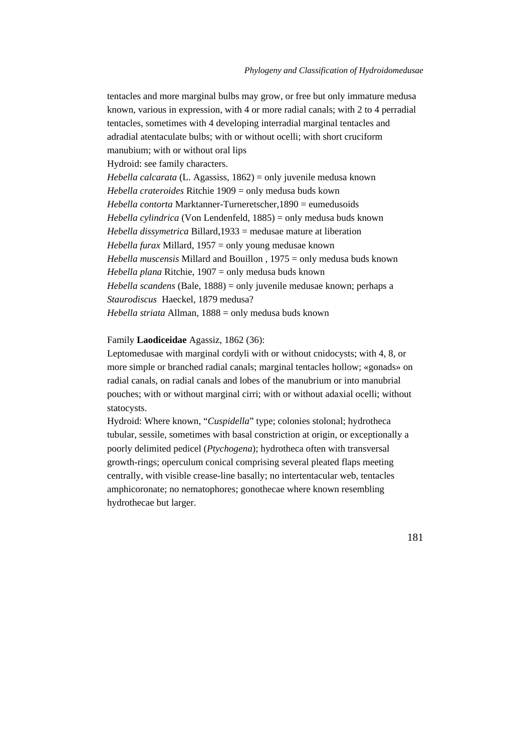tentacles and more marginal bulbs may grow, or free but only immature medusa known, various in expression, with 4 or more radial canals; with 2 to 4 perradial tentacles, sometimes with 4 developing interradial marginal tentacles and adradial atentaculate bulbs; with or without ocelli; with short cruciform manubium; with or without oral lips Hydroid: see family characters. *Hebella calcarata* (L. Agassiss, 1862) = only juvenile medusa known *Hebella crateroides* Ritchie 1909 = only medusa buds kown *Hebella contorta* Marktanner-Turneretscher,1890 = eumedusoids *Hebella cylindrica* (Von Lendenfeld, 1885) = only medusa buds known *Hebella dissymetrica* Billard,1933 = medusae mature at liberation *Hebella furax* Millard, 1957 = only young medusae known *Hebella muscensis* Millard and Bouillon , 1975 = only medusa buds known *Hebella plana* Ritchie, 1907 = only medusa buds known *Hebella scandens* (Bale, 1888) = only juvenile medusae known; perhaps a *Staurodiscus* Haeckel, 1879 medusa? *Hebella striata* Allman, 1888 = only medusa buds known

#### Family **Laodiceidae** Agassiz, 1862 (36):

Leptomedusae with marginal cordyli with or without cnidocysts; with 4, 8, or more simple or branched radial canals; marginal tentacles hollow; «gonads» on radial canals, on radial canals and lobes of the manubrium or into manubrial pouches; with or without marginal cirri; with or without adaxial ocelli; without statocysts.

Hydroid: Where known, "*Cuspidella*" type; colonies stolonal; hydrotheca tubular, sessile, sometimes with basal constriction at origin, or exceptionally a poorly delimited pedicel (*Ptychogena*); hydrotheca often with transversal growth-rings; operculum conical comprising several pleated flaps meeting centrally, with visible crease-line basally; no intertentacular web, tentacles amphicoronate; no nematophores; gonothecae where known resembling hydrothecae but larger.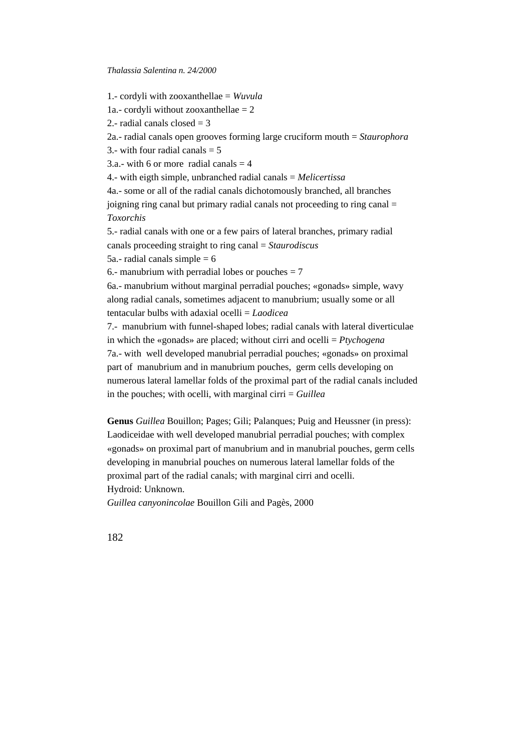1.- cordyli with zooxanthellae = *Wuvula* 1a.- cordyli without zooxanthellae  $= 2$ 2.- radial canals closed  $=$  3 2a.- radial canals open grooves forming large cruciform mouth = *Staurophora* 3.- with four radial canals  $= 5$  $3a$  - with 6 or more radial canals  $= 4$ 4.- with eigth simple, unbranched radial canals = *Melicertissa* 4a.- some or all of the radial canals dichotomously branched, all branches joigning ring canal but primary radial canals not proceeding to ring canal = *Toxorchis* 5.- radial canals with one or a few pairs of lateral branches, primary radial canals proceeding straight to ring canal = *Staurodiscus* 5a.- radial canals simple  $= 6$ 6.- manubrium with perradial lobes or pouches  $= 7$ 6a.- manubrium without marginal perradial pouches; «gonads» simple, wavy along radial canals, sometimes adjacent to manubrium; usually some or all tentacular bulbs with adaxial ocelli = *Laodicea* 7.- manubrium with funnel-shaped lobes; radial canals with lateral diverticulae in which the «gonads» are placed; without cirri and ocelli = *Ptychogena* 7a.- with well developed manubrial perradial pouches; «gonads» on proximal part of manubrium and in manubrium pouches, germ cells developing on numerous lateral lamellar folds of the proximal part of the radial canals included in the pouches; with ocelli, with marginal cirri = *Guillea*

**Genus** *Guillea* Bouillon; Pages; Gili; Palanques; Puig and Heussner (in press): Laodiceidae with well developed manubrial perradial pouches; with complex «gonads» on proximal part of manubrium and in manubrial pouches, germ cells developing in manubrial pouches on numerous lateral lamellar folds of the proximal part of the radial canals; with marginal cirri and ocelli. Hydroid: Unknown.

*Guillea canyonincolae* Bouillon Gili and Pagès, 2000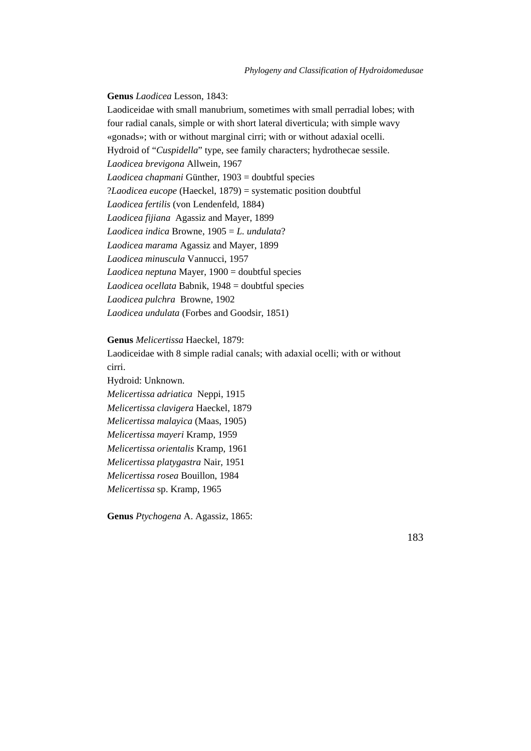**Genus** *Laodicea* Lesson, 1843:

Laodiceidae with small manubrium, sometimes with small perradial lobes; with four radial canals, simple or with short lateral diverticula; with simple wavy «gonads»; with or without marginal cirri; with or without adaxial ocelli. Hydroid of "*Cuspidella*" type, see family characters; hydrothecae sessile. *Laodicea brevigona* Allwein, 1967 *Laodicea chapmani* Günther, 1903 = doubtful species ?*Laodicea eucope* (Haeckel, 1879) = systematic position doubtful *Laodicea fertilis* (von Lendenfeld, 1884) *Laodicea fijiana* Agassiz and Mayer, 1899 *Laodicea indica* Browne, 1905 = *L. undulata*? *Laodicea marama* Agassiz and Mayer, 1899 *Laodicea minuscula* Vannucci, 1957 *Laodicea neptuna* Mayer, 1900 = doubtful species *Laodicea ocellata* Babnik, 1948 = doubtful species *Laodicea pulchra* Browne, 1902 *Laodicea undulata* (Forbes and Goodsir, 1851)

#### **Genus** *Melicertissa* Haeckel, 1879:

Laodiceidae with 8 simple radial canals; with adaxial ocelli; with or without cirri.

Hydroid: Unknown.

*Melicertissa adriatica* Neppi, 1915

*Melicertissa clavigera* Haeckel, 1879

*Melicertissa malayica* (Maas, 1905)

*Melicertissa mayeri* Kramp, 1959

*Melicertissa orientalis* Kramp, 1961

*Melicertissa platygastra* Nair, 1951

*Melicertissa rosea* Bouillon, 1984

*Melicertissa* sp. Kramp, 1965

**Genus** *Ptychogena* A. Agassiz, 1865: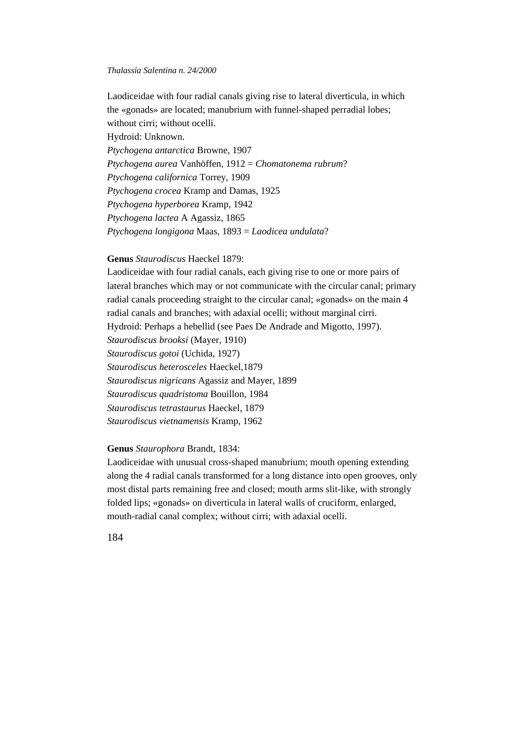Laodiceidae with four radial canals giving rise to lateral diverticula, in which the «gonads» are located; manubrium with funnel-shaped perradial lobes; without cirri; without ocelli. Hydroid: Unknown. *Ptychogena antarctica* Browne, 1907 *Ptychogena aurea* Vanhöffen, 1912 = *Chomatonema rubrum*? *Ptychogena californica* Torrey, 1909 *Ptychogena crocea* Kramp and Damas, 1925 *Ptychogena hyperborea* Kramp, 1942 *Ptychogena lactea* A Agassiz, 1865 *Ptychogena longigona* Maas, 1893 = *Laodicea undulata*?

# **Genus** *Staurodiscus* Haeckel 1879:

Laodiceidae with four radial canals, each giving rise to one or more pairs of lateral branches which may or not communicate with the circular canal; primary radial canals proceeding straight to the circular canal; «gonads» on the main 4 radial canals and branches; with adaxial ocelli; without marginal cirri. Hydroid: Perhaps a hebellid (see Paes De Andrade and Migotto, 1997). *Staurodiscus brooksi* (Mayer, 1910) *Staurodiscus gotoi* (Uchida, 1927) *Staurodiscus heterosceles* Haeckel,1879 *Staurodiscus nigricans* Agassiz and Mayer, 1899 *Staurodiscus quadristoma* Bouillon, 1984 *Staurodiscus tetrastaurus* Haeckel, 1879 *Staurodiscus vietnamensis* Kramp, 1962

# **Genus** *Staurophora* Brandt, 1834:

Laodiceidae with unusual cross-shaped manubrium; mouth opening extending along the 4 radial canals transformed for a long distance into open grooves, only most distal parts remaining free and closed; mouth arms slit-like, with strongly folded lips; «gonads» on diverticula in lateral walls of cruciform, enlarged, mouth-radial canal complex; without cirri; with adaxial ocelli.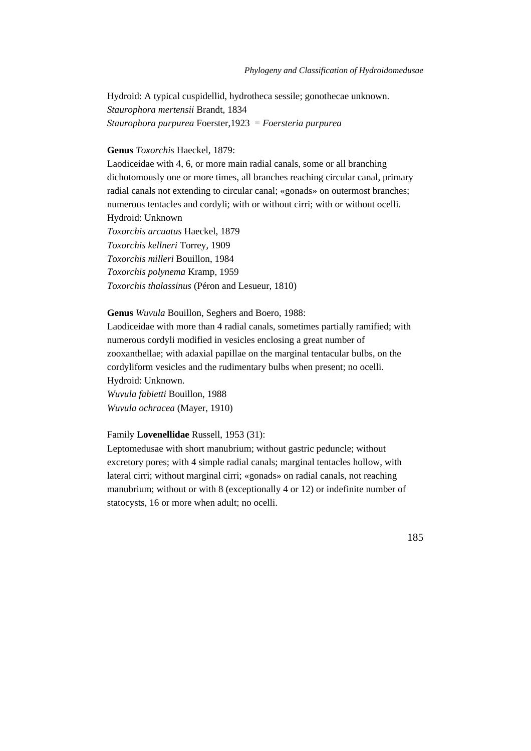Hydroid: A typical cuspidellid, hydrotheca sessile; gonothecae unknown. *Staurophora mertensii* Brandt, 1834 *Staurophora purpurea* Foerster,1923 = *Foersteria purpurea*

#### **Genus** *Toxorchis* Haeckel, 1879:

Laodiceidae with 4, 6, or more main radial canals, some or all branching dichotomously one or more times, all branches reaching circular canal, primary radial canals not extending to circular canal; «gonads» on outermost branches; numerous tentacles and cordyli; with or without cirri; with or without ocelli. Hydroid: Unknown *Toxorchis arcuatus* Haeckel, 1879 *Toxorchis kellneri* Torrey, 1909 *Toxorchis milleri* Bouillon, 1984 *Toxorchis polynema* Kramp, 1959 *Toxorchis thalassinus* (Péron and Lesueur, 1810)

#### **Genus** *Wuvula* Bouillon, Seghers and Boero, 1988:

Laodiceidae with more than 4 radial canals, sometimes partially ramified; with numerous cordyli modified in vesicles enclosing a great number of zooxanthellae; with adaxial papillae on the marginal tentacular bulbs, on the cordyliform vesicles and the rudimentary bulbs when present; no ocelli. Hydroid: Unknown. *Wuvula fabietti* Bouillon, 1988

*Wuvula ochracea* (Mayer, 1910)

# Family **Lovenellidae** Russell, 1953 (31):

Leptomedusae with short manubrium; without gastric peduncle; without excretory pores; with 4 simple radial canals; marginal tentacles hollow, with lateral cirri; without marginal cirri; «gonads» on radial canals, not reaching manubrium; without or with 8 (exceptionally 4 or 12) or indefinite number of statocysts, 16 or more when adult; no ocelli.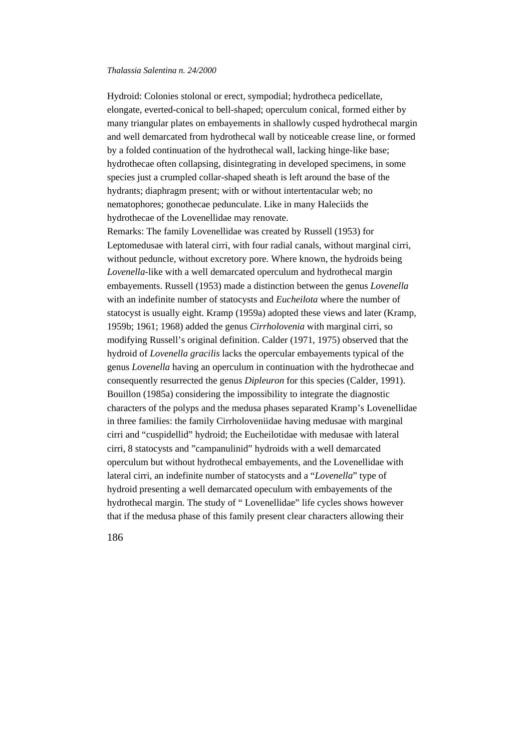Hydroid: Colonies stolonal or erect, sympodial; hydrotheca pedicellate, elongate, everted-conical to bell-shaped; operculum conical, formed either by many triangular plates on embayements in shallowly cusped hydrothecal margin and well demarcated from hydrothecal wall by noticeable crease line, or formed by a folded continuation of the hydrothecal wall, lacking hinge-like base; hydrothecae often collapsing, disintegrating in developed specimens, in some species just a crumpled collar-shaped sheath is left around the base of the hydrants; diaphragm present; with or without intertentacular web; no nematophores; gonothecae pedunculate. Like in many Haleciids the hydrothecae of the Lovenellidae may renovate. Remarks: The family Lovenellidae was created by Russell (1953) for Leptomedusae with lateral cirri, with four radial canals, without marginal cirri, without peduncle, without excretory pore. Where known, the hydroids being *Lovenella*-like with a well demarcated operculum and hydrothecal margin embayements. Russell (1953) made a distinction between the genus *Lovenella* with an indefinite number of statocysts and *Eucheilota* where the number of statocyst is usually eight. Kramp (1959a) adopted these views and later (Kramp, 1959b; 1961; 1968) added the genus *Cirrholovenia* with marginal cirri, so modifying Russell's original definition. Calder (1971, 1975) observed that the hydroid of *Lovenella gracilis* lacks the opercular embayements typical of the genus *Lovenella* having an operculum in continuation with the hydrothecae and consequently resurrected the genus *Dipleuron* for this species (Calder, 1991). Bouillon (1985a) considering the impossibility to integrate the diagnostic characters of the polyps and the medusa phases separated Kramp's Lovenellidae in three families: the family Cirrholoveniidae having medusae with marginal cirri and "cuspidellid" hydroid; the Eucheilotidae with medusae with lateral cirri, 8 statocysts and "campanulinid" hydroids with a well demarcated operculum but without hydrothecal embayements, and the Lovenellidae with lateral cirri, an indefinite number of statocysts and a "*Lovenella*" type of hydroid presenting a well demarcated opeculum with embayements of the hydrothecal margin. The study of " Lovenellidae" life cycles shows however that if the medusa phase of this family present clear characters allowing their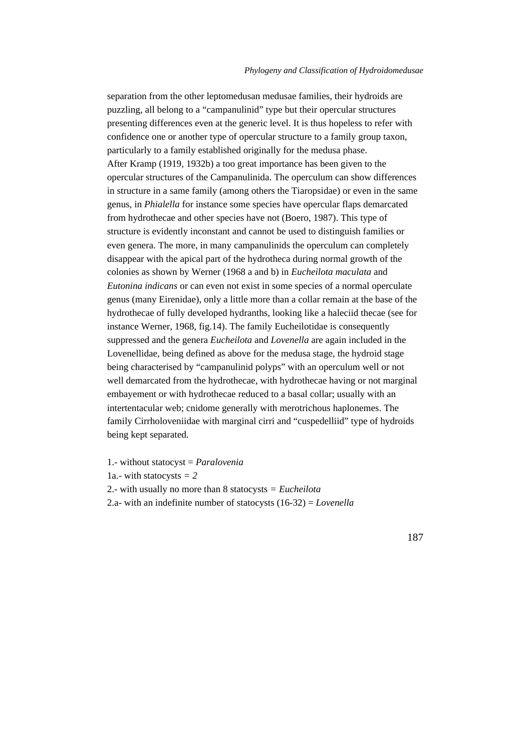separation from the other leptomedusan medusae families, their hydroids are puzzling, all belong to a "campanulinid" type but their opercular structures presenting differences even at the generic level. It is thus hopeless to refer with confidence one or another type of opercular structure to a family group taxon, particularly to a family established originally for the medusa phase. After Kramp (1919, 1932b) a too great importance has been given to the opercular structures of the Campanulinida. The operculum can show differences in structure in a same family (among others the Tiaropsidae) or even in the same genus, in *Phialella* for instance some species have opercular flaps demarcated from hydrothecae and other species have not (Boero, 1987). This type of structure is evidently inconstant and cannot be used to distinguish families or even genera. The more, in many campanulinids the operculum can completely disappear with the apical part of the hydrotheca during normal growth of the colonies as shown by Werner (1968 a and b) in *Eucheilota maculata* and *Eutonina indicans* or can even not exist in some species of a normal operculate genus (many Eirenidae), only a little more than a collar remain at the base of the hydrothecae of fully developed hydranths, looking like a haleciid thecae (see for instance Werner, 1968, fig.14). The family Eucheilotidae is consequently suppressed and the genera *Eucheilota* and *Lovenella* are again included in the Lovenellidae, being defined as above for the medusa stage, the hydroid stage being characterised by "campanulinid polyps" with an operculum well or not well demarcated from the hydrothecae, with hydrothecae having or not marginal embayement or with hydrothecae reduced to a basal collar; usually with an intertentacular web; cnidome generally with merotrichous haplonemes. The family Cirrholoveniidae with marginal cirri and "cuspedelliid" type of hydroids being kept separated.

1.- without statocyst = *Paralovenia* 1a.- with statocysts *= 2* 2.- with usually no more than 8 statocysts *= Eucheilota* 2.a- with an indefinite number of statocysts (16-32) = *Lovenella*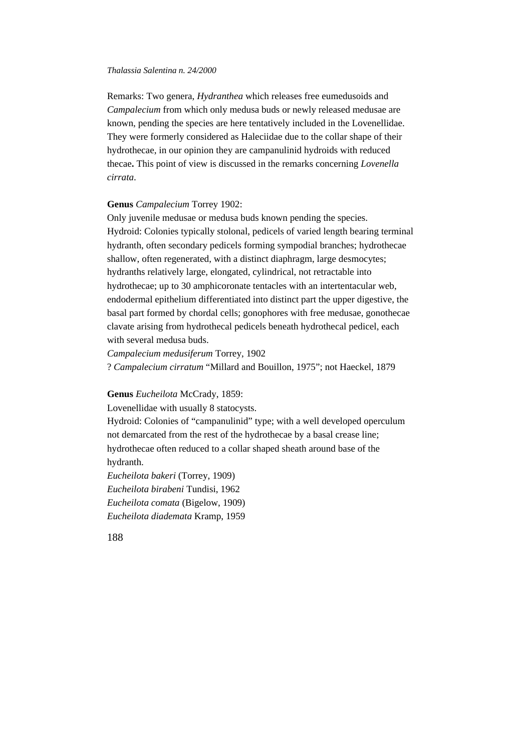Remarks: Two genera, *Hydranthea* which releases free eumedusoids and *Campalecium* from which only medusa buds or newly released medusae are known, pending the species are here tentatively included in the Lovenellidae. They were formerly considered as Haleciidae due to the collar shape of their hydrothecae, in our opinion they are campanulinid hydroids with reduced thecae**.** This point of view is discussed in the remarks concerning *Lovenella cirrata*.

# **Genus** *Campalecium* Torrey 1902:

Only juvenile medusae or medusa buds known pending the species. Hydroid: Colonies typically stolonal, pedicels of varied length bearing terminal hydranth, often secondary pedicels forming sympodial branches; hydrothecae shallow, often regenerated, with a distinct diaphragm, large desmocytes; hydranths relatively large, elongated, cylindrical, not retractable into hydrothecae; up to 30 amphicoronate tentacles with an intertentacular web, endodermal epithelium differentiated into distinct part the upper digestive, the basal part formed by chordal cells; gonophores with free medusae, gonothecae clavate arising from hydrothecal pedicels beneath hydrothecal pedicel, each with several medusa buds.

*Campalecium medusiferum* Torrey, 1902

? *Campalecium cirratum* "Millard and Bouillon, 1975"; not Haeckel, 1879

#### **Genus** *Eucheilota* McCrady, 1859:

Lovenellidae with usually 8 statocysts.

Hydroid: Colonies of "campanulinid" type; with a well developed operculum not demarcated from the rest of the hydrothecae by a basal crease line; hydrothecae often reduced to a collar shaped sheath around base of the hydranth.

*Eucheilota bakeri* (Torrey, 1909) *Eucheilota birabeni* Tundisi, 1962 *Eucheilota comata* (Bigelow, 1909) *Eucheilota diademata* Kramp, 1959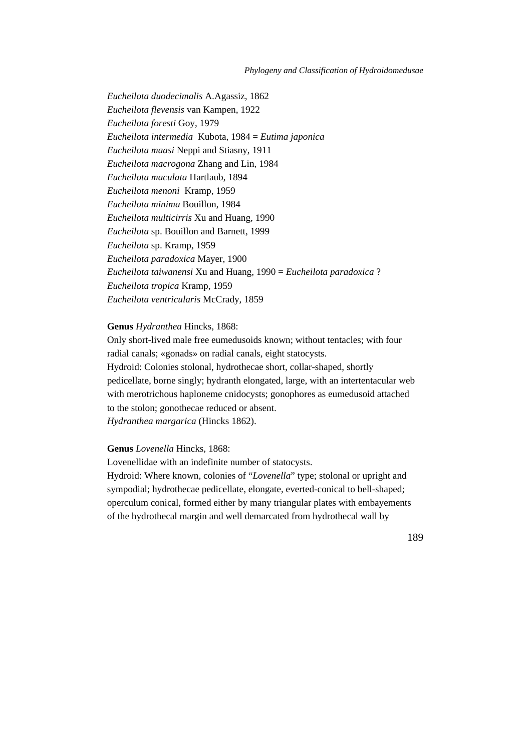*Eucheilota duodecimalis* A.Agassiz, 1862 *Eucheilota flevensis* van Kampen, 1922 *Eucheilota foresti* Goy, 1979 *Eucheilota intermedia* Kubota, 1984 = *Eutima japonica Eucheilota maasi* Neppi and Stiasny, 1911 *Eucheilota macrogona* Zhang and Lin, 1984 *Eucheilota maculata* Hartlaub, 1894 *Eucheilota menoni* Kramp, 1959 *Eucheilota minima* Bouillon, 1984 *Eucheilota multicirris* Xu and Huang, 1990 *Eucheilota* sp. Bouillon and Barnett, 1999 *Eucheilota* sp. Kramp, 1959 *Eucheilota paradoxica* Mayer, 1900 *Eucheilota taiwanensi* Xu and Huang, 1990 = *Eucheilota paradoxica* ? *Eucheilota tropica* Kramp, 1959 *Eucheilota ventricularis* McCrady, 1859

# **Genus** *Hydranthea* Hincks, 1868:

Only short-lived male free eumedusoids known; without tentacles; with four radial canals; «gonads» on radial canals, eight statocysts. Hydroid: Colonies stolonal, hydrothecae short, collar-shaped, shortly pedicellate, borne singly; hydranth elongated, large, with an intertentacular web with merotrichous haploneme cnidocysts; gonophores as eumedusoid attached to the stolon; gonothecae reduced or absent. *Hydranthea margarica* (Hincks 1862).

### **Genus** *Lovenella* Hincks, 1868:

Lovenellidae with an indefinite number of statocysts. Hydroid: Where known, colonies of "*Lovenella*" type; stolonal or upright and sympodial; hydrothecae pedicellate, elongate, everted-conical to bell-shaped; operculum conical, formed either by many triangular plates with embayements of the hydrothecal margin and well demarcated from hydrothecal wall by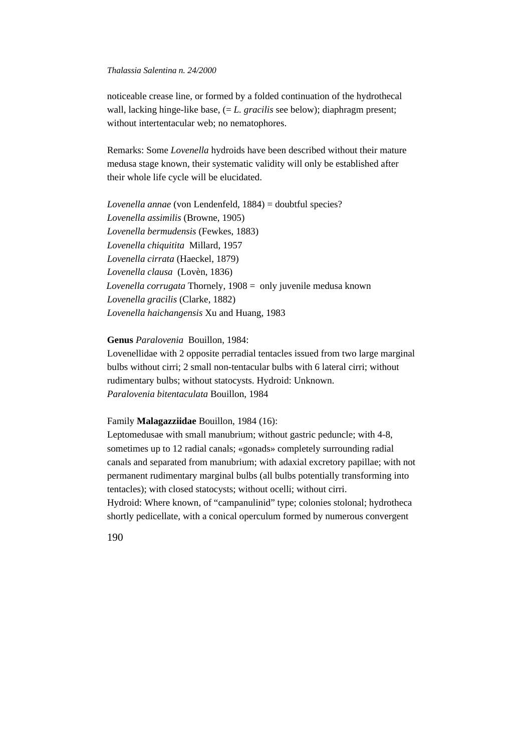noticeable crease line, or formed by a folded continuation of the hydrothecal wall, lacking hinge-like base, (= *L. gracilis* see below); diaphragm present; without intertentacular web; no nematophores.

Remarks: Some *Lovenella* hydroids have been described without their mature medusa stage known, their systematic validity will only be established after their whole life cycle will be elucidated.

*Lovenella annae* (von Lendenfeld, 1884) = doubtful species? *Lovenella assimilis* (Browne, 1905) *Lovenella bermudensis* (Fewkes, 1883) *Lovenella chiquitita* Millard, 1957 *Lovenella cirrata* (Haeckel, 1879) *Lovenella clausa* (Lovèn, 1836)  *Lovenella corrugata* Thornely, 1908 = only juvenile medusa known *Lovenella gracilis* (Clarke, 1882) *Lovenella haichangensis* Xu and Huang, 1983

# **Genus** *Paralovenia* Bouillon, 1984:

Lovenellidae with 2 opposite perradial tentacles issued from two large marginal bulbs without cirri; 2 small non-tentacular bulbs with 6 lateral cirri; without rudimentary bulbs; without statocysts. Hydroid: Unknown. *Paralovenia bitentaculata* Bouillon, 1984

# Family **Malagazziidae** Bouillon, 1984 (16):

Leptomedusae with small manubrium; without gastric peduncle; with 4-8, sometimes up to 12 radial canals; «gonads» completely surrounding radial canals and separated from manubrium; with adaxial excretory papillae; with not permanent rudimentary marginal bulbs (all bulbs potentially transforming into tentacles); with closed statocysts; without ocelli; without cirri. Hydroid: Where known, of "campanulinid" type; colonies stolonal; hydrotheca shortly pedicellate, with a conical operculum formed by numerous convergent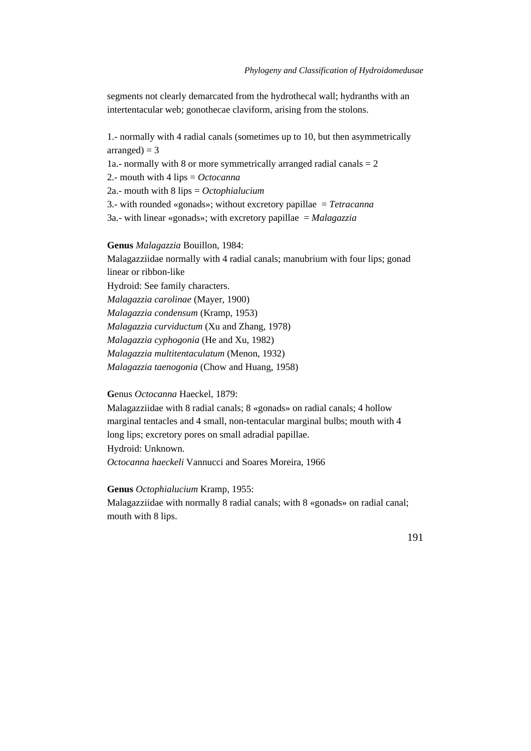segments not clearly demarcated from the hydrothecal wall; hydranths with an intertentacular web; gonothecae claviform, arising from the stolons.

1.- normally with 4 radial canals (sometimes up to 10, but then asymmetrically  $arranged = 3$ 1a.- normally with 8 or more symmetrically arranged radial canals  $= 2$ 2.- mouth with 4 lips = *Octocanna* 2a.- mouth with 8 lips = *Octophialucium* 3.- with rounded «gonads»; without excretory papillae = *Tetracanna* 3a.- with linear «gonads»; with excretory papillae = *Malagazzia* **Genus** *Malagazzia* Bouillon, 1984:

Malagazziidae normally with 4 radial canals; manubrium with four lips; gonad linear or ribbon-like Hydroid: See family characters. *Malagazzia carolinae* (Mayer, 1900) *Malagazzia condensum* (Kramp, 1953) *Malagazzia curviductum* (Xu and Zhang, 1978) *Malagazzia cyphogonia* (He and Xu, 1982) *Malagazzia multitentaculatum* (Menon, 1932) *Malagazzia taenogonia* (Chow and Huang, 1958)

**G**enus *Octocanna* Haeckel, 1879:

Malagazziidae with 8 radial canals; 8 «gonads» on radial canals; 4 hollow marginal tentacles and 4 small, non-tentacular marginal bulbs; mouth with 4 long lips; excretory pores on small adradial papillae. Hydroid: Unknown. *Octocanna haeckeli* Vannucci and Soares Moreira, 1966

**Genus** *Octophialucium* Kramp, 1955: Malagazziidae with normally 8 radial canals; with 8 «gonads» on radial canal; mouth with 8 lips.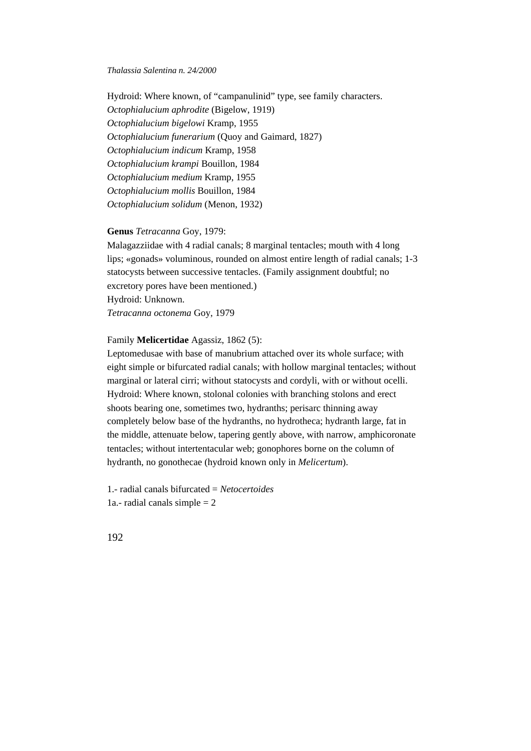Hydroid: Where known, of "campanulinid" type, see family characters. *Octophialucium aphrodite* (Bigelow, 1919) *Octophialucium bigelowi* Kramp, 1955 *Octophialucium funerarium* (Quoy and Gaimard, 1827) *Octophialucium indicum* Kramp, 1958 *Octophialucium krampi* Bouillon, 1984 *Octophialucium medium* Kramp, 1955 *Octophialucium mollis* Bouillon, 1984 *Octophialucium solidum* (Menon, 1932)

# **Genus** *Tetracanna* Goy, 1979:

Malagazziidae with 4 radial canals; 8 marginal tentacles; mouth with 4 long lips; «gonads» voluminous, rounded on almost entire length of radial canals; 1-3 statocysts between successive tentacles. (Family assignment doubtful; no excretory pores have been mentioned.) Hydroid: Unknown. *Tetracanna octonema* Goy, 1979

### Family **Melicertidae** Agassiz, 1862 (5):

Leptomedusae with base of manubrium attached over its whole surface; with eight simple or bifurcated radial canals; with hollow marginal tentacles; without marginal or lateral cirri; without statocysts and cordyli, with or without ocelli. Hydroid: Where known, stolonal colonies with branching stolons and erect shoots bearing one, sometimes two, hydranths; perisarc thinning away completely below base of the hydranths, no hydrotheca; hydranth large, fat in the middle, attenuate below, tapering gently above, with narrow, amphicoronate tentacles; without intertentacular web; gonophores borne on the column of hydranth, no gonothecae (hydroid known only in *Melicertum*).

1.- radial canals bifurcated = *Netocertoides* 1a.- radial canals simple  $= 2$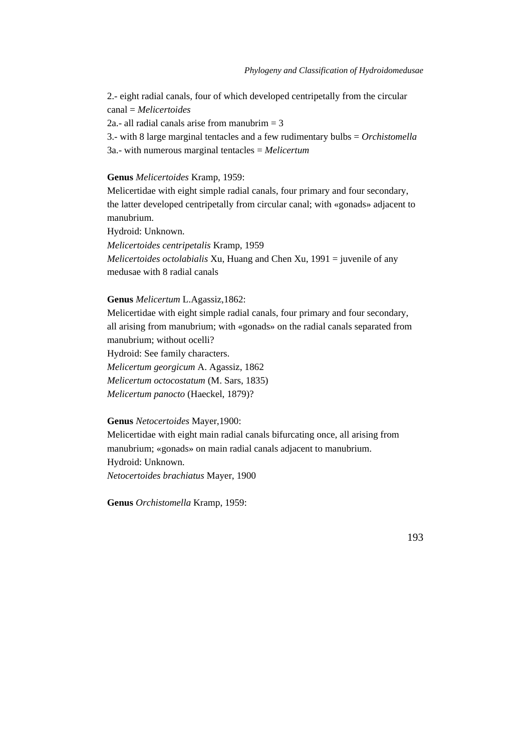2.- eight radial canals, four of which developed centripetally from the circular canal = *Melicertoides*

2a.- all radial canals arise from manubrim  $=$  3

3.- with 8 large marginal tentacles and a few rudimentary bulbs = *Orchistomella* 3a.- with numerous marginal tentacles = *Melicertum*

## **Genus** *Melicertoides* Kramp, 1959:

Melicertidae with eight simple radial canals, four primary and four secondary, the latter developed centripetally from circular canal; with «gonads» adjacent to manubrium.

Hydroid: Unknown.

*Melicertoides centripetalis* Kramp, 1959

*Melicertoides octolabialis* Xu, Huang and Chen Xu, 1991 = juvenile of any medusae with 8 radial canals

# **Genus** *Melicertum* L.Agassiz,1862:

Melicertidae with eight simple radial canals, four primary and four secondary, all arising from manubrium; with «gonads» on the radial canals separated from manubrium; without ocelli?

Hydroid: See family characters.

*Melicertum georgicum* A. Agassiz, 1862

*Melicertum octocostatum* (M. Sars, 1835)

*Melicertum panocto* (Haeckel, 1879)?

#### **Genus** *Netocertoides* Mayer,1900:

Melicertidae with eight main radial canals bifurcating once, all arising from manubrium; «gonads» on main radial canals adjacent to manubrium. Hydroid: Unknown. *Netocertoides brachiatus* Mayer, 1900

**Genus** *Orchistomella* Kramp, 1959: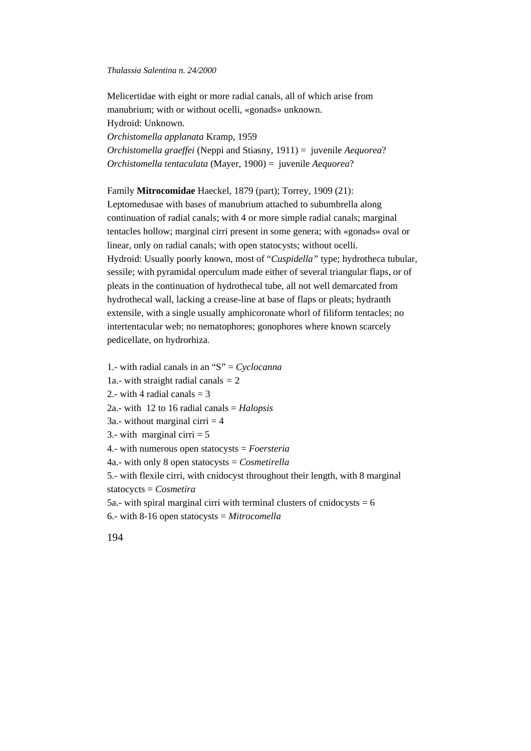Melicertidae with eight or more radial canals, all of which arise from manubrium; with or without ocelli, «gonads» unknown. Hydroid: Unknown. *Orchistomella applanata* Kramp, 1959 *Orchistomella graeffei* (Neppi and Stiasny, 1911) = juvenile *Aequorea*? *Orchistomella tentaculata* (Mayer, 1900) = juvenile *Aequorea*?

Family **Mitrocomidae** Haeckel, 1879 (part); Torrey, 1909 (21):

Leptomedusae with bases of manubrium attached to subumbrella along continuation of radial canals; with 4 or more simple radial canals; marginal tentacles hollow; marginal cirri present in some genera; with «gonads» oval or linear, only on radial canals; with open statocysts; without ocelli. Hydroid: Usually poorly known, most of "*Cuspidella"* type; hydrotheca tubular, sessile; with pyramidal operculum made either of several triangular flaps, or of pleats in the continuation of hydrothecal tube, all not well demarcated from hydrothecal wall, lacking a crease-line at base of flaps or pleats; hydranth extensile, with a single usually amphicoronate whorl of filiform tentacles; no intertentacular web; no nematophores; gonophores where known scarcely pedicellate, on hydrorhiza.

1.- with radial canals in an "S" = *Cyclocanna* 1a.- with straight radial canals *=* 2 2.- with 4 radial canals  $=$  3 2a.- with 12 to 16 radial canals = *Halopsis* 3a.- without marginal cirri  $=$  4 3.- with marginal cirri  $= 5$ 4.- with numerous open statocysts = *Foersteria* 4a.- with only 8 open statocysts = *Cosmetirella* 5.- with flexile cirri, with cnidocyst throughout their length, with 8 marginal statocycts = *Cosmetira* 5a.- with spiral marginal cirri with terminal clusters of cnidocysts  $= 6$ 6.- with 8-16 open statocysts = *Mitrocomella*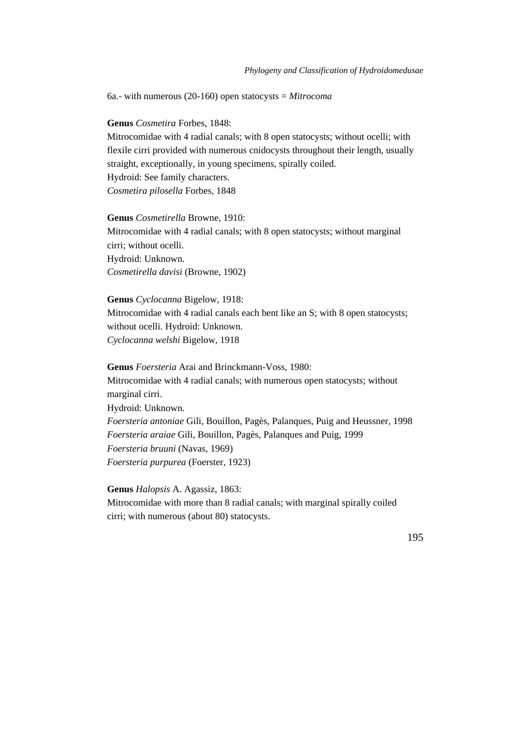6a.- with numerous (20-160) open statocysts = *Mitrocoma*

**Genus** *Cosmetira* Forbes, 1848:

Mitrocomidae with 4 radial canals; with 8 open statocysts; without ocelli; with flexile cirri provided with numerous cnidocysts throughout their length, usually straight, exceptionally, in young specimens, spirally coiled. Hydroid: See family characters. *Cosmetira pilosella* Forbes, 1848

**Genus** *Cosmetirella* Browne, 1910: Mitrocomidae with 4 radial canals; with 8 open statocysts; without marginal cirri; without ocelli. Hydroid: Unknown. *Cosmetirella davisi* (Browne, 1902)

**Genus** *Cyclocanna* Bigelow, 1918: Mitrocomidae with 4 radial canals each bent like an S; with 8 open statocysts; without ocelli. Hydroid: Unknown. *Cyclocanna welshi* Bigelow, 1918

**Genus** *Foersteria* Arai and Brinckmann-Voss, 1980: Mitrocomidae with 4 radial canals; with numerous open statocysts; without marginal cirri. Hydroid: Unknown. *Foersteria antoniae* Gili, Bouillon, Pagès, Palanques, Puig and Heussner*,* 1998 *Foersteria araiae* Gili, Bouillon, Pagès, Palanques and Puig, 1999

*Foersteria bruuni* (Navas, 1969)

*Foersteria purpurea* (Foerster, 1923)

**Genus** *Halopsis* A. Agassiz, 1863: Mitrocomidae with more than 8 radial canals; with marginal spirally coiled cirri; with numerous (about 80) statocysts.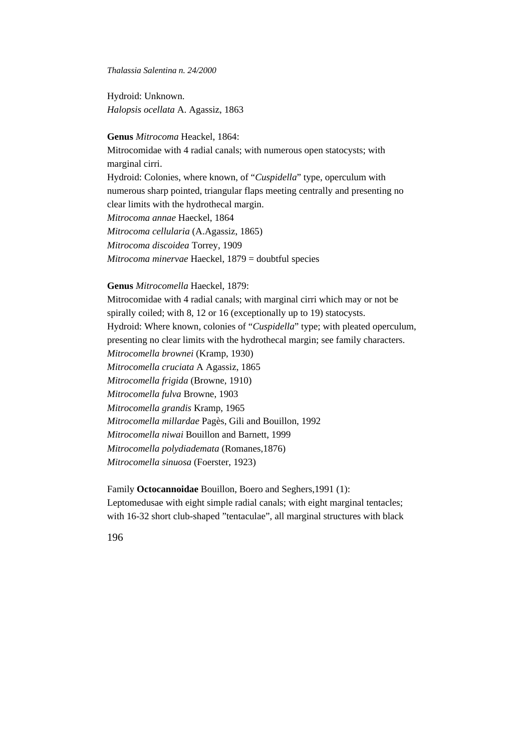Hydroid: Unknown. *Halopsis ocellata* A. Agassiz, 1863

# **Genus** *Mitrocoma* Heackel, 1864:

Mitrocomidae with 4 radial canals; with numerous open statocysts; with marginal cirri. Hydroid: Colonies, where known, of "*Cuspidella*" type, operculum with numerous sharp pointed, triangular flaps meeting centrally and presenting no clear limits with the hydrothecal margin. *Mitrocoma annae* Haeckel, 1864 *Mitrocoma cellularia* (A.Agassiz, 1865) *Mitrocoma discoidea* Torrey, 1909 *Mitrocoma minervae* Haeckel, 1879 = doubtful species

### **Genus** *Mitrocomella* Haeckel, 1879:

Mitrocomidae with 4 radial canals; with marginal cirri which may or not be spirally coiled; with 8, 12 or 16 (exceptionally up to 19) statocysts. Hydroid: Where known, colonies of "*Cuspidella*" type; with pleated operculum, presenting no clear limits with the hydrothecal margin; see family characters. *Mitrocomella brownei* (Kramp, 1930) *Mitrocomella cruciata* A Agassiz, 1865 *Mitrocomella frigida* (Browne, 1910) *Mitrocomella fulva* Browne, 1903 *Mitrocomella grandis* Kramp, 1965 *Mitrocomella millardae* Pagès, Gili and Bouillon, 1992 *Mitrocomella niwai* Bouillon and Barnett, 1999 *Mitrocomella polydiademata* (Romanes,1876) *Mitrocomella sinuosa* (Foerster, 1923)

Family **Octocannoidae** Bouillon, Boero and Seghers,1991 (1): Leptomedusae with eight simple radial canals; with eight marginal tentacles; with 16-32 short club-shaped "tentaculae", all marginal structures with black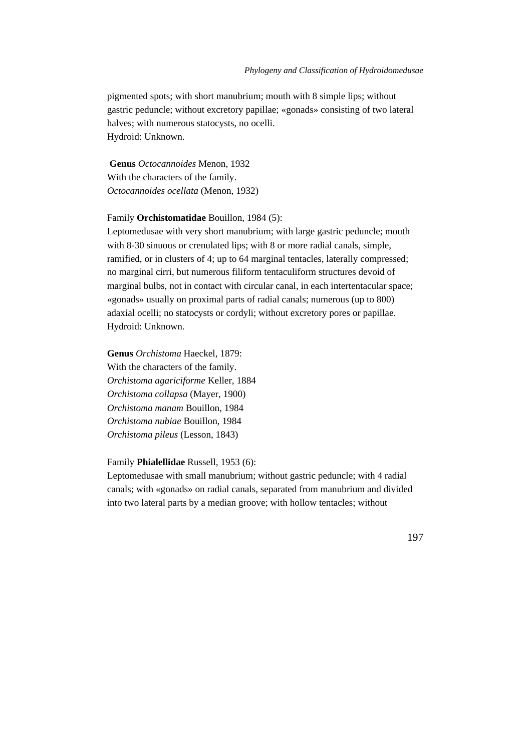pigmented spots; with short manubrium; mouth with 8 simple lips; without gastric peduncle; without excretory papillae; «gonads» consisting of two lateral halves; with numerous statocysts, no ocelli. Hydroid: Unknown.

**Genus** *Octocannoides* Menon, 1932 With the characters of the family. *Octocannoides ocellata* (Menon, 1932)

#### Family **Orchistomatidae** Bouillon, 1984 (5):

Leptomedusae with very short manubrium; with large gastric peduncle; mouth with 8-30 sinuous or crenulated lips; with 8 or more radial canals, simple, ramified, or in clusters of 4; up to 64 marginal tentacles, laterally compressed; no marginal cirri, but numerous filiform tentaculiform structures devoid of marginal bulbs, not in contact with circular canal, in each intertentacular space; «gonads» usually on proximal parts of radial canals; numerous (up to 800) adaxial ocelli; no statocysts or cordyli; without excretory pores or papillae. Hydroid: Unknown.

**Genus** *Orchistoma* Haeckel, 1879: With the characters of the family. *Orchistoma agariciforme* Keller, 1884 *Orchistoma collapsa* (Mayer, 1900) *Orchistoma manam* Bouillon, 1984 *Orchistoma nubiae* Bouillon, 1984 *Orchistoma pileus* (Lesson, 1843)

#### Family **Phialellidae** Russell, 1953 (6):

Leptomedusae with small manubrium; without gastric peduncle; with 4 radial canals; with «gonads» on radial canals, separated from manubrium and divided into two lateral parts by a median groove; with hollow tentacles; without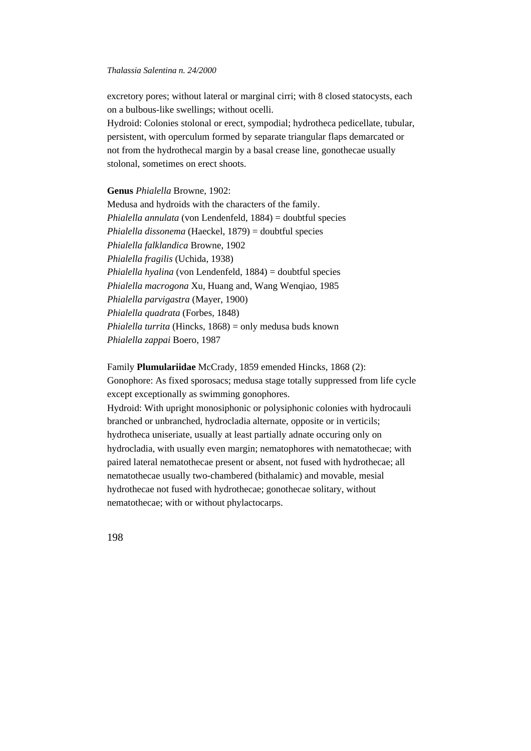excretory pores; without lateral or marginal cirri; with 8 closed statocysts, each on a bulbous-like swellings; without ocelli.

Hydroid: Colonies stolonal or erect, sympodial; hydrotheca pedicellate, tubular, persistent, with operculum formed by separate triangular flaps demarcated or not from the hydrothecal margin by a basal crease line, gonothecae usually stolonal, sometimes on erect shoots.

**Genus** *Phialella* Browne, 1902:

Medusa and hydroids with the characters of the family. *Phialella annulata* (von Lendenfeld, 1884) = doubtful species *Phialella dissonema* (Haeckel, 1879) = doubtful species *Phialella falklandica* Browne, 1902 *Phialella fragilis* (Uchida, 1938) *Phialella hyalina* (von Lendenfeld, 1884) = doubtful species *Phialella macrogona* Xu, Huang and, Wang Wenqiao, 1985 *Phialella parvigastra* (Mayer, 1900) *Phialella quadrata* (Forbes, 1848) *Phialella turrita* (Hincks, 1868) = only medusa buds known *Phialella zappai* Boero, 1987

# Family **Plumulariidae** McCrady, 1859 emended Hincks, 1868 (2):

Gonophore: As fixed sporosacs; medusa stage totally suppressed from life cycle except exceptionally as swimming gonophores.

Hydroid: With upright monosiphonic or polysiphonic colonies with hydrocauli branched or unbranched, hydrocladia alternate, opposite or in verticils; hydrotheca uniseriate, usually at least partially adnate occuring only on hydrocladia, with usually even margin; nematophores with nematothecae; with paired lateral nematothecae present or absent, not fused with hydrothecae; all nematothecae usually two-chambered (bithalamic) and movable, mesial hydrothecae not fused with hydrothecae; gonothecae solitary, without nematothecae; with or without phylactocarps.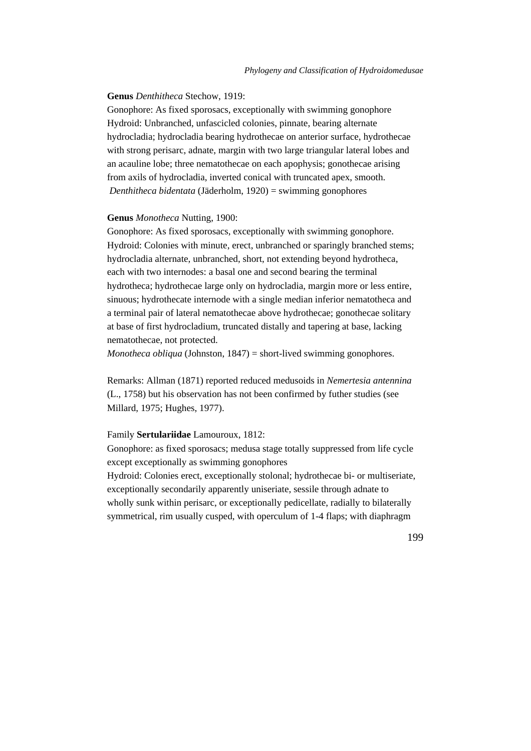# **Genus** *Denthitheca* Stechow, 1919:

Gonophore: As fixed sporosacs, exceptionally with swimming gonophore Hydroid: Unbranched, unfascicled colonies, pinnate, bearing alternate hydrocladia; hydrocladia bearing hydrothecae on anterior surface, hydrothecae with strong perisarc, adnate, margin with two large triangular lateral lobes and an acauline lobe; three nematothecae on each apophysis; gonothecae arising from axils of hydrocladia, inverted conical with truncated apex, smooth. *Denthitheca bidentata* (Jäderholm, 1920) = swimming gonophores

### **Genus** *Monotheca* Nutting, 1900:

Gonophore: As fixed sporosacs, exceptionally with swimming gonophore. Hydroid: Colonies with minute, erect, unbranched or sparingly branched stems; hydrocladia alternate, unbranched, short, not extending beyond hydrotheca, each with two internodes: a basal one and second bearing the terminal hydrotheca; hydrothecae large only on hydrocladia, margin more or less entire, sinuous; hydrothecate internode with a single median inferior nematotheca and a terminal pair of lateral nematothecae above hydrothecae; gonothecae solitary at base of first hydrocladium, truncated distally and tapering at base, lacking nematothecae, not protected.

*Monotheca obliqua* (Johnston, 1847) = short-lived swimming gonophores.

Remarks: Allman (1871) reported reduced medusoids in *Nemertesia antennina* (L., 1758) but his observation has not been confirmed by futher studies (see Millard, 1975; Hughes, 1977).

# Family **Sertulariidae** Lamouroux, 1812:

Gonophore: as fixed sporosacs; medusa stage totally suppressed from life cycle except exceptionally as swimming gonophores

Hydroid: Colonies erect, exceptionally stolonal; hydrothecae bi- or multiseriate, exceptionally secondarily apparently uniseriate, sessile through adnate to wholly sunk within perisarc, or exceptionally pedicellate, radially to bilaterally symmetrical, rim usually cusped, with operculum of 1-4 flaps; with diaphragm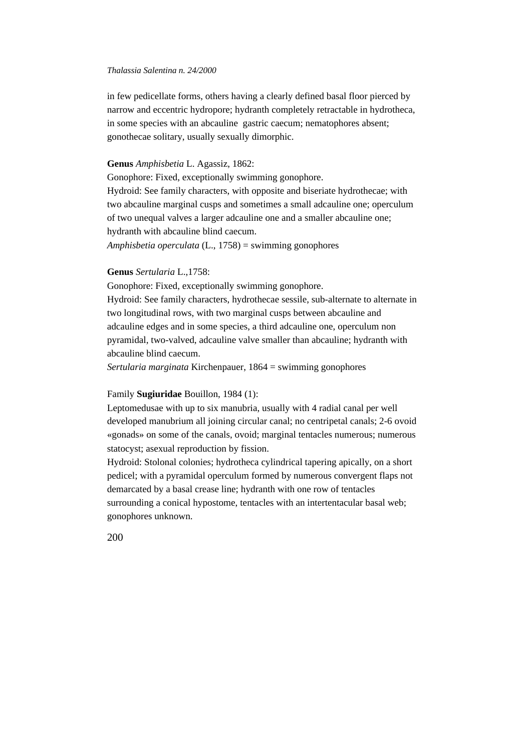in few pedicellate forms, others having a clearly defined basal floor pierced by narrow and eccentric hydropore; hydranth completely retractable in hydrotheca, in some species with an abcauline gastric caecum; nematophores absent; gonothecae solitary, usually sexually dimorphic.

# **Genus** *Amphisbetia* L. Agassiz, 1862:

Gonophore: Fixed, exceptionally swimming gonophore. Hydroid: See family characters, with opposite and biseriate hydrothecae; with two abcauline marginal cusps and sometimes a small adcauline one; operculum of two unequal valves a larger adcauline one and a smaller abcauline one; hydranth with abcauline blind caecum. *Amphisbetia operculata* (L., 1758) = swimming gonophores

# **Genus** *Sertularia* L.,1758:

Gonophore: Fixed, exceptionally swimming gonophore. Hydroid: See family characters, hydrothecae sessile, sub-alternate to alternate in two longitudinal rows, with two marginal cusps between abcauline and adcauline edges and in some species, a third adcauline one, operculum non pyramidal, two-valved, adcauline valve smaller than abcauline; hydranth with abcauline blind caecum.

*Sertularia marginata* Kirchenpauer, 1864 = swimming gonophores

#### Family **Sugiuridae** Bouillon, 1984 (1):

Leptomedusae with up to six manubria, usually with 4 radial canal per well developed manubrium all joining circular canal; no centripetal canals; 2-6 ovoid «gonads» on some of the canals, ovoid; marginal tentacles numerous; numerous statocyst; asexual reproduction by fission.

Hydroid: Stolonal colonies; hydrotheca cylindrical tapering apically, on a short pedicel; with a pyramidal operculum formed by numerous convergent flaps not demarcated by a basal crease line; hydranth with one row of tentacles surrounding a conical hypostome, tentacles with an intertentacular basal web; gonophores unknown.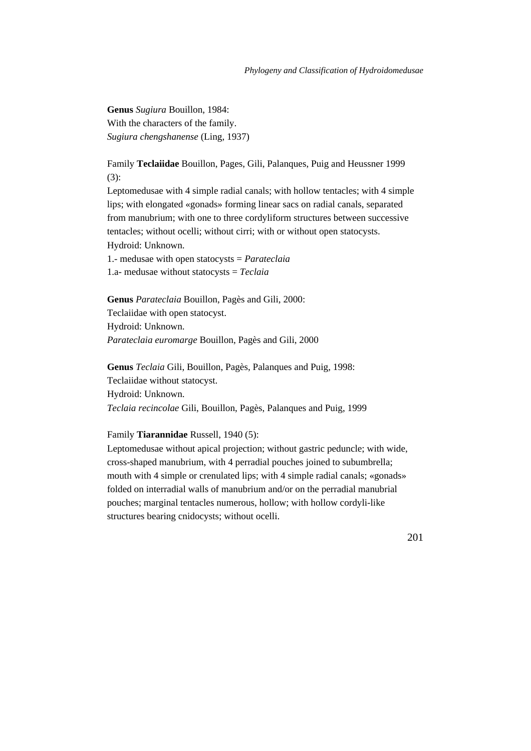**Genus** *Sugiura* Bouillon, 1984: With the characters of the family. *Sugiura chengshanense* (Ling, 1937)

Family **Teclaiidae** Bouillon, Pages, Gili, Palanques, Puig and Heussner 1999 (3):

Leptomedusae with 4 simple radial canals; with hollow tentacles; with 4 simple lips; with elongated «gonads» forming linear sacs on radial canals, separated from manubrium; with one to three cordyliform structures between successive tentacles; without ocelli; without cirri; with or without open statocysts. Hydroid: Unknown.

1.- medusae with open statocysts = *Parateclaia* 1.a- medusae without statocysts = *Teclaia*

**Genus** *Parateclaia* Bouillon, Pagès and Gili, 2000: Teclaiidae with open statocyst. Hydroid: Unknown. *Parateclaia euromarge* Bouillon, Pagès and Gili, 2000

**Genus** *Teclaia* Gili, Bouillon, Pagès, Palanques and Puig, 1998: Teclaiidae without statocyst. Hydroid: Unknown. *Teclaia recincolae* Gili, Bouillon, Pagès, Palanques and Puig, 1999

### Family **Tiarannidae** Russell, 1940 (5):

Leptomedusae without apical projection; without gastric peduncle; with wide, cross-shaped manubrium, with 4 perradial pouches joined to subumbrella; mouth with 4 simple or crenulated lips; with 4 simple radial canals; «gonads» folded on interradial walls of manubrium and/or on the perradial manubrial pouches; marginal tentacles numerous, hollow; with hollow cordyli-like structures bearing cnidocysts; without ocelli.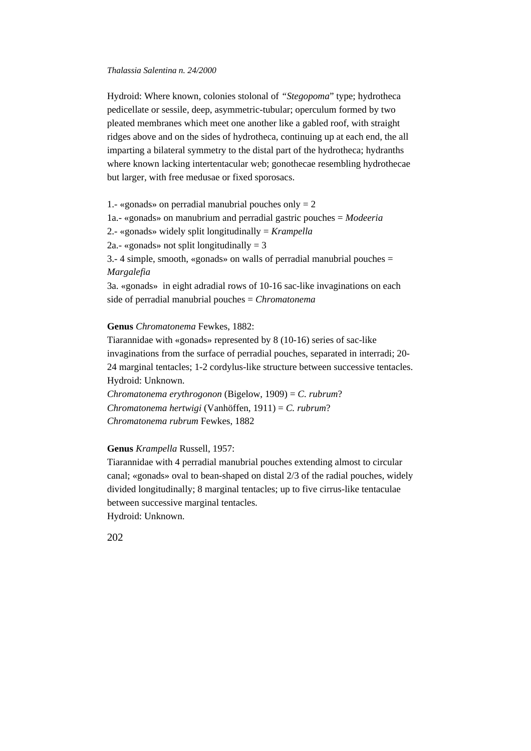Hydroid: Where known, colonies stolonal of *"Stegopoma*" type; hydrotheca pedicellate or sessile, deep, asymmetric-tubular; operculum formed by two pleated membranes which meet one another like a gabled roof, with straight ridges above and on the sides of hydrotheca, continuing up at each end, the all imparting a bilateral symmetry to the distal part of the hydrotheca; hydranths where known lacking intertentacular web; gonothecae resembling hydrothecae but larger, with free medusae or fixed sporosacs.

1.- «gonads» on perradial manubrial pouches only  $= 2$ 1a.- «gonads» on manubrium and perradial gastric pouches = *Modeeria* 2.- «gonads» widely split longitudinally = *Krampella* 2a.- «gonads» not split longitudinally  $=$  3 3.- 4 simple, smooth, «gonads» on walls of perradial manubrial pouches = *Margalefia* 3a. «gonads» in eight adradial rows of 10-16 sac-like invaginations on each side of perradial manubrial pouches = *Chromatonema*

# **Genus** *Chromatonema* Fewkes, 1882:

Tiarannidae with «gonads» represented by 8 (10-16) series of sac-like invaginations from the surface of perradial pouches, separated in interradi; 20- 24 marginal tentacles; 1-2 cordylus-like structure between successive tentacles. Hydroid: Unknown.

*Chromatonema erythrogonon* (Bigelow, 1909) = *C. rubrum*? *Chromatonema hertwigi* (Vanhöffen, 1911) = *C. rubrum*? *Chromatonema rubrum* Fewkes, 1882

# **Genus** *Krampella* Russell, 1957:

Tiarannidae with 4 perradial manubrial pouches extending almost to circular canal; «gonads» oval to bean-shaped on distal 2/3 of the radial pouches, widely divided longitudinally; 8 marginal tentacles; up to five cirrus-like tentaculae between successive marginal tentacles.

Hydroid: Unknown.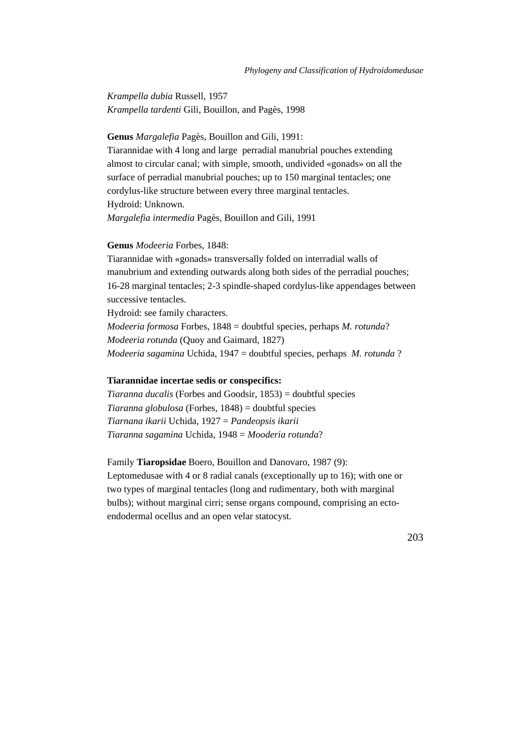*Krampella dubia* Russell, 1957 *Krampella tardenti* Gili, Bouillon, and Pagès, 1998

# **Genus** *Margalefia* Pagès, Bouillon and Gili, 1991:

Tiarannidae with 4 long and large perradial manubrial pouches extending almost to circular canal; with simple, smooth, undivided «gonads» on all the surface of perradial manubrial pouches; up to 150 marginal tentacles; one cordylus-like structure between every three marginal tentacles. Hydroid: Unknown. *Margalefia intermedia* Pagès, Bouillon and Gili, 1991

#### **Genus** *Modeeria* Forbes, 1848:

Tiarannidae with «gonads» transversally folded on interradial walls of manubrium and extending outwards along both sides of the perradial pouches; 16-28 marginal tentacles; 2-3 spindle-shaped cordylus-like appendages between successive tentacles.

Hydroid: see family characters.

*Modeeria formosa* Forbes, 1848 = doubtful species, perhaps *M. rotunda*? *Modeeria rotunda* (Quoy and Gaimard, 1827) *Modeeria sagamina* Uchida, 1947 = doubtful species, perhaps *M. rotunda* ?

# **Tiarannidae incertae sedis or conspecifics:**

*Tiaranna ducalis* (Forbes and Goodsir, 1853) = doubtful species *Tiaranna globulosa* (Forbes, 1848) = doubtful species *Tiarnana ikarii* Uchida, 1927 = *Pandeopsis ikarii Tiaranna sagamina* Uchida, 1948 = *Mooderia rotunda*?

### Family **Tiaropsidae** Boero, Bouillon and Danovaro, 1987 (9):

Leptomedusae with 4 or 8 radial canals (exceptionally up to 16); with one or two types of marginal tentacles (long and rudimentary, both with marginal bulbs); without marginal cirri; sense organs compound, comprising an ectoendodermal ocellus and an open velar statocyst.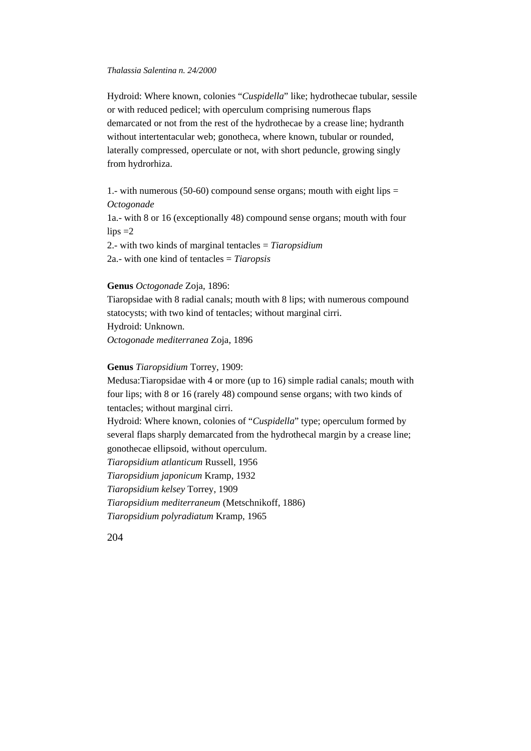Hydroid: Where known, colonies "*Cuspidella*" like; hydrothecae tubular, sessile or with reduced pedicel; with operculum comprising numerous flaps demarcated or not from the rest of the hydrothecae by a crease line; hydranth without intertentacular web; gonotheca, where known, tubular or rounded, laterally compressed, operculate or not, with short peduncle, growing singly from hydrorhiza.

1.- with numerous (50-60) compound sense organs; mouth with eight lips  $=$ *Octogonade* 1a.- with 8 or 16 (exceptionally 48) compound sense organs; mouth with four  $lips = 2$ 2.- with two kinds of marginal tentacles = *Tiaropsidium*

2a.- with one kind of tentacles = *Tiaropsis*

# **Genus** *Octogonade* Zoja, 1896:

Tiaropsidae with 8 radial canals; mouth with 8 lips; with numerous compound statocysts; with two kind of tentacles; without marginal cirri. Hydroid: Unknown. *Octogonade mediterranea* Zoja, 1896

### **Genus** *Tiaropsidium* Torrey, 1909:

Medusa:Tiaropsidae with 4 or more (up to 16) simple radial canals; mouth with four lips; with 8 or 16 (rarely 48) compound sense organs; with two kinds of tentacles; without marginal cirri. Hydroid: Where known, colonies of "*Cuspidella*" type; operculum formed by several flaps sharply demarcated from the hydrothecal margin by a crease line; gonothecae ellipsoid, without operculum. *Tiaropsidium atlanticum* Russell, 1956 *Tiaropsidium japonicum* Kramp, 1932 *Tiaropsidium kelsey* Torrey, 1909 *Tiaropsidium mediterraneum* (Metschnikoff, 1886) *Tiaropsidium polyradiatum* Kramp, 1965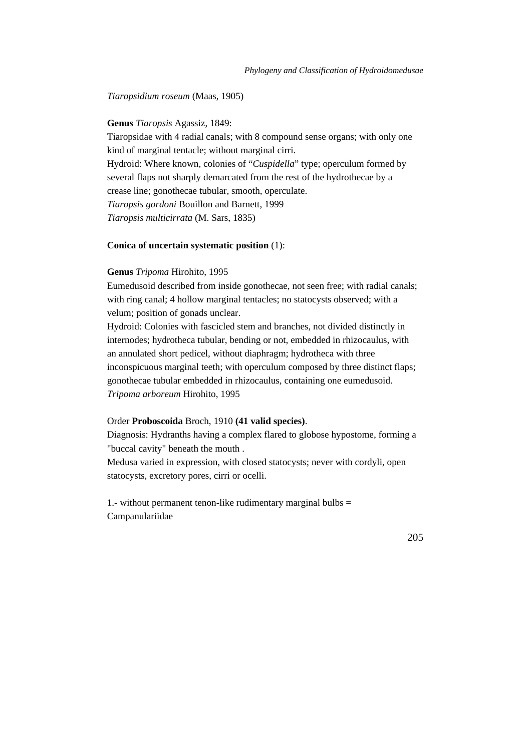*Tiaropsidium roseum* (Maas, 1905)

# **Genus** *Tiaropsis* Agassiz, 1849:

Tiaropsidae with 4 radial canals; with 8 compound sense organs; with only one kind of marginal tentacle; without marginal cirri.

Hydroid: Where known, colonies of "*Cuspidella*" type; operculum formed by several flaps not sharply demarcated from the rest of the hydrothecae by a crease line; gonothecae tubular, smooth, operculate. *Tiaropsis gordoni* Bouillon and Barnett, 1999

*Tiaropsis multicirrata* (M. Sars, 1835)

# **Conica of uncertain systematic position** (1):

# **Genus** *Tripoma* Hirohito, 1995

Eumedusoid described from inside gonothecae, not seen free; with radial canals; with ring canal; 4 hollow marginal tentacles; no statocysts observed; with a velum; position of gonads unclear.

Hydroid: Colonies with fascicled stem and branches, not divided distinctly in internodes; hydrotheca tubular, bending or not, embedded in rhizocaulus, with an annulated short pedicel, without diaphragm; hydrotheca with three inconspicuous marginal teeth; with operculum composed by three distinct flaps; gonothecae tubular embedded in rhizocaulus, containing one eumedusoid. *Tripoma arboreum* Hirohito, 1995

#### Order **Proboscoida** Broch, 1910 **(41 valid species)**.

Diagnosis: Hydranths having a complex flared to globose hypostome, forming a "buccal cavity" beneath the mouth .

Medusa varied in expression, with closed statocysts; never with cordyli, open statocysts, excretory pores, cirri or ocelli.

1.- without permanent tenon-like rudimentary marginal bulbs  $=$ Campanulariidae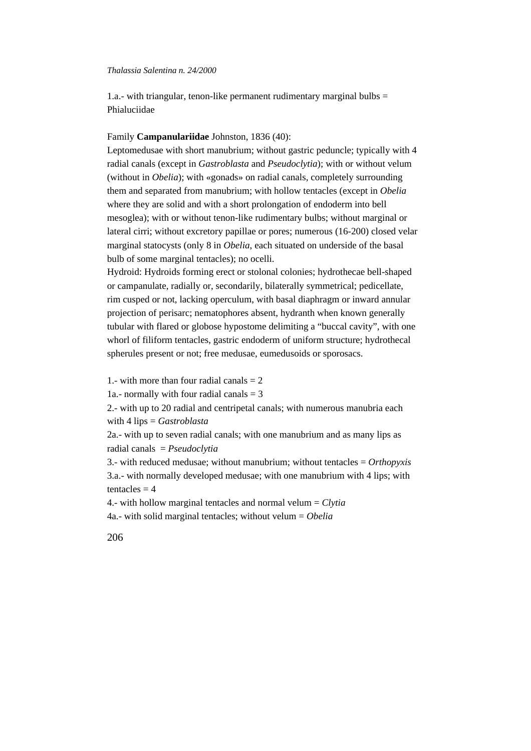1.a.- with triangular, tenon-like permanent rudimentary marginal bulbs  $=$ Phialuciidae

# Family **Campanulariidae** Johnston, 1836 (40):

Leptomedusae with short manubrium; without gastric peduncle; typically with 4 radial canals (except in *Gastroblasta* and *Pseudoclytia*); with or without velum (without in *Obelia*); with «gonads» on radial canals, completely surrounding them and separated from manubrium; with hollow tentacles (except in *Obelia* where they are solid and with a short prolongation of endoderm into bell mesoglea); with or without tenon-like rudimentary bulbs; without marginal or lateral cirri; without excretory papillae or pores; numerous (16-200) closed velar marginal statocysts (only 8 in *Obelia*, each situated on underside of the basal bulb of some marginal tentacles); no ocelli.

Hydroid: Hydroids forming erect or stolonal colonies; hydrothecae bell-shaped or campanulate, radially or, secondarily, bilaterally symmetrical; pedicellate, rim cusped or not, lacking operculum, with basal diaphragm or inward annular projection of perisarc; nematophores absent, hydranth when known generally tubular with flared or globose hypostome delimiting a "buccal cavity", with one whorl of filiform tentacles, gastric endoderm of uniform structure; hydrothecal spherules present or not; free medusae, eumedusoids or sporosacs.

1.- with more than four radial canals  $= 2$ 

1a.- normally with four radial canals  $=$  3

2.- with up to 20 radial and centripetal canals; with numerous manubria each with 4 lips = *Gastroblasta*

2a.- with up to seven radial canals; with one manubrium and as many lips as radial canals = *Pseudoclytia*

3.- with reduced medusae; without manubrium; without tentacles = *Orthopyxis* 3.a.- with normally developed medusae; with one manubrium with 4 lips; with tentacles  $= 4$ 

4.- with hollow marginal tentacles and normal velum = *Clytia*

4a.- with solid marginal tentacles; without velum = *Obelia*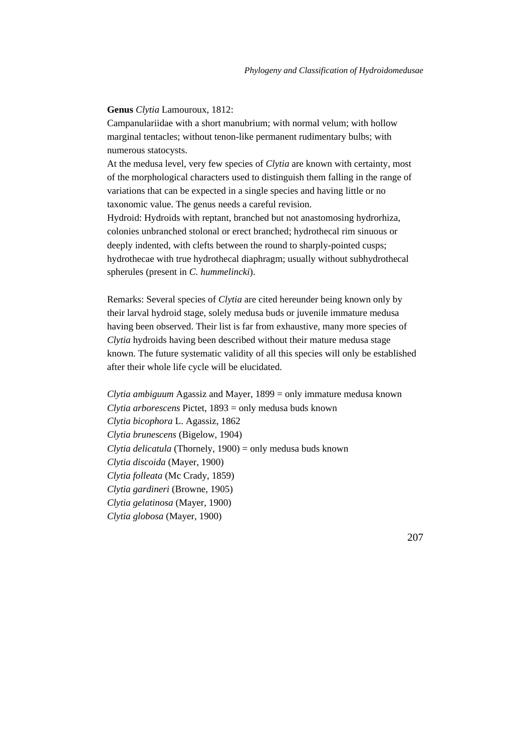### **Genus** *Clytia* Lamouroux, 1812:

Campanulariidae with a short manubrium; with normal velum; with hollow marginal tentacles; without tenon-like permanent rudimentary bulbs; with numerous statocysts.

At the medusa level, very few species of *Clytia* are known with certainty, most of the morphological characters used to distinguish them falling in the range of variations that can be expected in a single species and having little or no taxonomic value. The genus needs a careful revision.

Hydroid: Hydroids with reptant, branched but not anastomosing hydrorhiza, colonies unbranched stolonal or erect branched; hydrothecal rim sinuous or deeply indented, with clefts between the round to sharply-pointed cusps; hydrothecae with true hydrothecal diaphragm; usually without subhydrothecal spherules (present in *C. hummelincki*).

Remarks: Several species of *Clytia* are cited hereunder being known only by their larval hydroid stage, solely medusa buds or juvenile immature medusa having been observed. Their list is far from exhaustive, many more species of *Clytia* hydroids having been described without their mature medusa stage known. The future systematic validity of all this species will only be established after their whole life cycle will be elucidated.

*Clytia ambiguum* Agassiz and Mayer, 1899 = only immature medusa known *Clytia arborescens* Pictet, 1893 = only medusa buds known *Clytia bicophora* L. Agassiz, 1862 *Clytia brunescens* (Bigelow, 1904) *Clytia delicatula* (Thornely, 1900) = only medusa buds known *Clytia discoida* (Mayer, 1900) *Clytia folleata* (Mc Crady, 1859) *Clytia gardineri* (Browne, 1905) *Clytia gelatinosa* (Mayer, 1900) *Clytia globosa* (Mayer, 1900)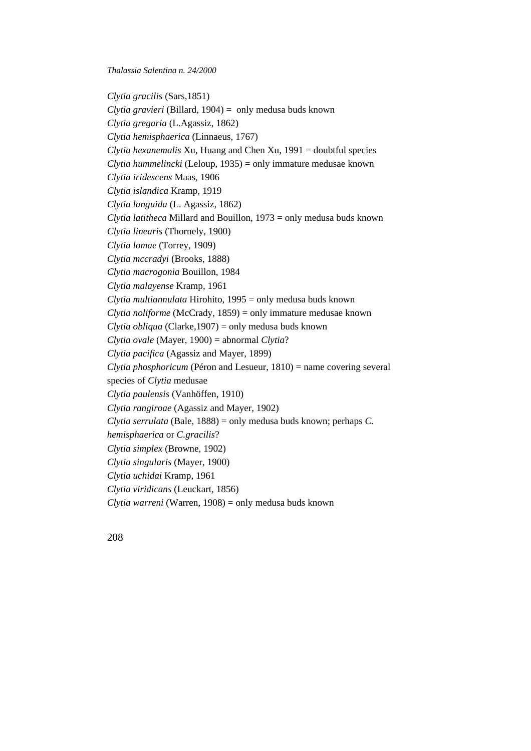*Clytia gracilis* (Sars,1851) *Clytia gravieri* (Billard, 1904) = only medusa buds known *Clytia gregaria* (L.Agassiz, 1862) *Clytia hemisphaerica* (Linnaeus, 1767) *Clytia hexanemalis* Xu, Huang and Chen Xu, 1991 = doubtful species *Clytia hummelincki* (Leloup, 1935) = only immature medusae known *Clytia iridescens* Maas, 1906 *Clytia islandica* Kramp, 1919 *Clytia languida* (L. Agassiz, 1862) *Clytia latitheca* Millard and Bouillon, 1973 = only medusa buds known *Clytia linearis* (Thornely, 1900) *Clytia lomae* (Torrey, 1909) *Clytia mccradyi* (Brooks, 1888) *Clytia macrogonia* Bouillon, 1984 *Clytia malayense* Kramp, 1961 *Clytia multiannulata* Hirohito, 1995 = only medusa buds known *Clytia noliforme* (McCrady, 1859) = only immature medusae known *Clytia obliqua* (Clarke,1907) = only medusa buds known *Clytia ovale* (Mayer, 1900) = abnormal *Clytia*? *Clytia pacifica* (Agassiz and Mayer, 1899) *Clytia phosphoricum* (Péron and Lesueur, 1810) = name covering several species of *Clytia* medusae *Clytia paulensis* (Vanhöffen, 1910) *Clytia rangiroae* (Agassiz and Mayer, 1902) *Clytia serrulata* (Bale, 1888) = only medusa buds known; perhaps *C. hemisphaerica* or *C.gracilis*? *Clytia simplex* (Browne, 1902) *Clytia singularis* (Mayer, 1900) *Clytia uchidai* Kramp, 1961 *Clytia viridicans* (Leuckart, 1856) *Clytia warreni* (Warren, 1908) = only medusa buds known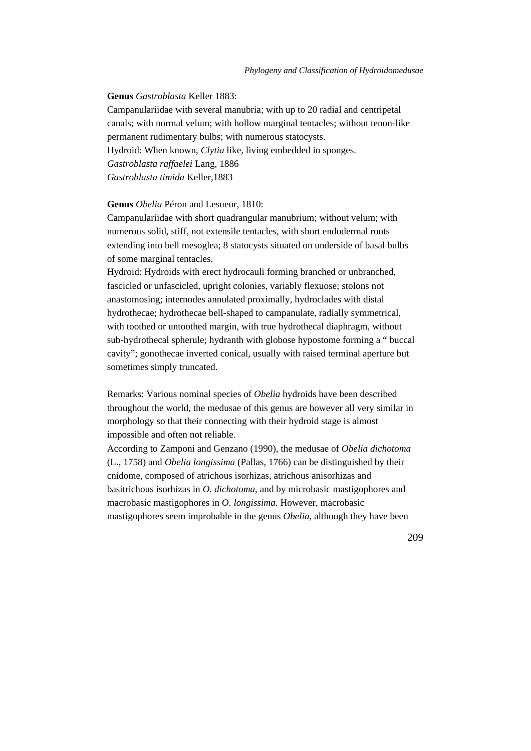**Genus** *Gastroblasta* Keller 1883:

Campanulariidae with several manubria; with up to 20 radial and centripetal canals; with normal velum; with hollow marginal tentacles; without tenon-like permanent rudimentary bulbs; with numerous statocysts.

Hydroid: When known, *Clytia* like, living embedded in sponges. *Gastroblasta raffaelei* Lang, 1886

*Gastroblasta timida* Keller,1883

# **Genus** *Obelia* Péron and Lesueur, 1810:

Campanulariidae with short quadrangular manubrium; without velum; with numerous solid, stiff, not extensile tentacles, with short endodermal roots extending into bell mesoglea; 8 statocysts situated on underside of basal bulbs of some marginal tentacles.

Hydroid: Hydroids with erect hydrocauli forming branched or unbranched, fascicled or unfascicled, upright colonies, variably flexuose; stolons not anastomosing; internodes annulated proximally, hydroclades with distal hydrothecae; hydrothecae bell-shaped to campanulate, radially symmetrical, with toothed or untoothed margin, with true hydrothecal diaphragm, without sub-hydrothecal spherule; hydranth with globose hypostome forming a " buccal cavity"; gonothecae inverted conical, usually with raised terminal aperture but sometimes simply truncated.

Remarks: Various nominal species of *Obelia* hydroids have been described throughout the world, the medusae of this genus are however all very similar in morphology so that their connecting with their hydroid stage is almost impossible and often not reliable.

According to Zamponi and Genzano (1990), the medusae of *Obelia dichotoma* (L., 1758) and *Obelia longissima* (Pallas, 1766) can be distinguished by their cnidome, composed of atrichous isorhizas, atrichous anisorhizas and basitrichous isorhizas in *O. dichotoma*, and by microbasic mastigophores and macrobasic mastigophores in *O. longissima*. However, macrobasic mastigophores seem improbable in the genus *Obelia*, although they have been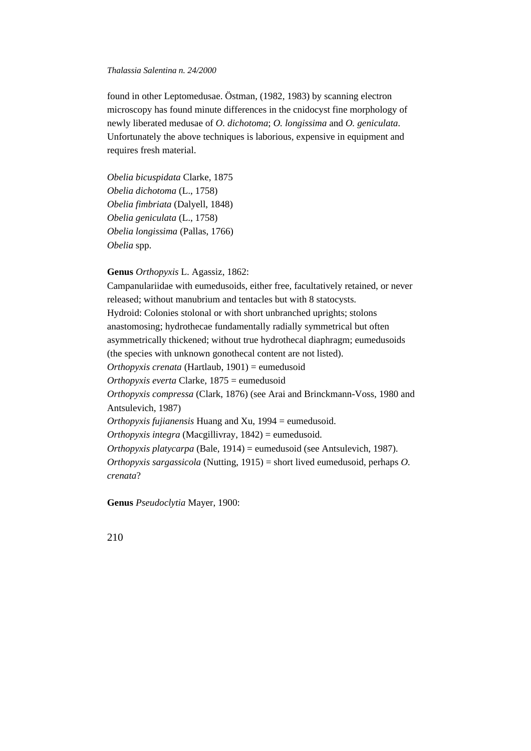found in other Leptomedusae. Östman, (1982, 1983) by scanning electron microscopy has found minute differences in the cnidocyst fine morphology of newly liberated medusae of *O. dichotoma*; *O. longissima* and *O. geniculata*. Unfortunately the above techniques is laborious*,* expensive in equipment and requires fresh material.

*Obelia bicuspidata* Clarke, 1875 *Obelia dichotoma* (L., 1758) *Obelia fimbriata* (Dalyell, 1848) *Obelia geniculata* (L., 1758) *Obelia longissima* (Pallas, 1766) *Obelia* spp.

**Genus** *Orthopyxis* L. Agassiz, 1862:

Campanulariidae with eumedusoids, either free, facultatively retained, or never released; without manubrium and tentacles but with 8 statocysts. Hydroid: Colonies stolonal or with short unbranched uprights; stolons anastomosing; hydrothecae fundamentally radially symmetrical but often asymmetrically thickened; without true hydrothecal diaphragm; eumedusoids (the species with unknown gonothecal content are not listed). *Orthopyxis crenata* (Hartlaub, 1901) = eumedusoid *Orthopyxis everta* Clarke, 1875 = eumedusoid *Orthopyxis compressa* (Clark, 1876) (see Arai and Brinckmann-Voss, 1980 and Antsulevich, 1987) *Orthopyxis fujianensis* Huang and Xu, 1994 = eumedusoid. *Orthopyxis integra* (Macgillivray, 1842) = eumedusoid. *Orthopyxis platycarpa* (Bale, 1914) = eumedusoid (see Antsulevich, 1987). *Orthopyxis sargassicola* (Nutting, 1915) = short lived eumedusoid, perhaps *O. crenata*?

**Genus** *Pseudoclytia* Mayer, 1900: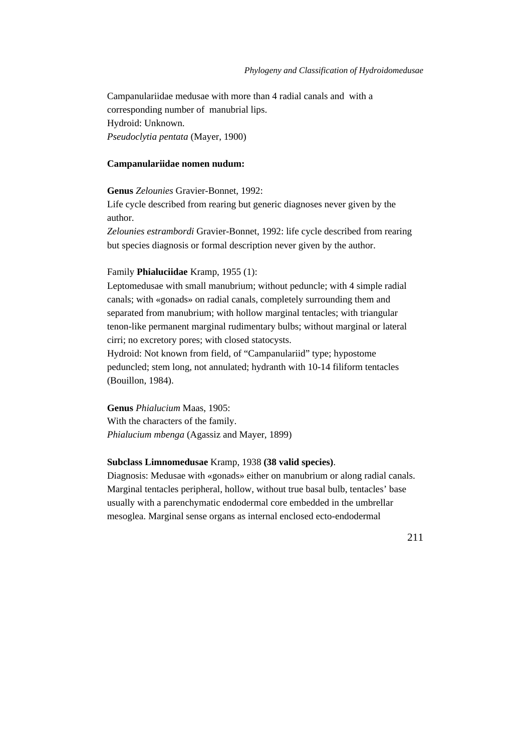Campanulariidae medusae with more than 4 radial canals and with a corresponding number of manubrial lips. Hydroid: Unknown. *Pseudoclytia pentata* (Mayer, 1900)

# **Campanulariidae nomen nudum:**

**Genus** *Zelounies* Gravier-Bonnet, 1992:

Life cycle described from rearing but generic diagnoses never given by the author.

*Zelounies estrambordi* Gravier-Bonnet, 1992: life cycle described from rearing but species diagnosis or formal description never given by the author.

# Family **Phialuciidae** Kramp, 1955 (1):

Leptomedusae with small manubrium; without peduncle; with 4 simple radial canals; with «gonads» on radial canals, completely surrounding them and separated from manubrium; with hollow marginal tentacles; with triangular tenon-like permanent marginal rudimentary bulbs; without marginal or lateral cirri; no excretory pores; with closed statocysts.

Hydroid: Not known from field, of "Campanulariid" type; hypostome peduncled; stem long, not annulated; hydranth with 10-14 filiform tentacles (Bouillon, 1984).

**Genus** *Phialucium* Maas, 1905: With the characters of the family. *Phialucium mbenga* (Agassiz and Mayer, 1899)

### **Subclass Limnomedusae** Kramp, 1938 **(38 valid species)**.

Diagnosis: Medusae with «gonads» either on manubrium or along radial canals. Marginal tentacles peripheral, hollow, without true basal bulb, tentacles' base usually with a parenchymatic endodermal core embedded in the umbrellar mesoglea. Marginal sense organs as internal enclosed ecto-endodermal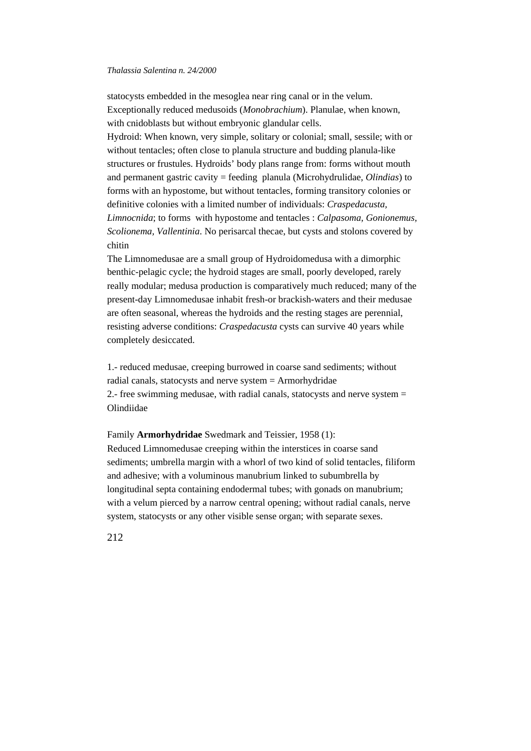statocysts embedded in the mesoglea near ring canal or in the velum. Exceptionally reduced medusoids (*Monobrachium*). Planulae, when known, with cnidoblasts but without embryonic glandular cells. Hydroid: When known, very simple, solitary or colonial; small, sessile; with or without tentacles; often close to planula structure and budding planula-like structures or frustules. Hydroids' body plans range from: forms without mouth and permanent gastric cavity = feeding planula (Microhydrulidae, *Olindias*) to forms with an hypostome, but without tentacles, forming transitory colonies or definitive colonies with a limited number of individuals: *Craspedacusta, Limnocnida*; to forms with hypostome and tentacles : *Calpasoma, Gonionemus, Scolionema, Vallentinia*. No perisarcal thecae, but cysts and stolons covered by chitin

The Limnomedusae are a small group of Hydroidomedusa with a dimorphic benthic-pelagic cycle; the hydroid stages are small, poorly developed, rarely really modular; medusa production is comparatively much reduced; many of the present-day Limnomedusae inhabit fresh-or brackish-waters and their medusae are often seasonal, whereas the hydroids and the resting stages are perennial, resisting adverse conditions: *Craspedacusta* cysts can survive 40 years while completely desiccated.

1.- reduced medusae, creeping burrowed in coarse sand sediments; without radial canals, statocysts and nerve system = Armorhydridae 2.- free swimming medusae, with radial canals, statocysts and nerve system = Olindiidae

Family **Armorhydridae** Swedmark and Teissier, 1958 (1):

Reduced Limnomedusae creeping within the interstices in coarse sand sediments; umbrella margin with a whorl of two kind of solid tentacles, filiform and adhesive; with a voluminous manubrium linked to subumbrella by longitudinal septa containing endodermal tubes; with gonads on manubrium; with a velum pierced by a narrow central opening; without radial canals, nerve system, statocysts or any other visible sense organ; with separate sexes.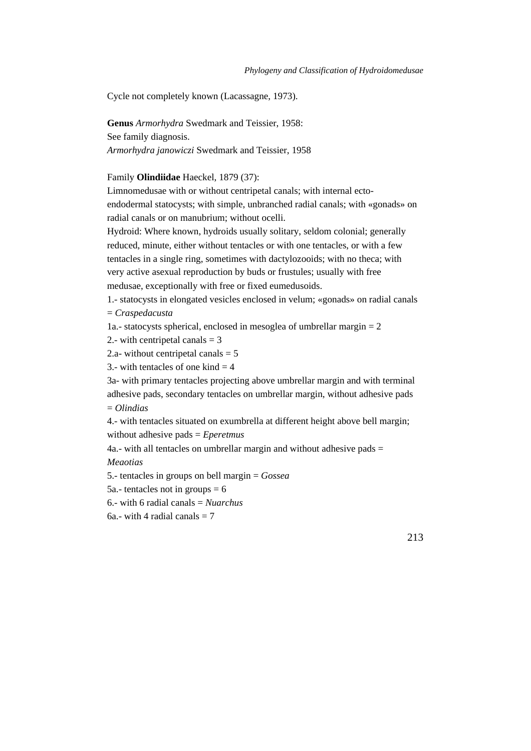Cycle not completely known (Lacassagne, 1973).

**Genus** *Armorhydra* Swedmark and Teissier, 1958: See family diagnosis. *Armorhydra janowiczi* Swedmark and Teissier, 1958

Family **Olindiidae** Haeckel, 1879 (37):

Limnomedusae with or without centripetal canals; with internal ecto-

endodermal statocysts; with simple, unbranched radial canals; with «gonads» on radial canals or on manubrium; without ocelli.

Hydroid: Where known, hydroids usually solitary, seldom colonial; generally reduced, minute, either without tentacles or with one tentacles, or with a few tentacles in a single ring, sometimes with dactylozooids; with no theca; with very active asexual reproduction by buds or frustules; usually with free medusae, exceptionally with free or fixed eumedusoids.

1.- statocysts in elongated vesicles enclosed in velum; «gonads» on radial canals = *Craspedacusta*

1a.- statocysts spherical, enclosed in mesoglea of umbrellar margin  $= 2$ 

2.- with centripetal canals  $=$  3

2.a- without centripetal canals  $= 5$ 

3.- with tentacles of one kind  $=$  4

3a- with primary tentacles projecting above umbrellar margin and with terminal adhesive pads, secondary tentacles on umbrellar margin, without adhesive pads = *Olindias*

4.- with tentacles situated on exumbrella at different height above bell margin; without adhesive pads = *Eperetmus*

4a.- with all tentacles on umbrellar margin and without adhesive pads  $=$ 

*Meaotias*

5.- tentacles in groups on bell margin = *Gossea*

5a.- tentacles not in groups  $= 6$ 

6.- with 6 radial canals = *Nuarchus*

6a.- with 4 radial canals  $= 7$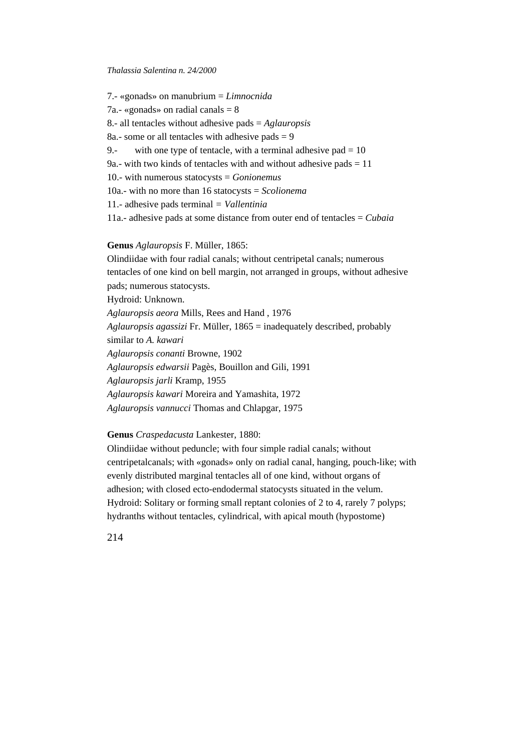7.- «gonads» on manubrium = *Limnocnida* 7a.- «gonads» on radial canals  $= 8$ 8.- all tentacles without adhesive pads = *Aglauropsis* 8a.- some or all tentacles with adhesive pads  $= 9$ 9.- with one type of tentacle, with a terminal adhesive pad  $= 10$ 9a.- with two kinds of tentacles with and without adhesive pads  $= 11$ 10.- with numerous statocysts = *Gonionemus* 10a.- with no more than 16 statocysts = *Scolionema* 11.- adhesive pads terminal *= Vallentinia* 11a.- adhesive pads at some distance from outer end of tentacles = *Cubaia*

### **Genus** *Aglauropsis* F. Müller, 1865:

Olindiidae with four radial canals; without centripetal canals; numerous tentacles of one kind on bell margin, not arranged in groups, without adhesive pads; numerous statocysts. Hydroid: Unknown. *Aglauropsis aeora* Mills, Rees and Hand , 1976 *Aglauropsis agassizi* Fr. Müller, 1865 = inadequately described, probably similar to *A. kawari Aglauropsis conanti* Browne, 1902 *Aglauropsis edwarsii* Pagès, Bouillon and Gili, 1991 *Aglauropsis jarli* Kramp, 1955 *Aglauropsis kawari* Moreira and Yamashita, 1972 *Aglauropsis vannucci* Thomas and Chlapgar, 1975

# **Genus** *Craspedacusta* Lankester, 1880:

Olindiidae without peduncle; with four simple radial canals; without centripetalcanals; with «gonads» only on radial canal, hanging, pouch-like; with evenly distributed marginal tentacles all of one kind, without organs of adhesion; with closed ecto-endodermal statocysts situated in the velum. Hydroid: Solitary or forming small reptant colonies of 2 to 4, rarely 7 polyps; hydranths without tentacles, cylindrical, with apical mouth (hypostome)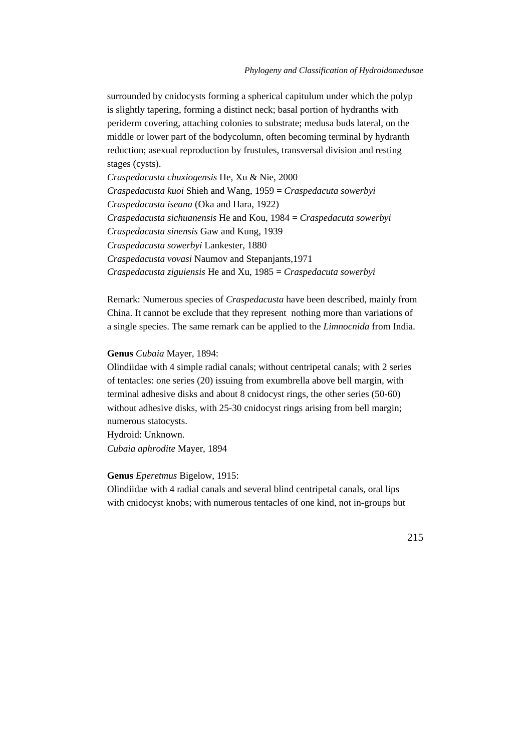surrounded by cnidocysts forming a spherical capitulum under which the polyp is slightly tapering, forming a distinct neck; basal portion of hydranths with periderm covering, attaching colonies to substrate; medusa buds lateral, on the middle or lower part of the bodycolumn, often becoming terminal by hydranth reduction; asexual reproduction by frustules, transversal division and resting stages (cysts).

*Craspedacusta chuxiogensis* He, Xu & Nie, 2000 *Craspedacusta kuoi* Shieh and Wang, 1959 = *Craspedacuta sowerbyi Craspedacusta iseana* (Oka and Hara, 1922) *Craspedacusta sichuanensis* He and Kou, 1984 = *Craspedacuta sowerbyi Craspedacusta sinensis* Gaw and Kung, 1939 *Craspedacusta sowerbyi* Lankester, 1880 *Craspedacusta vovasi* Naumov and Stepanjants,1971 *Craspedacusta ziguiensis* He and Xu, 1985 = *Craspedacuta sowerbyi*

Remark: Numerous species of *Craspedacusta* have been described, mainly from China. It cannot be exclude that they represent nothing more than variations of a single species. The same remark can be applied to the *Limnocnida* from India.

# **Genus** *Cubaia* Mayer, 1894:

Olindiidae with 4 simple radial canals; without centripetal canals; with 2 series of tentacles: one series (20) issuing from exumbrella above bell margin, with terminal adhesive disks and about 8 cnidocyst rings, the other series (50-60) without adhesive disks, with 25-30 cnidocyst rings arising from bell margin; numerous statocysts. Hydroid: Unknown.

*Cubaia aphrodite* Mayer, 1894

# **Genus** *Eperetmus* Bigelow, 1915:

Olindiidae with 4 radial canals and several blind centripetal canals, oral lips with cnidocyst knobs; with numerous tentacles of one kind, not in-groups but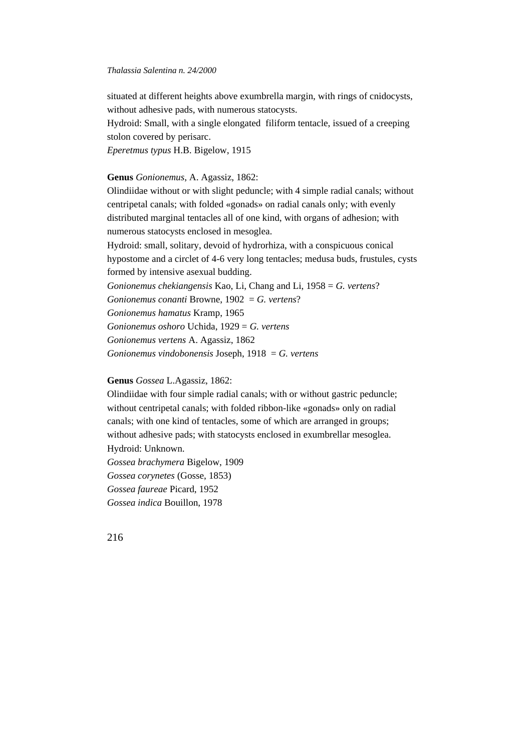situated at different heights above exumbrella margin, with rings of cnidocysts, without adhesive pads, with numerous statocysts.

Hydroid: Small, with a single elongated filiform tentacle, issued of a creeping stolon covered by perisarc.

*Eperetmus typus* H.B. Bigelow, 1915

# **Genus** *Gonionemus*, A. Agassiz, 1862:

Olindiidae without or with slight peduncle; with 4 simple radial canals; without centripetal canals; with folded «gonads» on radial canals only; with evenly distributed marginal tentacles all of one kind, with organs of adhesion; with numerous statocysts enclosed in mesoglea.

Hydroid: small, solitary, devoid of hydrorhiza, with a conspicuous conical hypostome and a circlet of 4-6 very long tentacles; medusa buds, frustules, cysts formed by intensive asexual budding.

*Gonionemus chekiangensis* Kao, Li, Chang and Li, 1958 = *G. vertens*?

*Gonionemus conanti* Browne, 1902 = *G. vertens*?

*Gonionemus hamatus* Kramp, 1965

*Gonionemus oshoro* Uchida, 1929 = *G. vertens*

*Gonionemus vertens* A. Agassiz, 1862

*Gonionemus vindobonensis* Joseph, 1918 = *G. vertens*

**Genus** *Gossea* L.Agassiz, 1862:

Olindiidae with four simple radial canals; with or without gastric peduncle; without centripetal canals; with folded ribbon-like «gonads» only on radial canals; with one kind of tentacles, some of which are arranged in groups; without adhesive pads; with statocysts enclosed in exumbrellar mesoglea. Hydroid: Unknown.

*Gossea brachymera* Bigelow, 1909 *Gossea corynetes* (Gosse, 1853) *Gossea faureae* Picard, 1952 *Gossea indica* Bouillon, 1978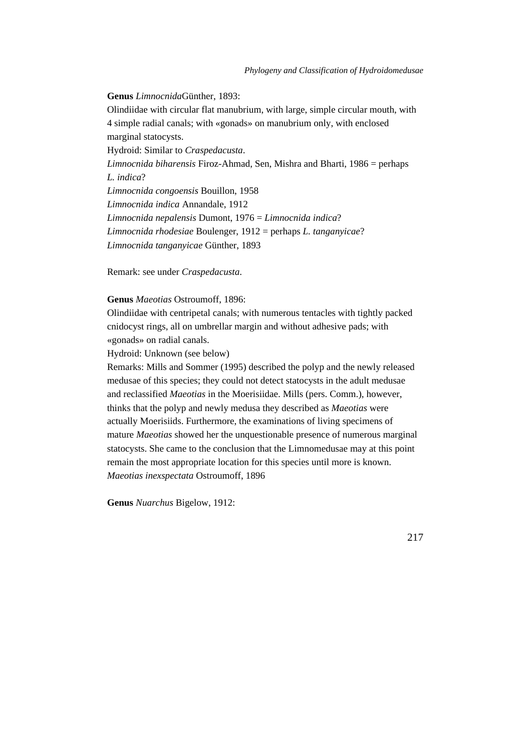**Genus** *Limnocnida*Günther, 1893: Olindiidae with circular flat manubrium, with large, simple circular mouth, with 4 simple radial canals; with «gonads» on manubrium only, with enclosed marginal statocysts. Hydroid: Similar to *Craspedacusta*. *Limnocnida biharensis* Firoz-Ahmad, Sen, Mishra and Bharti, 1986 = perhaps *L. indica*? *Limnocnida congoensis* Bouillon, 1958 *Limnocnida indica* Annandale, 1912 *Limnocnida nepalensis* Dumont, 1976 = *Limnocnida indica*? *Limnocnida rhodesiae* Boulenger, 1912 = perhaps *L. tanganyicae*? *Limnocnida tanganyicae* Günther, 1893

Remark: see under *Craspedacusta*.

# **Genus** *Maeotias* Ostroumoff, 1896:

Olindiidae with centripetal canals; with numerous tentacles with tightly packed cnidocyst rings, all on umbrellar margin and without adhesive pads; with «gonads» on radial canals.

Hydroid: Unknown (see below)

Remarks: Mills and Sommer (1995) described the polyp and the newly released medusae of this species; they could not detect statocysts in the adult medusae and reclassified *Maeotias* in the Moerisiidae. Mills (pers. Comm.), however, thinks that the polyp and newly medusa they described as *Maeotias* were actually Moerisiids. Furthermore, the examinations of living specimens of mature *Maeotias* showed her the unquestionable presence of numerous marginal statocysts. She came to the conclusion that the Limnomedusae may at this point remain the most appropriate location for this species until more is known. *Maeotias inexspectata* Ostroumoff, 1896

**Genus** *Nuarchus* Bigelow, 1912: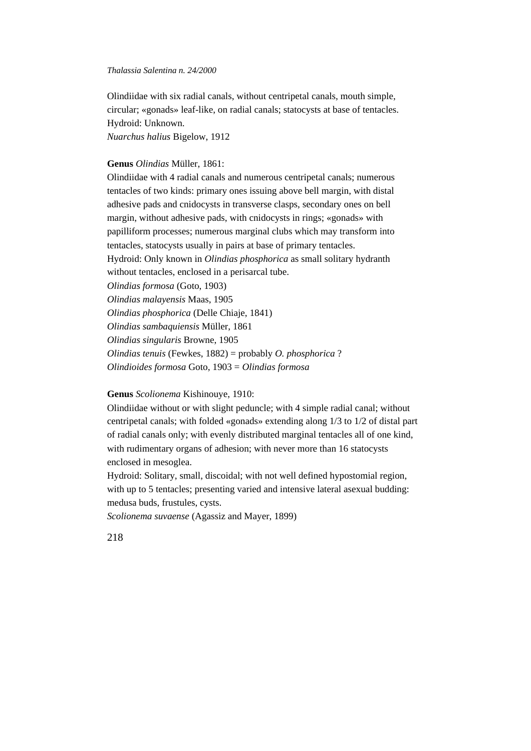Olindiidae with six radial canals, without centripetal canals, mouth simple, circular; «gonads» leaf-like, on radial canals; statocysts at base of tentacles. Hydroid: Unknown.

*Nuarchus halius* Bigelow, 1912

# **Genus** *Olindias* Müller, 1861:

Olindiidae with 4 radial canals and numerous centripetal canals; numerous tentacles of two kinds: primary ones issuing above bell margin, with distal adhesive pads and cnidocysts in transverse clasps, secondary ones on bell margin, without adhesive pads, with cnidocysts in rings; «gonads» with papilliform processes; numerous marginal clubs which may transform into tentacles, statocysts usually in pairs at base of primary tentacles. Hydroid: Only known in *Olindias phosphorica* as small solitary hydranth without tentacles, enclosed in a perisarcal tube. *Olindias formosa* (Goto, 1903) *Olindias malayensis* Maas, 1905 *Olindias phosphorica* (Delle Chiaje, 1841) *Olindias sambaquiensis* Müller, 1861 *Olindias singularis* Browne, 1905 *Olindias tenuis* (Fewkes, 1882) = probably *O. phosphorica* ? *Olindioides formosa* Goto, 1903 = *Olindias formosa*

# **Genus** *Scolionema* Kishinouye, 1910:

Olindiidae without or with slight peduncle; with 4 simple radial canal; without centripetal canals; with folded «gonads» extending along 1/3 to 1/2 of distal part of radial canals only; with evenly distributed marginal tentacles all of one kind, with rudimentary organs of adhesion; with never more than 16 statocysts enclosed in mesoglea.

Hydroid: Solitary, small, discoidal; with not well defined hypostomial region, with up to 5 tentacles; presenting varied and intensive lateral asexual budding: medusa buds, frustules, cysts.

*Scolionema suvaense* (Agassiz and Mayer, 1899)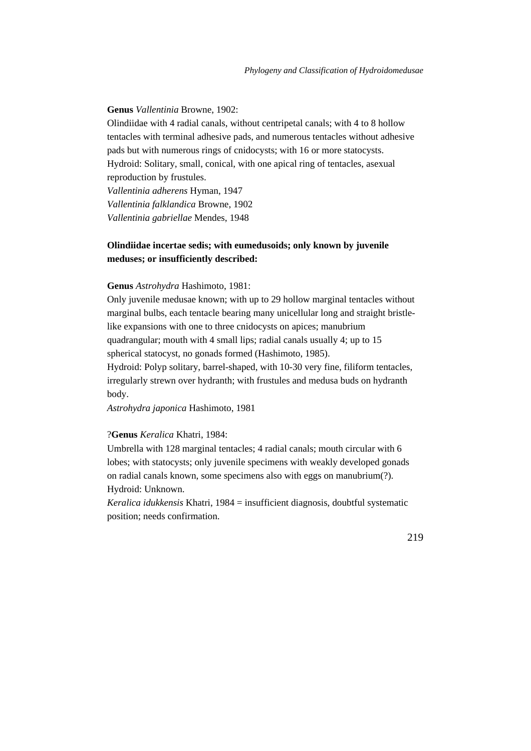### **Genus** *Vallentinia* Browne, 1902:

Olindiidae with 4 radial canals, without centripetal canals; with 4 to 8 hollow tentacles with terminal adhesive pads, and numerous tentacles without adhesive pads but with numerous rings of cnidocysts; with 16 or more statocysts. Hydroid: Solitary, small, conical, with one apical ring of tentacles, asexual reproduction by frustules. *Vallentinia adherens* Hyman, 1947 *Vallentinia falklandica* Browne, 1902 *Vallentinia gabriellae* Mendes, 1948

# **Olindiidae incertae sedis; with eumedusoids; only known by juvenile meduses; or insufficiently described:**

#### **Genus** *Astrohydra* Hashimoto, 1981:

Only juvenile medusae known; with up to 29 hollow marginal tentacles without marginal bulbs, each tentacle bearing many unicellular long and straight bristlelike expansions with one to three cnidocysts on apices; manubrium quadrangular; mouth with 4 small lips; radial canals usually 4; up to 15 spherical statocyst, no gonads formed (Hashimoto, 1985).

Hydroid: Polyp solitary, barrel-shaped, with 10-30 very fine, filiform tentacles, irregularly strewn over hydranth; with frustules and medusa buds on hydranth body.

*Astrohydra japonica* Hashimoto, 1981

### ?**Genus** *Keralica* Khatri, 1984:

Umbrella with 128 marginal tentacles; 4 radial canals; mouth circular with 6 lobes; with statocysts; only juvenile specimens with weakly developed gonads on radial canals known, some specimens also with eggs on manubrium(?). Hydroid: Unknown.

*Keralica idukkensis* Khatri, 1984 = insufficient diagnosis, doubtful systematic position; needs confirmation.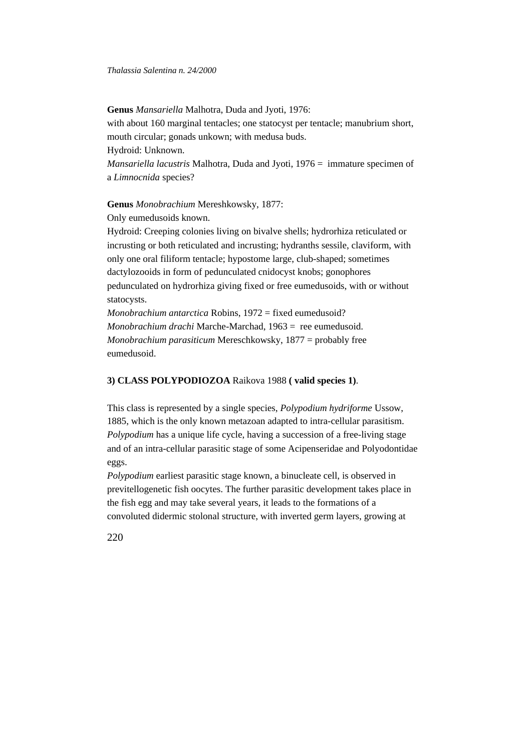**Genus** *Mansariella* Malhotra, Duda and Jyoti, 1976:

with about 160 marginal tentacles; one statocyst per tentacle; manubrium short, mouth circular; gonads unkown; with medusa buds.

Hydroid: Unknown.

*Mansariella lacustris* Malhotra, Duda and Jyoti, 1976 = immature specimen of a *Limnocnida* species?

**Genus** *Monobrachium* Mereshkowsky, 1877:

Only eumedusoids known.

Hydroid: Creeping colonies living on bivalve shells; hydrorhiza reticulated or incrusting or both reticulated and incrusting; hydranths sessile, claviform, with only one oral filiform tentacle; hypostome large, club-shaped; sometimes dactylozooids in form of pedunculated cnidocyst knobs; gonophores pedunculated on hydrorhiza giving fixed or free eumedusoids, with or without statocysts.

*Monobrachium antarctica* Robins, 1972 = fixed eumedusoid? *Monobrachium drachi* Marche-Marchad, 1963 = ree eumedusoid. *Monobrachium parasiticum* Mereschkowsky, 1877 = probably free eumedusoid.

# **3) CLASS POLYPODIOZOA** Raikova 1988 **( valid species 1)**.

This class is represented by a single species, *Polypodium hydriforme* Ussow, 1885, which is the only known metazoan adapted to intra-cellular parasitism. *Polypodium* has a unique life cycle, having a succession of a free-living stage and of an intra-cellular parasitic stage of some Acipenseridae and Polyodontidae eggs.

*Polypodium* earliest parasitic stage known, a binucleate cell, is observed in previtellogenetic fish oocytes. The further parasitic development takes place in the fish egg and may take several years, it leads to the formations of a convoluted didermic stolonal structure, with inverted germ layers, growing at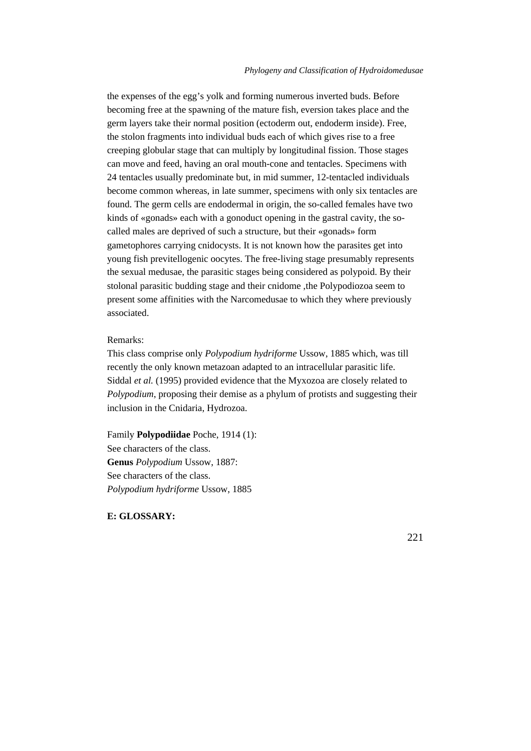the expenses of the egg's yolk and forming numerous inverted buds. Before becoming free at the spawning of the mature fish, eversion takes place and the germ layers take their normal position (ectoderm out, endoderm inside). Free, the stolon fragments into individual buds each of which gives rise to a free creeping globular stage that can multiply by longitudinal fission. Those stages can move and feed, having an oral mouth-cone and tentacles. Specimens with 24 tentacles usually predominate but, in mid summer, 12-tentacled individuals become common whereas, in late summer, specimens with only six tentacles are found. The germ cells are endodermal in origin, the so-called females have two kinds of «gonads» each with a gonoduct opening in the gastral cavity, the socalled males are deprived of such a structure, but their «gonads» form gametophores carrying cnidocysts. It is not known how the parasites get into young fish previtellogenic oocytes. The free-living stage presumably represents the sexual medusae, the parasitic stages being considered as polypoid. By their stolonal parasitic budding stage and their cnidome ,the Polypodiozoa seem to present some affinities with the Narcomedusae to which they where previously associated.

#### Remarks:

This class comprise only *Polypodium hydriforme* Ussow, 1885 which, was till recently the only known metazoan adapted to an intracellular parasitic life. Siddal *et al.* (1995) provided evidence that the Myxozoa are closely related to *Polypodium*, proposing their demise as a phylum of protists and suggesting their inclusion in the Cnidaria, Hydrozoa.

Family **Polypodiidae** Poche, 1914 (1): See characters of the class. **Genus** *Polypodium* Ussow, 1887: See characters of the class. *Polypodium hydriforme* Ussow, 1885

# **E: GLOSSARY:**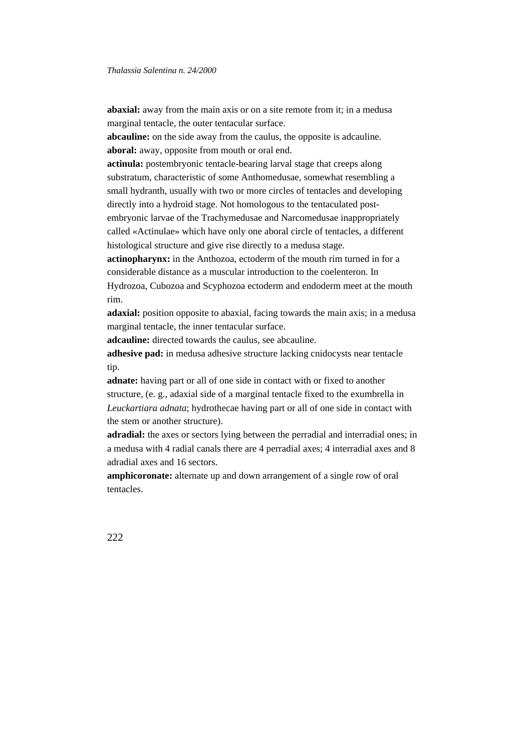**abaxial:** away from the main axis or on a site remote from it; in a medusa marginal tentacle, the outer tentacular surface.

**abcauline:** on the side away from the caulus, the opposite is adcauline. **aboral:** away, opposite from mouth or oral end.

**actinula:** postembryonic tentacle-bearing larval stage that creeps along substratum, characteristic of some Anthomedusae, somewhat resembling a small hydranth, usually with two or more circles of tentacles and developing directly into a hydroid stage. Not homologous to the tentaculated postembryonic larvae of the Trachymedusae and Narcomedusae inappropriately called «Actinulae» which have only one aboral circle of tentacles, a different histological structure and give rise directly to a medusa stage.

**actinopharynx:** in the Anthozoa, ectoderm of the mouth rim turned in for a considerable distance as a muscular introduction to the coelenteron. In Hydrozoa, Cubozoa and Scyphozoa ectoderm and endoderm meet at the mouth rim.

**adaxial:** position opposite to abaxial, facing towards the main axis; in a medusa marginal tentacle, the inner tentacular surface.

**adcauline:** directed towards the caulus, see abcauline.

**adhesive pad:** in medusa adhesive structure lacking cnidocysts near tentacle tip.

**adnate:** having part or all of one side in contact with or fixed to another structure, (e. g., adaxial side of a marginal tentacle fixed to the exumbrella in *Leuckartiara adnata*; hydrothecae having part or all of one side in contact with the stem or another structure).

**adradial:** the axes or sectors lying between the perradial and interradial ones; in a medusa with 4 radial canals there are 4 perradial axes; 4 interradial axes and 8 adradial axes and 16 sectors.

**amphicoronate:** alternate up and down arrangement of a single row of oral tentacles.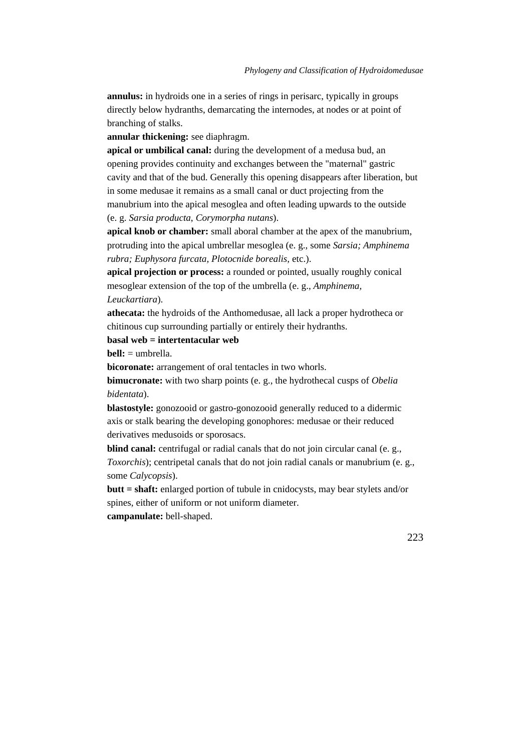**annulus:** in hydroids one in a series of rings in perisarc, typically in groups directly below hydranths, demarcating the internodes, at nodes or at point of branching of stalks.

**annular thickening:** see diaphragm.

**apical or umbilical canal:** during the development of a medusa bud, an opening provides continuity and exchanges between the "maternal" gastric cavity and that of the bud. Generally this opening disappears after liberation, but in some medusae it remains as a small canal or duct projecting from the manubrium into the apical mesoglea and often leading upwards to the outside (e. g. *Sarsia producta*, *Corymorpha nutans*).

**apical knob or chamber:** small aboral chamber at the apex of the manubrium, protruding into the apical umbrellar mesoglea (e. g., some *Sarsia; Amphinema rubra; Euphysora furcata, Plotocnide borealis,* etc.).

**apical projection or process:** a rounded or pointed, usually roughly conical mesoglear extension of the top of the umbrella (e. g., *Amphinema, Leuckartiara*).

**athecata:** the hydroids of the Anthomedusae, all lack a proper hydrotheca or chitinous cup surrounding partially or entirely their hydranths.

# **basal web = intertentacular web**

**bell:** = umbrella.

**bicoronate:** arrangement of oral tentacles in two whorls.

**bimucronate:** with two sharp points (e. g., the hydrothecal cusps of *Obelia bidentata*).

**blastostyle:** gonozooid or gastro-gonozooid generally reduced to a didermic axis or stalk bearing the developing gonophores: medusae or their reduced derivatives medusoids or sporosacs.

**blind canal:** centrifugal or radial canals that do not join circular canal (e. g., *Toxorchis*); centripetal canals that do not join radial canals or manubrium (e. g., some *Calycopsis*).

**butt = shaft:** enlarged portion of tubule in cnidocysts, may bear stylets and/or spines, either of uniform or not uniform diameter.

**campanulate:** bell-shaped.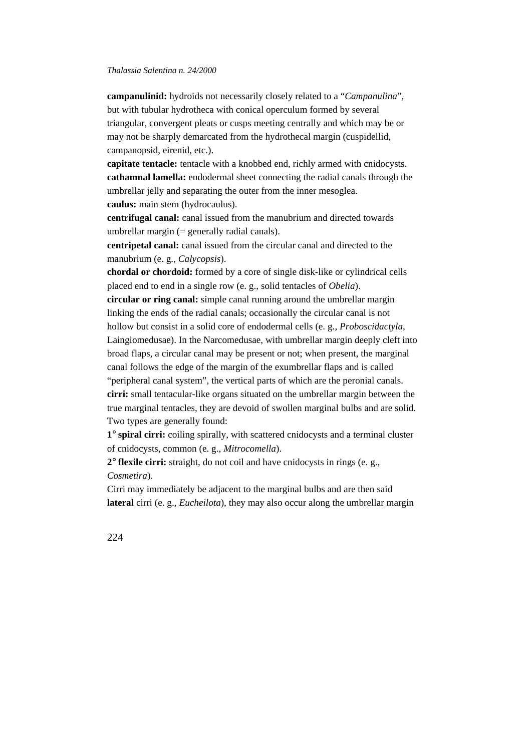**campanulinid:** hydroids not necessarily closely related to a "*Campanulina*", but with tubular hydrotheca with conical operculum formed by several triangular, convergent pleats or cusps meeting centrally and which may be or may not be sharply demarcated from the hydrothecal margin (cuspidellid, campanopsid, eirenid, etc.).

**capitate tentacle:** tentacle with a knobbed end, richly armed with cnidocysts. **cathamnal lamella:** endodermal sheet connecting the radial canals through the umbrellar jelly and separating the outer from the inner mesoglea. **caulus:** main stem (hydrocaulus).

**centrifugal canal:** canal issued from the manubrium and directed towards umbrellar margin  $(=$  generally radial canals).

**centripetal canal:** canal issued from the circular canal and directed to the manubrium (e. g., *Calycopsis*).

**chordal or chordoid:** formed by a core of single disk-like or cylindrical cells placed end to end in a single row (e. g., solid tentacles of *Obelia*).

**circular or ring canal:** simple canal running around the umbrellar margin linking the ends of the radial canals; occasionally the circular canal is not hollow but consist in a solid core of endodermal cells (e. g., *Proboscidactyla*, Laingiomedusae). In the Narcomedusae, with umbrellar margin deeply cleft into broad flaps, a circular canal may be present or not; when present, the marginal canal follows the edge of the margin of the exumbrellar flaps and is called "peripheral canal system", the vertical parts of which are the peronial canals. **cirri:** small tentacular-like organs situated on the umbrellar margin between the true marginal tentacles, they are devoid of swollen marginal bulbs and are solid. Two types are generally found:

**1**° **spiral cirri:** coiling spirally, with scattered cnidocysts and a terminal cluster of cnidocysts, common (e. g., *Mitrocomella*).

**2**° **flexile cirri:** straight, do not coil and have cnidocysts in rings (e. g., *Cosmetira*).

Cirri may immediately be adjacent to the marginal bulbs and are then said **lateral** cirri (e. g., *Eucheilota*), they may also occur along the umbrellar margin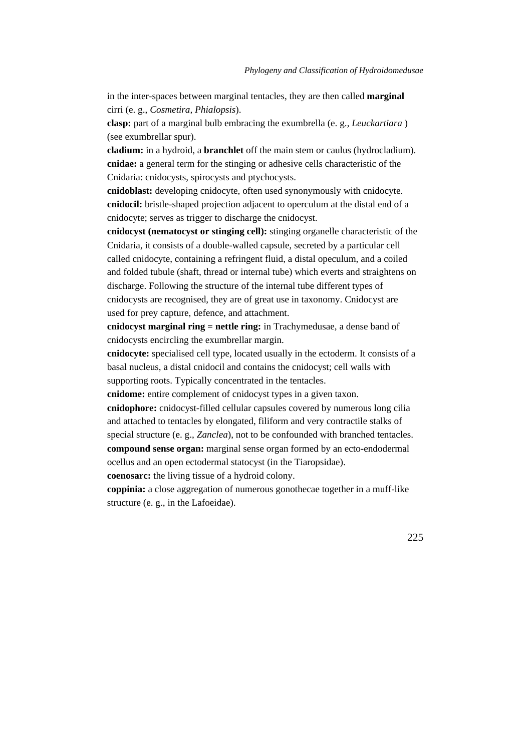in the inter-spaces between marginal tentacles, they are then called **marginal** cirri (e. g., *Cosmetira, Phialopsis*).

**clasp:** part of a marginal bulb embracing the exumbrella (e. g., *Leuckartiara* ) (see exumbrellar spur).

**cladium:** in a hydroid, a **branchlet** off the main stem or caulus (hydrocladium). **cnidae:** a general term for the stinging or adhesive cells characteristic of the Cnidaria: cnidocysts, spirocysts and ptychocysts.

**cnidoblast:** developing cnidocyte, often used synonymously with cnidocyte. **cnidocil:** bristle-shaped projection adjacent to operculum at the distal end of a cnidocyte; serves as trigger to discharge the cnidocyst.

**cnidocyst (nematocyst or stinging cell):** stinging organelle characteristic of the Cnidaria, it consists of a double-walled capsule, secreted by a particular cell called cnidocyte, containing a refringent fluid, a distal opeculum, and a coiled and folded tubule (shaft, thread or internal tube) which everts and straightens on discharge. Following the structure of the internal tube different types of cnidocysts are recognised, they are of great use in taxonomy. Cnidocyst are used for prey capture, defence, and attachment.

**cnidocyst marginal ring = nettle ring:** in Trachymedusae, a dense band of cnidocysts encircling the exumbrellar margin.

**cnidocyte:** specialised cell type, located usually in the ectoderm. It consists of a basal nucleus, a distal cnidocil and contains the cnidocyst; cell walls with supporting roots. Typically concentrated in the tentacles.

**cnidome:** entire complement of cnidocyst types in a given taxon.

**cnidophore:** cnidocyst-filled cellular capsules covered by numerous long cilia and attached to tentacles by elongated, filiform and very contractile stalks of special structure (e. g., *Zanclea*), not to be confounded with branched tentacles. **compound sense organ:** marginal sense organ formed by an ecto-endodermal ocellus and an open ectodermal statocyst (in the Tiaropsidae).

**coenosarc:** the living tissue of a hydroid colony.

**coppinia:** a close aggregation of numerous gonothecae together in a muff-like structure (e. g., in the Lafoeidae).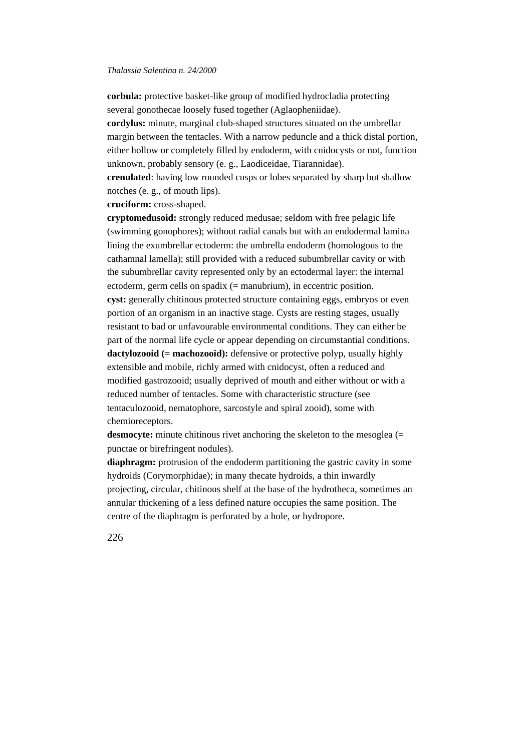**corbula:** protective basket-like group of modified hydrocladia protecting several gonothecae loosely fused together (Aglaopheniidae).

**cordylus:** minute, marginal club-shaped structures situated on the umbrellar margin between the tentacles. With a narrow peduncle and a thick distal portion, either hollow or completely filled by endoderm, with cnidocysts or not, function unknown, probably sensory (e. g., Laodiceidae, Tiarannidae).

**crenulated**: having low rounded cusps or lobes separated by sharp but shallow notches (e. g., of mouth lips).

**cruciform:** cross-shaped.

**cryptomedusoid:** strongly reduced medusae; seldom with free pelagic life (swimming gonophores); without radial canals but with an endodermal lamina lining the exumbrellar ectoderm: the umbrella endoderm (homologous to the cathamnal lamella); still provided with a reduced subumbrellar cavity or with the subumbrellar cavity represented only by an ectodermal layer: the internal ectoderm, germ cells on spadix (= manubrium), in eccentric position. **cyst:** generally chitinous protected structure containing eggs, embryos or even portion of an organism in an inactive stage. Cysts are resting stages, usually resistant to bad or unfavourable environmental conditions. They can either be part of the normal life cycle or appear depending on circumstantial conditions. **dactylozooid (= machozooid):** defensive or protective polyp, usually highly extensible and mobile, richly armed with cnidocyst, often a reduced and modified gastrozooid; usually deprived of mouth and either without or with a reduced number of tentacles. Some with characteristic structure (see tentaculozooid, nematophore, sarcostyle and spiral zooid), some with chemioreceptors.

**desmocyte:** minute chitinous rivet anchoring the skeleton to the mesoglea (= punctae or birefringent nodules).

**diaphragm:** protrusion of the endoderm partitioning the gastric cavity in some hydroids (Corymorphidae); in many thecate hydroids, a thin inwardly projecting, circular, chitinous shelf at the base of the hydrotheca, sometimes an annular thickening of a less defined nature occupies the same position. The centre of the diaphragm is perforated by a hole, or hydropore.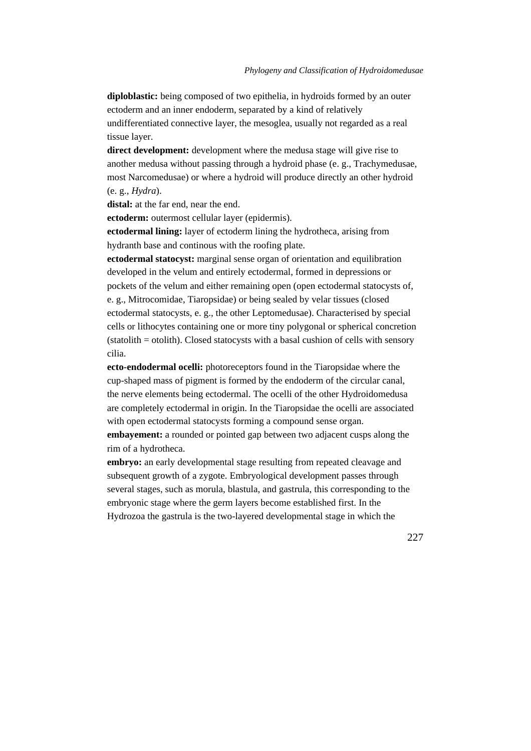**diploblastic:** being composed of two epithelia, in hydroids formed by an outer ectoderm and an inner endoderm, separated by a kind of relatively undifferentiated connective layer, the mesoglea, usually not regarded as a real tissue layer.

**direct development:** development where the medusa stage will give rise to another medusa without passing through a hydroid phase (e. g., Trachymedusae, most Narcomedusae) or where a hydroid will produce directly an other hydroid (e. g., *Hydra*).

**distal:** at the far end, near the end.

**ectoderm:** outermost cellular layer (epidermis).

**ectodermal lining:** layer of ectoderm lining the hydrotheca, arising from hydranth base and continous with the roofing plate.

**ectodermal statocyst:** marginal sense organ of orientation and equilibration developed in the velum and entirely ectodermal, formed in depressions or pockets of the velum and either remaining open (open ectodermal statocysts of, e. g., Mitrocomidae, Tiaropsidae) or being sealed by velar tissues (closed ectodermal statocysts, e. g., the other Leptomedusae). Characterised by special cells or lithocytes containing one or more tiny polygonal or spherical concretion (statolith = otolith). Closed statocysts with a basal cushion of cells with sensory cilia.

**ecto-endodermal ocelli:** photoreceptors found in the Tiaropsidae where the cup-shaped mass of pigment is formed by the endoderm of the circular canal, the nerve elements being ectodermal. The ocelli of the other Hydroidomedusa are completely ectodermal in origin. In the Tiaropsidae the ocelli are associated with open ectodermal statocysts forming a compound sense organ.

**embayement:** a rounded or pointed gap between two adjacent cusps along the rim of a hydrotheca.

**embryo:** an early developmental stage resulting from repeated cleavage and subsequent growth of a zygote. Embryological development passes through several stages, such as morula, blastula, and gastrula, this corresponding to the embryonic stage where the germ layers become established first. In the Hydrozoa the gastrula is the two-layered developmental stage in which the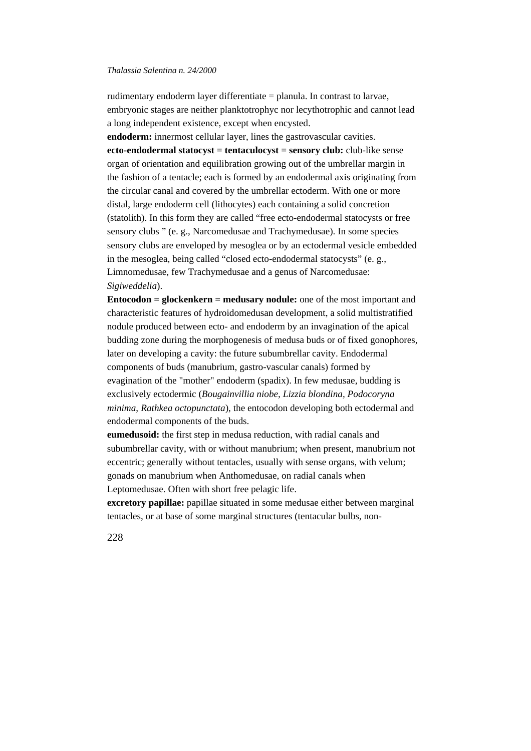rudimentary endoderm layer differentiate = planula. In contrast to larvae, embryonic stages are neither planktotrophyc nor lecythotrophic and cannot lead a long independent existence, except when encysted.

**endoderm:** innermost cellular layer, lines the gastrovascular cavities. **ecto-endodermal statocyst = tentaculocyst = sensory club:** club-like sense organ of orientation and equilibration growing out of the umbrellar margin in the fashion of a tentacle; each is formed by an endodermal axis originating from the circular canal and covered by the umbrellar ectoderm. With one or more distal, large endoderm cell (lithocytes) each containing a solid concretion (statolith). In this form they are called "free ecto-endodermal statocysts or free sensory clubs " (e. g., Narcomedusae and Trachymedusae). In some species sensory clubs are enveloped by mesoglea or by an ectodermal vesicle embedded in the mesoglea, being called "closed ecto-endodermal statocysts" (e. g., Limnomedusae, few Trachymedusae and a genus of Narcomedusae: *Sigiweddelia*).

**Entocodon = glockenkern = medusary nodule:** one of the most important and characteristic features of hydroidomedusan development, a solid multistratified nodule produced between ecto- and endoderm by an invagination of the apical budding zone during the morphogenesis of medusa buds or of fixed gonophores, later on developing a cavity: the future subumbrellar cavity. Endodermal components of buds (manubrium, gastro-vascular canals) formed by evagination of the "mother" endoderm (spadix). In few medusae, budding is exclusively ectodermic (*Bougainvillia niobe, Lizzia blondina, Podocoryna minima*, *Rathkea octopunctata*), the entocodon developing both ectodermal and endodermal components of the buds.

**eumedusoid:** the first step in medusa reduction, with radial canals and subumbrellar cavity, with or without manubrium; when present, manubrium not eccentric; generally without tentacles, usually with sense organs, with velum; gonads on manubrium when Anthomedusae, on radial canals when Leptomedusae. Often with short free pelagic life.

**excretory papillae:** papillae situated in some medusae either between marginal tentacles, or at base of some marginal structures (tentacular bulbs, non-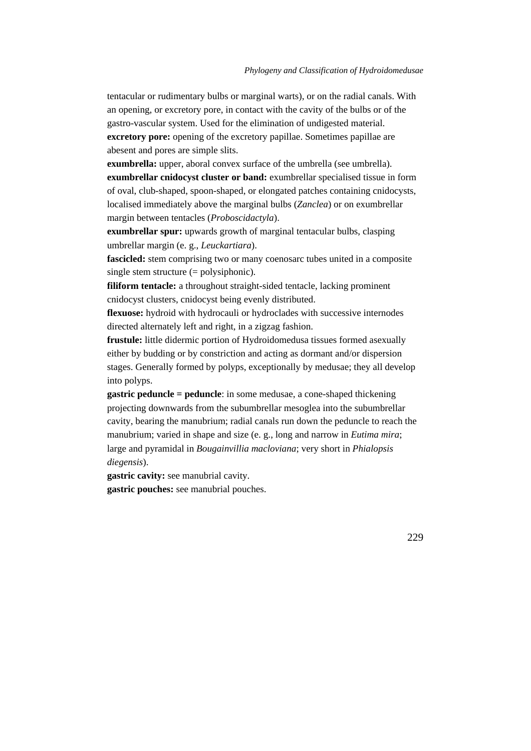tentacular or rudimentary bulbs or marginal warts), or on the radial canals. With an opening, or excretory pore, in contact with the cavity of the bulbs or of the gastro-vascular system. Used for the elimination of undigested material. **excretory pore:** opening of the excretory papillae. Sometimes papillae are abesent and pores are simple slits.

**exumbrella:** upper, aboral convex surface of the umbrella (see umbrella). **exumbrellar cnidocyst cluster or band:** exumbrellar specialised tissue in form of oval, club-shaped, spoon-shaped, or elongated patches containing cnidocysts, localised immediately above the marginal bulbs (*Zanclea*) or on exumbrellar margin between tentacles (*Proboscidactyla*).

**exumbrellar spur:** upwards growth of marginal tentacular bulbs, clasping umbrellar margin (e. g., *Leuckartiara*).

**fascicled:** stem comprising two or many coenosarc tubes united in a composite single stem structure (= polysiphonic).

**filiform tentacle:** a throughout straight-sided tentacle, lacking prominent cnidocyst clusters, cnidocyst being evenly distributed.

**flexuose:** hydroid with hydrocauli or hydroclades with successive internodes directed alternately left and right, in a zigzag fashion.

**frustule:** little didermic portion of Hydroidomedusa tissues formed asexually either by budding or by constriction and acting as dormant and/or dispersion stages. Generally formed by polyps, exceptionally by medusae; they all develop into polyps.

**gastric peduncle = peduncle**: in some medusae, a cone-shaped thickening projecting downwards from the subumbrellar mesoglea into the subumbrellar cavity, bearing the manubrium; radial canals run down the peduncle to reach the manubrium; varied in shape and size (e. g., long and narrow in *Eutima mira*; large and pyramidal in *Bougainvillia macloviana*; very short in *Phialopsis diegensis*).

**gastric cavity:** see manubrial cavity. **gastric pouches:** see manubrial pouches.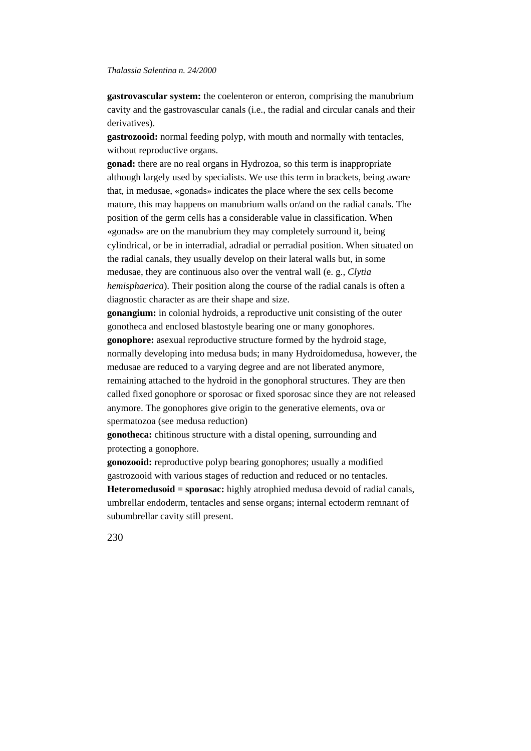**gastrovascular system:** the coelenteron or enteron, comprising the manubrium cavity and the gastrovascular canals (i.e., the radial and circular canals and their derivatives).

**gastrozooid:** normal feeding polyp, with mouth and normally with tentacles, without reproductive organs.

**gonad:** there are no real organs in Hydrozoa, so this term is inappropriate although largely used by specialists. We use this term in brackets, being aware that, in medusae, «gonads» indicates the place where the sex cells become mature, this may happens on manubrium walls or/and on the radial canals. The position of the germ cells has a considerable value in classification. When «gonads» are on the manubrium they may completely surround it, being cylindrical, or be in interradial, adradial or perradial position. When situated on the radial canals, they usually develop on their lateral walls but, in some medusae, they are continuous also over the ventral wall (e. g., *Clytia hemisphaerica*). Their position along the course of the radial canals is often a diagnostic character as are their shape and size.

**gonangium:** in colonial hydroids, a reproductive unit consisting of the outer gonotheca and enclosed blastostyle bearing one or many gonophores. **gonophore:** asexual reproductive structure formed by the hydroid stage, normally developing into medusa buds; in many Hydroidomedusa, however, the medusae are reduced to a varying degree and are not liberated anymore, remaining attached to the hydroid in the gonophoral structures. They are then called fixed gonophore or sporosac or fixed sporosac since they are not released anymore. The gonophores give origin to the generative elements, ova or spermatozoa (see medusa reduction)

**gonotheca:** chitinous structure with a distal opening, surrounding and protecting a gonophore.

**gonozooid:** reproductive polyp bearing gonophores; usually a modified gastrozooid with various stages of reduction and reduced or no tentacles. **Heteromedusoid = sporosac:** highly atrophied medusa devoid of radial canals, umbrellar endoderm, tentacles and sense organs; internal ectoderm remnant of subumbrellar cavity still present.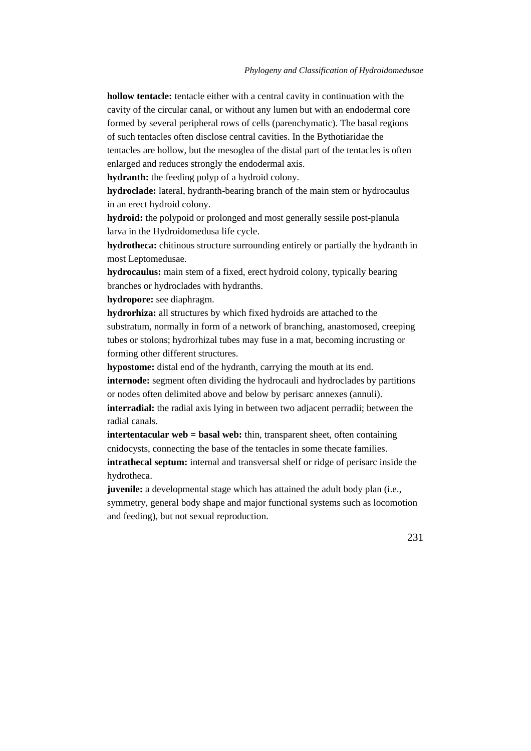**hollow tentacle:** tentacle either with a central cavity in continuation with the cavity of the circular canal, or without any lumen but with an endodermal core formed by several peripheral rows of cells (parenchymatic). The basal regions of such tentacles often disclose central cavities. In the Bythotiaridae the tentacles are hollow, but the mesoglea of the distal part of the tentacles is often enlarged and reduces strongly the endodermal axis.

**hydranth:** the feeding polyp of a hydroid colony.

**hydroclade:** lateral, hydranth-bearing branch of the main stem or hydrocaulus in an erect hydroid colony.

**hydroid:** the polypoid or prolonged and most generally sessile post-planula larva in the Hydroidomedusa life cycle.

**hydrotheca:** chitinous structure surrounding entirely or partially the hydranth in most Leptomedusae.

**hydrocaulus:** main stem of a fixed, erect hydroid colony, typically bearing branches or hydroclades with hydranths.

**hydropore:** see diaphragm.

**hydrorhiza:** all structures by which fixed hydroids are attached to the substratum, normally in form of a network of branching, anastomosed, creeping tubes or stolons; hydrorhizal tubes may fuse in a mat, becoming incrusting or forming other different structures.

**hypostome:** distal end of the hydranth, carrying the mouth at its end.

**internode:** segment often dividing the hydrocauli and hydroclades by partitions or nodes often delimited above and below by perisarc annexes (annuli).

**interradial:** the radial axis lying in between two adjacent perradii; between the radial canals.

**intertentacular web = basal web:** thin, transparent sheet, often containing cnidocysts, connecting the base of the tentacles in some thecate families.

**intrathecal septum:** internal and transversal shelf or ridge of perisarc inside the hydrotheca.

**juvenile:** a developmental stage which has attained the adult body plan (i.e., symmetry, general body shape and major functional systems such as locomotion and feeding), but not sexual reproduction.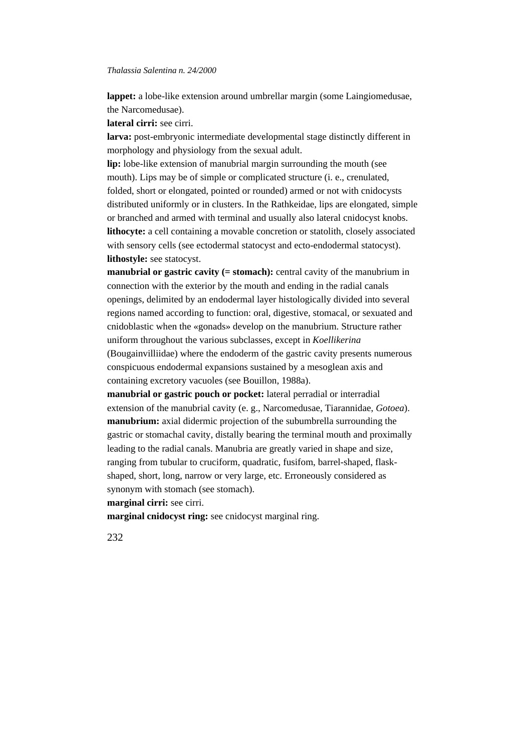**lappet:** a lobe-like extension around umbrellar margin (some Laingiomedusae, the Narcomedusae).

**lateral cirri:** see cirri.

**larva:** post-embryonic intermediate developmental stage distinctly different in morphology and physiology from the sexual adult.

**lip:** lobe-like extension of manubrial margin surrounding the mouth (see mouth). Lips may be of simple or complicated structure (i. e., crenulated, folded, short or elongated, pointed or rounded) armed or not with cnidocysts distributed uniformly or in clusters. In the Rathkeidae, lips are elongated, simple or branched and armed with terminal and usually also lateral cnidocyst knobs. **lithocyte:** a cell containing a movable concretion or statolith, closely associated with sensory cells (see ectodermal statocyst and ecto-endodermal statocyst). **lithostyle:** see statocyst.

**manubrial or gastric cavity (= stomach):** central cavity of the manubrium in connection with the exterior by the mouth and ending in the radial canals openings, delimited by an endodermal layer histologically divided into several regions named according to function: oral, digestive, stomacal, or sexuated and cnidoblastic when the «gonads» develop on the manubrium. Structure rather uniform throughout the various subclasses, except in *Koellikerina* (Bougainvilliidae) where the endoderm of the gastric cavity presents numerous conspicuous endodermal expansions sustained by a mesoglean axis and containing excretory vacuoles (see Bouillon, 1988a).

**manubrial or gastric pouch or pocket:** lateral perradial or interradial extension of the manubrial cavity (e. g., Narcomedusae, Tiarannidae, *Gotoea*). **manubrium:** axial didermic projection of the subumbrella surrounding the gastric or stomachal cavity, distally bearing the terminal mouth and proximally leading to the radial canals. Manubria are greatly varied in shape and size, ranging from tubular to cruciform, quadratic, fusifom, barrel-shaped, flaskshaped, short, long, narrow or very large, etc. Erroneously considered as synonym with stomach (see stomach).

**marginal cirri:** see cirri.

**marginal cnidocyst ring:** see cnidocyst marginal ring.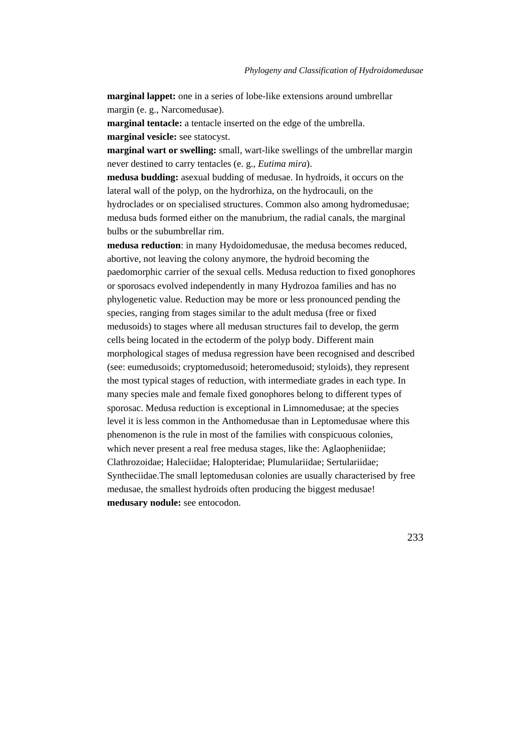**marginal lappet:** one in a series of lobe-like extensions around umbrellar margin (e. g., Narcomedusae).

**marginal tentacle:** a tentacle inserted on the edge of the umbrella. **marginal vesicle:** see statocyst.

**marginal wart or swelling:** small, wart-like swellings of the umbrellar margin never destined to carry tentacles (e. g., *Eutima mira*).

**medusa budding:** asexual budding of medusae. In hydroids, it occurs on the lateral wall of the polyp, on the hydrorhiza, on the hydrocauli, on the hydroclades or on specialised structures. Common also among hydromedusae; medusa buds formed either on the manubrium, the radial canals, the marginal bulbs or the subumbrellar rim.

**medusa reduction**: in many Hydoidomedusae, the medusa becomes reduced, abortive, not leaving the colony anymore, the hydroid becoming the paedomorphic carrier of the sexual cells. Medusa reduction to fixed gonophores or sporosacs evolved independently in many Hydrozoa families and has no phylogenetic value. Reduction may be more or less pronounced pending the species, ranging from stages similar to the adult medusa (free or fixed medusoids) to stages where all medusan structures fail to develop, the germ cells being located in the ectoderm of the polyp body. Different main morphological stages of medusa regression have been recognised and described (see: eumedusoids; cryptomedusoid; heteromedusoid; styloids), they represent the most typical stages of reduction, with intermediate grades in each type. In many species male and female fixed gonophores belong to different types of sporosac. Medusa reduction is exceptional in Limnomedusae; at the species level it is less common in the Anthomedusae than in Leptomedusae where this phenomenon is the rule in most of the families with conspicuous colonies, which never present a real free medusa stages, like the: Aglaopheniidae; Clathrozoidae; Haleciidae; Halopteridae; Plumulariidae; Sertulariidae; Syntheciidae.The small leptomedusan colonies are usually characterised by free medusae, the smallest hydroids often producing the biggest medusae! **medusary nodule:** see entocodon.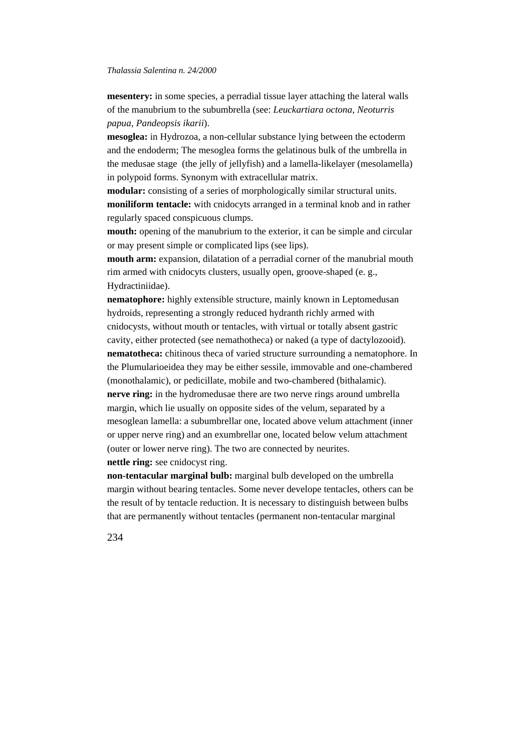**mesentery:** in some species, a perradial tissue layer attaching the lateral walls of the manubrium to the subumbrella (see: *Leuckartiara octona*, *Neoturris papua*, *Pandeopsis ikarii*).

**mesoglea:** in Hydrozoa, a non-cellular substance lying between the ectoderm and the endoderm; The mesoglea forms the gelatinous bulk of the umbrella in the medusae stage (the jelly of jellyfish) and a lamella-likelayer (mesolamella) in polypoid forms. Synonym with extracellular matrix.

**modular:** consisting of a series of morphologically similar structural units. **moniliform tentacle:** with cnidocyts arranged in a terminal knob and in rather regularly spaced conspicuous clumps.

**mouth:** opening of the manubrium to the exterior, it can be simple and circular or may present simple or complicated lips (see lips).

**mouth arm:** expansion, dilatation of a perradial corner of the manubrial mouth rim armed with cnidocyts clusters, usually open, groove-shaped (e. g., Hydractiniidae).

**nematophore:** highly extensible structure, mainly known in Leptomedusan hydroids, representing a strongly reduced hydranth richly armed with cnidocysts, without mouth or tentacles, with virtual or totally absent gastric cavity, either protected (see nemathotheca) or naked (a type of dactylozooid). **nematotheca:** chitinous theca of varied structure surrounding a nematophore. In the Plumularioeidea they may be either sessile, immovable and one-chambered (monothalamic), or pedicillate, mobile and two-chambered (bithalamic). **nerve ring:** in the hydromedusae there are two nerve rings around umbrella margin, which lie usually on opposite sides of the velum, separated by a mesoglean lamella: a subumbrellar one, located above velum attachment (inner or upper nerve ring) and an exumbrellar one, located below velum attachment (outer or lower nerve ring). The two are connected by neurites.

**nettle ring:** see cnidocyst ring.

**non-tentacular marginal bulb:** marginal bulb developed on the umbrella margin without bearing tentacles. Some never develope tentacles, others can be the result of by tentacle reduction. It is necessary to distinguish between bulbs that are permanently without tentacles (permanent non-tentacular marginal

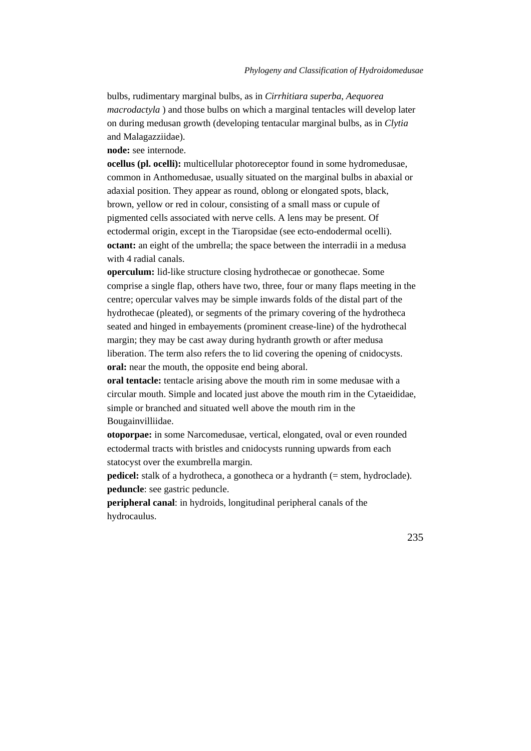bulbs, rudimentary marginal bulbs, as in *Cirrhitiara superba*, *Aequorea macrodactyla* ) and those bulbs on which a marginal tentacles will develop later on during medusan growth (developing tentacular marginal bulbs, as in *Clytia* and Malagazziidae).

**node:** see internode.

**ocellus (pl. ocelli):** multicellular photoreceptor found in some hydromedusae, common in Anthomedusae, usually situated on the marginal bulbs in abaxial or adaxial position. They appear as round, oblong or elongated spots, black, brown, yellow or red in colour, consisting of a small mass or cupule of pigmented cells associated with nerve cells. A lens may be present. Of ectodermal origin, except in the Tiaropsidae (see ecto-endodermal ocelli). **octant:** an eight of the umbrella; the space between the interradii in a medusa with 4 radial canals.

**operculum:** lid-like structure closing hydrothecae or gonothecae. Some comprise a single flap, others have two, three, four or many flaps meeting in the centre; opercular valves may be simple inwards folds of the distal part of the hydrothecae (pleated), or segments of the primary covering of the hydrotheca seated and hinged in embayements (prominent crease-line) of the hydrothecal margin; they may be cast away during hydranth growth or after medusa liberation. The term also refers the to lid covering the opening of cnidocysts. **oral:** near the mouth, the opposite end being aboral.

**oral tentacle:** tentacle arising above the mouth rim in some medusae with a circular mouth. Simple and located just above the mouth rim in the Cytaeididae, simple or branched and situated well above the mouth rim in the Bougainvilliidae.

**otoporpae:** in some Narcomedusae, vertical, elongated, oval or even rounded ectodermal tracts with bristles and cnidocysts running upwards from each statocyst over the exumbrella margin.

**pedicel:** stalk of a hydrotheca, a gonotheca or a hydranth (= stem, hydroclade). **peduncle**: see gastric peduncle.

**peripheral canal**: in hydroids, longitudinal peripheral canals of the hydrocaulus.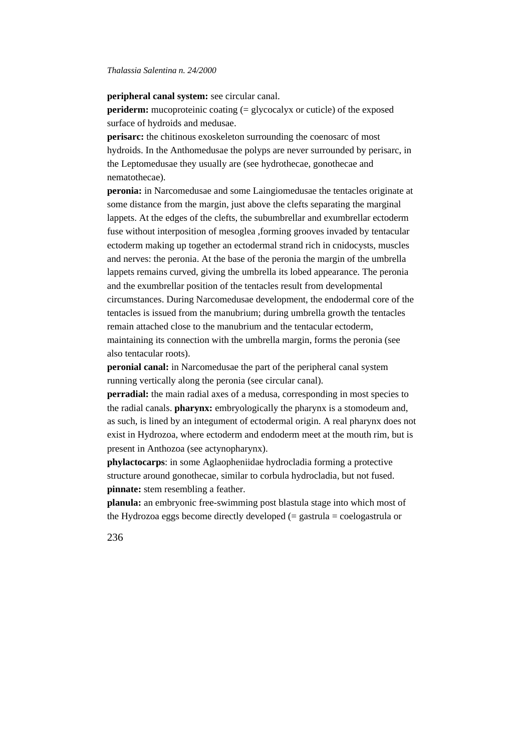**peripheral canal system:** see circular canal.

**periderm:** mucoproteinic coating (= glycocalyx or cuticle) of the exposed surface of hydroids and medusae.

**perisarc:** the chitinous exoskeleton surrounding the coenosarc of most hydroids. In the Anthomedusae the polyps are never surrounded by perisarc, in the Leptomedusae they usually are (see hydrothecae, gonothecae and nematothecae).

**peronia:** in Narcomedusae and some Laingiomedusae the tentacles originate at some distance from the margin, just above the clefts separating the marginal lappets. At the edges of the clefts, the subumbrellar and exumbrellar ectoderm fuse without interposition of mesoglea ,forming grooves invaded by tentacular ectoderm making up together an ectodermal strand rich in cnidocysts, muscles and nerves: the peronia. At the base of the peronia the margin of the umbrella lappets remains curved, giving the umbrella its lobed appearance. The peronia and the exumbrellar position of the tentacles result from developmental circumstances. During Narcomedusae development, the endodermal core of the tentacles is issued from the manubrium; during umbrella growth the tentacles remain attached close to the manubrium and the tentacular ectoderm, maintaining its connection with the umbrella margin, forms the peronia (see also tentacular roots).

**peronial canal:** in Narcomedusae the part of the peripheral canal system running vertically along the peronia (see circular canal).

**perradial:** the main radial axes of a medusa, corresponding in most species to the radial canals. **pharynx:** embryologically the pharynx is a stomodeum and, as such, is lined by an integument of ectodermal origin. A real pharynx does not exist in Hydrozoa, where ectoderm and endoderm meet at the mouth rim, but is present in Anthozoa (see actynopharynx).

**phylactocarps**: in some Aglaopheniidae hydrocladia forming a protective structure around gonothecae, similar to corbula hydrocladia, but not fused. **pinnate:** stem resembling a feather.

**planula:** an embryonic free-swimming post blastula stage into which most of the Hydrozoa eggs become directly developed  $(=$  gastrula  $=$  coelogastrula or

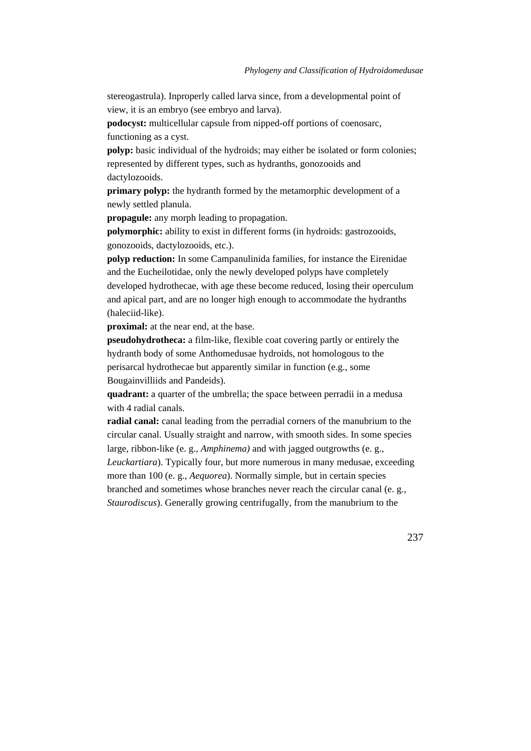stereogastrula). Inproperly called larva since, from a developmental point of view, it is an embryo (see embryo and larva).

**podocyst:** multicellular capsule from nipped-off portions of coenosarc, functioning as a cyst.

**polyp:** basic individual of the hydroids; may either be isolated or form colonies; represented by different types, such as hydranths, gonozooids and dactylozooids.

**primary polyp:** the hydranth formed by the metamorphic development of a newly settled planula.

**propagule:** any morph leading to propagation.

**polymorphic:** ability to exist in different forms (in hydroids: gastrozooids, gonozooids, dactylozooids, etc.).

**polyp reduction:** In some Campanulinida families, for instance the Eirenidae and the Eucheilotidae, only the newly developed polyps have completely developed hydrothecae, with age these become reduced, losing their operculum and apical part, and are no longer high enough to accommodate the hydranths (haleciid-like).

**proximal:** at the near end, at the base.

**pseudohydrotheca:** a film-like, flexible coat covering partly or entirely the hydranth body of some Anthomedusae hydroids, not homologous to the perisarcal hydrothecae but apparently similar in function (e.g., some Bougainvilliids and Pandeids).

**quadrant:** a quarter of the umbrella; the space between perradii in a medusa with 4 radial canals.

**radial canal:** canal leading from the perradial corners of the manubrium to the circular canal. Usually straight and narrow, with smooth sides. In some species large, ribbon-like (e. g., *Amphinema)* and with jagged outgrowths (e. g.,

*Leuckartiara*). Typically four, but more numerous in many medusae, exceeding more than 100 (e. g., *Aequorea*). Normally simple, but in certain species branched and sometimes whose branches never reach the circular canal (e. g., *Staurodiscus*). Generally growing centrifugally, from the manubrium to the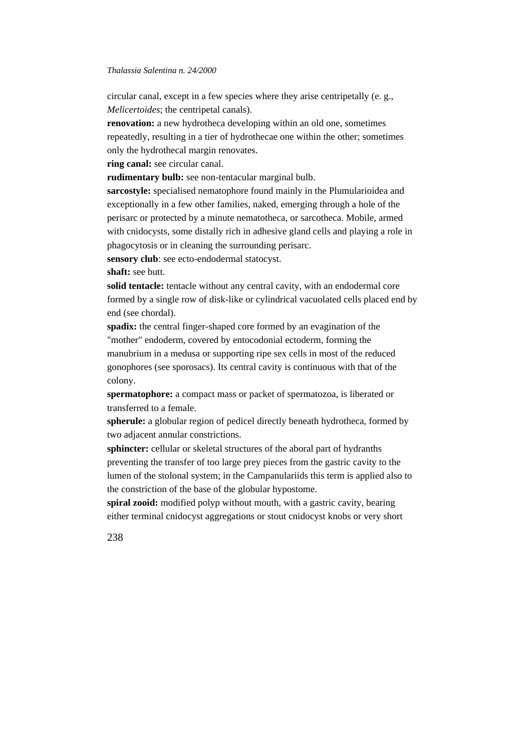circular canal, except in a few species where they arise centripetally (e. g., *Melicertoides*; the centripetal canals).

**renovation:** a new hydrotheca developing within an old one, sometimes repeatedly, resulting in a tier of hydrothecae one within the other; sometimes only the hydrothecal margin renovates.

**ring canal:** see circular canal.

**rudimentary bulb:** see non-tentacular marginal bulb.

**sarcostyle:** specialised nematophore found mainly in the Plumularioidea and exceptionally in a few other families, naked, emerging through a hole of the perisarc or protected by a minute nematotheca, or sarcotheca. Mobile, armed with cnidocysts, some distally rich in adhesive gland cells and playing a role in phagocytosis or in cleaning the surrounding perisarc.

**sensory club**: see ecto-endodermal statocyst.

**shaft:** see butt.

**solid tentacle:** tentacle without any central cavity, with an endodermal core formed by a single row of disk-like or cylindrical vacuolated cells placed end by end (see chordal).

**spadix:** the central finger-shaped core formed by an evagination of the "mother" endoderm, covered by entocodonial ectoderm, forming the manubrium in a medusa or supporting ripe sex cells in most of the reduced gonophores (see sporosacs). Its central cavity is continuous with that of the colony.

**spermatophore:** a compact mass or packet of spermatozoa, is liberated or transferred to a female.

**spherule:** a globular region of pedicel directly beneath hydrotheca, formed by two adjacent annular constrictions.

**sphincter:** cellular or skeletal structures of the aboral part of hydranths preventing the transfer of too large prey pieces from the gastric cavity to the lumen of the stolonal system; in the Campanulariids this term is applied also to the constriction of the base of the globular hypostome.

**spiral zooid:** modified polyp without mouth, with a gastric cavity, bearing either terminal cnidocyst aggregations or stout cnidocyst knobs or very short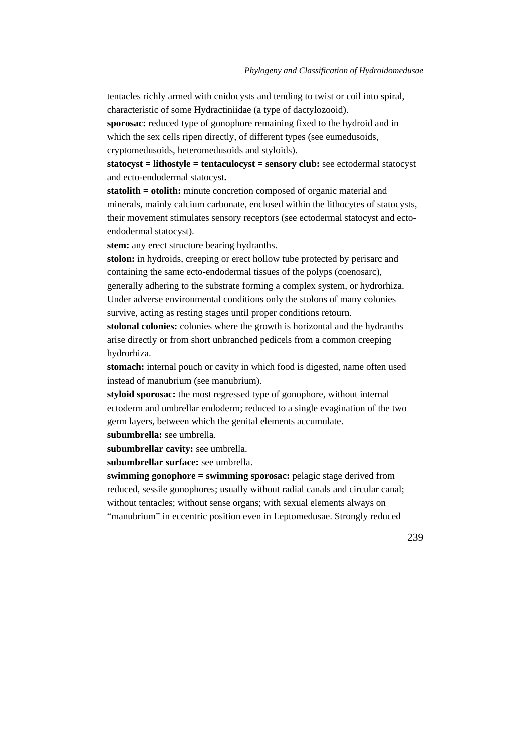tentacles richly armed with cnidocysts and tending to twist or coil into spiral, characteristic of some Hydractiniidae (a type of dactylozooid).

**sporosac:** reduced type of gonophore remaining fixed to the hydroid and in which the sex cells ripen directly, of different types (see eumedusoids, cryptomedusoids, heteromedusoids and styloids).

**statocyst = lithostyle = tentaculocyst = sensory club:** see ectodermal statocyst and ecto-endodermal statocyst**.**

**statolith = otolith:** minute concretion composed of organic material and minerals, mainly calcium carbonate, enclosed within the lithocytes of statocysts, their movement stimulates sensory receptors (see ectodermal statocyst and ectoendodermal statocyst).

**stem:** any erect structure bearing hydranths.

**stolon:** in hydroids, creeping or erect hollow tube protected by perisarc and containing the same ecto-endodermal tissues of the polyps (coenosarc), generally adhering to the substrate forming a complex system, or hydrorhiza. Under adverse environmental conditions only the stolons of many colonies survive, acting as resting stages until proper conditions retourn.

**stolonal colonies:** colonies where the growth is horizontal and the hydranths arise directly or from short unbranched pedicels from a common creeping hydrorhiza.

**stomach:** internal pouch or cavity in which food is digested, name often used instead of manubrium (see manubrium).

**styloid sporosac:** the most regressed type of gonophore, without internal ectoderm and umbrellar endoderm; reduced to a single evagination of the two germ layers, between which the genital elements accumulate.

**subumbrella:** see umbrella.

**subumbrellar cavity:** see umbrella.

**subumbrellar surface:** see umbrella.

**swimming gonophore = swimming sporosac:** pelagic stage derived from reduced, sessile gonophores; usually without radial canals and circular canal; without tentacles; without sense organs; with sexual elements always on "manubrium" in eccentric position even in Leptomedusae. Strongly reduced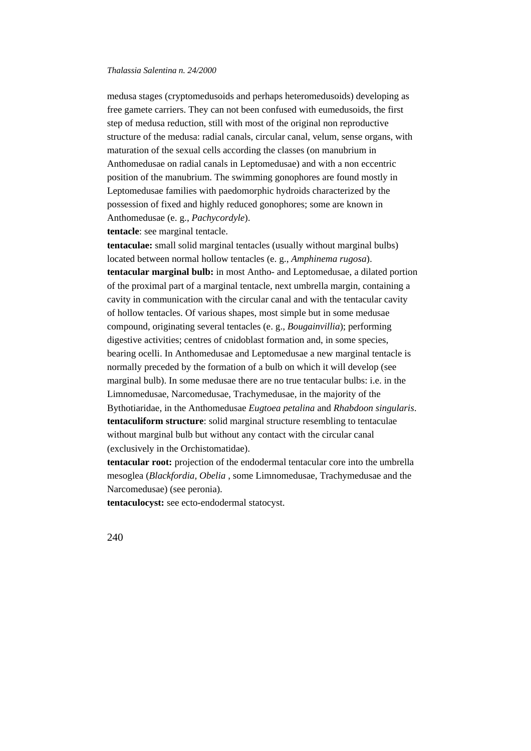medusa stages (cryptomedusoids and perhaps heteromedusoids) developing as free gamete carriers. They can not been confused with eumedusoids, the first step of medusa reduction, still with most of the original non reproductive structure of the medusa: radial canals, circular canal, velum, sense organs, with maturation of the sexual cells according the classes (on manubrium in Anthomedusae on radial canals in Leptomedusae) and with a non eccentric position of the manubrium. The swimming gonophores are found mostly in Leptomedusae families with paedomorphic hydroids characterized by the possession of fixed and highly reduced gonophores; some are known in Anthomedusae (e. g., *Pachycordyle*).

**tentacle**: see marginal tentacle.

**tentaculae:** small solid marginal tentacles (usually without marginal bulbs) located between normal hollow tentacles (e. g., *Amphinema rugosa*). **tentacular marginal bulb:** in most Antho- and Leptomedusae, a dilated portion of the proximal part of a marginal tentacle, next umbrella margin, containing a cavity in communication with the circular canal and with the tentacular cavity of hollow tentacles. Of various shapes, most simple but in some medusae compound, originating several tentacles (e. g., *Bougainvillia*); performing digestive activities; centres of cnidoblast formation and, in some species, bearing ocelli. In Anthomedusae and Leptomedusae a new marginal tentacle is normally preceded by the formation of a bulb on which it will develop (see marginal bulb). In some medusae there are no true tentacular bulbs: i.e. in the Limnomedusae, Narcomedusae, Trachymedusae, in the majority of the Bythotiaridae, in the Anthomedusae *Eugtoea petalina* and *Rhabdoon singularis*. **tentaculiform structure**: solid marginal structure resembling to tentaculae without marginal bulb but without any contact with the circular canal (exclusively in the Orchistomatidae).

**tentacular root:** projection of the endodermal tentacular core into the umbrella mesoglea (*Blackfordia, Obelia* , some Limnomedusae, Trachymedusae and the Narcomedusae) (see peronia).

**tentaculocyst:** see ecto-endodermal statocyst.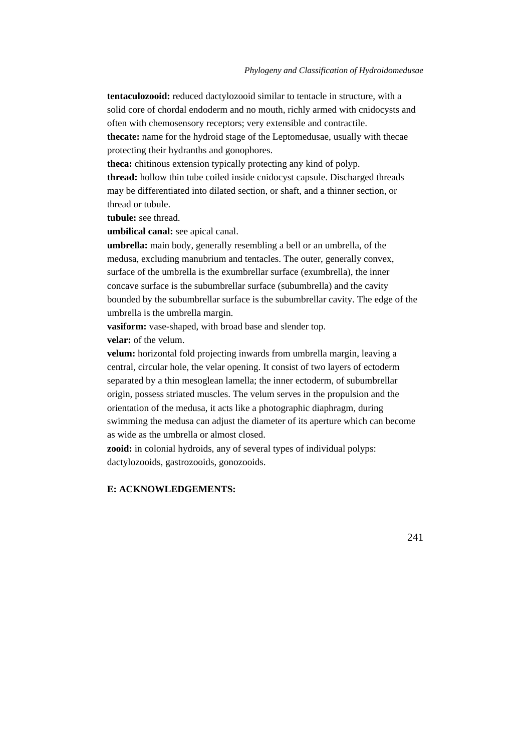**tentaculozooid:** reduced dactylozooid similar to tentacle in structure, with a solid core of chordal endoderm and no mouth, richly armed with cnidocysts and often with chemosensory receptors; very extensible and contractile. **thecate:** name for the hydroid stage of the Leptomedusae, usually with thecae protecting their hydranths and gonophores.

**theca:** chitinous extension typically protecting any kind of polyp. **thread:** hollow thin tube coiled inside cnidocyst capsule. Discharged threads may be differentiated into dilated section, or shaft, and a thinner section, or thread or tubule.

**tubule:** see thread.

**umbilical canal:** see apical canal.

**umbrella:** main body, generally resembling a bell or an umbrella, of the medusa, excluding manubrium and tentacles. The outer, generally convex, surface of the umbrella is the exumbrellar surface (exumbrella), the inner concave surface is the subumbrellar surface (subumbrella) and the cavity bounded by the subumbrellar surface is the subumbrellar cavity. The edge of the umbrella is the umbrella margin.

**vasiform:** vase-shaped, with broad base and slender top. **velar:** of the velum.

**velum:** horizontal fold projecting inwards from umbrella margin, leaving a central, circular hole, the velar opening. It consist of two layers of ectoderm separated by a thin mesoglean lamella; the inner ectoderm, of subumbrellar origin, possess striated muscles. The velum serves in the propulsion and the orientation of the medusa, it acts like a photographic diaphragm, during swimming the medusa can adjust the diameter of its aperture which can become as wide as the umbrella or almost closed.

**zooid:** in colonial hydroids, any of several types of individual polyps: dactylozooids, gastrozooids, gonozooids.

## **E: ACKNOWLEDGEMENTS:**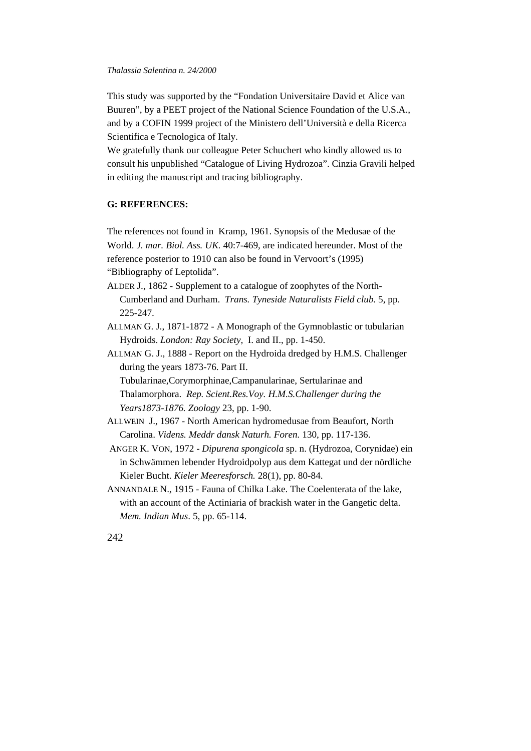This study was supported by the "Fondation Universitaire David et Alice van Buuren", by a PEET project of the National Science Foundation of the U.S.A., and by a COFIN 1999 project of the Ministero dell'Università e della Ricerca Scientifica e Tecnologica of Italy.

We gratefully thank our colleague Peter Schuchert who kindly allowed us to consult his unpublished "Catalogue of Living Hydrozoa". Cinzia Gravili helped in editing the manuscript and tracing bibliography.

## **G: REFERENCES:**

The references not found in Kramp, 1961. Synopsis of the Medusae of the World. *J. mar. Biol. Ass. UK.* 40:7-469, are indicated hereunder. Most of the reference posterior to 1910 can also be found in Vervoort's (1995) "Bibliography of Leptolida".

- ALDER J., 1862 Supplement to a catalogue of zoophytes of the North-Cumberland and Durham. *Trans. Tyneside Naturalists Field club.* 5, pp. 225-247.
- ALLMAN G. J., 1871-1872 A Monograph of the Gymnoblastic or tubularian Hydroids. *London: Ray Society,* I. and II., pp. 1-450.
- ALLMAN G. J., 1888 Report on the Hydroida dredged by H.M.S. Challenger during the years 1873-76. Part II.

Tubularinae,Corymorphinae,Campanularinae, Sertularinae and Thalamorphora. *Rep. Scient.Res.Voy. H.M.S.Challenger during the Years1873-1876. Zoology* 23, pp. 1-90.

- ALLWEIN J., 1967 North American hydromedusae from Beaufort, North Carolina. *Videns. Meddr dansk Naturh. Foren.* 130, pp. 117-136.
- ANGER K. VON, 1972 *Dipurena spongicola* sp. n. (Hydrozoa, Corynidae) ein in Schwämmen lebender Hydroidpolyp aus dem Kattegat und der nördliche Kieler Bucht. *Kieler Meeresforsch.* 28(1), pp. 80-84.
- ANNANDALE N., 1915 Fauna of Chilka Lake. The Coelenterata of the lake, with an account of the Actiniaria of brackish water in the Gangetic delta. *Mem. Indian Mus*. 5, pp. 65-114.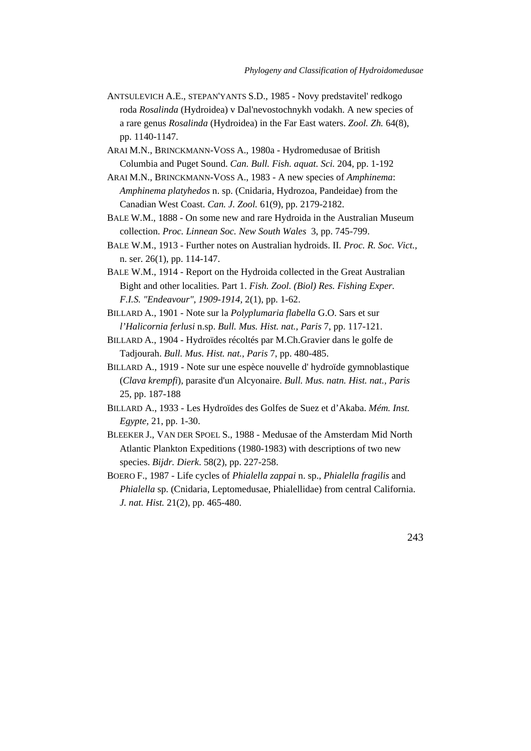- ANTSULEVICH A.E., STEPAN'YANTS S.D., 1985 Novy predstavitel' redkogo roda *Rosalinda* (Hydroidea) v Dal'nevostochnykh vodakh. A new species of a rare genus *Rosalinda* (Hydroidea) in the Far East waters. *Zool. Zh.* 64(8), pp. 1140-1147.
- ARAI M.N., BRINCKMANN-VOSS A., 1980a Hydromedusae of British Columbia and Puget Sound. *Can. Bull. Fish. aquat. Sci.* 204, pp. 1-192
- ARAI M.N., BRINCKMANN-VOSS A., 1983 A new species of *Amphinema*: *Amphinema platyhedos* n. sp. (Cnidaria, Hydrozoa, Pandeidae) from the Canadian West Coast. *Can. J. Zool.* 61(9), pp. 2179-2182.
- BALE W.M., 1888 On some new and rare Hydroida in the Australian Museum collection. *Proc. Linnean Soc. New South Wales* 3, pp. 745-799.
- BALE W.M., 1913 Further notes on Australian hydroids. II*. Proc. R. Soc. Vict.,* n. ser. 26(1), pp. 114-147.
- BALE W.M., 1914 Report on the Hydroida collected in the Great Australian Bight and other localities. Part 1. *Fish. Zool. (Biol) Res. Fishing Exper. F.I.S. "Endeavour", 1909-1914,* 2(1), pp. 1-62.
- BILLARD A., 1901 Note sur la *Polyplumaria flabella* G.O. Sars et sur *l'Halicornia ferlusi* n.sp. *Bull. Mus. Hist. nat., Paris* 7, pp. 117-121.
- BILLARD A., 1904 Hydroïdes récoltés par M.Ch.Gravier dans le golfe de Tadjourah. *Bull. Mus. Hist. nat., Paris* 7, pp. 480-485.
- BILLARD A., 1919 Note sur une espèce nouvelle d' hydroïde gymnoblastique (*Clava krempfi*), parasite d'un Alcyonaire. *Bull. Mus. natn. Hist. nat., Paris* 25, pp. 187-188
- BILLARD A., 1933 Les Hydroïdes des Golfes de Suez et d'Akaba. *Mém. Inst. Egypte,* 21, pp. 1-30.
- BLEEKER J., VAN DER SPOEL S., 1988 Medusae of the Amsterdam Mid North Atlantic Plankton Expeditions (1980-1983) with descriptions of two new species. *Bijdr. Dierk*. 58(2), pp. 227-258.
- BOERO F., 1987 Life cycles of *Phialella zappai* n. sp., *Phialella fragilis* and *Phialella* sp. (Cnidaria, Leptomedusae, Phialellidae) from central California. *J. nat. Hist.* 21(2), pp. 465-480.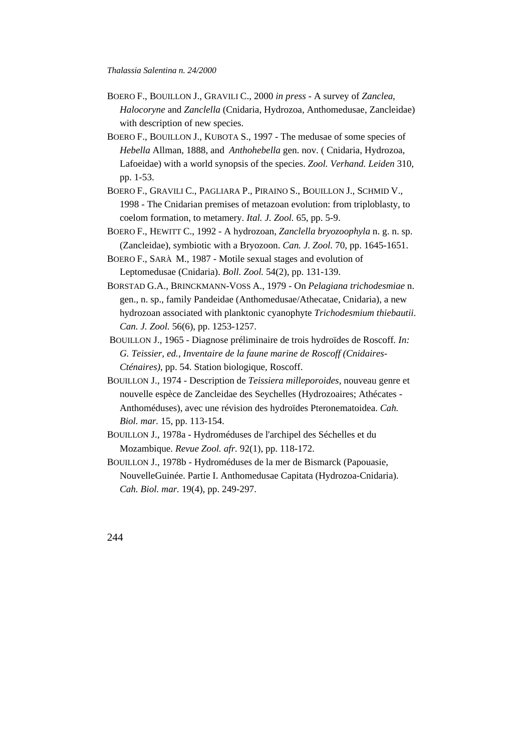- BOERO F., BOUILLON J., GRAVILI C., 2000 *in press* A survey of *Zanclea*, *Halocoryne* and *Zanclella* (Cnidaria, Hydrozoa, Anthomedusae, Zancleidae) with description of new species.
- BOERO F., BOUILLON J., KUBOTA S., 1997 The medusae of some species of *Hebella* Allman, 1888, and *Anthohebella* gen. nov. ( Cnidaria, Hydrozoa, Lafoeidae) with a world synopsis of the species. *Zool. Verhand. Leiden* 310, pp. 1-53.
- BOERO F., GRAVILI C., PAGLIARA P., PIRAINO S., BOUILLON J., SCHMID V., 1998 - The Cnidarian premises of metazoan evolution: from triploblasty, to coelom formation, to metamery. *Ital. J. Zool.* 65, pp. 5-9.
- BOERO F., HEWITT C., 1992 A hydrozoan, *Zanclella bryozoophyla* n. g. n. sp. (Zancleidae), symbiotic with a Bryozoon. *Can. J. Zool.* 70, pp. 1645-1651.
- BOERO F., SARÀ M., 1987 Motile sexual stages and evolution of Leptomedusae (Cnidaria). *Boll. Zool.* 54(2), pp. 131-139.
- BORSTAD G.A., BRINCKMANN-VOSS A., 1979 On *Pelagiana trichodesmiae* n. gen., n. sp., family Pandeidae (Anthomedusae/Athecatae, Cnidaria), a new hydrozoan associated with planktonic cyanophyte *Trichodesmium thiebautii*. *Can. J. Zool.* 56(6), pp. 1253-1257.
- BOUILLON J., 1965 Diagnose préliminaire de trois hydroïdes de Roscoff*. In: G. Teissier, ed., Inventaire de la faune marine de Roscoff (Cnidaires-Cténaires)*, pp. 54. Station biologique, Roscoff.
- BOUILLON J., 1974 Description de *Teissiera milleporoides*, nouveau genre et nouvelle espèce de Zancleidae des Seychelles (Hydrozoaires; Athécates - Anthoméduses), avec une révision des hydroïdes Pteronematoidea. *Cah. Biol. mar.* 15, pp. 113-154.
- BOUILLON J., 1978a Hydroméduses de l'archipel des Séchelles et du Mozambique*. Revue Zool. afr.* 92(1), pp. 118-172.
- BOUILLON J., 1978b Hydroméduses de la mer de Bismarck (Papouasie, NouvelleGuinée. Partie I. Anthomedusae Capitata (Hydrozoa-Cnidaria). *Cah. Biol. mar.* 19(4), pp. 249-297.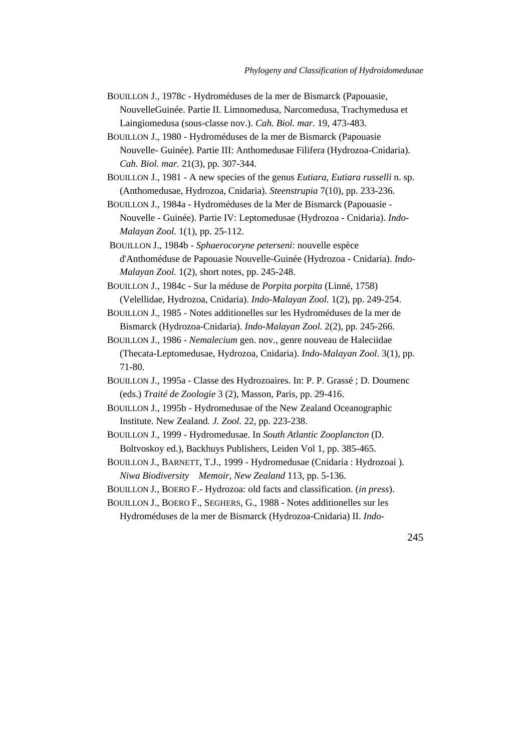- BOUILLON J., 1978c Hydroméduses de la mer de Bismarck (Papouasie, NouvelleGuinée. Partie II. Limnomedusa, Narcomedusa, Trachymedusa et Laingiomedusa (sous-classe nov.). *Cah. Biol. mar.* 19, 473-483.
- BOUILLON J., 1980 Hydroméduses de la mer de Bismarck (Papouasie Nouvelle- Guinée). Partie III: Anthomedusae Filifera (Hydrozoa-Cnidaria). *Cah. Biol. mar.* 21(3), pp. 307-344.
- BOUILLON J., 1981 A new species of the genus *Eutiara*, *Eutiara russelli* n. sp. (Anthomedusae, Hydrozoa, Cnidaria). *Steenstrupia* 7(10), pp. 233-236.
- BOUILLON J., 1984a Hydroméduses de la Mer de Bismarck (Papouasie Nouvelle - Guinée). Partie IV: Leptomedusae (Hydrozoa - Cnidaria). *Indo-Malayan Zool.* 1(1), pp. 25-112.
- BOUILLON J., 1984b *Sphaerocoryne peterseni*: nouvelle espèce d'Anthoméduse de Papouasie Nouvelle-Guinée (Hydrozoa - Cnidaria). *Indo-Malayan Zool.* 1(2), short notes, pp. 245-248.
- BOUILLON J., 1984c Sur la méduse de *Porpita porpita* (Linné, 1758) (Velellidae, Hydrozoa, Cnidaria). *Indo-Malayan Zool.* 1(2), pp. 249-254.
- BOUILLON J., 1985 Notes additionelles sur les Hydroméduses de la mer de Bismarck (Hydrozoa-Cnidaria). *Indo-Malayan Zool.* 2(2), pp. 245-266.
- BOUILLON J., 1986 *Nemalecium* gen. nov., genre nouveau de Haleciidae (Thecata-Leptomedusae, Hydrozoa, Cnidaria). *Indo-Malayan Zool*. 3(1), pp. 71-80.
- BOUILLON J., 1995a Classe des Hydrozoaires. In: P. P. Grassé ; D. Doumenc (eds.) *Traité de Zoologie* 3 (2), Masson, Paris, pp. 29-416.
- BOUILLON J., 1995b Hydromedusae of the New Zealand Oceanographic Institute. New Zealand*. J. Zool.* 22, pp. 223-238.
- BOUILLON J., 1999 Hydromedusae. In *South Atlantic Zooplancton* (D. Boltvoskoy ed.), Backhuys Publishers, Leiden Vol 1, pp. 385-465.
- BOUILLON J., BARNETT, T.J., 1999 Hydromedusae (Cnidaria : Hydrozoai ). *Niwa Biodiversity Memoir, New Zealand* 113, pp. 5-136.
- BOUILLON J., BOERO F.- Hydrozoa: old facts and classification. (*in press*).
- BOUILLON J., BOERO F., SEGHERS, G., 1988 Notes additionelles sur les Hydroméduses de la mer de Bismarck (Hydrozoa-Cnidaria) II. *Indo-*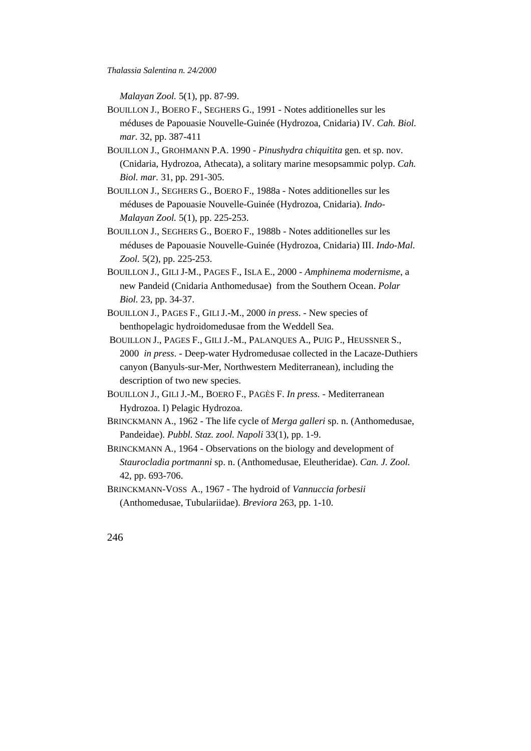*Thalassia Salentina n. 24/2000*

*Malayan Zool.* 5(1), pp. 87-99.

- BOUILLON J., BOERO F., SEGHERS G., 1991 Notes additionelles sur les méduses de Papouasie Nouvelle-Guinée (Hydrozoa, Cnidaria) IV. *Cah. Biol. mar.* 32, pp. 387-411
- BOUILLON J., GROHMANN P.A. 1990 *Pinushydra chiquitita* gen. et sp. nov. (Cnidaria, Hydrozoa, Athecata), a solitary marine mesopsammic polyp. *Cah. Biol. mar.* 31, pp. 291-305.
- BOUILLON J., SEGHERS G., BOERO F., 1988a Notes additionelles sur les méduses de Papouasie Nouvelle-Guinée (Hydrozoa, Cnidaria). *Indo-Malayan Zool.* 5(1), pp. 225-253.
- BOUILLON J., SEGHERS G., BOERO F., 1988b Notes additionelles sur les méduses de Papouasie Nouvelle-Guinée (Hydrozoa, Cnidaria) III. *Indo-Mal. Zool.* 5(2), pp. 225-253.
- BOUILLON J., GILI J-M., PAGES F., ISLA E., 2000 *Amphinema modernisme*, a new Pandeid (Cnidaria Anthomedusae) from the Southern Ocean. *Polar Biol.* 23, pp. 34-37.
- BOUILLON J., PAGES F., GILI J.-M., 2000 *in press*. New species of benthopelagic hydroidomedusae from the Weddell Sea.
- BOUILLON J., PAGES F., GILI J.-M., PALANQUES A., PUIG P., HEUSSNER S., 2000 *in press*. - Deep-water Hydromedusae collected in the Lacaze-Duthiers canyon (Banyuls-sur-Mer, Northwestern Mediterranean), including the description of two new species.
- BOUILLON J., GILI J.-M., BOERO F., PAGÈS F. *In press.* Mediterranean Hydrozoa. I) Pelagic Hydrozoa.
- BRINCKMANN A., 1962 The life cycle of *Merga galleri* sp. n. (Anthomedusae, Pandeidae). *Pubbl. Staz. zool. Napoli* 33(1), pp. 1-9.
- BRINCKMANN A*.,* 1964 Observations on the biology and development of *Staurocladia portmanni* sp. n. (Anthomedusae, Eleutheridae). *Can. J. Zool.* 42, pp. 693-706.
- BRINCKMANN-VOSS A., 1967 The hydroid of *Vannuccia forbesii* (Anthomedusae, Tubulariidae). *Breviora* 263, pp. 1-10.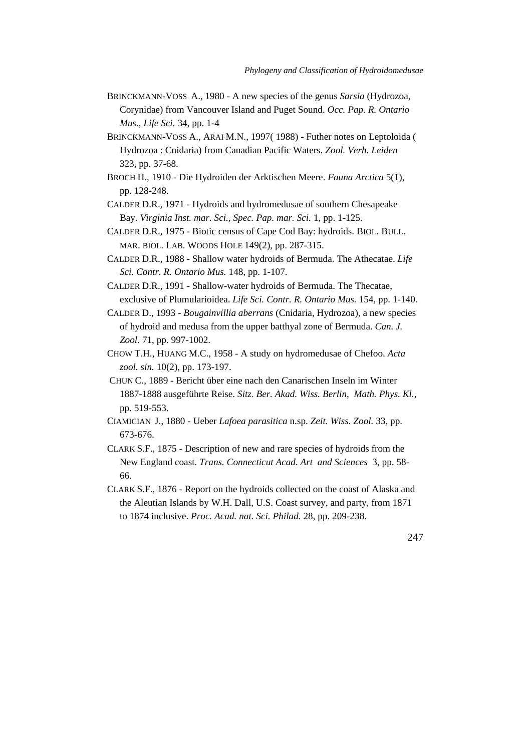- BRINCKMANN-VOSS A., 1980 A new species of the genus *Sarsia* (Hydrozoa, Corynidae) from Vancouver Island and Puget Sound. *Occ. Pap. R. Ontario Mus., Life Sci.* 34, pp. 1-4
- BRINCKMANN-VOSS A., ARAI M.N., 1997( 1988) Futher notes on Leptoloida ( Hydrozoa : Cnidaria) from Canadian Pacific Waters. *Zool. Verh. Leiden* 323, pp. 37-68.
- BROCH H., 1910 Die Hydroiden der Arktischen Meere. *Fauna Arctica* 5(1), pp. 128-248.
- CALDER D.R., 1971 Hydroids and hydromedusae of southern Chesapeake Bay. *Virginia Inst. mar. Sci., Spec. Pap. mar. Sci.* 1, pp. 1-125.
- CALDER D.R., 1975 Biotic census of Cape Cod Bay: hydroids. BIOL. BULL. MAR. BIOL. LAB. WOODS HOLE 149(2), pp. 287-315.
- CALDER D.R., 1988 Shallow water hydroids of Bermuda. The Athecatae. *Life Sci. Contr. R. Ontario Mus.* 148, pp. 1-107.
- CALDER D.R., 1991 Shallow-water hydroids of Bermuda. The Thecatae, exclusive of Plumularioidea. *Life Sci. Contr. R. Ontario Mus.* 154, pp. 1-140.
- CALDER D., 1993 *Bougainvillia aberrans* (Cnidaria, Hydrozoa), a new species of hydroid and medusa from the upper batthyal zone of Bermuda. *Can. J. Zool.* 71, pp. 997-1002.
- CHOW T.H., HUANG M.C., 1958 A study on hydromedusae of Chefoo. *Acta zool. sin.* 10(2), pp. 173-197.
- CHUN C., 1889 Bericht über eine nach den Canarischen Inseln im Winter 1887-1888 ausgeführte Reise. *Sitz. Ber. Akad. Wiss. Berlin, Math. Phys. Kl.,* pp. 519-553.
- CIAMICIAN J., 1880 Ueber *Lafoea parasitica* n.sp. *Zeit. Wiss. Zool.* 33, pp. 673-676.
- CLARK S.F., 1875 Description of new and rare species of hydroids from the New England coast. *Trans. Connecticut Acad. Art and Sciences* 3, pp. 58- 66.
- CLARK S.F., 1876 Report on the hydroids collected on the coast of Alaska and the Aleutian Islands by W.H. Dall, U.S. Coast survey, and party, from 1871 to 1874 inclusive. *Proc. Acad. nat. Sci. Philad.* 28, pp. 209-238.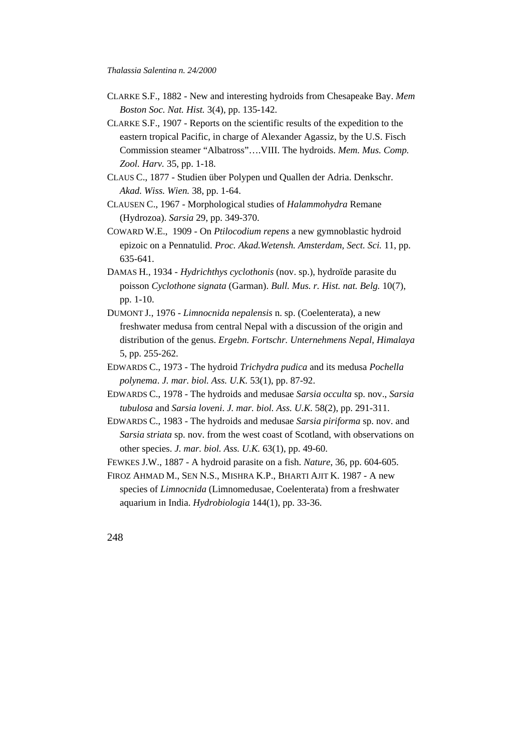- CLARKE S.F., 1882 New and interesting hydroids from Chesapeake Bay. *Mem Boston Soc. Nat. Hist.* 3(4), pp. 135-142.
- CLARKE S.F., 1907 Reports on the scientific results of the expedition to the eastern tropical Pacific, in charge of Alexander Agassiz, by the U.S. Fisch Commission steamer "Albatross"….VIII. The hydroids. *Mem. Mus. Comp. Zool. Harv.* 35, pp. 1-18.
- CLAUS C., 1877 Studien über Polypen und Quallen der Adria. Denkschr. *Akad. Wiss. Wien.* 38, pp. 1-64.
- CLAUSEN C., 1967 Morphological studies of *Halammohydra* Remane (Hydrozoa). *Sarsia* 29, pp. 349-370.
- COWARD W.E., 1909 On *Ptilocodium repens* a new gymnoblastic hydroid epizoic on a Pennatulid. *Proc. Akad.Wetensh. Amsterdam, Sect. Sci.* 11, pp. 635-641.
- DAMAS H., 1934 *Hydrichthys cyclothonis* (nov. sp.), hydroïde parasite du poisson *Cyclothone signata* (Garman). *Bull. Mus. r. Hist. nat. Belg.* 10(7), pp. 1-10.
- DUMONT J., 1976 *Limnocnida nepalensis* n. sp. (Coelenterata), a new freshwater medusa from central Nepal with a discussion of the origin and distribution of the genus. *Ergebn. Fortschr. Unternehmens Nepal, Himalaya* 5, pp. 255-262.
- EDWARDS C., 1973 The hydroid *Trichydra pudica* and its medusa *Pochella polynema*. *J. mar. biol. Ass. U.K.* 53(1), pp. 87-92.
- EDWARDS C., 1978 The hydroids and medusae *Sarsia occulta* sp. nov., *Sarsia tubulosa* and *Sarsia loveni*. *J. mar. biol. Ass. U.K.* 58(2), pp. 291-311.
- EDWARDS C., 1983 The hydroids and medusae *Sarsia piriforma* sp. nov. and *Sarsia striata* sp. nov. from the west coast of Scotland, with observations on other species. *J. mar. biol. Ass. U.K.* 63(1), pp. 49-60.
- FEWKES J.W., 1887 A hydroid parasite on a fish. *Nature*, 36, pp. 604-605.
- FIROZ AHMAD M., SEN N.S., MISHRA K.P., BHARTI AJIT K. 1987 A new species of *Limnocnida* (Limnomedusae, Coelenterata) from a freshwater aquarium in India. *Hydrobiologia* 144(1), pp. 33-36.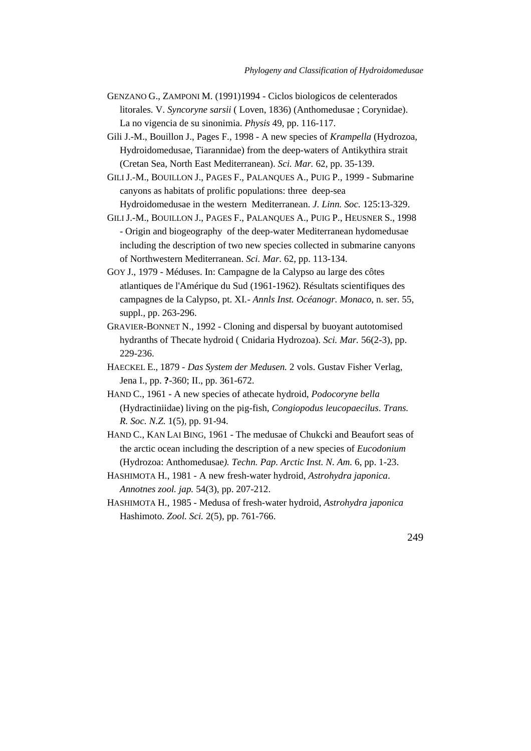- GENZANO G., ZAMPONI M. (1991)1994 Ciclos biologicos de celenterados litorales. V. *Syncoryne sarsii* ( Loven, 1836) (Anthomedusae ; Corynidae). La no vigencia de su sinonimia. *Physis* 49, pp. 116-117.
- Gili J.-M., Bouillon J., Pages F., 1998 A new species of *Krampella* (Hydrozoa, Hydroidomedusae, Tiarannidae) from the deep-waters of Antikythira strait (Cretan Sea, North East Mediterranean). *Sci. Mar.* 62, pp. 35-139.
- GILI J.-M., BOUILLON J., PAGES F., PALANQUES A., PUIG P., 1999 Submarine canyons as habitats of prolific populations: three deep-sea Hydroidomedusae in the western Mediterranean. *J. Linn. Soc.* 125:13-329.
- GILI J.-M., BOUILLON J., PAGES F., PALANQUES A., PUIG P., HEUSNER S., 1998 - Origin and biogeography of the deep-water Mediterranean hydomedusae including the description of two new species collected in submarine canyons of Northwestern Mediterranean. *Sci. Mar.* 62, pp. 113-134.
- GOY J., 1979 Méduses. In: Campagne de la Calypso au large des côtes atlantiques de l'Amérique du Sud (1961-1962). Résultats scientifiques des campagnes de la Calypso, pt. XI*.- Annls Inst. Océanogr. Monaco*, n. ser. 55, suppl., pp. 263-296.
- GRAVIER-BONNET N., 1992 Cloning and dispersal by buoyant autotomised hydranths of Thecate hydroid ( Cnidaria Hydrozoa). *Sci. Mar.* 56(2-3), pp. 229-236.
- HAECKEL E., 1879 *Das System der Medusen.* 2 vols. Gustav Fisher Verlag, Jena I., pp. **?**-360; II., pp. 361-672.
- HAND C., 1961 A new species of athecate hydroid, *Podocoryne bella* (Hydractiniidae) living on the pig-fish, *Congiopodus leucopaecilus*. *Trans. R. Soc. N.Z.* 1(5), pp. 91-94.
- HAND C., KAN LAI BING, 1961 The medusae of Chukcki and Beaufort seas of the arctic ocean including the description of a new species of *Eucodonium* (Hydrozoa: Anthomedusae*). Techn. Pap. Arctic Inst. N. Am.* 6, pp. 1-23.
- HASHIMOTA H., 1981 A new fresh-water hydroid, *Astrohydra japonica*. *Annotnes zool. jap.* 54(3), pp. 207-212.
- HASHIMOTA H., 1985 Medusa of fresh-water hydroid, *Astrohydra japonica* Hashimoto. *Zool. Sci.* 2(5), pp. 761-766.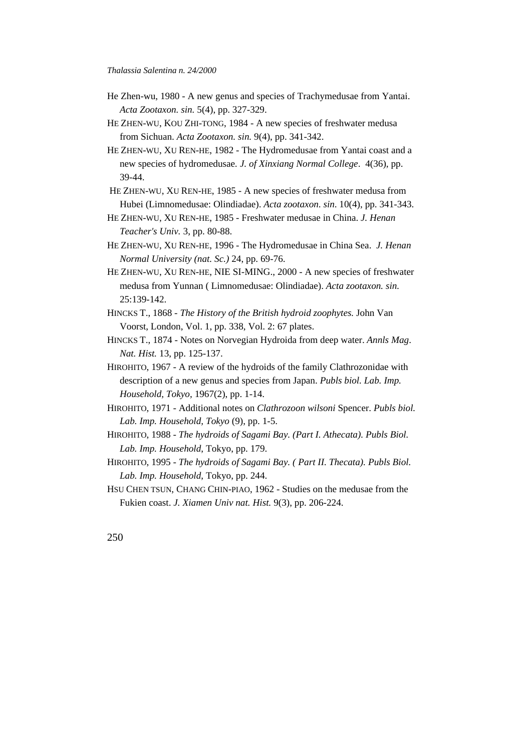- He Zhen-wu, 1980 A new genus and species of Trachymedusae from Yantai. *Acta Zootaxon. sin.* 5(4), pp. 327-329.
- HE ZHEN-WU, KOU ZHI-TONG, 1984 A new species of freshwater medusa from Sichuan. *Acta Zootaxon. sin.* 9(4), pp. 341-342.
- HE ZHEN-WU, XU REN-HE, 1982 The Hydromedusae from Yantai coast and a new species of hydromedusae*. J. of Xinxiang Normal College*. 4(36), pp. 39-44.
- HE ZHEN-WU, XU REN-HE, 1985 A new species of freshwater medusa from Hubei (Limnomedusae: Olindiadae). *Acta zootaxon*. *sin*. 10(4), pp. 341-343.
- HE ZHEN-WU, XU REN-HE, 1985 Freshwater medusae in China. *J. Henan Teacher's Univ.* 3, pp. 80-88.
- HE ZHEN-WU, XU REN-HE, 1996 The Hydromedusae in China Sea. *J. Henan Normal University (nat. Sc.)* 24, pp. 69-76.
- HE ZHEN-WU, XU REN-HE, NIE SI-MING., 2000 A new species of freshwater medusa from Yunnan ( Limnomedusae: Olindiadae). *Acta zootaxon. sin.* 25:139-142.
- HINCKS T., 1868 *The History of the British hydroid zoophytes.* John Van Voorst, London, Vol. 1, pp. 338, Vol. 2: 67 plates.
- HINCKS T., 1874 Notes on Norvegian Hydroida from deep water. *Annls Mag*. *Nat. Hist.* 13, pp. 125-137.
- HIROHITO, 1967 A review of the hydroids of the family Clathrozonidae with description of a new genus and species from Japan. *Publs biol. Lab. Imp. Household, Tokyo,* 1967(2), pp. 1-14.
- HIROHITO, 1971 Additional notes on *Clathrozoon wilsoni* Spencer. *Publs biol. Lab. Imp. Household, Tokyo* (9), pp. 1-5.
- HIROHITO, 1988 *The hydroids of Sagami Bay. (Part I. Athecata). Publs Biol. Lab. Imp. Household*, Tokyo, pp. 179.
- HIROHITO, 1995 *The hydroids of Sagami Bay. ( Part II. Thecata). Publs Biol. Lab. Imp. Household*, Tokyo, pp. 244.
- HSU CHEN TSUN, CHANG CHIN-PIAO, 1962 Studies on the medusae from the Fukien coast. *J. Xiamen Univ nat. Hist.* 9(3), pp. 206-224.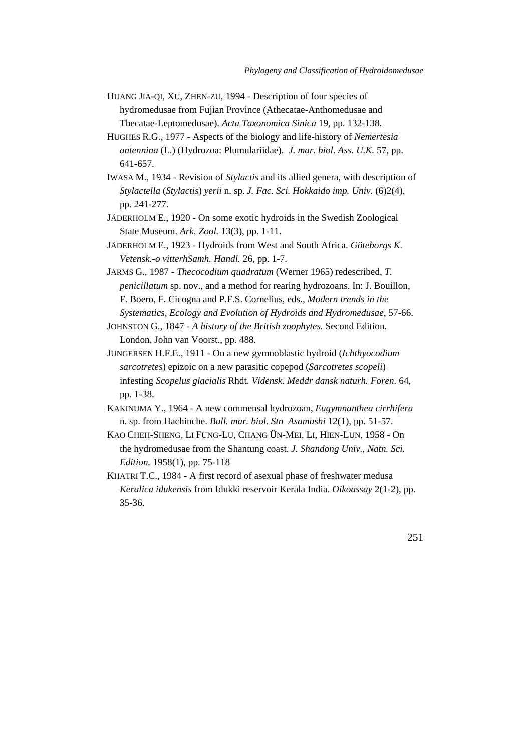- HUANG JIA-QI, XU, ZHEN-ZU, 1994 Description of four species of hydromedusae from Fujian Province (Athecatae-Anthomedusae and Thecatae-Leptomedusae). *Acta Taxonomica Sinica* 19, pp. 132-138.
- HUGHES R.G., 1977 Aspects of the biology and life-history of *Nemertesia antennina* (L.) (Hydrozoa: Plumulariidae). *J. mar. biol. Ass. U.K.* 57, pp. 641-657.
- IWASA M., 1934 Revision of *Stylactis* and its allied genera, with description of *Stylactella* (*Stylactis*) *yerii* n. sp. *J. Fac. Sci. Hokkaido imp. Univ.* (6)2(4), pp. 241-277.
- JÄDERHOLM E., 1920 On some exotic hydroids in the Swedish Zoological State Museum. *Ark. Zool.* 13(3), pp. 1-11.
- JÄDERHOLM E., 1923 Hydroids from West and South Africa. *Göteborgs K. Vetensk.-o vitterhSamh. Handl.* 26, pp. 1-7.
- JARMS G., 1987 *Thecocodium quadratum* (Werner 1965) redescribed, *T. penicillatum* sp. nov., and a method for rearing hydrozoans. In: J. Bouillon, F. Boero, F. Cicogna and P.F.S. Cornelius, eds., *Modern trends in the Systematics, Ecology and Evolution of Hydroids and Hydromedusae*, 57-66.
- JOHNSTON G., 1847 *A history of the British zoophytes.* Second Edition. London, John van Voorst., pp. 488.
- JUNGERSEN H.F.E., 1911 On a new gymnoblastic hydroid (*Ichthyocodium sarcotretes*) epizoic on a new parasitic copepod (*Sarcotretes scopeli*) infesting *Scopelus glacialis* Rhdt. *Vidensk. Meddr dansk naturh. Foren.* 64, pp. 1-38.
- KAKINUMA Y., 1964 A new commensal hydrozoan, *Eugymnanthea cirrhifera* n. sp. from Hachinche. *Bull. mar. biol. Stn Asamushi* 12(1), pp. 51-57.
- KAO CHEH-SHENG, LI FUNG-LU, CHANG ÜN-MEI, LI, HIEN-LUN, 1958 On the hydromedusae from the Shantung coast. *J. Shandong Univ., Natn. Sci. Edition.* 1958(1), pp. 75-118
- KHATRI T.C., 1984 A first record of asexual phase of freshwater medusa *Keralica idukensis* from Idukki reservoir Kerala India. *Oikoassay* 2(1-2), pp. 35-36.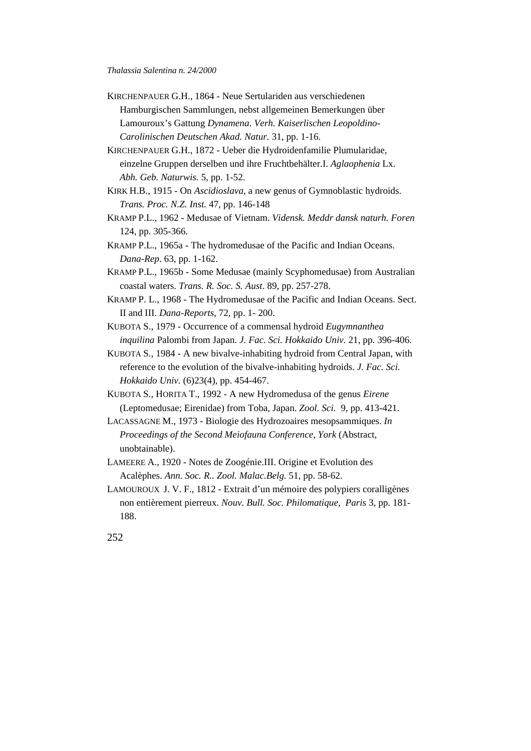- KIRCHENPAUER G.H., 1864 Neue Sertulariden aus verschiedenen Hamburgischen Sammlungen, nebst allgemeinen Bemerkungen über Lamouroux's Gattung *Dynamena*. *Verh. Kaiserlischen Leopoldino-Carolinischen Deutschen Akad. Natur.* 31, pp. 1-16.
- KIRCHENPAUER G.H., 1872 Ueber die Hydroidenfamilie Plumularidae, einzelne Gruppen derselben und ihre Fruchtbehälter.I. *Aglaophenia* Lx. *Abh. Geb. Naturwis.* 5, pp. 1-52.
- KIRK H.B., 1915 On *Ascidioslava*, a new genus of Gymnoblastic hydroids. *Trans. Proc. N.Z. Inst.* 47, pp. 146-148
- KRAMP P.L., 1962 Medusae of Vietnam. *Vidensk. Meddr dansk naturh. Foren* 124, pp. 305-366.
- KRAMP P.L., 1965a The hydromedusae of the Pacific and Indian Oceans. *Dana-Rep*. 63, pp. 1-162.
- KRAMP P.L., 1965b Some Medusae (mainly Scyphomedusae) from Australian coastal waters. *Trans. R. Soc. S. Aust*. 89, pp. 257-278.
- KRAMP P. L., 1968 The Hydromedusae of the Pacific and Indian Oceans. Sect. II and III. *Dana-Reports*, 72, pp. 1- 200.
- KUBOTA S., 1979 Occurrence of a commensal hydroid *Eugymnanthea inquilina* Palombi from Japan. *J. Fac. Sci. Hokkaido Univ.* 21, pp. 396-406.
- KUBOTA S., 1984 A new bivalve-inhabiting hydroid from Central Japan, with reference to the evolution of the bivalve-inhabiting hydroids. *J. Fac. Sci. Hokkaido Univ.* (6)23(4), pp. 454-467.
- KUBOTA S., HORITA T., 1992 A new Hydromedusa of the genus *Eirene* (Leptomedusae; Eirenidae) from Toba, Japan. *Zool. Sci.* 9, pp. 413-421.
- LACASSAGNE M., 1973 Biologie des Hydrozoaires mesopsammiques. *In Proceedings of the Second Meiofauna Conference, York* (Abstract, unobtainable).
- LAMEERE A., 1920 Notes de Zoogénie.III. Origine et Evolution des Acalèphes. *Ann. Soc. R.. Zool. Malac.Belg.* 51, pp. 58-62.
- LAMOUROUX J. V. F., 1812 Extrait d'un mémoire des polypiers coralligènes non entièrement pierreux. *Nouv. Bull. Soc. Philomatique, Paris* 3, pp. 181- 188.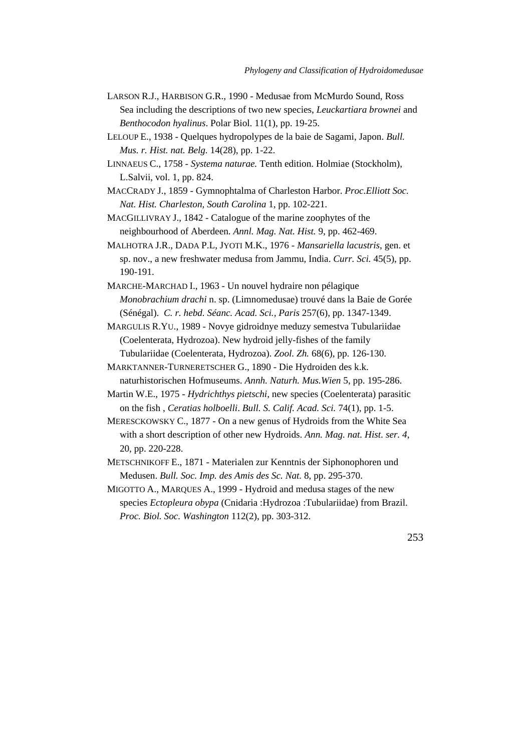- LARSON R.J., HARBISON G.R., 1990 Medusae from McMurdo Sound, Ross Sea including the descriptions of two new species, *Leuckartiara brownei* and *Benthocodon hyalinus*. Polar Biol. 11(1), pp. 19-25.
- LELOUP E., 1938 Quelques hydropolypes de la baie de Sagami, Japon. *Bull. Mus. r. Hist. nat. Belg.* 14(28), pp. 1-22.
- LINNAEUS C., 1758 *Systema naturae.* Tenth edition. Holmiae (Stockholm), L.Salvii, vol. 1, pp. 824.
- MACCRADY J., 1859 Gymnophtalma of Charleston Harbor. *Proc.Elliott Soc. Nat. Hist. Charleston, South Carolina* 1, pp. 102-221.
- MACGILLIVRAY J., 1842 Catalogue of the marine zoophytes of the neighbourhood of Aberdeen. *Annl. Mag. Nat. Hist.* 9, pp. 462-469.
- MALHOTRA J.R., DADA P.L, JYOTI M.K., 1976 *Mansariella lacustris*, gen. et sp. nov., a new freshwater medusa from Jammu, India. *Curr. Sci.* 45(5), pp. 190-191.
- MARCHE-MARCHAD I., 1963 Un nouvel hydraire non pélagique *Monobrachium drachi* n. sp. (Limnomedusae) trouvé dans la Baie de Gorée (Sénégal). *C. r. hebd. Séanc. Acad. Sci., Paris* 257(6), pp. 1347-1349.
- MARGULIS R.YU., 1989 Novye gidroidnye meduzy semestva Tubulariidae (Coelenterata, Hydrozoa). New hydroid jelly-fishes of the family Tubulariidae (Coelenterata, Hydrozoa). *Zool. Zh.* 68(6), pp. 126-130.
- MARKTANNER-TURNERETSCHER G., 1890 Die Hydroiden des k.k. naturhistorischen Hofmuseums. *Annh. Naturh. Mus.Wien* 5, pp. 195-286.
- Martin W.E., 1975 *Hydrichthys pietschi*, new species (Coelenterata) parasitic on the fish , *Ceratias holboelli*. *Bull. S. Calif. Acad. Sci.* 74(1), pp. 1-5.
- MERESCKOWSKY C., 1877 On a new genus of Hydroids from the White Sea with a short description of other new Hydroids. *Ann. Mag. nat. Hist*. *ser. 4*, 20, pp. 220-228.
- METSCHNIKOFF E., 1871 Materialen zur Kenntnis der Siphonophoren und Medusen. *Bull. Soc. Imp. des Amis des Sc. Nat.* 8, pp. 295-370.
- MIGOTTO A., MARQUES A., 1999 Hydroid and medusa stages of the new species *Ectopleura obypa* (Cnidaria :Hydrozoa :Tubulariidae) from Brazil. *Proc. Biol. Soc. Washington* 112(2), pp. 303-312.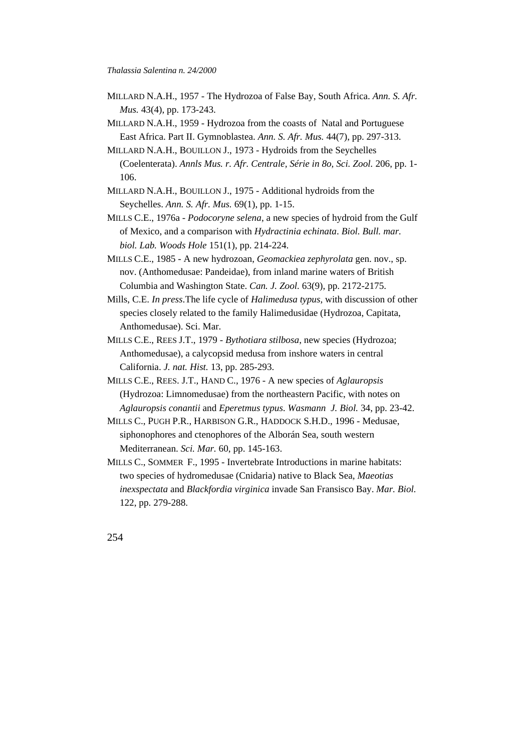- MILLARD N.A.H., 1957 The Hydrozoa of False Bay, South Africa. *Ann. S. Afr. Mus.* 43(4), pp. 173-243.
- MILLARD N.A.H., 1959 Hydrozoa from the coasts of Natal and Portuguese East Africa. Part II. Gymnoblastea. *Ann. S. Afr. Mus.* 44(7), pp. 297-313.
- MILLARD N.A.H., BOUILLON J., 1973 Hydroids from the Seychelles (Coelenterata). *Annls Mus. r. Afr. Centrale, Série in 8o, Sci. Zool.* 206, pp. 1- 106.
- MILLARD N.A.H., BOUILLON J., 1975 Additional hydroids from the Seychelles. *Ann. S. Afr. Mus.* 69(1), pp. 1-15.
- MILLS C.E., 1976a *Podocoryne selena*, a new species of hydroid from the Gulf of Mexico, and a comparison with *Hydractinia echinata*. *Biol. Bull. mar. biol. Lab. Woods Hole* 151(1), pp. 214-224.
- MILLS C.E., 1985 A new hydrozoan, *Geomackiea zephyrolata* gen. nov., sp. nov. (Anthomedusae: Pandeidae), from inland marine waters of British Columbia and Washington State. *Can. J. Zool.* 63(9), pp. 2172-2175.
- Mills, C.E. *In press*.The life cycle of *Halimedusa typus,* with discussion of other species closely related to the family Halimedusidae (Hydrozoa, Capitata, Anthomedusae). Sci. Mar.
- MILLS C.E., REES J.T., 1979 *Bythotiara stilbosa*, new species (Hydrozoa; Anthomedusae), a calycopsid medusa from inshore waters in central California. *J. nat. Hist.* 13, pp. 285-293.
- MILLS C.E., REES. J.T., HAND C., 1976 A new species of *Aglauropsis* (Hydrozoa: Limnomedusae) from the northeastern Pacific, with notes on *Aglauropsis conantii* and *Eperetmus typus*. *Wasmann J. Biol.* 34, pp. 23-42.
- MILLS C., PUGH P.R., HARBISON G.R., HADDOCK S.H.D., 1996 Medusae, siphonophores and ctenophores of the Alborán Sea, south western Mediterranean. *Sci. Mar.* 60, pp. 145-163.
- MILLS C., SOMMER F., 1995 Invertebrate Introductions in marine habitats: two species of hydromedusae (Cnidaria) native to Black Sea, *Maeotias inexspectata* and *Blackfordia virginica* invade San Fransisco Bay. *Mar. Biol.* 122, pp. 279-288.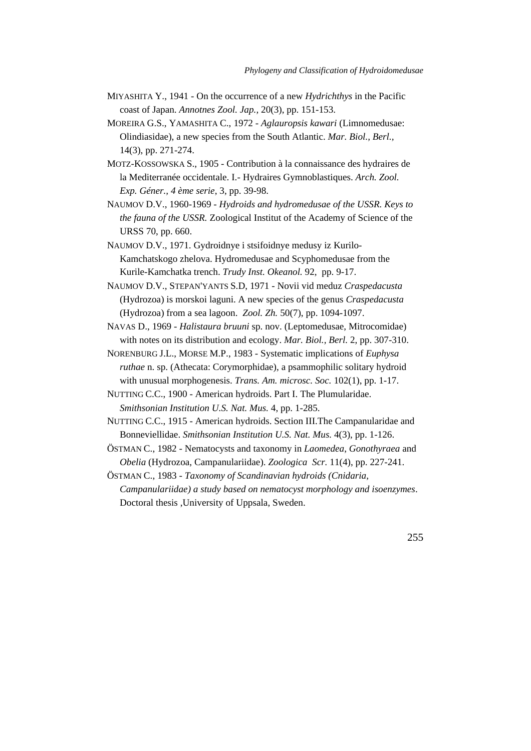- MIYASHITA Y., 1941 On the occurrence of a new *Hydrichthys* in the Pacific coast of Japan. *Annotnes Zool. Jap.,* 20(3), pp. 151-153.
- MOREIRA G.S., YAMASHITA C., 1972 *Aglauropsis kawari* (Limnomedusae: Olindiasidae), a new species from the South Atlantic. *Mar. Biol., Berl.,* 14(3), pp. 271-274.
- MOTZ-KOSSOWSKA S., 1905 Contribution à la connaissance des hydraires de la Mediterranée occidentale. I.- Hydraires Gymnoblastiques. *Arch. Zool. Exp. Géner., 4 ème serie*, 3, pp. 39-98.
- NAUMOV D.V., 1960-1969  *Hydroids and hydromedusae of the USSR. Keys to the fauna of the USSR.* Zoological Institut of the Academy of Science of the URSS 70, pp. 660.
- NAUMOV D.V., 1971. Gydroidnye i stsifoidnye medusy iz Kurilo-Kamchatskogo zhelova. Hydromedusae and Scyphomedusae from the Kurile-Kamchatka trench. *Trudy Inst. Okeanol.* 92, pp. 9-17.
- NAUMOV D.V., STEPAN'YANTS S.D, 1971 Novii vid meduz *Craspedacusta* (Hydrozoa) is morskoi laguni. A new species of the genus *Craspedacusta* (Hydrozoa) from a sea lagoon. *Zool. Zh.* 50(7), pp. 1094-1097.
- NAVAS D., 1969 *Halistaura bruuni* sp. nov. (Leptomedusae, Mitrocomidae) with notes on its distribution and ecology. *Mar. Biol., Berl.* 2, pp. 307-310.
- NORENBURG J.L., MORSE M.P., 1983 Systematic implications of *Euphysa ruthae* n. sp. (Athecata: Corymorphidae), a psammophilic solitary hydroid with unusual morphogenesis. *Trans. Am. microsc. Soc.* 102(1), pp. 1-17.
- NUTTING C.C., 1900 American hydroids. Part I. The Plumularidae. *Smithsonian Institution U.S. Nat. Mus.* 4, pp. 1-285.
- NUTTING C.C., 1915 American hydroids. Section III.The Campanularidae and Bonneviellidae. *Smithsonian Institution U.S. Nat. Mus.* 4(3), pp. 1-126.
- ÖSTMAN C., 1982 Nematocysts and taxonomy in *Laomedea*, *Gonothyraea* and *Obelia* (Hydrozoa, Campanulariidae). *Zoologica Scr.* 11(4), pp. 227-241.
- ÖSTMAN C., 1983 *Taxonomy of Scandinavian hydroids (Cnidaria, Campanulariidae) a study based on nematocyst morphology and isoenzymes*. Doctoral thesis ,University of Uppsala, Sweden.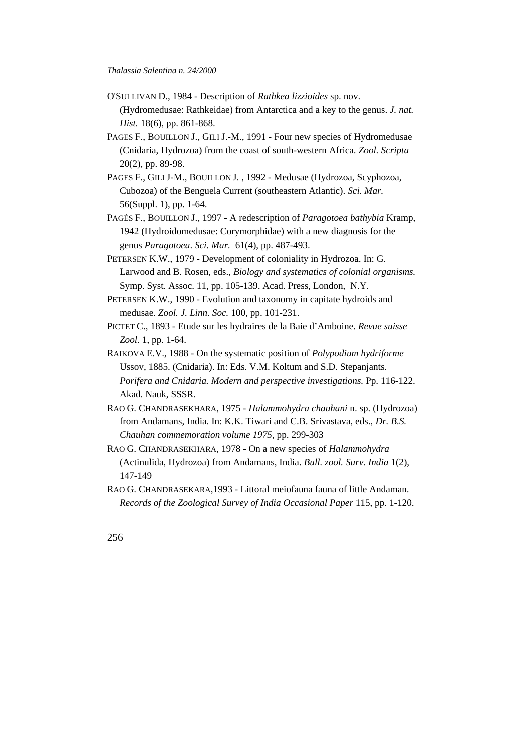- O'SULLIVAN D., 1984 Description of *Rathkea lizzioides* sp. nov. (Hydromedusae: Rathkeidae) from Antarctica and a key to the genus. *J. nat. Hist.* 18(6), pp. 861-868.
- PAGES F., BOUILLON J., GILI J.-M., 1991 Four new species of Hydromedusae (Cnidaria, Hydrozoa) from the coast of south-western Africa. *Zool. Scripta* 20(2), pp. 89-98.
- PAGES F., GILI J-M., BOUILLON J. , 1992 Medusae (Hydrozoa, Scyphozoa, Cubozoa) of the Benguela Current (southeastern Atlantic). *Sci. Mar.* 56(Suppl. 1), pp. 1-64.
- PAGÈS F., BOUILLON J., 1997 A redescription of *Paragotoea bathybia* Kramp, 1942 (Hydroidomedusae: Corymorphidae) with a new diagnosis for the genus *Paragotoea*. *Sci. Mar.* 61(4), pp. 487-493.
- PETERSEN K.W., 1979 Development of coloniality in Hydrozoa. In: G. Larwood and B. Rosen, eds., *Biology and systematics of colonial organisms.* Symp. Syst. Assoc. 11, pp. 105-139. Acad. Press, London, N.Y.
- PETERSEN K.W., 1990 Evolution and taxonomy in capitate hydroids and medusae. *Zool. J. Linn. Soc.* 100, pp. 101-231.
- PICTET C., 1893 Etude sur les hydraires de la Baie d'Amboine. *Revue suisse Zool.* 1, pp. 1-64.
- RAIKOVA E.V., 1988 On the systematic position of *Polypodium hydriforme* Ussov, 1885. (Cnidaria). In: Eds. V.M. Koltum and S.D. Stepanjants. *Porifera and Cnidaria. Modern and perspective investigations.* Pp. 116-122. Akad. Nauk, SSSR.
- RAO G. CHANDRASEKHARA, 1975 *Halammohydra chauhani* n. sp. (Hydrozoa) from Andamans, India. In: K.K. Tiwari and C.B. Srivastava, eds., *Dr. B.S. Chauhan commemoration volume 1975*, pp. 299-303
- RAO G. CHANDRASEKHARA, 1978 On a new species of *Halammohydra* (Actinulida, Hydrozoa) from Andamans, India. *Bull. zool. Surv. India* 1(2), 147-149
- RAO G. CHANDRASEKARA,1993 Littoral meiofauna fauna of little Andaman. *Records of the Zoological Survey of India Occasional Paper* 115, pp. 1-120.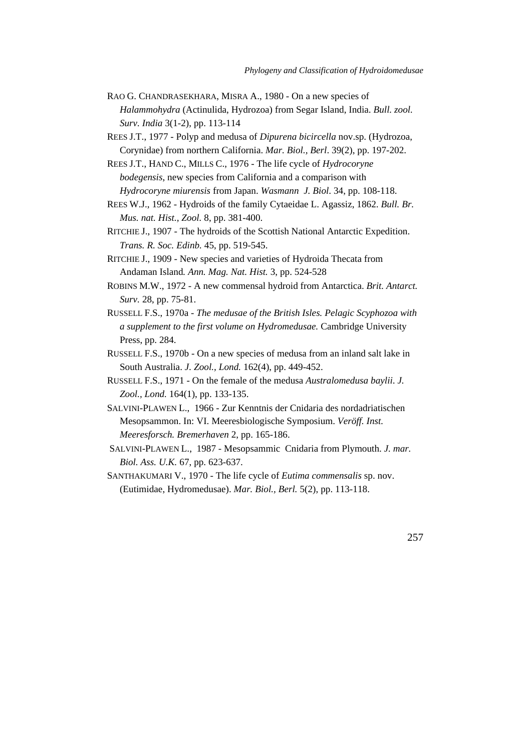- RAO G. CHANDRASEKHARA, MISRA A., 1980 On a new species of *Halammohydra* (Actinulida, Hydrozoa) from Segar Island, India. *Bull. zool. Surv. India* 3(1-2), pp. 113-114
- REES J.T., 1977 Polyp and medusa of *Dipurena bicircella* nov.sp. (Hydrozoa, Corynidae) from northern California. *Mar. Biol., Berl*. 39(2), pp. 197-202.
- REES J.T., HAND C., MILLS C., 1976 The life cycle of *Hydrocoryne bodegensis*, new species from California and a comparison with *Hydrocoryne miurensis* from Japan. *Wasmann J. Biol*. 34, pp. 108-118.
- REES W.J., 1962 Hydroids of the family Cytaeidae L. Agassiz, 1862. *Bull. Br. Mus. nat. Hist., Zool.* 8, pp. 381-400.
- RITCHIE J., 1907 The hydroids of the Scottish National Antarctic Expedition. *Trans. R. Soc. Edinb.* 45, pp. 519-545.
- RITCHIE J., 1909 New species and varieties of Hydroida Thecata from Andaman Island*. Ann. Mag. Nat. Hist.* 3, pp. 524-528
- ROBINS M.W., 1972 A new commensal hydroid from Antarctica. *Brit. Antarct. Surv.* 28, pp. 75-81.
- RUSSELL F.S., 1970a  *The medusae of the British Isles. Pelagic Scyphozoa with a supplement to the first volume on Hydromedusae.* Cambridge University Press, pp. 284.
- RUSSELL F.S., 1970b On a new species of medusa from an inland salt lake in South Australia. *J. Zool., Lond.* 162(4), pp. 449-452.
- RUSSELL F.S., 1971 On the female of the medusa *Australomedusa baylii*. *J. Zool., Lond.* 164(1), pp. 133-135.
- SALVINI-PLAWEN L., 1966 Zur Kenntnis der Cnidaria des nordadriatischen Mesopsammon. In: VI. Meeresbiologische Symposium. *Veröff. Inst. Meeresforsch. Bremerhaven* 2, pp. 165-186.
- SALVINI-PLAWEN L., 1987 Mesopsammic Cnidaria from Plymouth. *J. mar. Biol. Ass. U.K.* 67, pp. 623-637.
- SANTHAKUMARI V., 1970 The life cycle of *Eutima commensalis* sp. nov. (Eutimidae, Hydromedusae). *Mar. Biol., Berl.* 5(2), pp. 113-118.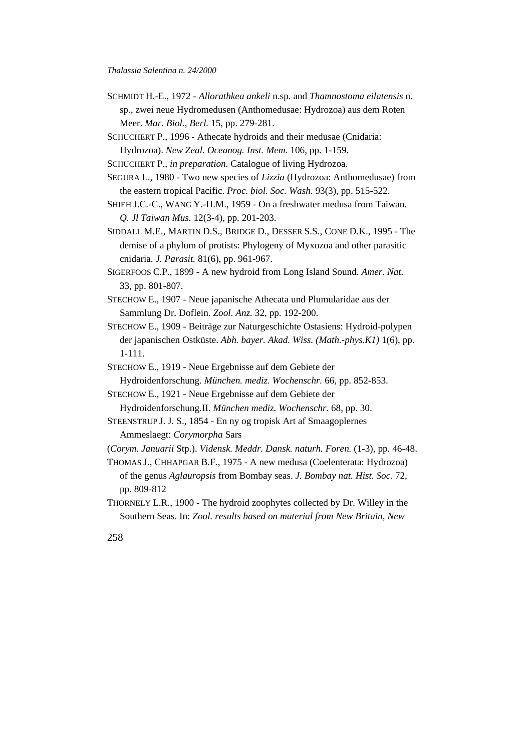- SCHMIDT H.-E., 1972 *Allorathkea ankeli* n.sp. and *Thamnostoma eilatensis* n. sp., zwei neue Hydromedusen (Anthomedusae: Hydrozoa) aus dem Roten Meer. *Mar. Biol., Berl.* 15, pp. 279-281.
- SCHUCHERT P., 1996 Athecate hydroids and their medusae (Cnidaria: Hydrozoa). *New Zeal. Oceanog. Inst. Mem.* 106, pp. 1-159.
- SCHUCHERT P., *in preparation.* Catalogue of living Hydrozoa.
- SEGURA L., 1980 Two new species of *Lizzia* (Hydrozoa: Anthomedusae) from the eastern tropical Pacific. *Proc. biol. Soc. Wash.* 93(3), pp. 515-522.
- SHIEH J.C.-C., WANG Y.-H.M., 1959 On a freshwater medusa from Taiwan. *Q. Jl Taiwan Mus.* 12(3-4), pp. 201-203.
- SIDDALL M.E., MARTIN D.S., BRIDGE D., DESSER S.S., CONE D.K., 1995 The demise of a phylum of protists: Phylogeny of Myxozoa and other parasitic cnidaria. *J. Parasit.* 81(6), pp. 961-967.
- SIGERFOOS C.P., 1899 A new hydroid from Long Island Sound. *Amer. Nat.* 33, pp. 801-807.
- STECHOW E., 1907 Neue japanische Athecata und Plumularidae aus der Sammlung Dr. Doflein. *Zool. Anz.* 32, pp. 192-200.
- STECHOW E., 1909 Beiträge zur Naturgeschichte Ostasiens: Hydroid-polypen der japanischen Ostküste. *Abh. bayer. Akad. Wiss. (Math.-phys.K1)* 1(6), pp. 1-111.
- STECHOW E., 1919 Neue Ergebnisse auf dem Gebiete der Hydroidenforschung. *München. mediz. Wochenschr.* 66, pp. 852-853.

STECHOW E., 1921 - Neue Ergebnisse auf dem Gebiete der Hydroidenforschung.II. *München mediz. Wochenschr.* 68, pp. 30.

- STEENSTRUP J. J. S., 1854 En ny og tropisk Art af Smaagoplernes Ammeslaegt: *Corymorpha* Sars
- (*Corym. Januarii* Stp.). *Vidensk. Meddr. Dansk. naturh. Foren.* (1-3), pp. 46-48.
- THOMAS J., CHHAPGAR B.F., 1975 A new medusa (Coelenterata: Hydrozoa) of the genus *Aglauropsis* from Bombay seas. *J. Bombay nat. Hist. Soc.* 72, pp. 809-812
- THORNELY L.R., 1900 The hydroid zoophytes collected by Dr. Willey in the Southern Seas. In: *Zool. results based on material from New Britain, New*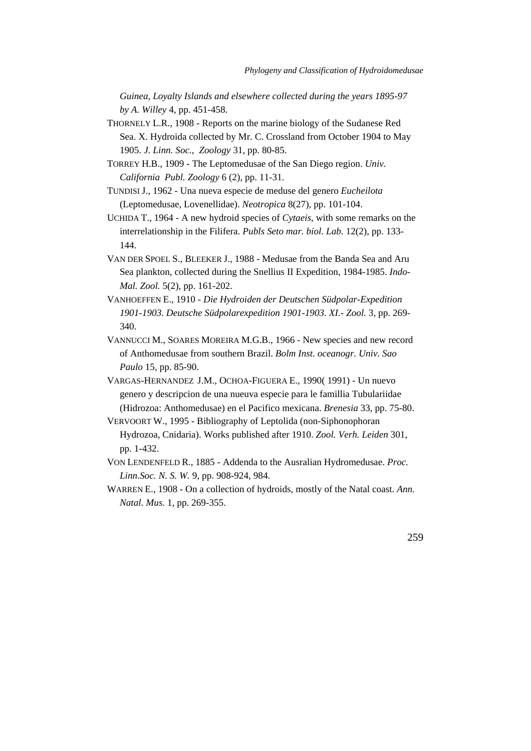*Guinea, Loyalty Islands and elsewhere collected during the years 1895-97 by A. Willey* 4, pp. 451-458.

- THORNELY L.R., 1908 Reports on the marine biology of the Sudanese Red Sea. X. Hydroida collected by Mr. C. Crossland from October 1904 to May 1905. *J. Linn. Soc., Zoology* 31, pp. 80-85.
- TORREY H.B., 1909 The Leptomedusae of the San Diego region. *Univ. California Publ. Zoology* 6 (2), pp. 11-31.
- TUNDISI J., 1962 Una nueva especie de meduse del genero *Eucheilota* (Leptomedusae, Lovenellidae). *Neotropica* 8(27), pp. 101-104.
- UCHIDA T., 1964 A new hydroid species of *Cytaeis*, with some remarks on the interrelationship in the Filifera. *Publs Seto mar. biol. Lab.* 12(2), pp. 133- 144.
- VAN DER SPOEL S., BLEEKER J., 1988 Medusae from the Banda Sea and Aru Sea plankton, collected during the Snellius II Expedition, 1984-1985. *Indo-Mal. Zool.* 5(2), pp. 161-202.
- VANHOEFFEN E., 1910 *Die Hydroiden der Deutschen Südpolar-Expedition 1901-1903. Deutsche Südpolarexpedition 1901-1903. XI.- Zool.* 3, pp. 269- 340.
- VANNUCCI M., SOARES MOREIRA M.G.B., 1966 New species and new record of Anthomedusae from southern Brazil. *Bolm Inst. oceanogr. Univ. Sao Paulo* 15, pp. 85-90.
- VARGAS-HERNANDEZ J.M., OCHOA-FIGUERA E., 1990( 1991) Un nuevo genero y descripcion de una nueuva especie para le famillia Tubulariidae (Hidrozoa: Anthomedusae) en el Pacifico mexicana. *Brenesia* 33, pp. 75-80.
- VERVOORT W., 1995 Bibliography of Leptolida (non-Siphonophoran Hydrozoa, Cnidaria). Works published after 1910. *Zool. Verh. Leiden* 301, pp. 1-432.
- VON LENDENFELD R., 1885 Addenda to the Ausralian Hydromedusae. *Proc. Linn.Soc. N. S. W.* 9, pp. 908-924, 984.
- WARREN E., 1908 On a collection of hydroids, mostly of the Natal coast. *Ann. Natal. Mus.* 1, pp. 269-355.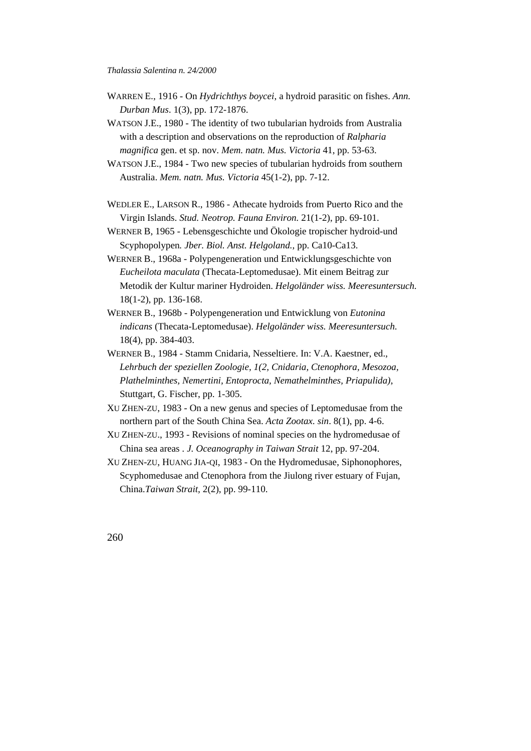- WARREN E., 1916 On *Hydrichthys boycei*, a hydroid parasitic on fishes. *Ann. Durban Mus*. 1(3), pp. 172-1876.
- WATSON J.E., 1980 The identity of two tubularian hydroids from Australia with a description and observations on the reproduction of *Ralpharia magnifica* gen. et sp. nov. *Mem. natn. Mus. Victoria* 41, pp. 53-63.
- WATSON J.E., 1984 Two new species of tubularian hydroids from southern Australia. *Mem. natn. Mus. Victoria* 45(1-2), pp. 7-12.
- WEDLER E., LARSON R., 1986 Athecate hydroids from Puerto Rico and the Virgin Islands. *Stud. Neotrop. Fauna Environ.* 21(1-2), pp. 69-101.
- WERNER B, 1965 Lebensgeschichte und Ökologie tropischer hydroid-und Scyphopolypen*. Jber. Biol. Anst. Helgoland.,* pp. Ca10-Ca13.
- WERNER B., 1968a Polypengeneration und Entwicklungsgeschichte von *Eucheilota maculata* (Thecata-Leptomedusae). Mit einem Beitrag zur Metodik der Kultur mariner Hydroiden. *Helgoländer wiss. Meeresuntersuch.* 18(1-2), pp. 136-168.
- WERNER B., 1968b Polypengeneration und Entwicklung von *Eutonina indicans* (Thecata-Leptomedusae). *Helgoländer wiss. Meeresuntersuch.* 18(4), pp. 384-403.
- WERNER B., 1984 Stamm Cnidaria, Nesseltiere. In: V.A. Kaestner, ed., *Lehrbuch der speziellen Zoologie, 1(2, Cnidaria, Ctenophora, Mesozoa, Plathelminthes, Nemertini, Entoprocta, Nemathelminthes, Priapulida)*, Stuttgart, G. Fischer, pp. 1-305.
- XU ZHEN-ZU, 1983 On a new genus and species of Leptomedusae from the northern part of the South China Sea. *Acta Zootax. sin*. 8(1), pp. 4-6.
- XU ZHEN-ZU., 1993 Revisions of nominal species on the hydromedusae of China sea areas . *J. Oceanography in Taiwan Strait* 12, pp. 97-204.
- XU ZHEN-ZU, HUANG JIA-QI, 1983 On the Hydromedusae, Siphonophores, Scyphomedusae and Ctenophora from the Jiulong river estuary of Fujan, China.*Taiwan Strait,* 2(2), pp. 99-110.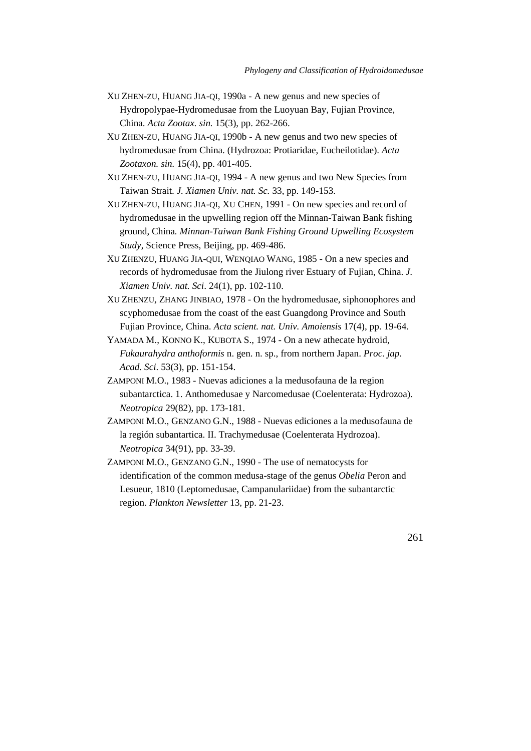- XU ZHEN-ZU, HUANG JIA-QI, 1990a A new genus and new species of Hydropolypae-Hydromedusae from the Luoyuan Bay, Fujian Province, China. *Acta Zootax. sin.* 15(3), pp. 262-266.
- XU ZHEN-ZU, HUANG JIA-QI, 1990b A new genus and two new species of hydromedusae from China. (Hydrozoa: Protiaridae, Eucheilotidae). *Acta Zootaxon. sin.* 15(4), pp. 401-405.
- XU ZHEN-ZU, HUANG JIA-QI, 1994 A new genus and two New Species from Taiwan Strait. *J. Xiamen Univ. nat. Sc.* 33, pp. 149-153.
- XU ZHEN-ZU, HUANG JIA-QI, XU CHEN, 1991 On new species and record of hydromedusae in the upwelling region off the Minnan-Taiwan Bank fishing ground, China*. Minnan-Taiwan Bank Fishing Ground Upwelling Ecosystem Study*, Science Press, Beijing, pp. 469-486.
- XU ZHENZU, HUANG JIA-QUI, WENQIAO WANG, 1985 On a new species and records of hydromedusae from the Jiulong river Estuary of Fujian, China. *J. Xiamen Univ. nat. Sci*. 24(1), pp. 102-110.
- XU ZHENZU, ZHANG JINBIAO, 1978 On the hydromedusae, siphonophores and scyphomedusae from the coast of the east Guangdong Province and South Fujian Province, China. *Acta scient. nat. Univ. Amoiensis* 17(4), pp. 19-64.
- YAMADA M., KONNO K., KUBOTA S., 1974 On a new athecate hydroid, *Fukaurahydra anthoformis* n. gen. n. sp., from northern Japan. *Proc. jap. Acad. Sci*. 53(3), pp. 151-154.
- ZAMPONI M.O., 1983 Nuevas adiciones a la medusofauna de la region subantarctica. 1. Anthomedusae y Narcomedusae (Coelenterata: Hydrozoa). *Neotropica* 29(82), pp. 173-181.
- ZAMPONI M.O., GENZANO G.N., 1988 Nuevas ediciones a la medusofauna de la región subantartica. II. Trachymedusae (Coelenterata Hydrozoa). *Neotropica* 34(91), pp. 33-39.
- ZAMPONI M.O., GENZANO G.N., 1990 The use of nematocysts for identification of the common medusa-stage of the genus *Obelia* Peron and Lesueur, 1810 (Leptomedusae, Campanulariidae) from the subantarctic region. *Plankton Newsletter* 13, pp. 21-23.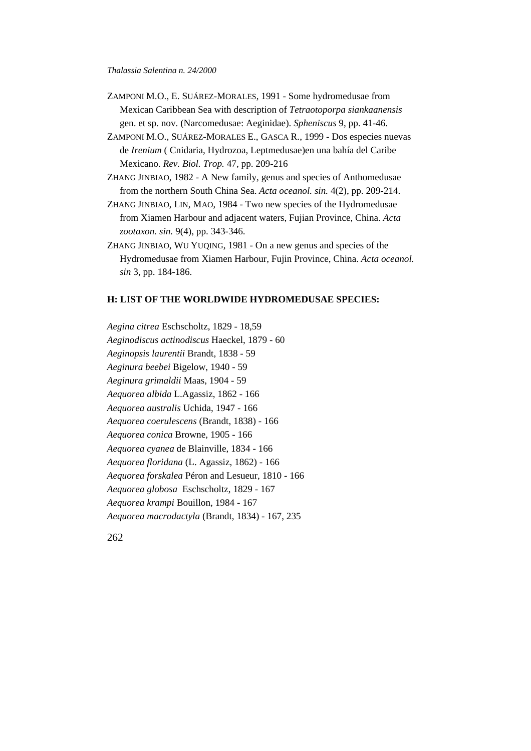- ZAMPONI M.O., E. SUÁREZ-MORALES, 1991 Some hydromedusae from Mexican Caribbean Sea with description of *Tetraotoporpa siankaanensis* gen. et sp. nov. (Narcomedusae: Aeginidae). *Spheniscus* 9, pp. 41-46.
- ZAMPONI M.O., SUÁREZ-MORALES E., GASCA R., 1999 Dos especies nuevas de *Irenium* ( Cnidaria, Hydrozoa, Leptmedusae)en una bahía del Caribe Mexicano. *Rev. Biol. Trop.* 47, pp. 209-216
- ZHANG JINBIAO, 1982 A New family, genus and species of Anthomedusae from the northern South China Sea. *Acta oceanol. sin.* 4(2), pp. 209-214.
- ZHANG JINBIAO, LIN, MAO, 1984 Two new species of the Hydromedusae from Xiamen Harbour and adjacent waters, Fujian Province, China. *Acta zootaxon. sin.* 9(4), pp. 343-346.
- ZHANG JINBIAO, WU YUQING, 1981 On a new genus and species of the Hydromedusae from Xiamen Harbour, Fujin Province, China. *Acta oceanol. sin* 3, pp. 184-186.

## **H: LIST OF THE WORLDWIDE HYDROMEDUSAE SPECIES:**

*Aegina citrea* Eschscholtz, 1829 - 18,59 *Aeginodiscus actinodiscus* Haeckel, 1879 - 60 *Aeginopsis laurentii* Brandt, 1838 - 59 *Aeginura beebei* Bigelow, 1940 - 59 *Aeginura grimaldii* Maas, 1904 - 59 *Aequorea albida* L.Agassiz, 1862 - 166 *Aequorea australis* Uchida, 1947 - 166 *Aequorea coerulescens* (Brandt, 1838) - 166 *Aequorea conica* Browne, 1905 - 166 *Aequorea cyanea* de Blainville, 1834 - 166 *Aequorea floridana* (L. Agassiz, 1862) - 166 *Aequorea forskalea* Péron and Lesueur, 1810 - 166 *Aequorea globosa* Eschscholtz, 1829 - 167 *Aequorea krampi* Bouillon, 1984 - 167 *Aequorea macrodactyla* (Brandt, 1834) - 167, 235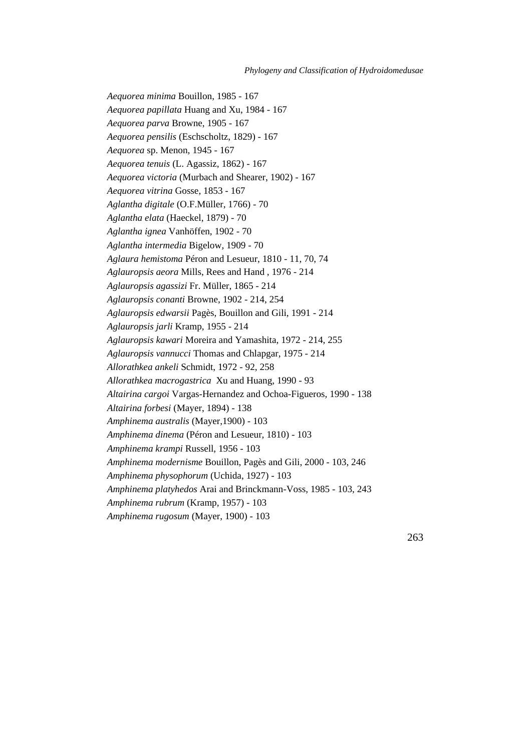*Aequorea minima* Bouillon, 1985 - 167 *Aequorea papillata* Huang and Xu, 1984 - 167 *Aequorea parva* Browne, 1905 - 167 *Aequorea pensilis* (Eschscholtz, 1829) - 167 *Aequorea* sp. Menon, 1945 - 167 *Aequorea tenuis* (L. Agassiz, 1862) - 167 *Aequorea victoria* (Murbach and Shearer, 1902) - 167 *Aequorea vitrina* Gosse, 1853 - 167 *Aglantha digitale* (O.F.Müller, 1766) - 70 *Aglantha elata* (Haeckel, 1879) - 70 *Aglantha ignea* Vanhöffen, 1902 - 70 *Aglantha intermedia* Bigelow, 1909 - 70 *Aglaura hemistoma* Péron and Lesueur, 1810 - 11, 70, 74 *Aglauropsis aeora* Mills, Rees and Hand , 1976 - 214 *Aglauropsis agassizi* Fr. Müller, 1865 - 214 *Aglauropsis conanti* Browne, 1902 - 214, 254 *Aglauropsis edwarsii* Pagès, Bouillon and Gili, 1991 - 214 *Aglauropsis jarli* Kramp, 1955 - 214 *Aglauropsis kawari* Moreira and Yamashita, 1972 - 214, 255 *Aglauropsis vannucci* Thomas and Chlapgar, 1975 - 214 *Allorathkea ankeli* Schmidt, 1972 - 92, 258 *Allorathkea macrogastrica* Xu and Huang, 1990 - 93 *Altairina cargoi* Vargas-Hernandez and Ochoa-Figueros, 1990 - 138 *Altairina forbesi* (Mayer, 1894) - 138 *Amphinema australis* (Mayer,1900) - 103 *Amphinema dinema* (Péron and Lesueur, 1810) - 103 *Amphinema krampi* Russell, 1956 - 103 *Amphinema modernisme* Bouillon, Pagès and Gili, 2000 - 103, 246 *Amphinema physophorum* (Uchida, 1927) - 103 *Amphinema platyhedos* Arai and Brinckmann-Voss, 1985 - 103, 243 *Amphinema rubrum* (Kramp, 1957) - 103 *Amphinema rugosum* (Mayer, 1900) - 103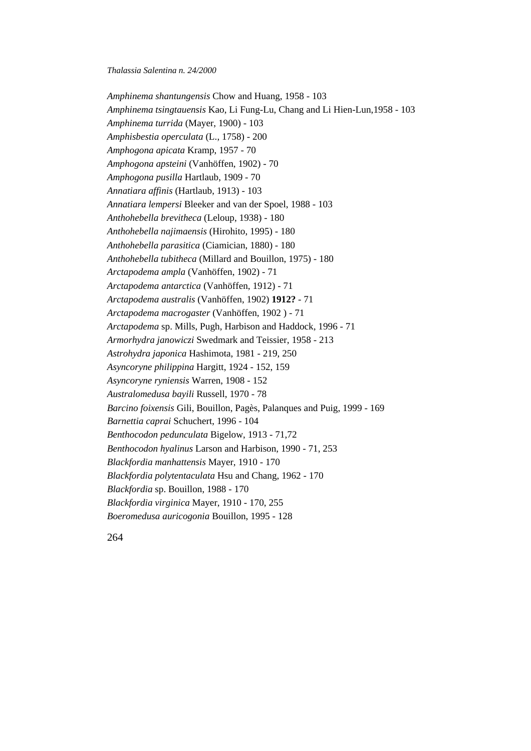*Amphinema shantungensis* Chow and Huang, 1958 - 103 *Amphinema tsingtauensis* Kao, Li Fung-Lu, Chang and Li Hien-Lun,1958 - 103 *Amphinema turrida* (Mayer, 1900) - 103 *Amphisbestia operculata* (L., 1758) - 200 *Amphogona apicata* Kramp, 1957 - 70 *Amphogona apsteini* (Vanhöffen, 1902) - 70 *Amphogona pusilla* Hartlaub, 1909 - 70 *Annatiara affinis* (Hartlaub, 1913) - 103 *Annatiara lempersi* Bleeker and van der Spoel, 1988 - 103 *Anthohebella brevitheca* (Leloup, 1938) - 180 *Anthohebella najimaensis* (Hirohito, 1995) - 180 *Anthohebella parasitica* (Ciamician, 1880) - 180 *Anthohebella tubitheca* (Millard and Bouillon, 1975) - 180 *Arctapodema ampla* (Vanhöffen, 1902) - 71 *Arctapodema antarctica* (Vanhöffen, 1912) - 71 *Arctapodema australis* (Vanhöffen, 1902) **1912?** - 71 *Arctapodema macrogaster* (Vanhöffen, 1902 ) - 71 *Arctapodema* sp. Mills, Pugh, Harbison and Haddock, 1996 - 71 *Armorhydra janowiczi* Swedmark and Teissier, 1958 - 213 *Astrohydra japonica* Hashimota, 1981 - 219, 250 *Asyncoryne philippina* Hargitt, 1924 - 152, 159 *Asyncoryne ryniensis* Warren, 1908 - 152 *Australomedusa bayili* Russell, 1970 - 78 *Barcino foixensis* Gili, Bouillon, Pagès, Palanques and Puig, 1999 - 169 *Barnettia caprai* Schuchert, 1996 - 104 *Benthocodon pedunculata* Bigelow, 1913 - 71,72 *Benthocodon hyalinus* Larson and Harbison, 1990 - 71, 253 *Blackfordia manhattensis* Mayer, 1910 - 170 *Blackfordia polytentaculata* Hsu and Chang, 1962 - 170 *Blackfordia* sp. Bouillon, 1988 - 170 *Blackfordia virginica* Mayer, 1910 - 170, 255 *Boeromedusa auricogonia* Bouillon, 1995 - 128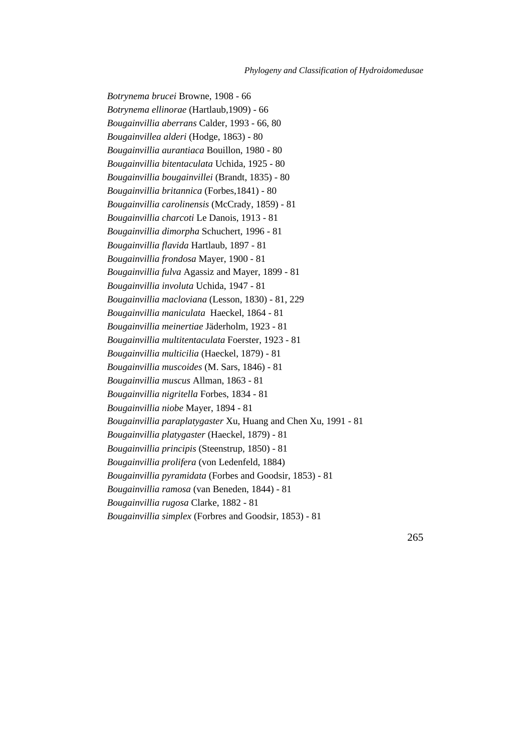*Botrynema brucei* Browne, 1908 - 66 *Botrynema ellinorae* (Hartlaub,1909) - 66 *Bougainvillia aberrans* Calder, 1993 - 66, 80 *Bougainvillea alderi* (Hodge, 1863) - 80 *Bougainvillia aurantiaca* Bouillon, 1980 - 80 *Bougainvillia bitentaculata* Uchida, 1925 - 80 *Bougainvillia bougainvillei* (Brandt, 1835) - 80 *Bougainvillia britannica* (Forbes,1841) - 80 *Bougainvillia carolinensis* (McCrady, 1859) - 81 *Bougainvillia charcoti* Le Danois, 1913 - 81 *Bougainvillia dimorpha* Schuchert, 1996 - 81 *Bougainvillia flavida* Hartlaub, 1897 - 81 *Bougainvillia frondosa* Mayer, 1900 - 81 *Bougainvillia fulva* Agassiz and Mayer, 1899 - 81 *Bougainvillia involuta* Uchida, 1947 - 81 *Bougainvillia macloviana* (Lesson, 1830) - 81, 229 *Bougainvillia maniculata* Haeckel, 1864 - 81 *Bougainvillia meinertiae* Jäderholm, 1923 - 81 *Bougainvillia multitentaculata* Foerster, 1923 - 81 *Bougainvillia multicilia* (Haeckel, 1879) - 81 *Bougainvillia muscoides* (M. Sars, 1846) - 81 *Bougainvillia muscus* Allman, 1863 - 81 *Bougainvillia nigritella* Forbes, 1834 - 81 *Bougainvillia niobe* Mayer, 1894 - 81 *Bougainvillia paraplatygaster* Xu, Huang and Chen Xu, 1991 - 81 *Bougainvillia platygaster* (Haeckel, 1879) - 81 *Bougainvillia principis* (Steenstrup, 1850) - 81 *Bougainvillia prolifera* (von Ledenfeld, 1884) *Bougainvillia pyramidata* (Forbes and Goodsir, 1853) - 81 *Bougainvillia ramosa* (van Beneden, 1844) - 81 *Bougainvillia rugosa* Clarke, 1882 - 81 *Bougainvillia simplex* (Forbres and Goodsir, 1853) - 81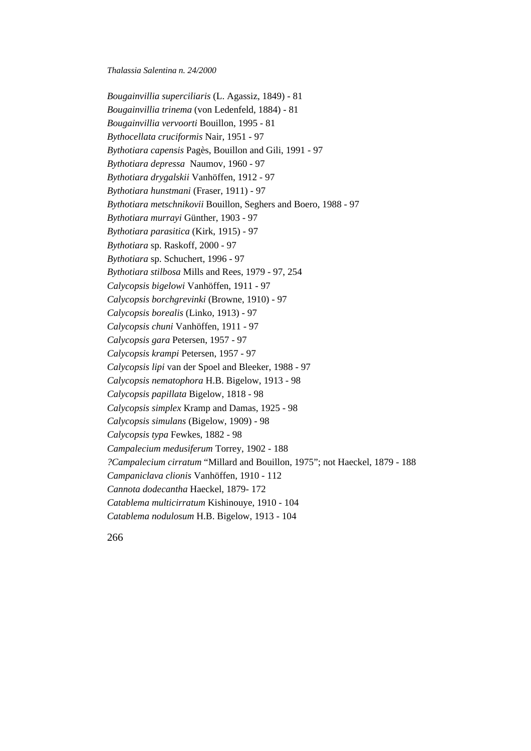*Bougainvillia superciliaris* (L. Agassiz, 1849) - 81 *Bougainvillia trinema* (von Ledenfeld, 1884) - 81 *Bougainvillia vervoorti* Bouillon, 1995 - 81 *Bythocellata cruciformis* Nair, 1951 - 97 *Bythotiara capensis* Pagès, Bouillon and Gili, 1991 - 97 *Bythotiara depressa* Naumov, 1960 - 97 *Bythotiara drygalskii* Vanhöffen, 1912 - 97 *Bythotiara hunstmani* (Fraser, 1911) - 97 *Bythotiara metschnikovii* Bouillon, Seghers and Boero, 1988 - 97 *Bythotiara murrayi* Günther, 1903 - 97 *Bythotiara parasitica* (Kirk, 1915) - 97 *Bythotiara* sp. Raskoff, 2000 - 97 *Bythotiara* sp. Schuchert, 1996 - 97 *Bythotiara stilbosa* Mills and Rees, 1979 - 97, 254 *Calycopsis bigelowi* Vanhöffen, 1911 - 97 *Calycopsis borchgrevinki* (Browne, 1910) - 97 *Calycopsis borealis* (Linko, 1913) - 97 *Calycopsis chuni* Vanhöffen, 1911 - 97 *Calycopsis gara* Petersen, 1957 - 97 *Calycopsis krampi* Petersen, 1957 - 97 *Calycopsis lipi* van der Spoel and Bleeker, 1988 - 97 *Calycopsis nematophora* H.B. Bigelow, 1913 - 98 *Calycopsis papillata* Bigelow, 1818 - 98 *Calycopsis simplex* Kramp and Damas, 1925 - 98 *Calycopsis simulans* (Bigelow, 1909) - 98 *Calycopsis typa* Fewkes, 1882 - 98 *Campalecium medusiferum* Torrey, 1902 - 188 *?Campalecium cirratum* "Millard and Bouillon, 1975"; not Haeckel, 1879 - 188 *Campaniclava clionis* Vanhöffen, 1910 - 112 *Cannota dodecantha* Haeckel, 1879- 172 *Catablema multicirratum* Kishinouye, 1910 - 104 *Catablema nodulosum* H.B. Bigelow, 1913 - 104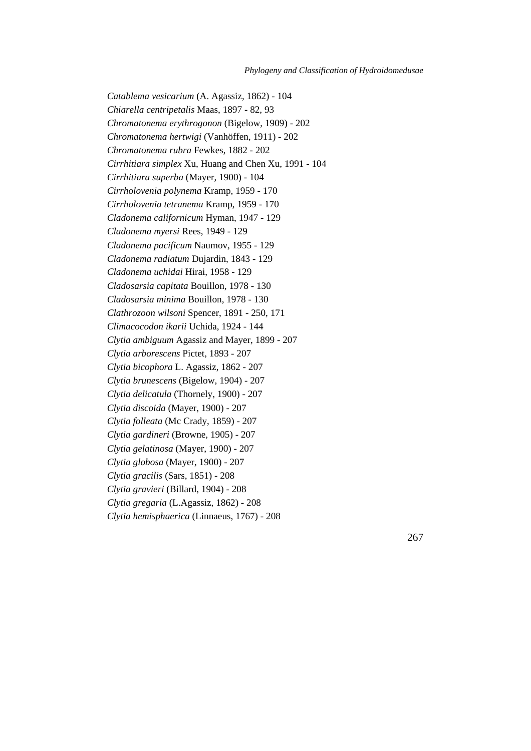*Catablema vesicarium* (A. Agassiz, 1862) - 104 *Chiarella centripetalis* Maas, 1897 - 82, 93 *Chromatonema erythrogonon* (Bigelow, 1909) - 202 *Chromatonema hertwigi* (Vanhöffen, 1911) - 202 *Chromatonema rubra* Fewkes, 1882 - 202 *Cirrhitiara simplex* Xu, Huang and Chen Xu, 1991 - 104 *Cirrhitiara superba* (Mayer, 1900) - 104 *Cirrholovenia polynema* Kramp, 1959 - 170 *Cirrholovenia tetranema* Kramp, 1959 - 170 *Cladonema californicum* Hyman, 1947 - 129 *Cladonema myersi* Rees, 1949 - 129 *Cladonema pacificum* Naumov, 1955 - 129 *Cladonema radiatum* Dujardin, 1843 - 129 *Cladonema uchidai* Hirai, 1958 - 129 *Cladosarsia capitata* Bouillon, 1978 - 130 *Cladosarsia minima* Bouillon, 1978 - 130 *Clathrozoon wilsoni* Spencer, 1891 - 250, 171 *Climacocodon ikarii* Uchida, 1924 - 144 *Clytia ambiguum* Agassiz and Mayer, 1899 - 207 *Clytia arborescens* Pictet, 1893 - 207 *Clytia bicophora* L. Agassiz, 1862 - 207 *Clytia brunescens* (Bigelow, 1904) - 207 *Clytia delicatula* (Thornely, 1900) - 207 *Clytia discoida* (Mayer, 1900) - 207 *Clytia folleata* (Mc Crady, 1859) - 207 *Clytia gardineri* (Browne, 1905) - 207 *Clytia gelatinosa* (Mayer, 1900) - 207 *Clytia globosa* (Mayer, 1900) - 207 *Clytia gracilis* (Sars, 1851) - 208 *Clytia gravieri* (Billard, 1904) - 208 *Clytia gregaria* (L.Agassiz, 1862) - 208 *Clytia hemisphaerica* (Linnaeus, 1767) - 208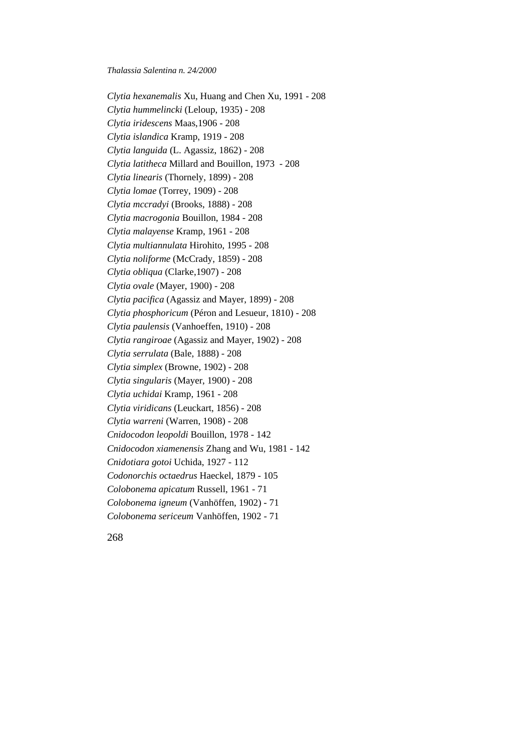*Clytia hexanemalis* Xu, Huang and Chen Xu, 1991 - 208 *Clytia hummelincki* (Leloup, 1935) - 208 *Clytia iridescens* Maas,1906 - 208 *Clytia islandica* Kramp, 1919 - 208 *Clytia languida* (L. Agassiz, 1862) - 208 *Clytia latitheca* Millard and Bouillon, 1973 - 208 *Clytia linearis* (Thornely, 1899) - 208 *Clytia lomae* (Torrey, 1909) - 208 *Clytia mccradyi* (Brooks, 1888) - 208 *Clytia macrogonia* Bouillon, 1984 - 208 *Clytia malayense* Kramp, 1961 - 208 *Clytia multiannulata* Hirohito, 1995 - 208 *Clytia noliforme* (McCrady, 1859) - 208 *Clytia obliqua* (Clarke,1907) - 208 *Clytia ovale* (Mayer, 1900) - 208 *Clytia pacifica* (Agassiz and Mayer, 1899) - 208 *Clytia phosphoricum* (Péron and Lesueur, 1810) - 208 *Clytia paulensis* (Vanhoeffen, 1910) - 208 *Clytia rangiroae* (Agassiz and Mayer, 1902) - 208 *Clytia serrulata* (Bale, 1888) - 208 *Clytia simplex* (Browne, 1902) - 208 *Clytia singularis* (Mayer, 1900) - 208 *Clytia uchidai* Kramp, 1961 - 208 *Clytia viridicans* (Leuckart, 1856) - 208 *Clytia warreni* (Warren, 1908) - 208 *Cnidocodon leopoldi* Bouillon, 1978 - 142 *Cnidocodon xiamenensis* Zhang and Wu, 1981 - 142 *Cnidotiara gotoi* Uchida, 1927 - 112 *Codonorchis octaedrus* Haeckel, 1879 - 105 *Colobonema apicatum* Russell, 1961 - 71 *Colobonema igneum* (Vanhöffen, 1902) - 71 *Colobonema sericeum* Vanhöffen, 1902 - 71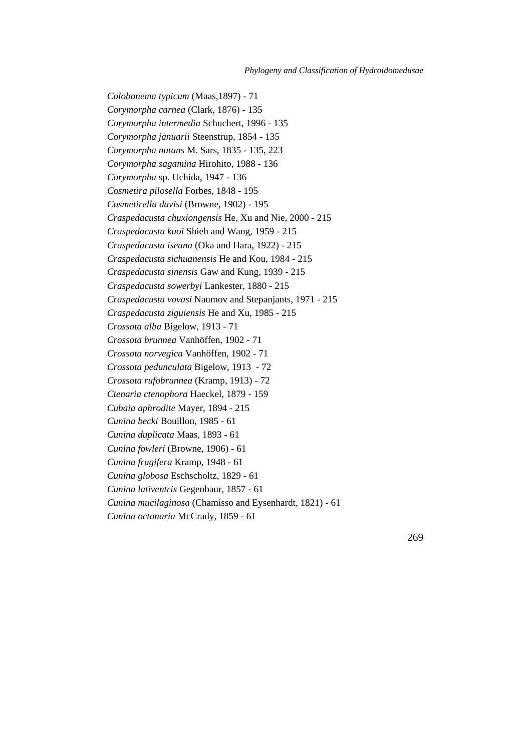*Colobonema typicum* (Maas,1897) - 71 *Corymorpha carnea* (Clark, 1876) - 135 *Corymorpha intermedia* Schuchert, 1996 - 135 *Corymorpha januarii* Steenstrup, 1854 - 135 *Corymorpha nutans* M. Sars, 1835 - 135, 223 *Corymorpha sagamina* Hirohito, 1988 - 136 *Corymorpha* sp. Uchida, 1947 - 136 *Cosmetira pilosella* Forbes, 1848 - 195 *Cosmetirella davisi* (Browne, 1902) - 195 *Craspedacusta chuxiongensis* He, Xu and Nie, 2000 - 215 *Craspedacusta kuoi* Shieh and Wang, 1959 - 215 *Craspedacusta iseana* (Oka and Hara, 1922) - 215 *Craspedacusta sichuanensis* He and Kou, 1984 - 215 *Craspedacusta sinensis* Gaw and Kung, 1939 - 215 *Craspedacusta sowerbyi* Lankester, 1880 - 215 *Craspedacusta vovasi* Naumov and Stepanjants, 1971 - 215 *Craspedacusta ziguiensis* He and Xu, 1985 - 215 *Crossota alba* Bigelow, 1913 - 71 *Crossota brunnea* Vanhöffen, 1902 - 71 *Crossota norvegica* Vanhöffen, 1902 - 71 *Crossota pedunculata* Bigelow, 1913 - 72 *Crossota rufobrunnea* (Kramp, 1913) - 72 *Ctenaria ctenophora* Haeckel, 1879 - 159 *Cubaia aphrodite* Mayer, 1894 - 215 *Cunina becki* Bouillon, 1985 - 61 *Cunina duplicata* Maas, 1893 - 61 *Cunina fowleri* (Browne, 1906) - 61 *Cunina frugifera* Kramp, 1948 - 61 *Cunina globosa* Eschscholtz, 1829 - 61 *Cunina lativentris* Gegenbaur, 1857 - 61 *Cunina mucilaginosa* (Chamisso and Eysenhardt, 1821) - 61 *Cunina octonaria* McCrady, 1859 - 61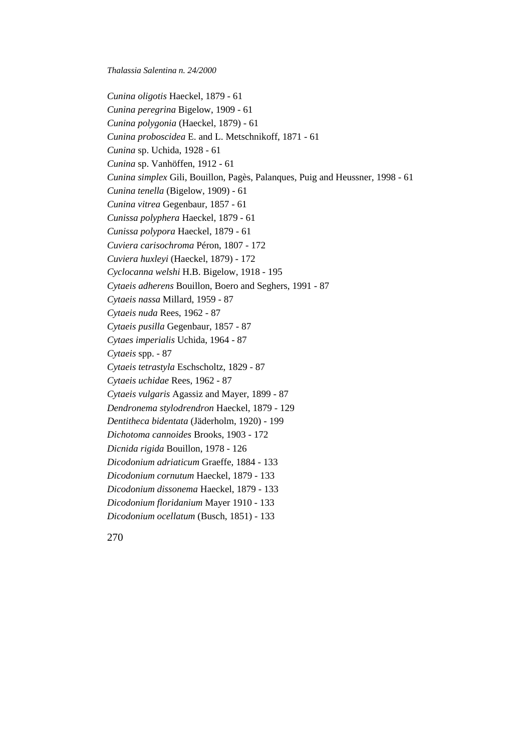*Cunina oligotis* Haeckel, 1879 - 61 *Cunina peregrina* Bigelow, 1909 - 61 *Cunina polygonia* (Haeckel, 1879) - 61 *Cunina proboscidea* E. and L. Metschnikoff, 1871 - 61 *Cunina* sp. Uchida, 1928 - 61 *Cunina* sp. Vanhöffen, 1912 - 61 *Cunina simplex* Gili, Bouillon, Pagès, Palanques, Puig and Heussner*,* 1998 - 61 *Cunina tenella* (Bigelow, 1909) - 61 *Cunina vitrea* Gegenbaur, 1857 - 61 *Cunissa polyphera* Haeckel, 1879 - 61 *Cunissa polypora* Haeckel, 1879 - 61 *Cuviera carisochroma* Péron, 1807 - 172 *Cuviera huxleyi* (Haeckel, 1879) - 172 *Cyclocanna welshi* H.B. Bigelow, 1918 - 195 *Cytaeis adherens* Bouillon, Boero and Seghers, 1991 - 87 *Cytaeis nassa* Millard, 1959 - 87 *Cytaeis nuda* Rees, 1962 - 87 *Cytaeis pusilla* Gegenbaur, 1857 - 87 *Cytaes imperialis* Uchida, 1964 - 87 *Cytaeis* spp. - 87 *Cytaeis tetrastyla* Eschscholtz, 1829 - 87 *Cytaeis uchidae* Rees, 1962 - 87 *Cytaeis vulgaris* Agassiz and Mayer, 1899 - 87 *Dendronema stylodrendron* Haeckel, 1879 - 129 *Dentitheca bidentata* (Jäderholm, 1920) - 199 *Dichotoma cannoides* Brooks, 1903 - 172 *Dicnida rigida* Bouillon, 1978 - 126 *Dicodonium adriaticum* Graeffe, 1884 - 133 *Dicodonium cornutum* Haeckel, 1879 - 133 *Dicodonium dissonema* Haeckel, 1879 - 133 *Dicodonium floridanium* Mayer 1910 - 133 *Dicodonium ocellatum* (Busch, 1851) - 133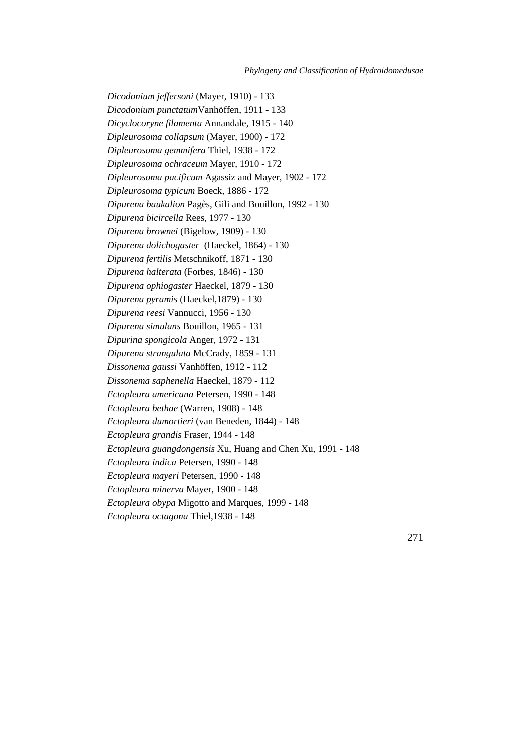*Dicodonium jeffersoni* (Mayer, 1910) - 133 *Dicodonium punctatum*Vanhöffen, 1911 - 133 *Dicyclocoryne filamenta* Annandale, 1915 - 140 *Dipleurosoma collapsum* (Mayer, 1900) - 172 *Dipleurosoma gemmifera* Thiel, 1938 - 172 *Dipleurosoma ochraceum* Mayer, 1910 - 172 *Dipleurosoma pacificum* Agassiz and Mayer, 1902 - 172 *Dipleurosoma typicum* Boeck, 1886 - 172 *Dipurena baukalion* Pagès, Gili and Bouillon, 1992 - 130 *Dipurena bicircella* Rees, 1977 - 130 *Dipurena brownei* (Bigelow, 1909) - 130 *Dipurena dolichogaster* (Haeckel, 1864) - 130 *Dipurena fertilis* Metschnikoff, 1871 - 130 *Dipurena halterata* (Forbes, 1846) - 130 *Dipurena ophiogaster* Haeckel, 1879 - 130 *Dipurena pyramis* (Haeckel,1879) - 130 *Dipurena reesi* Vannucci, 1956 - 130 *Dipurena simulans* Bouillon, 1965 - 131 *Dipurina spongicola* Anger, 1972 - 131 *Dipurena strangulata* McCrady, 1859 - 131 *Dissonema gaussi* Vanhöffen, 1912 - 112 *Dissonema saphenella* Haeckel, 1879 - 112 *Ectopleura americana* Petersen, 1990 - 148 *Ectopleura bethae* (Warren, 1908) - 148 *Ectopleura dumortieri* (van Beneden, 1844) - 148 *Ectopleura grandis* Fraser, 1944 - 148 *Ectopleura guangdongensis* Xu, Huang and Chen Xu, 1991 - 148 *Ectopleura indica* Petersen, 1990 - 148 *Ectopleura mayeri* Petersen, 1990 - 148 *Ectopleura minerva* Mayer, 1900 - 148 *Ectopleura obypa* Migotto and Marques, 1999 - 148 *Ectopleura octagona* Thiel,1938 - 148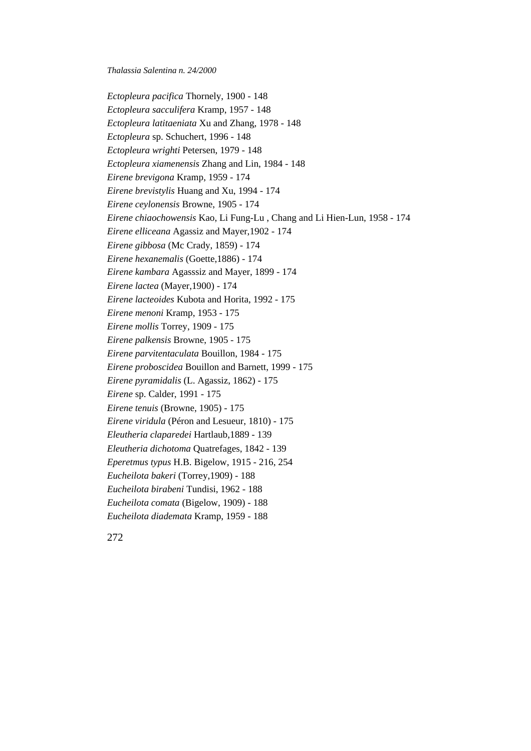*Ectopleura pacifica* Thornely, 1900 - 148 *Ectopleura sacculifera* Kramp, 1957 - 148 *Ectopleura latitaeniata* Xu and Zhang, 1978 - 148 *Ectopleura* sp. Schuchert, 1996 - 148 *Ectopleura wrighti* Petersen, 1979 - 148 *Ectopleura xiamenensis* Zhang and Lin, 1984 - 148 *Eirene brevigona* Kramp, 1959 - 174 *Eirene brevistylis* Huang and Xu, 1994 - 174 *Eirene ceylonensis* Browne, 1905 - 174 *Eirene chiaochowensis* Kao, Li Fung-Lu , Chang and Li Hien-Lun, 1958 - 174 *Eirene elliceana* Agassiz and Mayer,1902 - 174 *Eirene gibbosa* (Mc Crady, 1859) - 174 *Eirene hexanemalis* (Goette,1886) - 174 *Eirene kambara* Agasssiz and Mayer, 1899 - 174 *Eirene lactea* (Mayer,1900) - 174 *Eirene lacteoides* Kubota and Horita, 1992 - 175 *Eirene menoni* Kramp, 1953 - 175 *Eirene mollis* Torrey, 1909 - 175 *Eirene palkensis* Browne, 1905 - 175 *Eirene parvitentaculata* Bouillon, 1984 - 175 *Eirene proboscidea* Bouillon and Barnett, 1999 - 175 *Eirene pyramidalis* (L. Agassiz, 1862) - 175 *Eirene* sp. Calder, 1991 - 175 *Eirene tenuis* (Browne, 1905) - 175 *Eirene viridula* (Péron and Lesueur, 1810) - 175 *Eleutheria claparedei* Hartlaub,1889 - 139 *Eleutheria dichotoma* Quatrefages, 1842 - 139 *Eperetmus typus* H.B. Bigelow, 1915 - 216, 254 *Eucheilota bakeri* (Torrey,1909) - 188 *Eucheilota birabeni* Tundisi, 1962 - 188 *Eucheilota comata* (Bigelow, 1909) - 188 *Eucheilota diademata* Kramp, 1959 - 188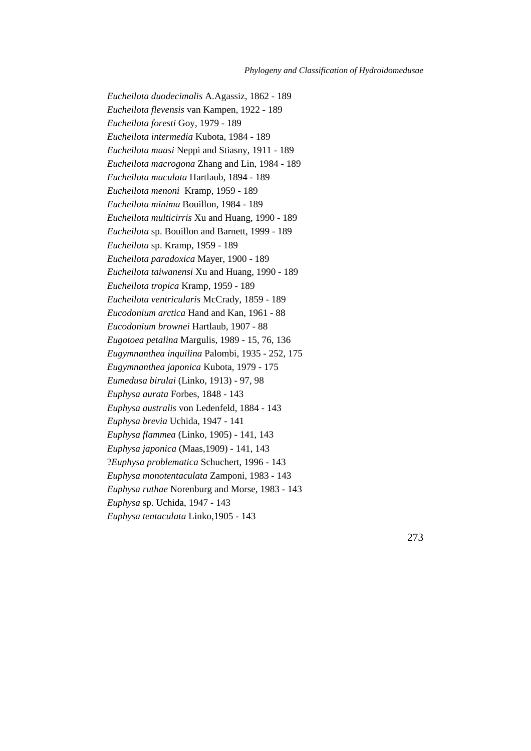*Eucheilota duodecimalis* A.Agassiz, 1862 - 189 *Eucheilota flevensis* van Kampen, 1922 - 189 *Eucheilota foresti* Goy, 1979 - 189 *Eucheilota intermedia* Kubota, 1984 - 189 *Eucheilota maasi* Neppi and Stiasny, 1911 - 189 *Eucheilota macrogona* Zhang and Lin, 1984 - 189 *Eucheilota maculata* Hartlaub, 1894 - 189 *Eucheilota menoni* Kramp, 1959 - 189 *Eucheilota minima* Bouillon, 1984 - 189 *Eucheilota multicirris* Xu and Huang, 1990 - 189 *Eucheilota* sp. Bouillon and Barnett, 1999 - 189 *Eucheilota* sp. Kramp, 1959 - 189 *Eucheilota paradoxica* Mayer, 1900 - 189 *Eucheilota taiwanensi* Xu and Huang, 1990 - 189 *Eucheilota tropica* Kramp, 1959 - 189 *Eucheilota ventricularis* McCrady, 1859 - 189 *Eucodonium arctica* Hand and Kan, 1961 - 88 *Eucodonium brownei* Hartlaub, 1907 - 88 *Eugotoea petalina* Margulis, 1989 - 15, 76, 136 *Eugymnanthea inquilina* Palombi, 1935 - 252, 175 *Eugymnanthea japonica* Kubota, 1979 - 175 *Eumedusa birulai* (Linko, 1913) - 97, 98 *Euphysa aurata* Forbes, 1848 - 143 *Euphysa australis* von Ledenfeld, 1884 - 143 *Euphysa brevia* Uchida, 1947 - 141 *Euphysa flammea* (Linko, 1905) - 141, 143 *Euphysa japonica* (Maas,1909) - 141, 143 ?*Euphysa problematica* Schuchert, 1996 - 143 *Euphysa monotentaculata* Zamponi, 1983 - 143 *Euphysa ruthae* Norenburg and Morse, 1983 - 143 *Euphysa* sp. Uchida, 1947 - 143 *Euphysa tentaculata* Linko,1905 - 143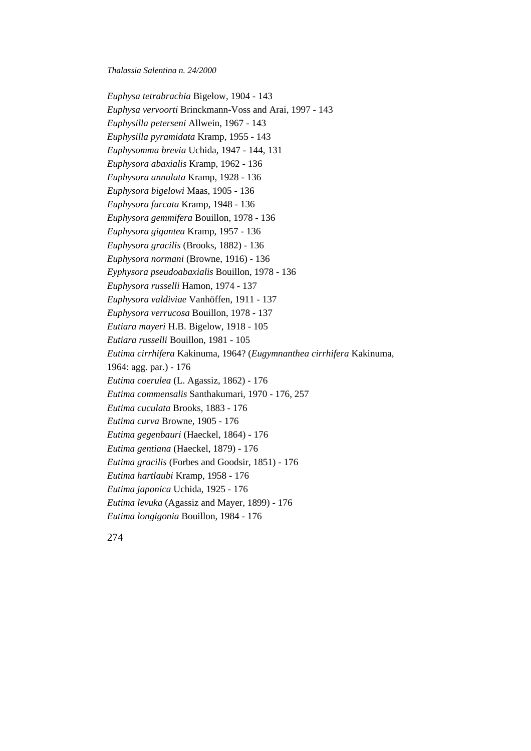*Euphysa tetrabrachia* Bigelow, 1904 - 143 *Euphysa vervoorti* Brinckmann-Voss and Arai, 1997 - 143 *Euphysilla peterseni* Allwein, 1967 - 143 *Euphysilla pyramidata* Kramp, 1955 - 143 *Euphysomma brevia* Uchida, 1947 - 144, 131 *Euphysora abaxialis* Kramp, 1962 - 136 *Euphysora annulata* Kramp, 1928 - 136 *Euphysora bigelowi* Maas, 1905 - 136 *Euphysora furcata* Kramp, 1948 - 136 *Euphysora gemmifera* Bouillon, 1978 - 136 *Euphysora gigantea* Kramp, 1957 - 136 *Euphysora gracilis* (Brooks, 1882) - 136 *Euphysora normani* (Browne, 1916) - 136 *Eyphysora pseudoabaxialis* Bouillon, 1978 - 136 *Euphysora russelli* Hamon, 1974 - 137 *Euphysora valdiviae* Vanhöffen, 1911 - 137 *Euphysora verrucosa* Bouillon, 1978 - 137 *Eutiara mayeri* H.B. Bigelow, 1918 - 105 *Eutiara russelli* Bouillon, 1981 - 105 *Eutima cirrhifera* Kakinuma, 1964? (*Eugymnanthea cirrhifera* Kakinuma, 1964: agg. par.) - 176 *Eutima coerulea* (L. Agassiz, 1862) - 176 *Eutima commensalis* Santhakumari, 1970 - 176, 257 *Eutima cuculata* Brooks, 1883 - 176 *Eutima curva* Browne, 1905 - 176 *Eutima gegenbauri* (Haeckel, 1864) - 176 *Eutima gentiana* (Haeckel, 1879) - 176 *Eutima gracilis* (Forbes and Goodsir, 1851) - 176 *Eutima hartlaubi* Kramp, 1958 - 176 *Eutima japonica* Uchida, 1925 - 176 *Eutima levuka* (Agassiz and Mayer, 1899) - 176 *Eutima longigonia* Bouillon, 1984 - 176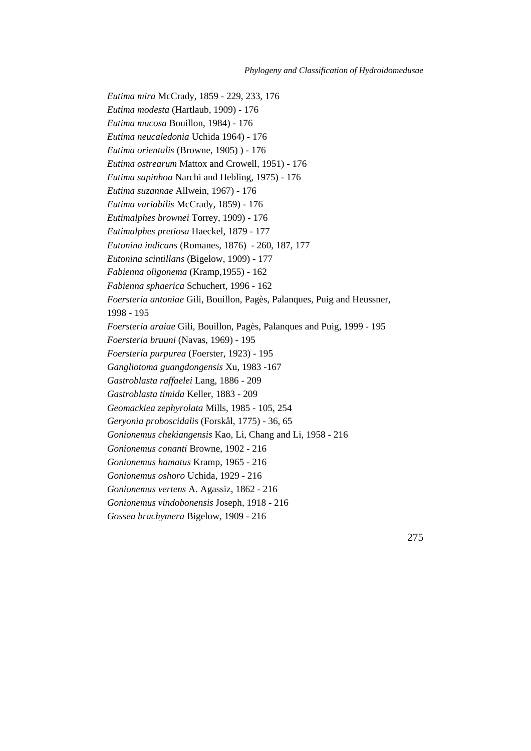*Eutima mira* McCrady, 1859 - 229, 233, 176 *Eutima modesta* (Hartlaub, 1909) - 176 *Eutima mucosa* Bouillon, 1984) - 176 *Eutima neucaledonia* Uchida 1964) - 176 *Eutima orientalis* (Browne, 1905) ) - 176 *Eutima ostrearum* Mattox and Crowell, 1951) - 176 *Eutima sapinhoa* Narchi and Hebling, 1975) - 176 *Eutima suzannae* Allwein, 1967) - 176 *Eutima variabilis* McCrady, 1859) - 176 *Eutimalphes brownei* Torrey, 1909) - 176 *Eutimalphes pretiosa* Haeckel, 1879 - 177 *Eutonina indicans* (Romanes, 1876) - 260, 187, 177 *Eutonina scintillans* (Bigelow, 1909) - 177 *Fabienna oligonema* (Kramp,1955) - 162 *Fabienna sphaerica* Schuchert, 1996 - 162 *Foersteria antoniae* Gili, Bouillon, Pagès, Palanques, Puig and Heussner*,* 1998 - 195 *Foersteria araiae* Gili, Bouillon, Pagès, Palanques and Puig*,* 1999 - 195 *Foersteria bruuni* (Navas, 1969) - 195 *Foersteria purpurea* (Foerster, 1923) - 195 *Gangliotoma guangdongensis* Xu, 1983 -167 *Gastroblasta raffaelei* Lang, 1886 - 209 *Gastroblasta timida* Keller, 1883 - 209 *Geomackiea zephyrolata* Mills, 1985 - 105, 254 *Geryonia proboscidalis* (Forskål, 1775) - 36, 65 *Gonionemus chekiangensis* Kao, Li, Chang and Li, 1958 - 216 *Gonionemus conanti* Browne, 1902 - 216 *Gonionemus hamatus* Kramp, 1965 - 216 *Gonionemus oshoro* Uchida, 1929 - 216 *Gonionemus vertens* A. Agassiz, 1862 - 216 *Gonionemus vindobonensis* Joseph, 1918 - 216 *Gossea brachymera* Bigelow, 1909 - 216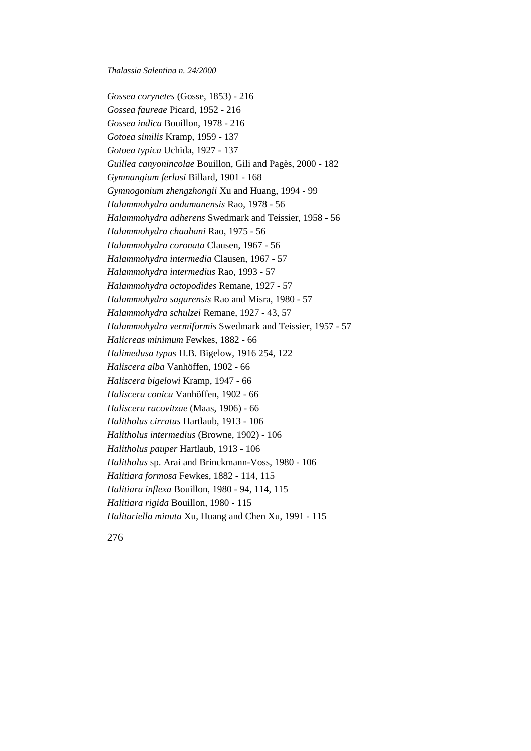*Gossea corynetes* (Gosse, 1853) - 216 *Gossea faureae* Picard, 1952 - 216 *Gossea indica* Bouillon, 1978 - 216 *Gotoea similis* Kramp, 1959 - 137 *Gotoea typica* Uchida, 1927 - 137 *Guillea canyonincolae* Bouillon, Gili and Pagès, 2000 - 182 *Gymnangium ferlusi* Billard, 1901 - 168 *Gymnogonium zhengzhongii* Xu and Huang, 1994 - 99 *Halammohydra andamanensis* Rao, 1978 - 56 *Halammohydra adherens* Swedmark and Teissier, 1958 - 56 *Halammohydra chauhani* Rao, 1975 - 56 *Halammohydra coronata* Clausen, 1967 - 56 *Halammohydra intermedia* Clausen, 1967 - 57 *Halammohydra intermedius* Rao, 1993 - 57 *Halammohydra octopodides* Remane, 1927 - 57 *Halammohydra sagarensis* Rao and Misra, 1980 - 57 *Halammohydra schulzei* Remane, 1927 - 43, 57 *Halammohydra vermiformis* Swedmark and Teissier, 1957 - 57 *Halicreas minimum* Fewkes, 1882 - 66 *Halimedusa typus* H.B. Bigelow, 1916 254, 122 *Haliscera alba* Vanhöffen, 1902 - 66 *Haliscera bigelowi* Kramp, 1947 - 66 *Haliscera conica* Vanhöffen, 1902 - 66 *Haliscera racovitzae* (Maas, 1906) - 66 *Halitholus cirratus* Hartlaub, 1913 - 106 *Halitholus intermedius* (Browne, 1902) - 106 *Halitholus pauper* Hartlaub, 1913 - 106 *Halitholus* sp. Arai and Brinckmann-Voss, 1980 - 106 *Halitiara formosa* Fewkes, 1882 - 114, 115 *Halitiara inflexa* Bouillon, 1980 - 94, 114, 115 *Halitiara rigida* Bouillon, 1980 - 115 *Halitariella minuta* Xu, Huang and Chen Xu, 1991 - 115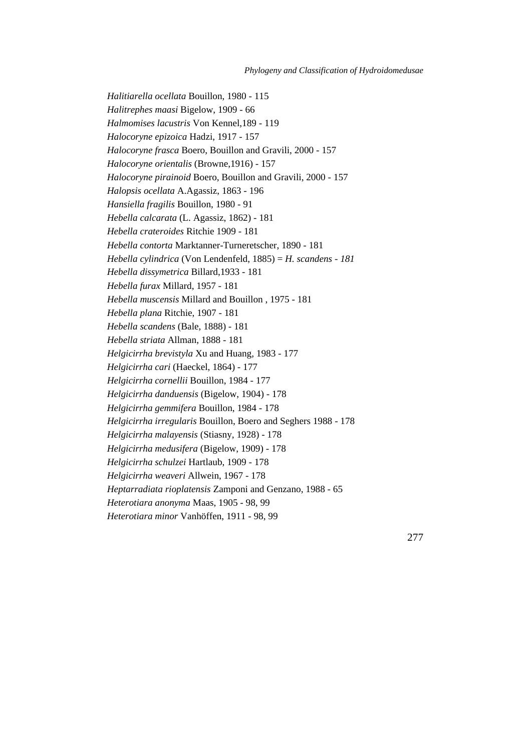*Halitiarella ocellata* Bouillon, 1980 - 115 *Halitrephes maasi* Bigelow, 1909 - 66 *Halmomises lacustris* Von Kennel,189 - 119 *Halocoryne epizoica* Hadzi, 1917 - 157 *Halocoryne frasca* Boero, Bouillon and Gravili, 2000 - 157 *Halocoryne orientalis* (Browne,1916) - 157 *Halocoryne pirainoid* Boero, Bouillon and Gravili, 2000 - 157 *Halopsis ocellata* A.Agassiz, 1863 - 196 *Hansiella fragilis* Bouillon, 1980 - 91 *Hebella calcarata* (L. Agassiz, 1862) - 181 *Hebella crateroides* Ritchie 1909 - 181 *Hebella contorta* Marktanner-Turneretscher, 1890 - 181 *Hebella cylindrica* (Von Lendenfeld, 1885) = *H. scandens - 181 Hebella dissymetrica* Billard,1933 - 181 *Hebella furax* Millard, 1957 - 181 *Hebella muscensis* Millard and Bouillon , 1975 - 181 *Hebella plana* Ritchie, 1907 - 181 *Hebella scandens* (Bale, 1888) - 181 *Hebella striata* Allman, 1888 - 181 *Helgicirrha brevistyla* Xu and Huang, 1983 - 177 *Helgicirrha cari* (Haeckel, 1864) - 177 *Helgicirrha cornellii* Bouillon, 1984 - 177 *Helgicirrha danduensis* (Bigelow, 1904) - 178 *Helgicirrha gemmifera* Bouillon, 1984 - 178 *Helgicirrha irregularis* Bouillon, Boero and Seghers 1988 - 178 *Helgicirrha malayensis* (Stiasny, 1928) - 178 *Helgicirrha medusifera* (Bigelow, 1909) - 178 *Helgicirrha schulzei* Hartlaub, 1909 - 178 *Helgicirrha weaveri* Allwein, 1967 - 178 *Heptarradiata rioplatensis* Zamponi and Genzano, 1988 - 65 *Heterotiara anonyma* Maas, 1905 - 98, 99 *Heterotiara minor* Vanhöffen, 1911 - 98, 99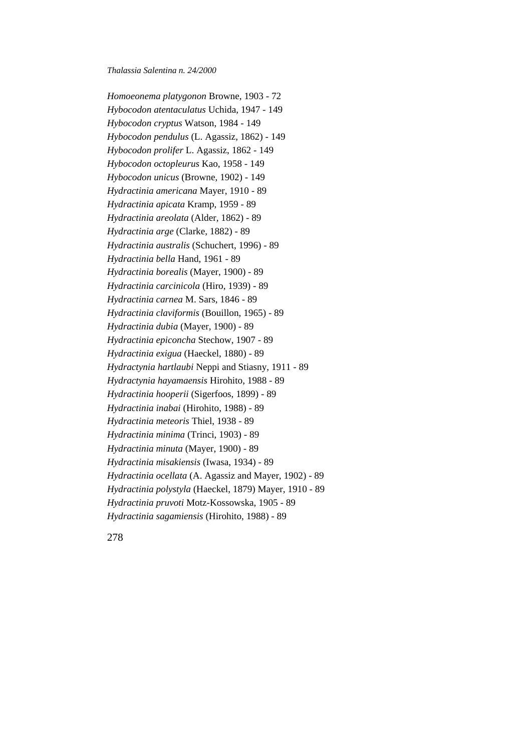*Homoeonema platygonon* Browne, 1903 - 72 *Hybocodon atentaculatus* Uchida, 1947 - 149 *Hybocodon cryptus* Watson, 1984 - 149 *Hybocodon pendulus* (L. Agassiz, 1862) - 149 *Hybocodon prolifer* L. Agassiz, 1862 - 149 *Hybocodon octopleurus* Kao, 1958 - 149 *Hybocodon unicus* (Browne, 1902) - 149 *Hydractinia americana* Mayer, 1910 - 89 *Hydractinia apicata* Kramp, 1959 - 89 *Hydractinia areolata* (Alder, 1862) - 89 *Hydractinia arge* (Clarke, 1882) - 89 *Hydractinia australis* (Schuchert, 1996) - 89 *Hydractinia bella* Hand, 1961 - 89 *Hydractinia borealis* (Mayer, 1900) - 89 *Hydractinia carcinicola* (Hiro, 1939) - 89 *Hydractinia carnea* M. Sars, 1846 - 89 *Hydractinia claviformis* (Bouillon, 1965) - 89 *Hydractinia dubia* (Mayer, 1900) - 89 *Hydractinia epiconcha* Stechow, 1907 - 89 *Hydractinia exigua* (Haeckel, 1880) - 89 *Hydractynia hartlaubi* Neppi and Stiasny, 1911 - 89 *Hydractynia hayamaensis* Hirohito, 1988 - 89 *Hydractinia hooperii* (Sigerfoos, 1899) - 89 *Hydractinia inabai* (Hirohito, 1988) - 89 *Hydractinia meteoris* Thiel, 1938 - 89 *Hydractinia minima* (Trinci, 1903) - 89 *Hydractinia minuta* (Mayer, 1900) - 89 *Hydractinia misakiensis* (Iwasa, 1934) - 89 *Hydractinia ocellata* (A. Agassiz and Mayer, 1902) - 89 *Hydractinia polystyla* (Haeckel, 1879) Mayer, 1910 - 89 *Hydractinia pruvoti* Motz-Kossowska, 1905 - 89 *Hydractinia sagamiensis* (Hirohito, 1988) - 89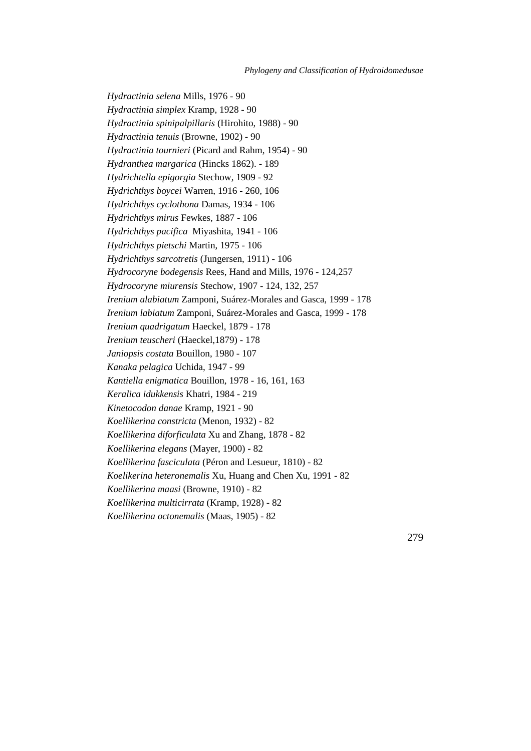*Hydractinia selena* Mills, 1976 - 90 *Hydractinia simplex* Kramp, 1928 - 90 *Hydractinia spinipalpillaris* (Hirohito, 1988) - 90 *Hydractinia tenuis* (Browne, 1902) - 90 *Hydractinia tournieri* (Picard and Rahm, 1954) - 90 *Hydranthea margarica* (Hincks 1862). - 189 *Hydrichtella epigorgia* Stechow, 1909 - 92 *Hydrichthys boycei* Warren, 1916 - 260, 106 *Hydrichthys cyclothona* Damas, 1934 - 106 *Hydrichthys mirus* Fewkes, 1887 - 106 *Hydrichthys pacifica* Miyashita, 1941 - 106 *Hydrichthys pietschi* Martin, 1975 - 106 *Hydrichthys sarcotretis* (Jungersen, 1911) - 106 *Hydrocoryne bodegensis* Rees, Hand and Mills, 1976 - 124,257 *Hydrocoryne miurensis* Stechow, 1907 - 124, 132, 257 *Irenium alabiatum* Zamponi, Suárez-Morales and Gasca, 1999 - 178 *Irenium labiatum* Zamponi, Suárez-Morales and Gasca, 1999 - 178 *Irenium quadrigatum* Haeckel, 1879 - 178 *Irenium teuscheri* (Haeckel,1879) - 178 *Janiopsis costata* Bouillon, 1980 - 107 *Kanaka pelagica* Uchida, 1947 - 99 *Kantiella enigmatica* Bouillon, 1978 - 16, 161, 163 *Keralica idukkensis* Khatri, 1984 - 219 *Kinetocodon danae* Kramp, 1921 - 90 *Koellikerina constricta* (Menon, 1932) - 82 *Koellikerina diforficulata* Xu and Zhang, 1878 - 82 *Koellikerina elegans* (Mayer, 1900) - 82 *Koellikerina fasciculata* (Péron and Lesueur, 1810) - 82 *Koelikerina heteronemalis* Xu, Huang and Chen Xu, 1991 - 82 *Koellikerina maasi* (Browne, 1910) - 82 *Koellikerina multicirrata* (Kramp, 1928) - 82 *Koellikerina octonemalis* (Maas, 1905) - 82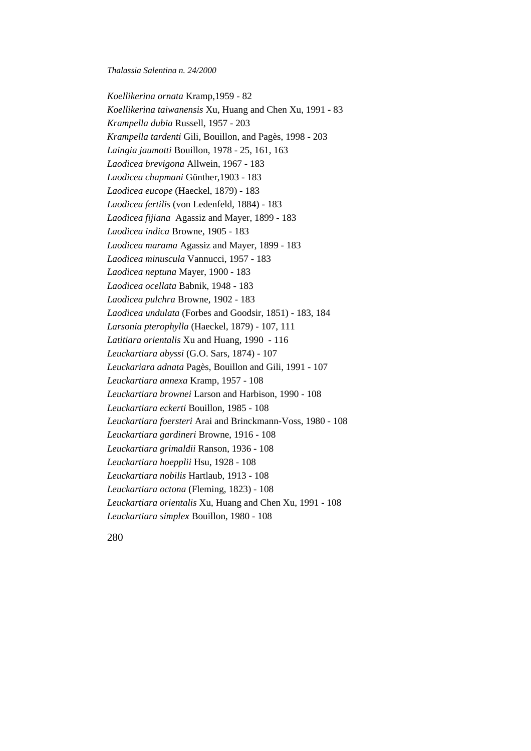*Koellikerina ornata* Kramp,1959 - 82 *Koellikerina taiwanensis* Xu, Huang and Chen Xu, 1991 - 83 *Krampella dubia* Russell, 1957 - 203 *Krampella tardenti* Gili, Bouillon, and Pagès, 1998 - 203 *Laingia jaumotti* Bouillon, 1978 - 25, 161, 163 *Laodicea brevigona* Allwein, 1967 - 183 *Laodicea chapmani* Günther,1903 - 183 *Laodicea eucope* (Haeckel, 1879) - 183 *Laodicea fertilis* (von Ledenfeld, 1884) - 183 *Laodicea fijiana* Agassiz and Mayer, 1899 - 183 *Laodicea indica* Browne, 1905 - 183 *Laodicea marama* Agassiz and Mayer, 1899 - 183 *Laodicea minuscula* Vannucci, 1957 - 183 *Laodicea neptuna* Mayer, 1900 - 183 *Laodicea ocellata* Babnik, 1948 - 183 *Laodicea pulchra* Browne, 1902 - 183 *Laodicea undulata* (Forbes and Goodsir, 1851) - 183, 184 *Larsonia pterophylla* (Haeckel, 1879) - 107, 111 *Latitiara orientalis* Xu and Huang, 1990 - 116 *Leuckartiara abyssi* (G.O. Sars, 1874) - 107 *Leuckariara adnata* Pagès, Bouillon and Gili, 1991 - 107 *Leuckartiara annexa* Kramp, 1957 - 108 *Leuckartiara brownei* Larson and Harbison, 1990 - 108 *Leuckartiara eckerti* Bouillon, 1985 - 108 *Leuckartiara foersteri* Arai and Brinckmann-Voss, 1980 - 108 *Leuckartiara gardineri* Browne, 1916 - 108 *Leuckartiara grimaldii* Ranson, 1936 - 108 *Leuckartiara hoepplii* Hsu, 1928 - 108 *Leuckartiara nobilis* Hartlaub, 1913 - 108 *Leuckartiara octona* (Fleming, 1823) - 108 *Leuckartiara orientalis* Xu, Huang and Chen Xu, 1991 - 108 *Leuckartiara simplex* Bouillon, 1980 - 108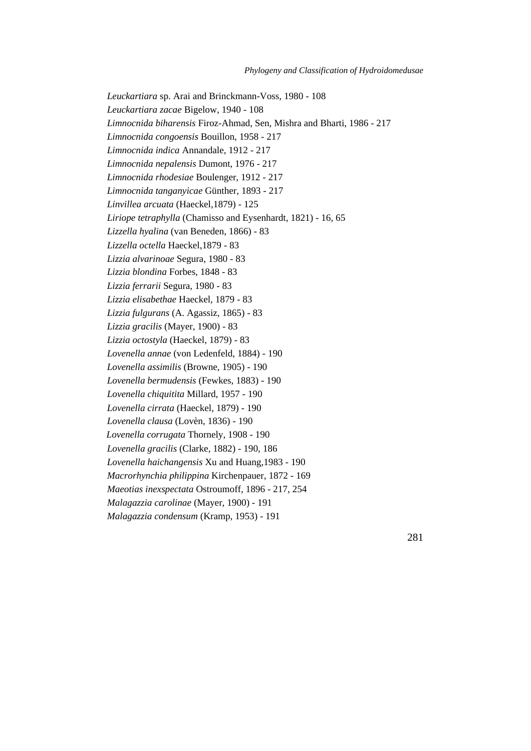*Leuckartiara* sp. Arai and Brinckmann-Voss, 1980 - 108 *Leuckartiara zacae* Bigelow, 1940 - 108 *Limnocnida biharensis* Firoz-Ahmad, Sen, Mishra and Bharti, 1986 - 217 *Limnocnida congoensis* Bouillon, 1958 - 217 *Limnocnida indica* Annandale, 1912 - 217 *Limnocnida nepalensis* Dumont, 1976 - 217 *Limnocnida rhodesiae* Boulenger, 1912 - 217 *Limnocnida tanganyicae* Günther, 1893 - 217 *Linvillea arcuata* (Haeckel,1879) - 125 *Liriope tetraphylla* (Chamisso and Eysenhardt, 1821) - 16, 65 *Lizzella hyalina* (van Beneden, 1866) - 83 *Lizzella octella* Haeckel,1879 - 83 *Lizzia alvarinoae* Segura, 1980 - 83 *Lizzia blondina* Forbes, 1848 - 83 *Lizzia ferrarii* Segura, 1980 - 83 *Lizzia elisabethae* Haeckel, 1879 - 83 *Lizzia fulgurans* (A. Agassiz, 1865) - 83 *Lizzia gracilis* (Mayer, 1900) - 83 *Lizzia octostyla* (Haeckel, 1879) - 83 *Lovenella annae* (von Ledenfeld, 1884) - 190 *Lovenella assimilis* (Browne, 1905) - 190 *Lovenella bermudensis* (Fewkes, 1883) - 190 *Lovenella chiquitita* Millard, 1957 - 190 *Lovenella cirrata* (Haeckel, 1879) - 190 *Lovenella clausa* (Lovèn, 1836) - 190 *Lovenella corrugata* Thornely, 1908 - 190 *Lovenella gracilis* (Clarke, 1882) - 190, 186 *Lovenella haichangensis* Xu and Huang,1983 - 190 *Macrorhynchia philippina* Kirchenpauer, 1872 - 169 *Maeotias inexspectata* Ostroumoff, 1896 - 217, 254 *Malagazzia carolinae* (Mayer, 1900) - 191 *Malagazzia condensum* (Kramp, 1953) - 191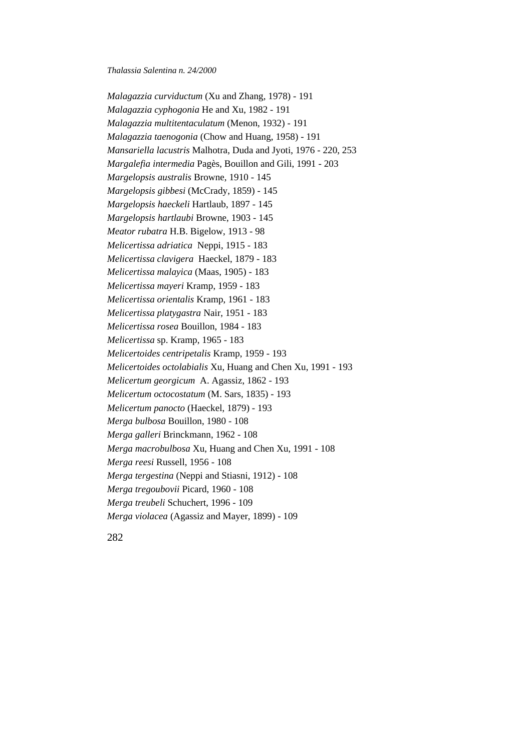*Malagazzia curviductum* (Xu and Zhang, 1978) - 191 *Malagazzia cyphogonia* He and Xu, 1982 - 191 *Malagazzia multitentaculatum* (Menon, 1932) - 191 *Malagazzia taenogonia* (Chow and Huang, 1958) - 191 *Mansariella lacustris* Malhotra, Duda and Jyoti, 1976 - 220, 253 *Margalefia intermedia* Pagès, Bouillon and Gili, 1991 - 203 *Margelopsis australis* Browne, 1910 - 145 *Margelopsis gibbesi* (McCrady, 1859) - 145 *Margelopsis haeckeli* Hartlaub, 1897 - 145 *Margelopsis hartlaubi* Browne, 1903 - 145 *Meator rubatra* H.B. Bigelow, 1913 - 98 *Melicertissa adriatica* Neppi, 1915 - 183 *Melicertissa clavigera* Haeckel, 1879 - 183 *Melicertissa malayica* (Maas, 1905) - 183 *Melicertissa mayeri* Kramp, 1959 - 183 *Melicertissa orientalis* Kramp, 1961 - 183 *Melicertissa platygastra* Nair, 1951 - 183 *Melicertissa rosea* Bouillon, 1984 - 183 *Melicertissa* sp. Kramp, 1965 - 183 *Melicertoides centripetalis* Kramp, 1959 - 193 *Melicertoides octolabialis* Xu, Huang and Chen Xu, 1991 - 193 *Melicertum georgicum* A. Agassiz, 1862 - 193 *Melicertum octocostatum* (M. Sars, 1835) - 193 *Melicertum panocto* (Haeckel, 1879) - 193 *Merga bulbosa* Bouillon, 1980 - 108 *Merga galleri* Brinckmann, 1962 - 108 *Merga macrobulbosa* Xu, Huang and Chen Xu, 1991 - 108 *Merga reesi* Russell, 1956 - 108 *Merga tergestina* (Neppi and Stiasni, 1912) - 108 *Merga tregoubovii* Picard, 1960 - 108 *Merga treubeli* Schuchert, 1996 - 109 *Merga violacea* (Agassiz and Mayer, 1899) - 109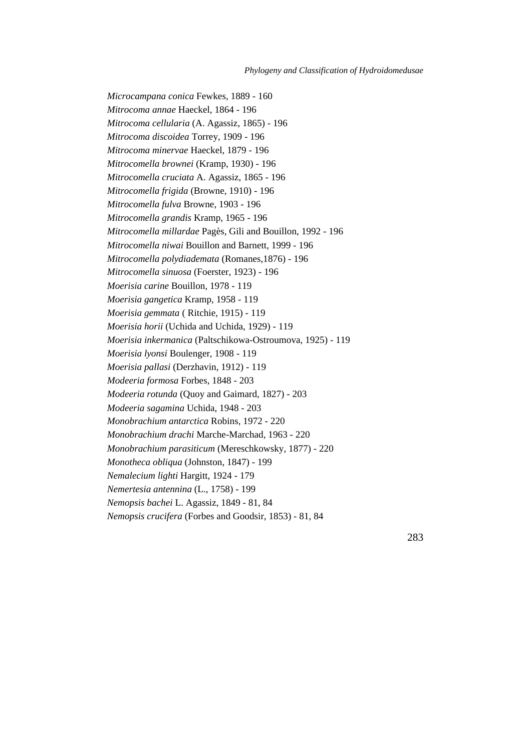*Microcampana conica* Fewkes, 1889 - 160 *Mitrocoma annae* Haeckel, 1864 - 196 *Mitrocoma cellularia* (A. Agassiz, 1865) - 196 *Mitrocoma discoidea* Torrey, 1909 - 196 *Mitrocoma minervae* Haeckel, 1879 - 196 *Mitrocomella brownei* (Kramp, 1930) - 196 *Mitrocomella cruciata* A. Agassiz, 1865 - 196 *Mitrocomella frigida* (Browne, 1910) - 196 *Mitrocomella fulva* Browne, 1903 - 196 *Mitrocomella grandis* Kramp, 1965 - 196 *Mitrocomella millardae* Pagès, Gili and Bouillon, 1992 - 196 *Mitrocomella niwai* Bouillon and Barnett, 1999 - 196 *Mitrocomella polydiademata* (Romanes,1876) - 196 *Mitrocomella sinuosa* (Foerster, 1923) - 196 *Moerisia carine* Bouillon, 1978 - 119 *Moerisia gangetica* Kramp, 1958 - 119 *Moerisia gemmata* ( Ritchie, 1915) - 119 *Moerisia horii* (Uchida and Uchida, 1929) - 119 *Moerisia inkermanica* (Paltschikowa-Ostroumova, 1925) - 119 *Moerisia lyonsi* Boulenger, 1908 - 119 *Moerisia pallasi* (Derzhavin, 1912) - 119 *Modeeria formosa* Forbes, 1848 - 203 *Modeeria rotunda* (Quoy and Gaimard, 1827) - 203 *Modeeria sagamina* Uchida, 1948 - 203 *Monobrachium antarctica* Robins, 1972 - 220 *Monobrachium drachi* Marche-Marchad, 1963 - 220 *Monobrachium parasiticum* (Mereschkowsky, 1877) - 220 *Monotheca obliqua* (Johnston, 1847) - 199 *Nemalecium lighti* Hargitt, 1924 - 179 *Nemertesia antennina* (L., 1758) - 199 *Nemopsis bachei* L. Agassiz, 1849 - 81, 84 *Nemopsis crucifera* (Forbes and Goodsir, 1853) - 81, 84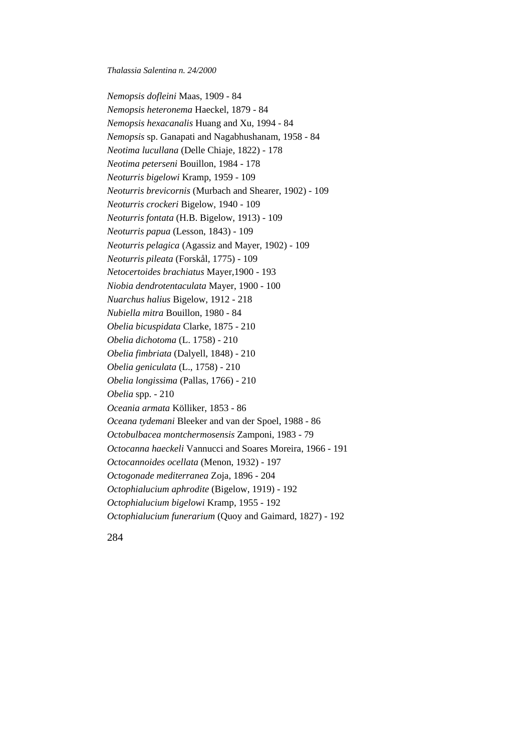*Nemopsis dofleini* Maas, 1909 - 84 *Nemopsis heteronema* Haeckel, 1879 - 84 *Nemopsis hexacanalis* Huang and Xu, 1994 - 84 *Nemopsis* sp. Ganapati and Nagabhushanam, 1958 - 84 *Neotima lucullana* (Delle Chiaje, 1822) - 178 *Neotima peterseni* Bouillon, 1984 - 178 *Neoturris bigelowi* Kramp, 1959 - 109 *Neoturris brevicornis* (Murbach and Shearer, 1902) - 109 *Neoturris crockeri* Bigelow, 1940 - 109 *Neoturris fontata* (H.B. Bigelow, 1913) - 109 *Neoturris papua* (Lesson, 1843) - 109 *Neoturris pelagica* (Agassiz and Mayer, 1902) - 109 *Neoturris pileata* (Forskål, 1775) - 109 *Netocertoides brachiatus* Mayer,1900 - 193 *Niobia dendrotentaculata* Mayer, 1900 - 100 *Nuarchus halius* Bigelow, 1912 - 218 *Nubiella mitra* Bouillon, 1980 - 84 *Obelia bicuspidata* Clarke, 1875 - 210 *Obelia dichotoma* (L. 1758) - 210 *Obelia fimbriata* (Dalyell, 1848) - 210 *Obelia geniculata* (L., 1758) - 210 *Obelia longissima* (Pallas, 1766) - 210 *Obelia* spp. - 210 *Oceania armata* Kölliker, 1853 - 86 *Oceana tydemani* Bleeker and van der Spoel, 1988 - 86 *Octobulbacea montchermosensis* Zamponi, 1983 - 79 *Octocanna haeckeli* Vannucci and Soares Moreira, 1966 - 191 *Octocannoides ocellata* (Menon, 1932) - 197 *Octogonade mediterranea* Zoja, 1896 - 204 *Octophialucium aphrodite* (Bigelow, 1919) - 192 *Octophialucium bigelowi* Kramp, 1955 - 192 *Octophialucium funerarium* (Quoy and Gaimard, 1827) - 192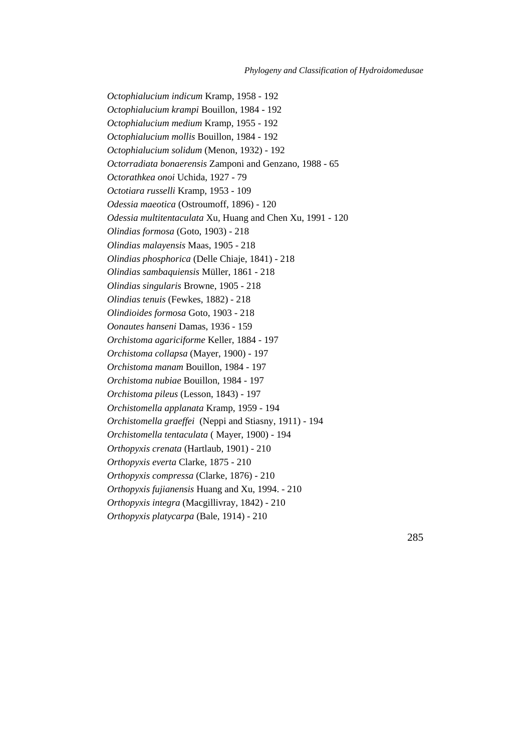*Octophialucium indicum* Kramp, 1958 - 192 *Octophialucium krampi* Bouillon, 1984 - 192 *Octophialucium medium* Kramp, 1955 - 192 *Octophialucium mollis* Bouillon, 1984 - 192 *Octophialucium solidum* (Menon, 1932) - 192 *Octorradiata bonaerensis* Zamponi and Genzano, 1988 - 65 *Octorathkea onoi* Uchida, 1927 - 79 *Octotiara russelli* Kramp, 1953 - 109 *Odessia maeotica* (Ostroumoff, 1896) - 120 *Odessia multitentaculata* Xu, Huang and Chen Xu, 1991 - 120 *Olindias formosa* (Goto, 1903) - 218 *Olindias malayensis* Maas, 1905 - 218 *Olindias phosphorica* (Delle Chiaje, 1841) - 218 *Olindias sambaquiensis* Müller, 1861 - 218 *Olindias singularis* Browne, 1905 - 218 *Olindias tenuis* (Fewkes, 1882) - 218 *Olindioides formosa* Goto, 1903 - 218 *Oonautes hanseni* Damas, 1936 - 159 *Orchistoma agariciforme* Keller, 1884 - 197 *Orchistoma collapsa* (Mayer, 1900) - 197 *Orchistoma manam* Bouillon, 1984 - 197 *Orchistoma nubiae* Bouillon, 1984 - 197 *Orchistoma pileus* (Lesson, 1843) - 197 *Orchistomella applanata* Kramp, 1959 - 194 *Orchistomella graeffei* (Neppi and Stiasny, 1911) - 194 *Orchistomella tentaculata* ( Mayer, 1900) - 194 *Orthopyxis crenata* (Hartlaub, 1901) - 210 *Orthopyxis everta* Clarke, 1875 - 210 *Orthopyxis compressa* (Clarke, 1876) - 210 *Orthopyxis fujianensis* Huang and Xu, 1994. - 210 *Orthopyxis integra* (Macgillivray, 1842) - 210 *Orthopyxis platycarpa* (Bale, 1914) - 210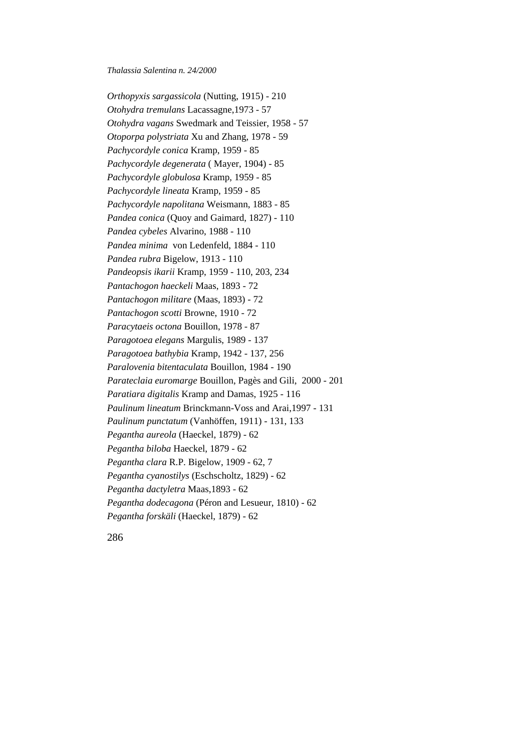*Orthopyxis sargassicola* (Nutting, 1915) - 210 *Otohydra tremulans* Lacassagne,1973 - 57 *Otohydra vagans* Swedmark and Teissier, 1958 - 57 *Otoporpa polystriata* Xu and Zhang, 1978 - 59 *Pachycordyle conica* Kramp, 1959 - 85 *Pachycordyle degenerata* ( Mayer, 1904) - 85 *Pachycordyle globulosa* Kramp, 1959 - 85 *Pachycordyle lineata* Kramp, 1959 - 85 *Pachycordyle napolitana* Weismann, 1883 - 85 *Pandea conica* (Quoy and Gaimard, 1827) - 110 *Pandea cybeles* Alvarino, 1988 - 110 *Pandea minima* von Ledenfeld, 1884 - 110 *Pandea rubra* Bigelow, 1913 - 110 *Pandeopsis ikarii* Kramp, 1959 - 110, 203, 234 *Pantachogon haeckeli* Maas, 1893 - 72 *Pantachogon militare* (Maas, 1893) - 72 *Pantachogon scotti* Browne, 1910 - 72 *Paracytaeis octona* Bouillon, 1978 - 87 *Paragotoea elegans* Margulis, 1989 - 137 *Paragotoea bathybia* Kramp, 1942 - 137, 256 *Paralovenia bitentaculata* Bouillon, 1984 - 190 *Parateclaia euromarge* Bouillon, Pagès and Gili, 2000 - 201 *Paratiara digitalis* Kramp and Damas, 1925 - 116 *Paulinum lineatum* Brinckmann-Voss and Arai,1997 - 131 *Paulinum punctatum* (Vanhöffen, 1911) - 131, 133 *Pegantha aureola* (Haeckel, 1879) - 62 *Pegantha biloba* Haeckel, 1879 - 62 *Pegantha clara* R.P. Bigelow, 1909 - 62, 7 *Pegantha cyanostilys* (Eschscholtz, 1829) - 62 *Pegantha dactyletra* Maas,1893 - 62 *Pegantha dodecagona* (Péron and Lesueur, 1810) - 62 *Pegantha forskäli* (Haeckel, 1879) - 62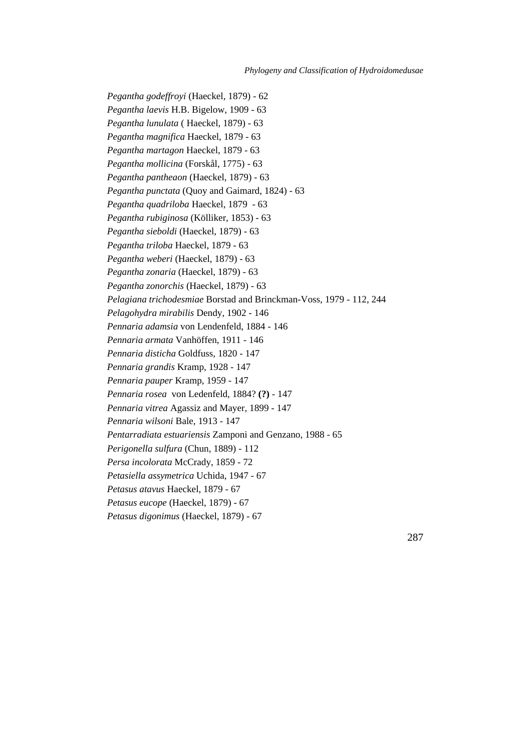*Pegantha godeffroyi* (Haeckel, 1879) - 62 *Pegantha laevis* H.B. Bigelow, 1909 - 63 *Pegantha lunulata* ( Haeckel, 1879) - 63 *Pegantha magnifica* Haeckel, 1879 - 63 *Pegantha martagon* Haeckel, 1879 - 63 *Pegantha mollicina* (Forskål, 1775) - 63 *Pegantha pantheaon* (Haeckel, 1879) - 63 *Pegantha punctata* (Quoy and Gaimard, 1824) - 63 *Pegantha quadriloba* Haeckel, 1879 - 63 *Pegantha rubiginosa* (Kölliker, 1853) - 63 *Pegantha sieboldi* (Haeckel, 1879) - 63 *Pegantha triloba* Haeckel, 1879 - 63 *Pegantha weberi* (Haeckel, 1879) - 63 *Pegantha zonaria* (Haeckel, 1879) - 63 *Pegantha zonorchis* (Haeckel, 1879) - 63 *Pelagiana trichodesmiae* Borstad and Brinckman-Voss, 1979 - 112, 244 *Pelagohydra mirabilis* Dendy, 1902 - 146 *Pennaria adamsia* von Lendenfeld, 1884 - 146 *Pennaria armata* Vanhöffen, 1911 - 146 *Pennaria disticha* Goldfuss, 1820 - 147 *Pennaria grandis* Kramp, 1928 - 147 *Pennaria pauper* Kramp, 1959 - 147 *Pennaria rosea* von Ledenfeld, 1884? **(?)** - 147 *Pennaria vitrea* Agassiz and Mayer, 1899 - 147 *Pennaria wilsoni* Bale, 1913 - 147 *Pentarradiata estuariensis* Zamponi and Genzano, 1988 - 65 *Perigonella sulfura* (Chun, 1889) - 112 *Persa incolorata* McCrady, 1859 - 72 *Petasiella assymetrica* Uchida, 1947 - 67 *Petasus atavus* Haeckel, 1879 - 67 *Petasus eucope* (Haeckel, 1879) - 67 *Petasus digonimus* (Haeckel, 1879) - 67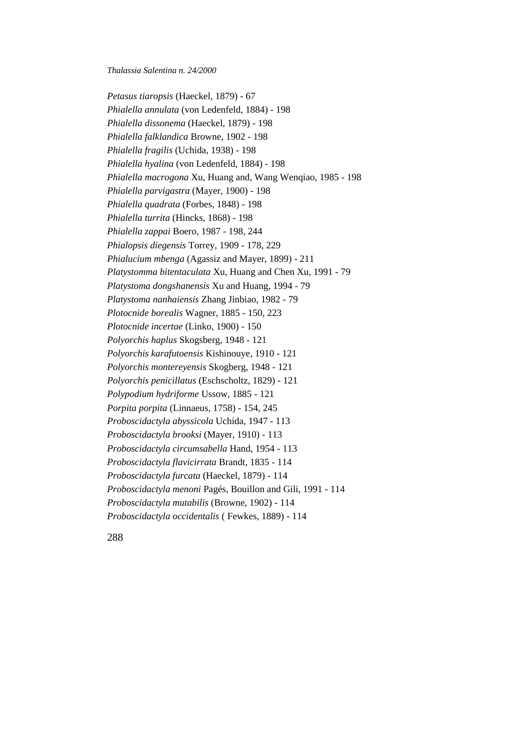*Petasus tiaropsis* (Haeckel, 1879) - 67 *Phialella annulata* (von Ledenfeld, 1884) - 198 *Phialella dissonema* (Haeckel, 1879) - 198 *Phialella falklandica* Browne, 1902 - 198 *Phialella fragilis* (Uchida, 1938) - 198 *Phialella hyalina* (von Ledenfeld, 1884) - 198 *Phialella macrogona* Xu, Huang and, Wang Wenqiao, 1985 - 198 *Phialella parvigastra* (Mayer, 1900) - 198 *Phialella quadrata* (Forbes, 1848) - 198 *Phialella turrita* (Hincks, 1868) - 198 *Phialella zappai* Boero, 1987 - 198, 244 *Phialopsis diegensis* Torrey, 1909 - 178, 229 *Phialucium mbenga* (Agassiz and Mayer, 1899) - 211 *Platystomma bitentaculata* Xu, Huang and Chen Xu, 1991 - 79 *Platystoma dongshanensis* Xu and Huang, 1994 - 79 *Platystoma nanhaiensis* Zhang Jinbiao, 1982 - 79 *Plotocnide borealis* Wagner, 1885 - 150, 223 *Plotocnide incertae* (Linko, 1900) - 150 *Polyorchis haplus* Skogsberg, 1948 - 121 *Polyorchis karafutoensis* Kishinouye, 1910 - 121 *Polyorchis montereyensis* Skogberg, 1948 - 121 *Polyorchis penicillatus* (Eschscholtz, 1829) - 121 *Polypodium hydriforme* Ussow, 1885 - 121 *Porpita porpita* (Linnaeus, 1758) - 154, 245 *Proboscidactyla abyssicola* Uchida, 1947 - 113 *Proboscidactyla brooksi* (Mayer, 1910) - 113 *Proboscidactyla circumsabella* Hand, 1954 - 113 *Proboscidactyla flavicirrata* Brandt, 1835 - 114 *Proboscidactyla furcata* (Haeckel, 1879) - 114 *Proboscidactyla menoni* Pagés, Bouillon and Gili, 1991 - 114 *Proboscidactyla mutabilis* (Browne, 1902) - 114 *Proboscidactyla occidentalis* ( Fewkes, 1889) - 114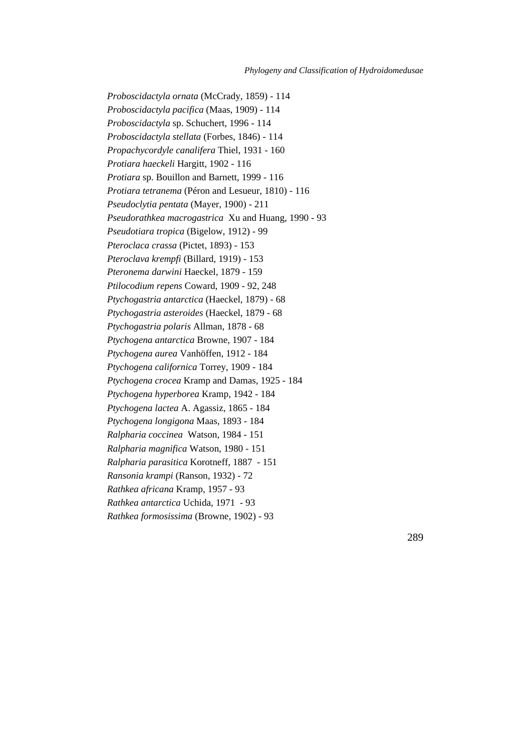*Proboscidactyla ornata* (McCrady, 1859) - 114 *Proboscidactyla pacifica* (Maas, 1909) - 114 *Proboscidactyla* sp. Schuchert, 1996 - 114 *Proboscidactyla stellata* (Forbes, 1846) - 114 *Propachycordyle canalifera* Thiel, 1931 - 160 *Protiara haeckeli* Hargitt, 1902 - 116 *Protiara* sp. Bouillon and Barnett, 1999 - 116 *Protiara tetranema* (Péron and Lesueur, 1810) - 116 *Pseudoclytia pentata* (Mayer, 1900) - 211 *Pseudorathkea macrogastrica* Xu and Huang, 1990 - 93 *Pseudotiara tropica* (Bigelow, 1912) - 99 *Pteroclaca crassa* (Pictet, 1893) - 153 *Pteroclava krempfi* (Billard, 1919) - 153 *Pteronema darwini* Haeckel, 1879 - 159 *Ptilocodium repens* Coward, 1909 - 92, 248 *Ptychogastria antarctica* (Haeckel, 1879) - 68 *Ptychogastria asteroides* (Haeckel, 1879 - 68 *Ptychogastria polaris* Allman, 1878 - 68 *Ptychogena antarctica* Browne, 1907 - 184 *Ptychogena aurea* Vanhöffen, 1912 - 184 *Ptychogena californica* Torrey, 1909 - 184 *Ptychogena crocea* Kramp and Damas, 1925 - 184 *Ptychogena hyperborea* Kramp, 1942 - 184 *Ptychogena lactea* A. Agassiz, 1865 - 184 *Ptychogena longigona* Maas, 1893 - 184 *Ralpharia coccinea* Watson, 1984 - 151 *Ralpharia magnifica* Watson, 1980 - 151 *Ralpharia parasitica* Korotneff, 1887 - 151 *Ransonia krampi* (Ranson, 1932) - 72 *Rathkea africana* Kramp, 1957 - 93 *Rathkea antarctica* Uchida, 1971 - 93 *Rathkea formosissima* (Browne, 1902) - 93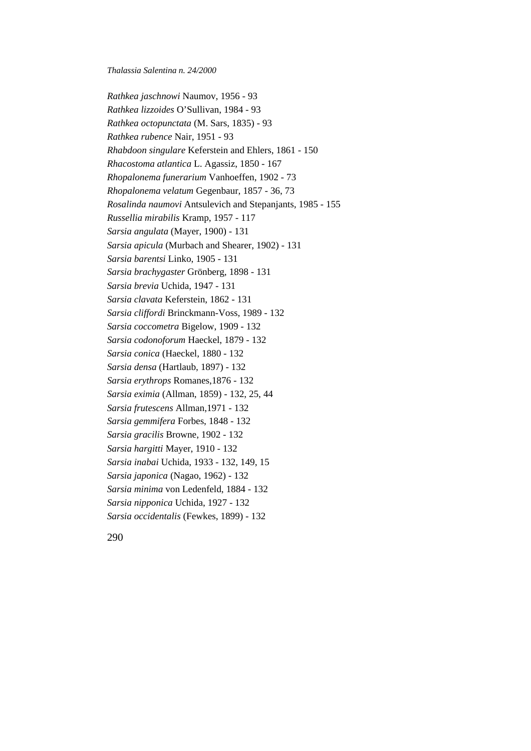*Rathkea jaschnowi* Naumov, 1956 - 93 *Rathkea lizzoides* O'Sullivan, 1984 - 93 *Rathkea octopunctata* (M. Sars, 1835) - 93 *Rathkea rubence* Nair, 1951 - 93 *Rhabdoon singulare* Keferstein and Ehlers, 1861 - 150 *Rhacostoma atlantica* L. Agassiz, 1850 - 167 *Rhopalonema funerarium* Vanhoeffen, 1902 - 73 *Rhopalonema velatum* Gegenbaur, 1857 - 36, 73 *Rosalinda naumovi* Antsulevich and Stepanjants, 1985 - 155 *Russellia mirabilis* Kramp, 1957 - 117 *Sarsia angulata* (Mayer, 1900) - 131 *Sarsia apicula* (Murbach and Shearer, 1902) - 131 *Sarsia barentsi* Linko, 1905 - 131 *Sarsia brachygaster* Grönberg, 1898 - 131 *Sarsia brevia* Uchida, 1947 - 131 *Sarsia clavata* Keferstein, 1862 - 131 *Sarsia cliffordi* Brinckmann-Voss, 1989 - 132 *Sarsia coccometra* Bigelow, 1909 - 132 *Sarsia codonoforum* Haeckel, 1879 - 132 *Sarsia conica* (Haeckel, 1880 - 132 *Sarsia densa* (Hartlaub, 1897) - 132 *Sarsia erythrops* Romanes,1876 - 132 *Sarsia eximia* (Allman, 1859) - 132, 25, 44 *Sarsia frutescens* Allman,1971 - 132 *Sarsia gemmifera* Forbes, 1848 - 132 *Sarsia gracilis* Browne, 1902 - 132 *Sarsia hargitti* Mayer, 1910 - 132 *Sarsia inabai* Uchida, 1933 - 132, 149, 15 *Sarsia japonica* (Nagao, 1962) - 132 *Sarsia minima* von Ledenfeld, 1884 - 132 *Sarsia nipponica* Uchida, 1927 - 132 *Sarsia occidentalis* (Fewkes, 1899) - 132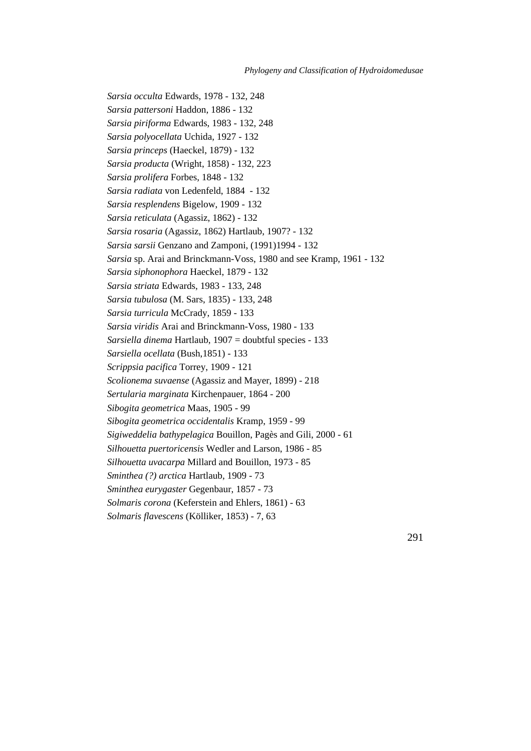*Sarsia occulta* Edwards, 1978 - 132, 248 *Sarsia pattersoni* Haddon, 1886 - 132 *Sarsia piriforma* Edwards, 1983 - 132, 248 *Sarsia polyocellata* Uchida, 1927 - 132 *Sarsia princeps* (Haeckel, 1879) - 132 *Sarsia producta* (Wright, 1858) - 132, 223 *Sarsia prolifera* Forbes, 1848 - 132 *Sarsia radiata* von Ledenfeld, 1884 - 132 *Sarsia resplendens* Bigelow, 1909 - 132 *Sarsia reticulata* (Agassiz, 1862) - 132 *Sarsia rosaria* (Agassiz, 1862) Hartlaub, 1907? - 132 *Sarsia sarsii* Genzano and Zamponi, (1991)1994 - 132 *Sarsia* sp. Arai and Brinckmann-Voss, 1980 and see Kramp, 1961 - 132 *Sarsia siphonophora* Haeckel, 1879 - 132 *Sarsia striata* Edwards, 1983 - 133, 248 *Sarsia tubulosa* (M. Sars, 1835) - 133, 248 *Sarsia turricula* McCrady, 1859 - 133 *Sarsia viridis* Arai and Brinckmann-Voss, 1980 - 133 *Sarsiella dinema* Hartlaub, 1907 = doubtful species - 133 *Sarsiella ocellata* (Bush,1851) - 133 *Scrippsia pacifica* Torrey, 1909 - 121 *Scolionema suvaense* (Agassiz and Mayer, 1899) - 218 *Sertularia marginata* Kirchenpauer, 1864 - 200 *Sibogita geometrica* Maas, 1905 - 99 *Sibogita geometrica occidentalis* Kramp, 1959 - 99 *Sigiweddelia bathypelagica* Bouillon, Pagès and Gili, 2000 - 61 *Silhouetta puertoricensis* Wedler and Larson, 1986 - 85 *Silhouetta uvacarpa* Millard and Bouillon, 1973 - 85 *Sminthea (?) arctica* Hartlaub, 1909 - 73 *Sminthea eurygaster* Gegenbaur, 1857 - 73 *Solmaris corona* (Keferstein and Ehlers, 1861) - 63 *Solmaris flavescens* (Kölliker, 1853) - 7, 63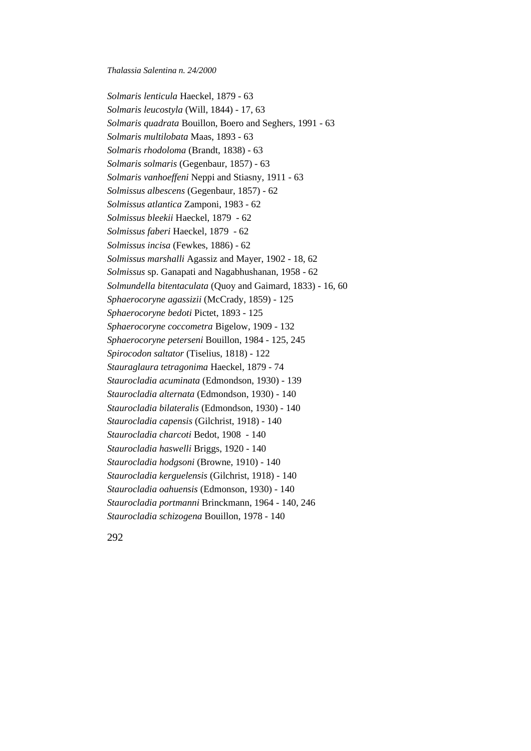*Solmaris lenticula* Haeckel, 1879 - 63 *Solmaris leucostyla* (Will, 1844) - 17, 63 *Solmaris quadrata* Bouillon, Boero and Seghers, 1991 - 63 *Solmaris multilobata* Maas, 1893 - 63 *Solmaris rhodoloma* (Brandt, 1838) - 63 *Solmaris solmaris* (Gegenbaur, 1857) - 63 *Solmaris vanhoeffeni* Neppi and Stiasny, 1911 - 63 *Solmissus albescens* (Gegenbaur, 1857) - 62 *Solmissus atlantica* Zamponi, 1983 - 62 *Solmissus bleekii* Haeckel, 1879 - 62 *Solmissus faberi* Haeckel, 1879 - 62 *Solmissus incisa* (Fewkes, 1886) - 62 *Solmissus marshalli* Agassiz and Mayer, 1902 - 18, 62 *Solmissus* sp. Ganapati and Nagabhushanan, 1958 - 62 *Solmundella bitentaculata* (Quoy and Gaimard, 1833) - 16, 60 *Sphaerocoryne agassizii* (McCrady, 1859) - 125 *Sphaerocoryne bedoti* Pictet, 1893 - 125 *Sphaerocoryne coccometra* Bigelow, 1909 - 132 *Sphaerocoryne peterseni* Bouillon, 1984 - 125, 245 *Spirocodon saltator* (Tiselius, 1818) - 122 *Stauraglaura tetragonima* Haeckel, 1879 - 74 *Staurocladia acuminata* (Edmondson, 1930) - 139 *Staurocladia alternata* (Edmondson, 1930) - 140 *Staurocladia bilateralis* (Edmondson, 1930) - 140 *Staurocladia capensis* (Gilchrist, 1918) - 140 *Staurocladia charcoti* Bedot, 1908 - 140 *Staurocladia haswelli* Briggs, 1920 - 140 *Staurocladia hodgsoni* (Browne, 1910) - 140 *Staurocladia kerguelensis* (Gilchrist, 1918) - 140 *Staurocladia oahuensis* (Edmonson, 1930) - 140 *Staurocladia portmanni* Brinckmann, 1964 - 140, 246 *Staurocladia schizogena* Bouillon, 1978 - 140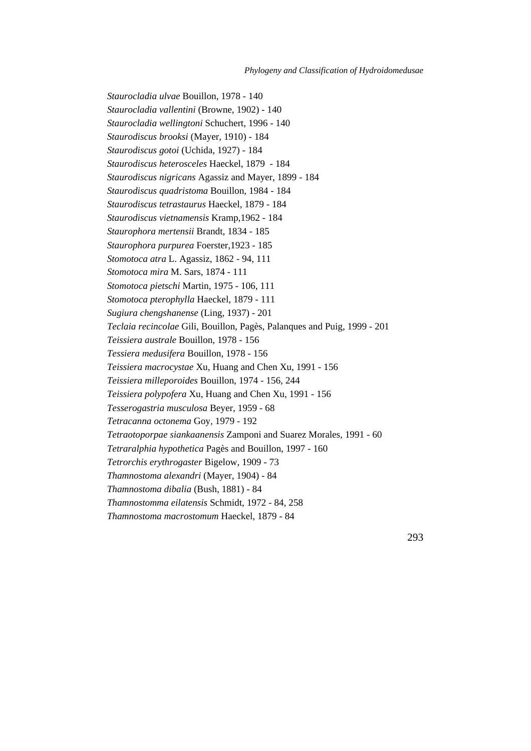*Staurocladia ulvae* Bouillon, 1978 - 140 *Staurocladia vallentini* (Browne, 1902) - 140 *Staurocladia wellingtoni* Schuchert, 1996 - 140 *Staurodiscus brooksi* (Mayer, 1910) - 184 *Staurodiscus gotoi* (Uchida, 1927) - 184 *Staurodiscus heterosceles* Haeckel, 1879 - 184 *Staurodiscus nigricans* Agassiz and Mayer, 1899 - 184 *Staurodiscus quadristoma* Bouillon, 1984 - 184 *Staurodiscus tetrastaurus* Haeckel, 1879 - 184 *Staurodiscus vietnamensis* Kramp,1962 - 184 *Staurophora mertensii* Brandt, 1834 - 185 *Staurophora purpurea* Foerster,1923 - 185 *Stomotoca atra* L. Agassiz, 1862 - 94, 111 *Stomotoca mira* M. Sars, 1874 - 111 *Stomotoca pietschi* Martin, 1975 - 106, 111 *Stomotoca pterophylla* Haeckel, 1879 - 111 *Sugiura chengshanense* (Ling, 1937) - 201 *Teclaia recincolae* Gili, Bouillon, Pagès, Palanques and Puig, 1999 - 201 *Teissiera australe* Bouillon, 1978 - 156 *Tessiera medusifera* Bouillon, 1978 - 156 *Teissiera macrocystae* Xu, Huang and Chen Xu, 1991 - 156 *Teissiera milleporoides* Bouillon, 1974 - 156, 244 *Teissiera polypofera* Xu, Huang and Chen Xu, 1991 - 156 *Tesserogastria musculosa* Beyer, 1959 - 68 *Tetracanna octonema* Goy, 1979 - 192 *Tetraotoporpae siankaanensis* Zamponi and Suarez Morales, 1991 - 60 *Tetraralphia hypothetica* Pagès and Bouillon, 1997 - 160 *Tetrorchis erythrogaster* Bigelow, 1909 - 73 *Thamnostoma alexandri* (Mayer, 1904) - 84 *Thamnostoma dibalia* (Bush, 1881) - 84 *Thamnostomma eilatensis* Schmidt, 1972 - 84, 258 *Thamnostoma macrostomum* Haeckel, 1879 - 84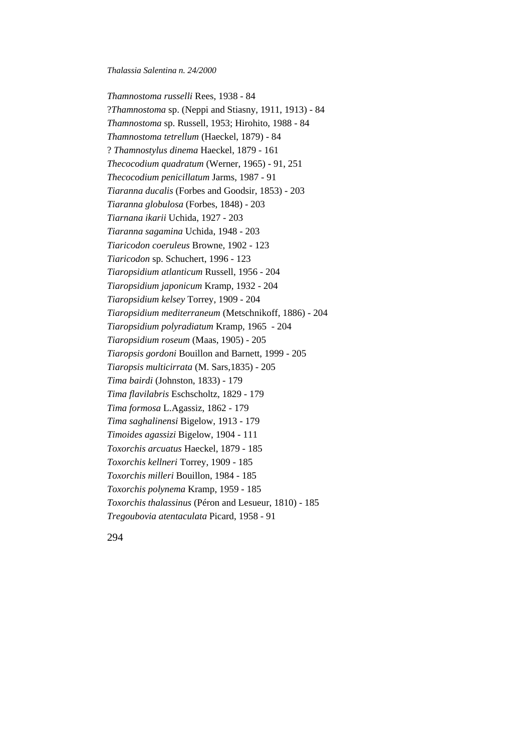*Thamnostoma russelli* Rees, 1938 - 84 ?*Thamnostoma* sp. (Neppi and Stiasny, 1911, 1913) - 84 *Thamnostoma* sp. Russell, 1953; Hirohito, 1988 - 84 *Thamnostoma tetrellum* (Haeckel, 1879) - 84 ? *Thamnostylus dinema* Haeckel, 1879 - 161 *Thecocodium quadratum* (Werner, 1965) - 91, 251 *Thecocodium penicillatum* Jarms, 1987 - 91 *Tiaranna ducalis* (Forbes and Goodsir, 1853) - 203 *Tiaranna globulosa* (Forbes, 1848) - 203 *Tiarnana ikarii* Uchida, 1927 - 203 *Tiaranna sagamina* Uchida, 1948 - 203 *Tiaricodon coeruleus* Browne, 1902 - 123 *Tiaricodon* sp. Schuchert, 1996 - 123 *Tiaropsidium atlanticum* Russell, 1956 - 204 *Tiaropsidium japonicum* Kramp, 1932 - 204 *Tiaropsidium kelsey* Torrey, 1909 - 204 *Tiaropsidium mediterraneum* (Metschnikoff, 1886) - 204 *Tiaropsidium polyradiatum* Kramp, 1965 - 204 *Tiaropsidium roseum* (Maas, 1905) - 205 *Tiaropsis gordoni* Bouillon and Barnett, 1999 - 205 *Tiaropsis multicirrata* (M. Sars,1835) - 205 *Tima bairdi* (Johnston, 1833) - 179 *Tima flavilabris* Eschscholtz, 1829 - 179 *Tima formosa* L.Agassiz, 1862 - 179 *Tima saghalinensi* Bigelow, 1913 - 179 *Timoides agassizi* Bigelow, 1904 - 111 *Toxorchis arcuatus* Haeckel, 1879 - 185 *Toxorchis kellneri* Torrey, 1909 - 185 *Toxorchis milleri* Bouillon, 1984 - 185 *Toxorchis polynema* Kramp, 1959 - 185 *Toxorchis thalassinus* (Péron and Lesueur, 1810) - 185 *Tregoubovia atentaculata* Picard, 1958 - 91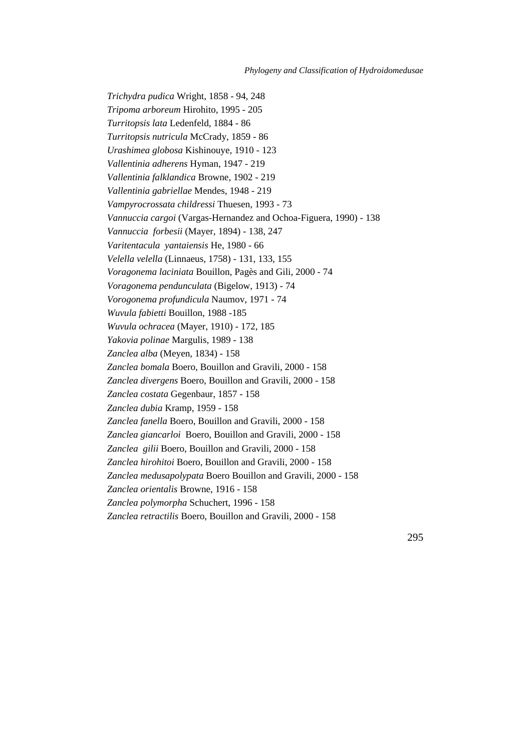*Trichydra pudica* Wright, 1858 - 94, 248 *Tripoma arboreum* Hirohito, 1995 - 205 *Turritopsis lata* Ledenfeld, 1884 - 86 *Turritopsis nutricula* McCrady, 1859 - 86 *Urashimea globosa* Kishinouye, 1910 - 123 *Vallentinia adherens* Hyman, 1947 - 219 *Vallentinia falklandica* Browne, 1902 - 219 *Vallentinia gabriellae* Mendes, 1948 - 219 *Vampyrocrossata childressi* Thuesen, 1993 - 73 *Vannuccia cargoi* (Vargas-Hernandez and Ochoa-Figuera, 1990) - 138 *Vannuccia forbesii* (Mayer, 1894) - 138, 247 *Varitentacula yantaiensis* He, 1980 - 66 *Velella velella* (Linnaeus, 1758) - 131, 133, 155 *Voragonema laciniata* Bouillon, Pagès and Gili, 2000 - 74 *Voragonema pendunculata* (Bigelow, 1913) - 74 *Vorogonema profundicula* Naumov, 1971 - 74 *Wuvula fabietti* Bouillon, 1988 -185 *Wuvula ochracea* (Mayer, 1910) - 172, 185 *Yakovia polinae* Margulis, 1989 - 138 *Zanclea alba* (Meyen, 1834) - 158 *Zanclea bomala* Boero, Bouillon and Gravili, 2000 - 158 *Zanclea divergens* Boero, Bouillon and Gravili, 2000 - 158 *Zanclea costata* Gegenbaur, 1857 - 158 *Zanclea dubia* Kramp, 1959 - 158 *Zanclea fanella* Boero, Bouillon and Gravili, 2000 - 158 *Zanclea giancarloi* Boero, Bouillon and Gravili, 2000 - 158 *Zanclea gilii* Boero, Bouillon and Gravili, 2000 - 158 *Zanclea hirohitoi* Boero, Bouillon and Gravili, 2000 - 158 *Zanclea medusapolypata* Boero Bouillon and Gravili, 2000 - 158 *Zanclea orientalis* Browne, 1916 - 158 *Zanclea polymorpha* Schuchert, 1996 - 158 *Zanclea retractilis* Boero, Bouillon and Gravili, 2000 - 158